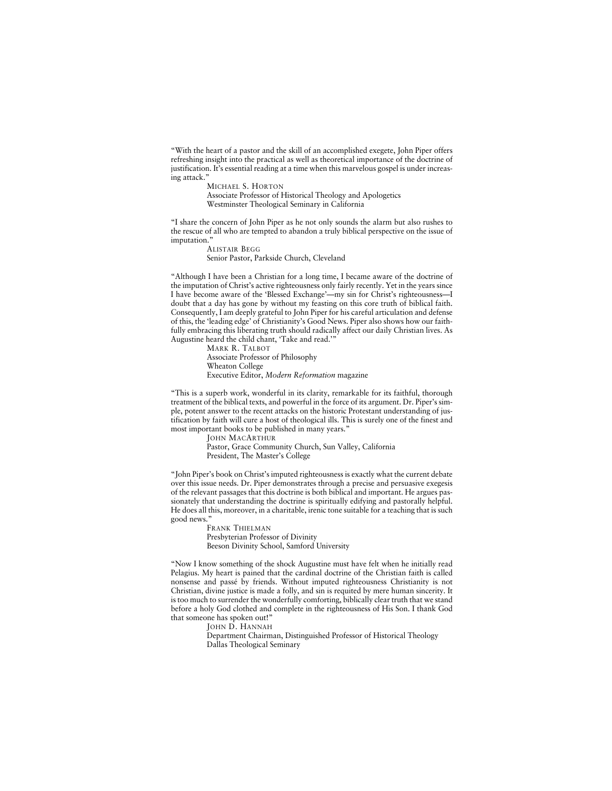"With the heart of a pastor and the skill of an accomplished exegete, John Piper offers refreshing insight into the practical as well as theoretical importance of the doctrine of justification. It's essential reading at a time when this marvelous gospel is under increasing attack."

> MICHAEL S. HORTON Associate Professor of Historical Theology and Apologetics Westminster Theological Seminary in California

"I share the concern of John Piper as he not only sounds the alarm but also rushes to the rescue of all who are tempted to abandon a truly biblical perspective on the issue of imputation."

ALISTAIR BEGG Senior Pastor, Parkside Church, Cleveland

"Although I have been a Christian for a long time, I became aware of the doctrine of the imputation of Christ's active righteousness only fairly recently. Yet in the years since I have become aware of the 'Blessed Exchange'—my sin for Christ's righteousness—I doubt that a day has gone by without my feasting on this core truth of biblical faith. Consequently, I am deeply grateful to John Piper for his careful articulation and defense of this, the 'leading edge' of Christianity's Good News. Piper also shows how our faithfully embracing this liberating truth should radically affect our daily Christian lives. As Augustine heard the child chant, 'Take and read.'"

MARK R. TALBOT Associate Professor of Philosophy Wheaton College Executive Editor, *Modern Reformation* magazine

"This is a superb work, wonderful in its clarity, remarkable for its faithful, thorough treatment of the biblical texts, and powerful in the force of its argument. Dr. Piper's simple, potent answer to the recent attacks on the historic Protestant understanding of justification by faith will cure a host of theological ills. This is surely one of the finest and most important books to be published in many years."

JOHN MACARTHUR

Pastor, Grace Community Church, Sun Valley, California President, The Master's College

"John Piper's book on Christ's imputed righteousness is exactly what the current debate over this issue needs. Dr. Piper demonstrates through a precise and persuasive exegesis of the relevant passages that this doctrine is both biblical and important. He argues passionately that understanding the doctrine is spiritually edifying and pastorally helpful. He does all this, moreover, in a charitable, irenic tone suitable for a teaching that is such good news."

> FRANK THIELMAN Presbyterian Professor of Divinity Beeson Divinity School, Samford University

"Now I know something of the shock Augustine must have felt when he initially read Pelagius. My heart is pained that the cardinal doctrine of the Christian faith is called nonsense and passé by friends. Without imputed righteousness Christianity is not Christian, divine justice is made a folly, and sin is requited by mere human sincerity. It is too much to surrender the wonderfully comforting, biblically clear truth that we stand before a holy God clothed and complete in the righteousness of His Son. I thank God that someone has spoken out!"

JOHN D. HANNAH

Department Chairman, Distinguished Professor of Historical Theology Dallas Theological Seminary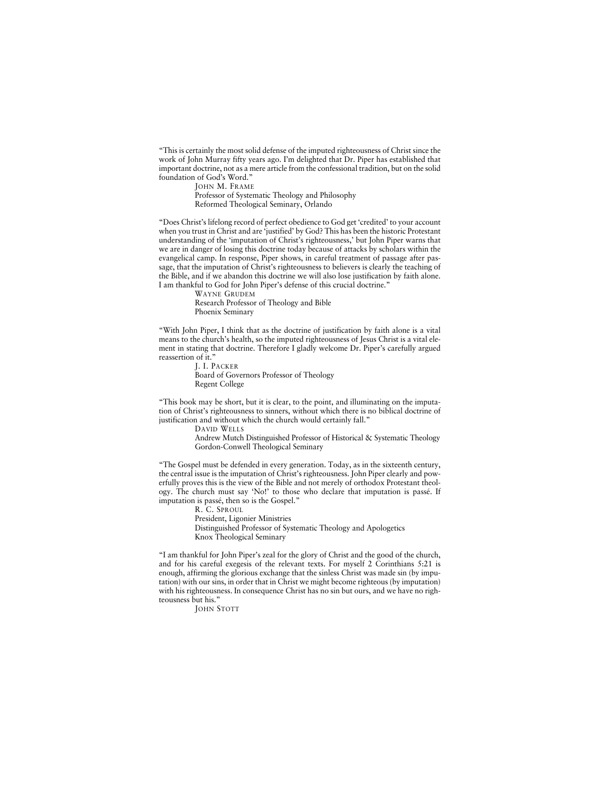"This is certainly the most solid defense of the imputed righteousness of Christ since the work of John Murray fifty years ago. I'm delighted that Dr. Piper has established that important doctrine, not as a mere article from the confessional tradition, but on the solid foundation of God's Word."

JOHN M. FRAME

Professor of Systematic Theology and Philosophy Reformed Theological Seminary, Orlando

"Does Christ's lifelong record of perfect obedience to God get 'credited' to your account when you trust in Christ and are 'justified' by God? This has been the historic Protestant understanding of the 'imputation of Christ's righteousness,' but John Piper warns that we are in danger of losing this doctrine today because of attacks by scholars within the evangelical camp. In response, Piper shows, in careful treatment of passage after passage, that the imputation of Christ's righteousness to believers is clearly the teaching of the Bible, and if we abandon this doctrine we will also lose justification by faith alone. I am thankful to God for John Piper's defense of this crucial doctrine."

WAYNE GRUDEM

Research Professor of Theology and Bible Phoenix Seminary

"With John Piper, I think that as the doctrine of justification by faith alone is a vital means to the church's health, so the imputed righteousness of Jesus Christ is a vital element in stating that doctrine. Therefore I gladly welcome Dr. Piper's carefully argued reassertion of it."

J. I. PACKER Board of Governors Professor of Theology Regent College

"This book may be short, but it is clear, to the point, and illuminating on the imputation of Christ's righteousness to sinners, without which there is no biblical doctrine of justification and without which the church would certainly fall."

DAVID WELLS

Andrew Mutch Distinguished Professor of Historical & Systematic Theology Gordon-Conwell Theological Seminary

"The Gospel must be defended in every generation. Today, as in the sixteenth century, the central issue is the imputation of Christ's righteousness. John Piper clearly and powerfully proves this is the view of the Bible and not merely of orthodox Protestant theology. The church must say 'No!' to those who declare that imputation is passé. If imputation is passé, then so is the Gospel."

R. C. SPROUL

President, Ligonier Ministries

Distinguished Professor of Systematic Theology and Apologetics Knox Theological Seminary

"I am thankful for John Piper's zeal for the glory of Christ and the good of the church, and for his careful exegesis of the relevant texts. For myself 2 Corinthians 5:21 is enough, affirming the glorious exchange that the sinless Christ was made sin (by imputation) with our sins, in order that in Christ we might become righteous (by imputation) with his righteousness. In consequence Christ has no sin but ours, and we have no righteousness but his."

JOHN STOTT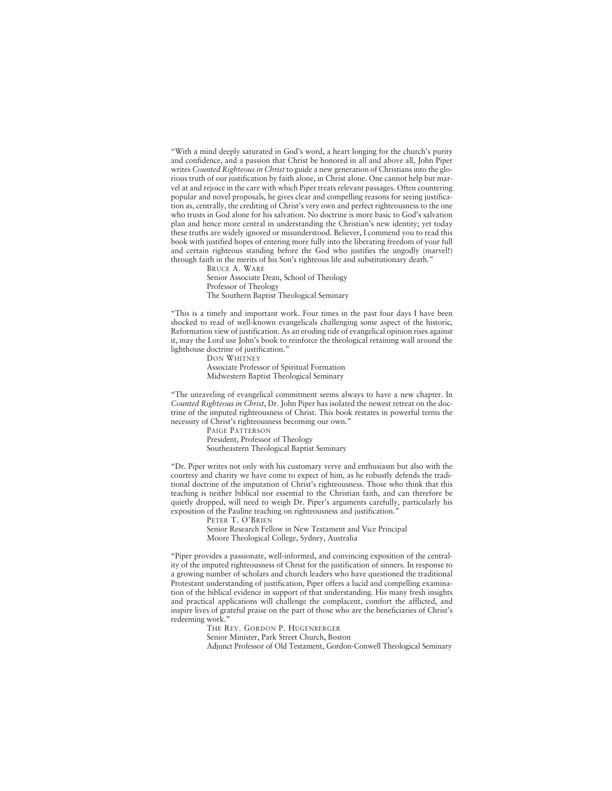"With a mind deeply saturated in God's word, a heart longing for the church's purity and confidence, and a passion that Christ be honored in all and above all, John Piper writes *Counted Righteous in Christ* to guide a new generation of Christians into the glorious truth of our justification by faith alone, in Christ alone. One cannot help but marvel at and rejoice in the care with which Piper treats relevant passages. Often countering popular and novel proposals, he gives clear and compelling reasons for seeing justification as, centrally, the crediting of Christ's very own and perfect righteousness to the one who trusts in God alone for his salvation. No doctrine is more basic to God's salvation plan and hence more central in understanding the Christian's new identity; yet today these truths are widely ignored or misunderstood. Believer, I commend you to read this book with justified hopes of entering more fully into the liberating freedom of your full and certain righteous standing before the God who justifies the ungodly (marvel!) through faith in the merits of his Son's righteous life and substitutionary death."

BRUCE A. WARE Senior Associate Dean, School of Theology Professor of Theology The Southern Baptist Theological Seminary

"This is a timely and important work. Four times in the past four days I have been shocked to read of well-known evangelicals challenging some aspect of the historic, Reformation view of justification. As an eroding tide of evangelical opinion rises against it, may the Lord use John's book to reinforce the theological retaining wall around the lighthouse doctrine of justification."

DON WHITNEY

Associate Professor of Spiritual Formation Midwestern Baptist Theological Seminary

"The unraveling of evangelical commitment seems always to have a new chapter. In *Counted Righteous in Christ*, Dr. John Piper has isolated the newest retreat on the doctrine of the imputed righteousness of Christ. This book restates in powerful terms the necessity of Christ's righteousness becoming our own."

PAIGE PATTERSON

President, Professor of Theology Southeastern Theological Baptist Seminary

"Dr. Piper writes not only with his customary verve and enthusiasm but also with the courtesy and charity we have come to expect of him, as he robustly defends the traditional doctrine of the imputation of Christ's righteousness. Those who think that this teaching is neither biblical nor essential to the Christian faith, and can therefore be quietly dropped, will need to weigh Dr. Piper's arguments carefully, particularly his exposition of the Pauline teaching on righteousness and justification."

PETER T. O'BRIEN

Senior Research Fellow in New Testament and Vice Principal Moore Theological College, Sydney, Australia

"Piper provides a passionate, well-informed, and convincing exposition of the centrality of the imputed righteousness of Christ for the justification of sinners. In response to a growing number of scholars and church leaders who have questioned the traditional Protestant understanding of justification, Piper offers a lucid and compelling examination of the biblical evidence in support of that understanding. His many fresh insights and practical applications will challenge the complacent, comfort the afflicted, and inspire lives of grateful praise on the part of those who are the beneficiaries of Christ's redeeming work."

THE REV. GORDON P. HUGENBERGER

Senior Minister, Park Street Church, Boston

Adjunct Professor of Old Testament, Gordon-Conwell Theological Seminary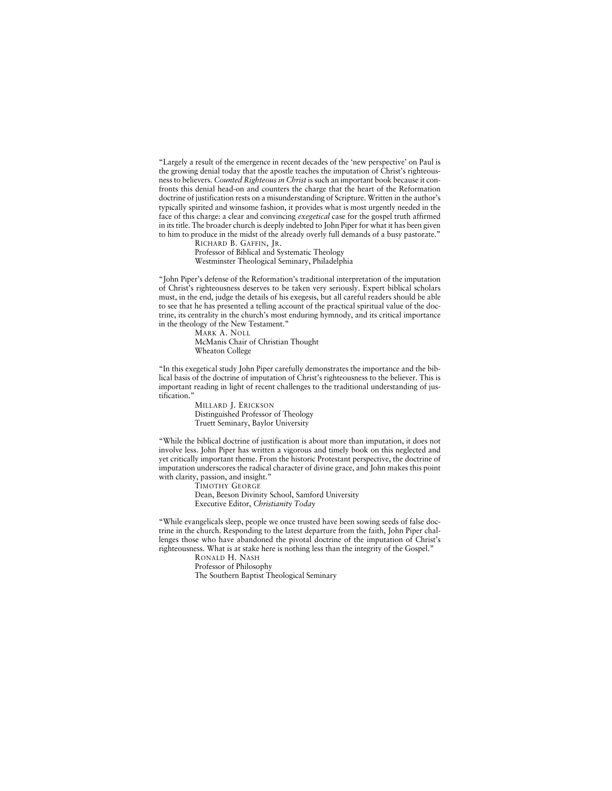"Largely a result of the emergence in recent decades of the 'new perspective' on Paul is the growing denial today that the apostle teaches the imputation of Christ's righteousness to believers. *Counted Righteous in Christ* is such an important book because it confronts this denial head-on and counters the charge that the heart of the Reformation doctrine of justification rests on a misunderstanding of Scripture. Written in the author's typically spirited and winsome fashion, it provides what is most urgently needed in the face of this charge: a clear and convincing *exegetical* case for the gospel truth affirmed in its title. The broader church is deeply indebted to John Piper for what it has been given to him to produce in the midst of the already overly full demands of a busy pastorate."

RICHARD B. GAFFIN, JR.

Professor of Biblical and Systematic Theology

Westminster Theological Seminary, Philadelphia

"John Piper's defense of the Reformation's traditional interpretation of the imputation of Christ's righteousness deserves to be taken very seriously. Expert biblical scholars must, in the end, judge the details of his exegesis, but all careful readers should be able to see that he has presented a telling account of the practical spiritual value of the doctrine, its centrality in the church's most enduring hymnody, and its critical importance in the theology of the New Testament."

MARK A. NOLL McManis Chair of Christian Thought Wheaton College

"In this exegetical study John Piper carefully demonstrates the importance and the biblical basis of the doctrine of imputation of Christ's righteousness to the believer. This is important reading in light of recent challenges to the traditional understanding of justification."

> MILLARD J. ERICKSON Distinguished Professor of Theology Truett Seminary, Baylor University

"While the biblical doctrine of justification is about more than imputation, it does not involve less. John Piper has written a vigorous and timely book on this neglected and yet critically important theme. From the historic Protestant perspective, the doctrine of imputation underscores the radical character of divine grace, and John makes this point with clarity, passion, and insight."

TIMOTHY GEORGE

Dean, Beeson Divinity School, Samford University Executive Editor, *Christianity Today*

"While evangelicals sleep, people we once trusted have been sowing seeds of false doctrine in the church. Responding to the latest departure from the faith, John Piper challenges those who have abandoned the pivotal doctrine of the imputation of Christ's righteousness. What is at stake here is nothing less than the integrity of the Gospel."

RONALD H. NASH Professor of Philosophy

The Southern Baptist Theological Seminary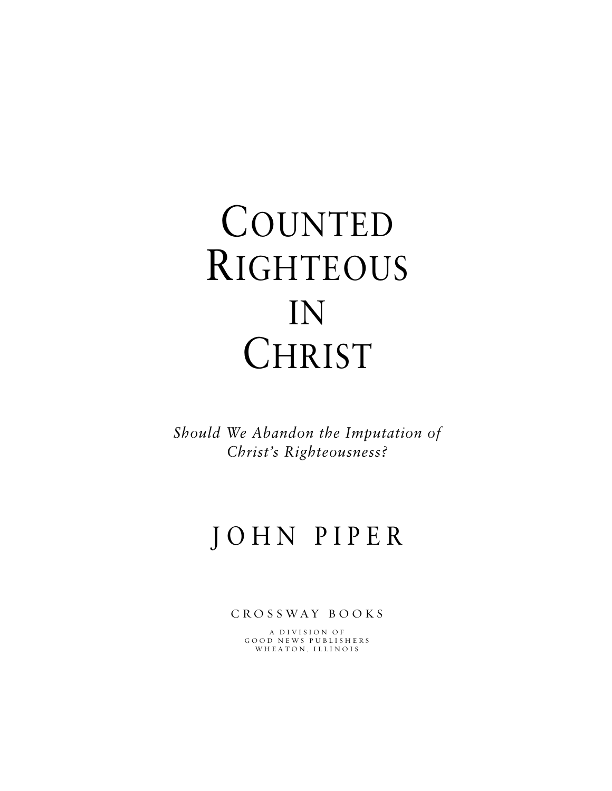# COUNTED **RIGHTEOUS** IN **CHRIST**

*Should We Abandon the Imputation of Christ's Righteousness?*

## JOHN PIPER

CROSSWAY B O OKS

A DIVISION OF GOOD NEWS PUBLISHERS WHEATON, ILLINOIS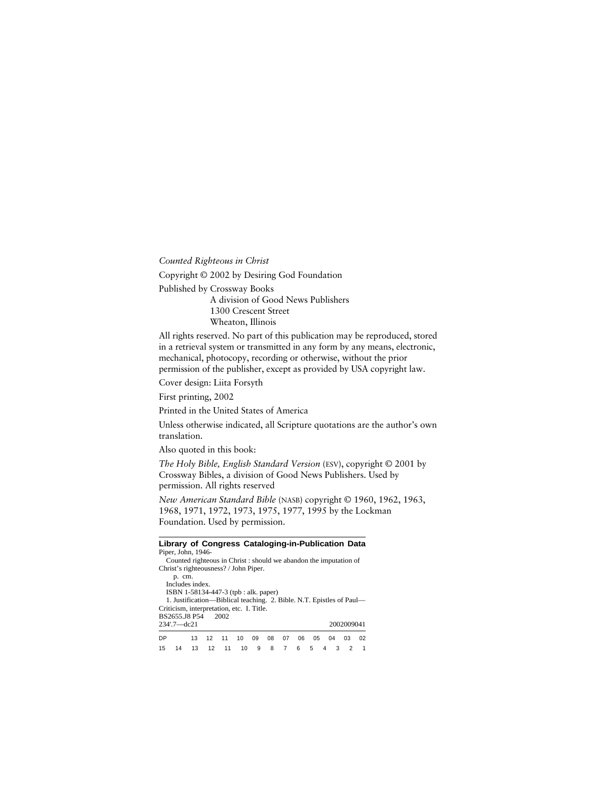*Counted Righteous in Christ*

Copyright © 2002 by Desiring God Foundation

Published by Crossway Books

A division of Good News Publishers 1300 Crescent Street Wheaton, Illinois

All rights reserved. No part of this publication may be reproduced, stored in a retrieval system or transmitted in any form by any means, electronic, mechanical, photocopy, recording or otherwise, without the prior permission of the publisher, except as provided by USA copyright law.

Cover design: Liita Forsyth

First printing, 2002

Printed in the United States of America

Unless otherwise indicated, all Scripture quotations are the author's own translation.

Also quoted in this book:

*The Holy Bible, English Standard Version* (ESV), copyright © 2001 by Crossway Bibles, a division of Good News Publishers. Used by permission. All rights reserved

*New American Standard Bible* (NASB) copyright © 1960, 1962, 1963, 1968, 1971, 1972, 1973, 1975, 1977, 1995 by the Lockman Foundation. Used by permission.

| Library of Congress Cataloging-in-Publication Data<br>Piper, John, 1946-                                  |                                                                                                                                            |    |    |    |    |    |    |    |    |    |   |    |    |    |
|-----------------------------------------------------------------------------------------------------------|--------------------------------------------------------------------------------------------------------------------------------------------|----|----|----|----|----|----|----|----|----|---|----|----|----|
| Counted righteous in Christ: should we abandon the imputation of<br>Christ's righteousness? / John Piper. |                                                                                                                                            |    |    |    |    |    |    |    |    |    |   |    |    |    |
|                                                                                                           | p. cm.<br>Includes index.<br>ISBN 1-58134-447-3 (tpb : alk. paper)<br>1. Justification—Biblical teaching. 2. Bible. N.T. Epistles of Paul— |    |    |    |    |    |    |    |    |    |   |    |    |    |
|                                                                                                           | Criticism, interpretation, etc. I. Title.<br>BS2655.J8 P54<br>2002                                                                         |    |    |    |    |    |    |    |    |    |   |    |    |    |
| $234'$ : 7 — dc $21$<br>2002009041                                                                        |                                                                                                                                            |    |    |    |    |    |    |    |    |    |   |    |    |    |
| <b>DP</b>                                                                                                 |                                                                                                                                            | 13 | 12 | 11 | 10 | 09 | 08 | 07 | 06 | 05 |   | 04 | 03 | 02 |
| 15                                                                                                        | 14                                                                                                                                         | 13 | 12 | 11 | 10 | 9  | 8  | 7  | 6  | 5  | 4 | 3  | 2  |    |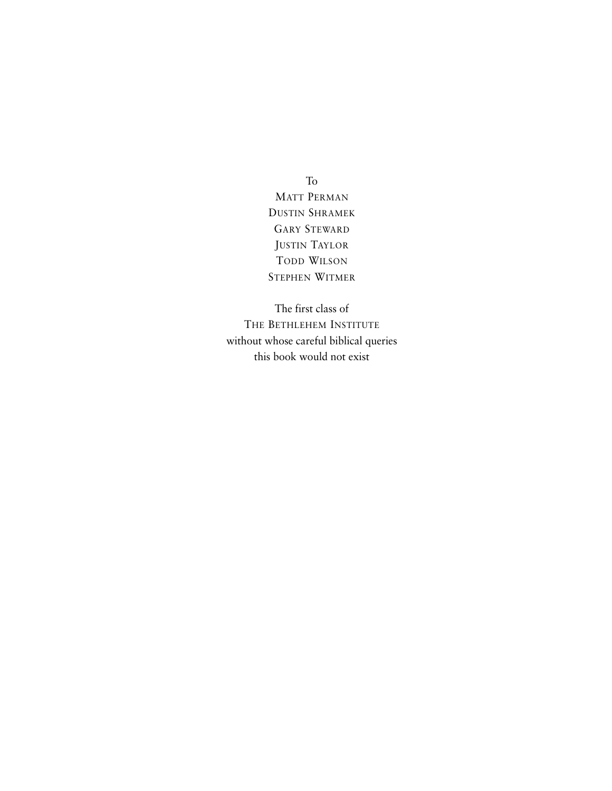To MATT PERMAN DUSTIN SHRAMEK GARY STEWARD JUSTIN TAYLOR TODD WILSON STEPHEN WITMER

The first class of THE BETHLEHEM INSTITUTE without whose careful biblical queries this book would not exist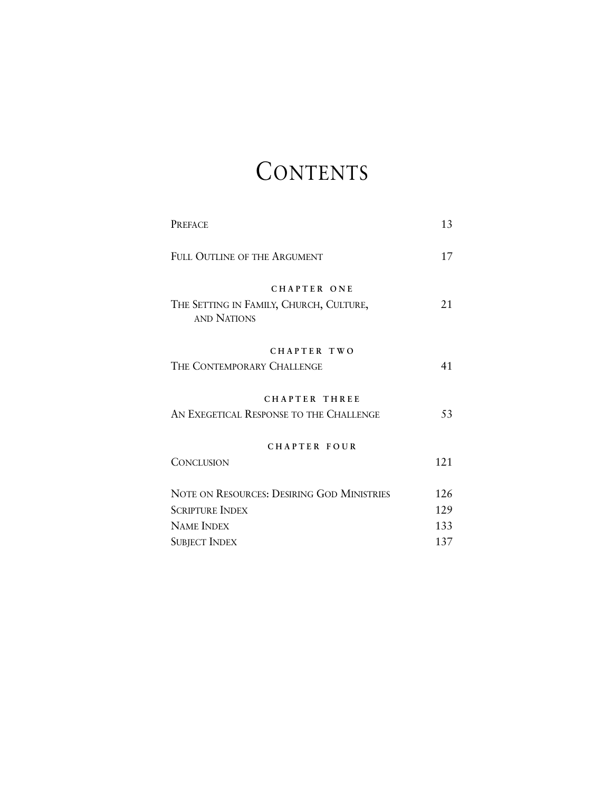### **CONTENTS**

| 13  |
|-----|
| 17  |
| 21  |
| 41  |
| 53  |
|     |
| 121 |
| 126 |
| 129 |
| 133 |
| 137 |
|     |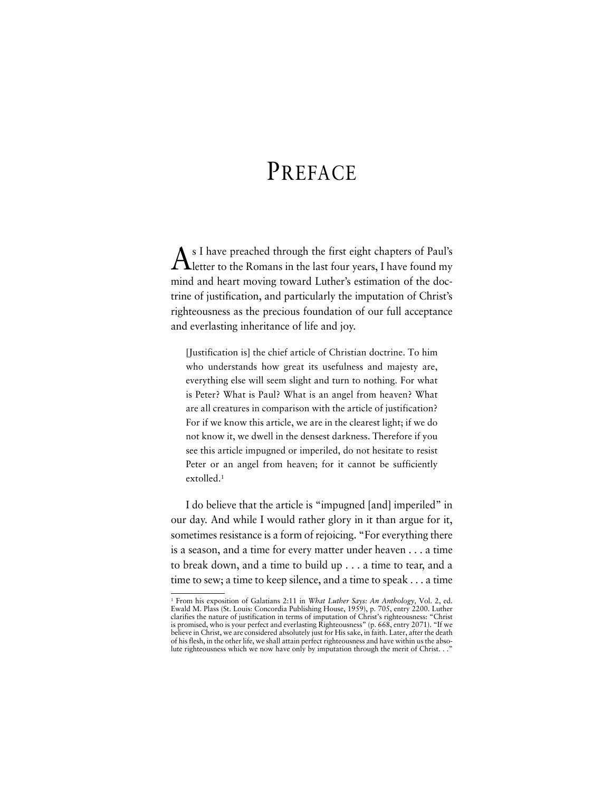### PREFACE

 $\bigwedge$ s I have preached through the first eight chapters of Paul's letter to the Romans in the last four years, I have found my mind and heart moving toward Luther's estimation of the doctrine of justification, and particularly the imputation of Christ's righteousness as the precious foundation of our full acceptance and everlasting inheritance of life and joy.

[Justification is] the chief article of Christian doctrine. To him who understands how great its usefulness and majesty are, everything else will seem slight and turn to nothing. For what is Peter? What is Paul? What is an angel from heaven? What are all creatures in comparison with the article of justification? For if we know this article, we are in the clearest light; if we do not know it, we dwell in the densest darkness. Therefore if you see this article impugned or imperiled, do not hesitate to resist Peter or an angel from heaven; for it cannot be sufficiently extolled.1

I do believe that the article is "impugned [and] imperiled" in our day. And while I would rather glory in it than argue for it, sometimes resistance is a form of rejoicing. "For everything there is a season, and a time for every matter under heaven . . . a time to break down, and a time to build up . . . a time to tear, and a time to sew; a time to keep silence, and a time to speak . . . a time

<sup>1</sup> From his exposition of Galatians 2:11 in *What Luther Says: An Anthology,* Vol. 2, ed. Ewald M. Plass (St. Louis: Concordia Publishing House, 1959), p. 705, entry 2200. Luther clarifies the nature of justification in terms of imputation of Christ's righteousness: "Christ is promised, who is your perfect and everlasting Righteousness" (p. 668, entry 2071). "If we believe in Christ, we are considered absolutely just for His sake, in faith. Later, after the death of his flesh, in the other life, we shall attain perfect righteousness and have within us the absolute righteousness which we now have only by imputation through the merit of Christ. . .'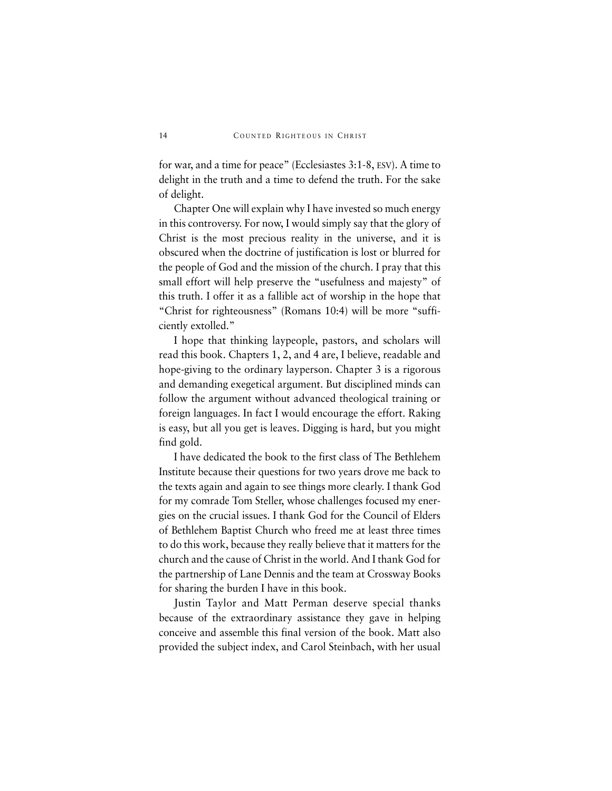for war, and a time for peace" (Ecclesiastes 3:1-8, ESV). A time to delight in the truth and a time to defend the truth. For the sake of delight.

Chapter One will explain why I have invested so much energy in this controversy. For now, I would simply say that the glory of Christ is the most precious reality in the universe, and it is obscured when the doctrine of justification is lost or blurred for the people of God and the mission of the church. I pray that this small effort will help preserve the "usefulness and majesty" of this truth. I offer it as a fallible act of worship in the hope that "Christ for righteousness" (Romans 10:4) will be more "sufficiently extolled."

I hope that thinking laypeople, pastors, and scholars will read this book. Chapters 1, 2, and 4 are, I believe, readable and hope-giving to the ordinary layperson. Chapter 3 is a rigorous and demanding exegetical argument. But disciplined minds can follow the argument without advanced theological training or foreign languages. In fact I would encourage the effort. Raking is easy, but all you get is leaves. Digging is hard, but you might find gold.

I have dedicated the book to the first class of The Bethlehem Institute because their questions for two years drove me back to the texts again and again to see things more clearly. I thank God for my comrade Tom Steller, whose challenges focused my energies on the crucial issues. I thank God for the Council of Elders of Bethlehem Baptist Church who freed me at least three times to do this work, because they really believe that it matters for the church and the cause of Christ in the world. And I thank God for the partnership of Lane Dennis and the team at Crossway Books for sharing the burden I have in this book.

Justin Taylor and Matt Perman deserve special thanks because of the extraordinary assistance they gave in helping conceive and assemble this final version of the book. Matt also provided the subject index, and Carol Steinbach, with her usual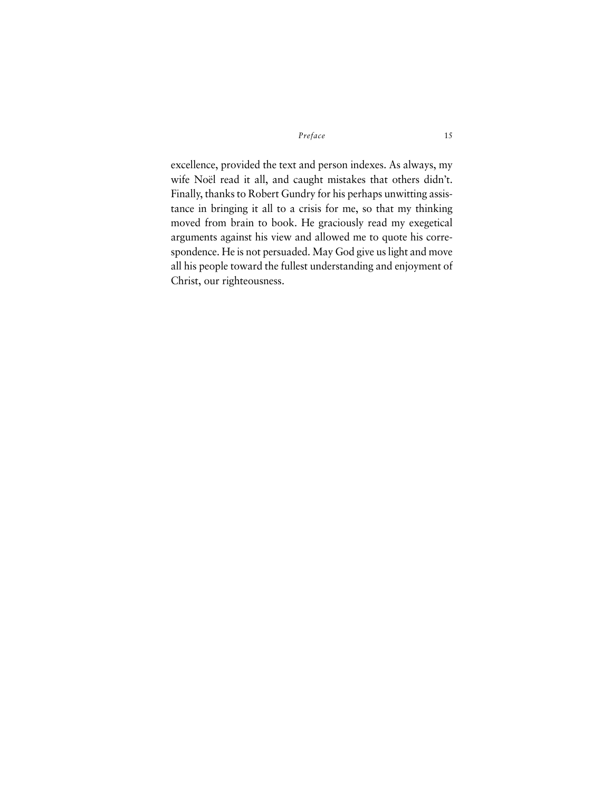Preface 15

excellence, provided the text and person indexes. As always, my wife Noël read it all, and caught mistakes that others didn't. Finally, thanks to Robert Gundry for his perhaps unwitting assistance in bringing it all to a crisis for me, so that my thinking moved from brain to book. He graciously read my exegetical arguments against his view and allowed me to quote his correspondence. He is not persuaded. May God give us light and move all his people toward the fullest understanding and enjoyment of Christ, our righteousness.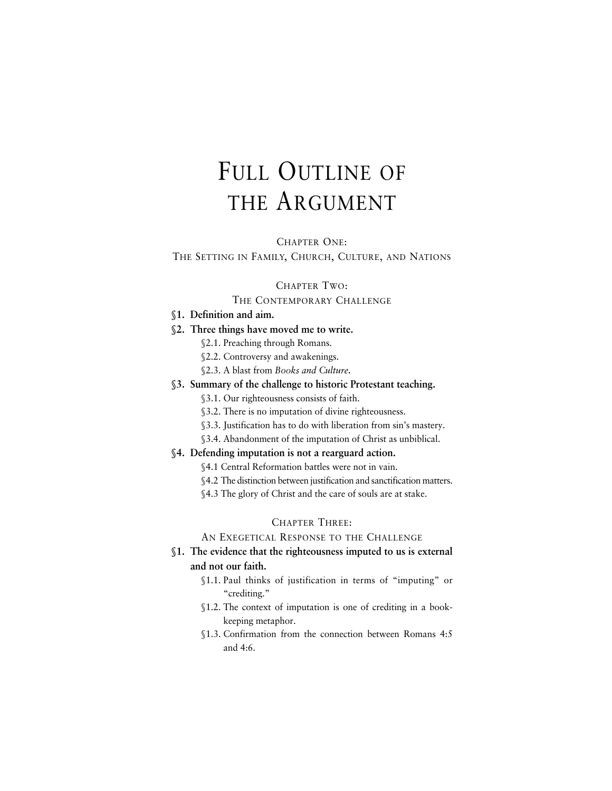### FULL OUTLINE OF THE ARGUMENT

#### CHAPTER ONE: THE SETTING IN FAMILY, CHURCH, CULTURE, AND NATIONS

#### CHAPTER TWO:

#### THE CONTEMPORARY CHALLENGE

#### **§1. Definition and aim.**

#### **§2. Three things have moved me to write.**

- §2.1. Preaching through Romans.
- §2.2. Controversy and awakenings.
- §2.3. A blast from *Books and Culture.*

#### **§3. Summary of the challenge to historic Protestant teaching.**

- §3.1. Our righteousness consists of faith.
- §3.2. There is no imputation of divine righteousness.
- §3.3. Justification has to do with liberation from sin's mastery.
- §3.4. Abandonment of the imputation of Christ as unbiblical.

#### **§4. Defending imputation is not a rearguard action.**

- §4.1 Central Reformation battles were not in vain.
- §4.2 The distinction between justification and sanctification matters.
- §4.3 The glory of Christ and the care of souls are at stake.

#### CHAPTER THREE:

#### AN EXEGETICAL RESPONSE TO THE CHALLENGE

#### **§1. The evidence that the righteousness imputed to us is external and not our faith.**

- §1.1. Paul thinks of justification in terms of "imputing" or "crediting."
- §1.2. The context of imputation is one of crediting in a bookkeeping metaphor.
- §1.3. Confirmation from the connection between Romans 4:5 and 4:6.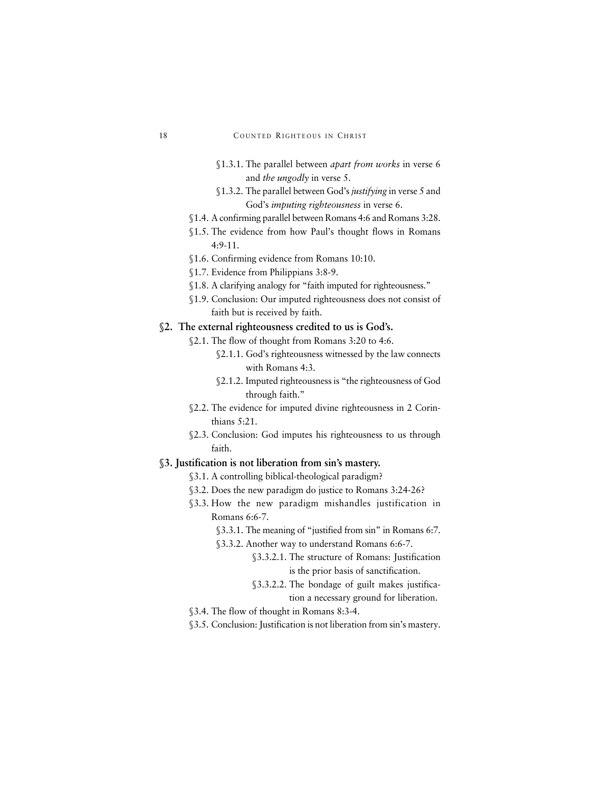- §1.3.1. The parallel between *apart from works* in verse 6 and *the ungodly* in verse 5.
- §1.3.2. The parallel between God's *justifying* in verse 5 and God's *imputing righteousness* in verse 6.
- §1.4. A confirming parallel between Romans 4:6 and Romans 3:28.
- §1.5. The evidence from how Paul's thought flows in Romans 4:9-11.
- §1.6. Confirming evidence from Romans 10:10.
- §1.7. Evidence from Philippians 3:8-9.
- §1.8. A clarifying analogy for "faith imputed for righteousness."
- §1.9. Conclusion: Our imputed righteousness does not consist of faith but is received by faith.
- **§2. The external righteousness credited to us is God's.**
	- §2.1. The flow of thought from Romans 3:20 to 4:6.
		- §2.1.1. God's righteousness witnessed by the law connects with Romans 4:3.
		- §2.1.2. Imputed righteousness is "the righteousness of God through faith."
	- §2.2. The evidence for imputed divine righteousness in 2 Corinthians 5:21.
	- §2.3. Conclusion: God imputes his righteousness to us through faith.

#### **§3. Justification is not liberation from sin's mastery.**

- §3.1. A controlling biblical-theological paradigm?
- §3.2. Does the new paradigm do justice to Romans 3:24-26?
- §3.3. How the new paradigm mishandles justification in Romans 6:6-7.
	- §3.3.1. The meaning of "justified from sin" in Romans 6:7.
	- §3.3.2. Another way to understand Romans 6:6-7.
		- §3.3.2.1. The structure of Romans: Justification is the prior basis of sanctification.
		- §3.3.2.2. The bondage of guilt makes justification a necessary ground for liberation.
- §3.4. The flow of thought in Romans 8:3-4.
- §3.5. Conclusion: Justification is not liberation from sin's mastery.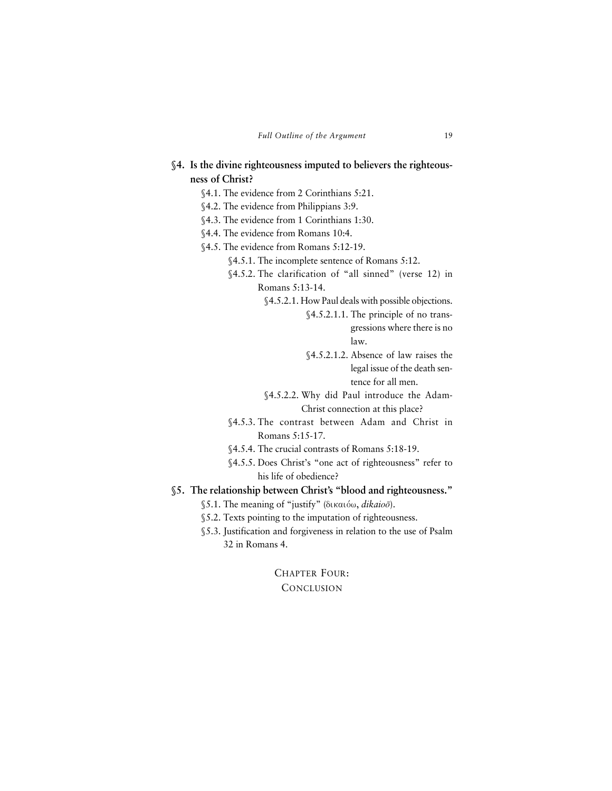#### **§4. Is the divine righteousness imputed to believers the righteousness of Christ?**

- §4.1. The evidence from 2 Corinthians 5:21.
- §4.2. The evidence from Philippians 3:9.
- §4.3. The evidence from 1 Corinthians 1:30.
- §4.4. The evidence from Romans 10:4.
- §4.5. The evidence from Romans 5:12-19.
	- §4.5.1. The incomplete sentence of Romans 5:12.
		- §4.5.2. The clarification of "all sinned" (verse 12) in Romans 5:13-14.

§4.5.2.1. How Paul deals with possible objections.

- §4.5.2.1.1. The principle of no transgressions where there is no law.
- §4.5.2.1.2. Absence of law raises the legal issue of the death sentence for all men.

§4.5.2.2. Why did Paul introduce the Adam-Christ connection at this place?

- §4.5.3. The contrast between Adam and Christ in Romans 5:15-17.
- §4.5.4. The crucial contrasts of Romans 5:18-19.
- §4.5.5. Does Christ's "one act of righteousness" refer to his life of obedience?

#### **§5. The relationship between Christ's "blood and righteousness."**

- §5.1. The meaning of "justify" (δικαιόω, *dikaioō*).
- §5.2. Texts pointing to the imputation of righteousness.
- §5.3. Justification and forgiveness in relation to the use of Psalm 32 in Romans 4.

#### CHAPTER FOUR: **CONCLUSION**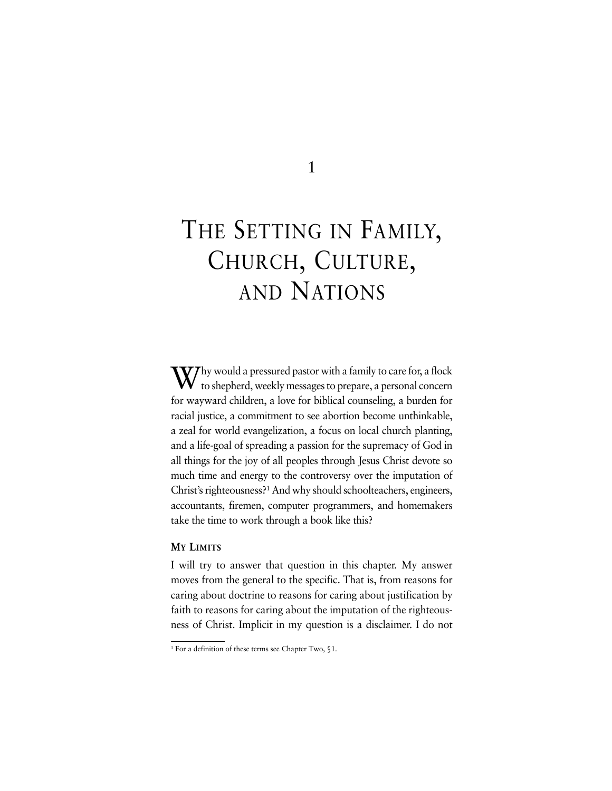1

### THE SETTING IN FAMILY, CHURCH, CULTURE, AND NATIONS

 $\mathbf{W}^{\text{hy would a pressure}}$  pastor with a family to care for, a flock to shepherd, weekly messages to prepare, a personal concern for wayward children, a love for biblical counseling, a burden for racial justice, a commitment to see abortion become unthinkable, a zeal for world evangelization, a focus on local church planting, and a life-goal of spreading a passion for the supremacy of God in all things for the joy of all peoples through Jesus Christ devote so much time and energy to the controversy over the imputation of Christ's righteousness?1 And why should schoolteachers, engineers, accountants, firemen, computer programmers, and homemakers take the time to work through a book like this?

#### **MY LIMITS**

I will try to answer that question in this chapter. My answer moves from the general to the specific. That is, from reasons for caring about doctrine to reasons for caring about justification by faith to reasons for caring about the imputation of the righteousness of Christ. Implicit in my question is a disclaimer. I do not

<sup>&</sup>lt;sup>1</sup> For a definition of these terms see Chapter Two, §1.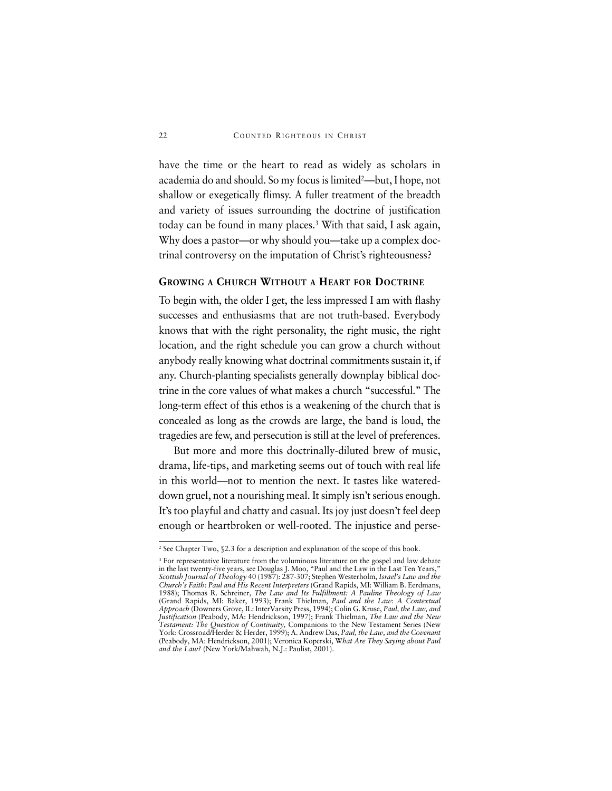have the time or the heart to read as widely as scholars in academia do and should. So my focus is limited<sup>2</sup>—but, I hope, not shallow or exegetically flimsy. A fuller treatment of the breadth and variety of issues surrounding the doctrine of justification today can be found in many places.<sup>3</sup> With that said, I ask again, Why does a pastor—or why should you—take up a complex doctrinal controversy on the imputation of Christ's righteousness?

#### **GROWING A CHURCH WITHOUT A HEART FOR DOCTRINE**

To begin with, the older I get, the less impressed I am with flashy successes and enthusiasms that are not truth-based. Everybody knows that with the right personality, the right music, the right location, and the right schedule you can grow a church without anybody really knowing what doctrinal commitments sustain it, if any. Church-planting specialists generally downplay biblical doctrine in the core values of what makes a church "successful." The long-term effect of this ethos is a weakening of the church that is concealed as long as the crowds are large, the band is loud, the tragedies are few, and persecution is still at the level of preferences.

But more and more this doctrinally-diluted brew of music, drama, life-tips, and marketing seems out of touch with real life in this world—not to mention the next. It tastes like watereddown gruel, not a nourishing meal. It simply isn't serious enough. It's too playful and chatty and casual. Its joy just doesn't feel deep enough or heartbroken or well-rooted. The injustice and perse-

<sup>2</sup> See Chapter Two, §2.3 for a description and explanation of the scope of this book.

<sup>&</sup>lt;sup>3</sup> For representative literature from the voluminous literature on the gospel and law debate in the last twenty-five years, see Douglas J. Moo, "Paul and the Law in the Last Ten Years," *Scottish Journal of Theology* 40 (1987): 287-307; Stephen Westerholm, *Israel's Law and the Church's Faith: Paul and His Recent Interpreters* (Grand Rapids, MI: William B. Eerdmans, 1988); Thomas R. Schreiner, *The Law and Its Fulfillment: A Pauline Theology of Law* (Grand Rapids, MI: Baker, 1993); Frank Thielman, *Paul and the Law: A Contextual Approach* (Downers Grove, IL: InterVarsity Press, 1994); Colin G. Kruse, *Paul, the Law, and Justification* (Peabody, MA: Hendrickson, 1997); Frank Thielman, *The Law and the New Testament: The Question of Continuity,* Companions to the New Testament Series (New York: Crossroad/Herder & Herder, 1999); A. Andrew Das, *Paul, the Law, and the Covenant* (Peabody, MA: Hendrickson, 2001); Veronica Koperski, W*hat Are They Saying about Paul and the Law?* (New York/Mahwah, N.J.: Paulist, 2001).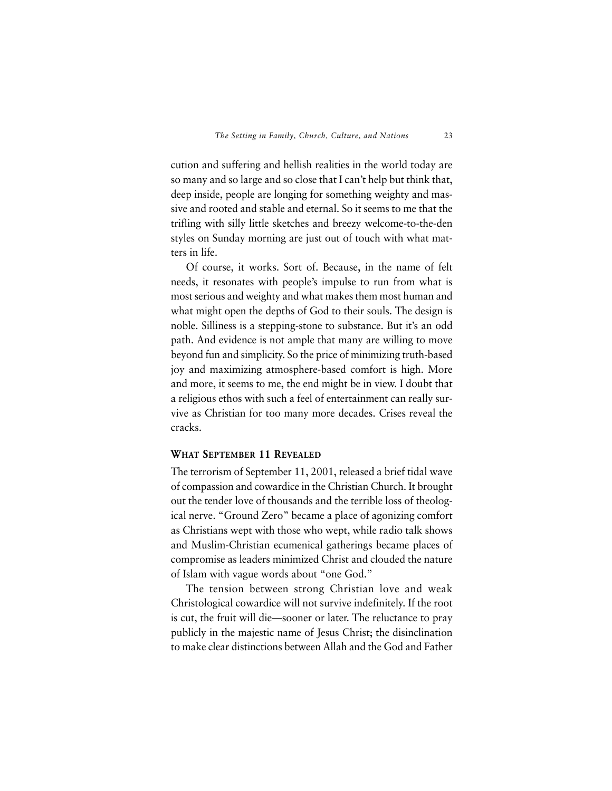cution and suffering and hellish realities in the world today are so many and so large and so close that I can't help but think that, deep inside, people are longing for something weighty and massive and rooted and stable and eternal. So it seems to me that the trifling with silly little sketches and breezy welcome-to-the-den styles on Sunday morning are just out of touch with what matters in life.

Of course, it works. Sort of. Because, in the name of felt needs, it resonates with people's impulse to run from what is most serious and weighty and what makes them most human and what might open the depths of God to their souls. The design is noble. Silliness is a stepping-stone to substance. But it's an odd path. And evidence is not ample that many are willing to move beyond fun and simplicity. So the price of minimizing truth-based joy and maximizing atmosphere-based comfort is high. More and more, it seems to me, the end might be in view. I doubt that a religious ethos with such a feel of entertainment can really survive as Christian for too many more decades. Crises reveal the cracks.

#### **WHAT SEPTEMBER 11 REVEALED**

The terrorism of September 11, 2001, released a brief tidal wave of compassion and cowardice in the Christian Church. It brought out the tender love of thousands and the terrible loss of theological nerve. "Ground Zero" became a place of agonizing comfort as Christians wept with those who wept, while radio talk shows and Muslim-Christian ecumenical gatherings became places of compromise as leaders minimized Christ and clouded the nature of Islam with vague words about "one God."

The tension between strong Christian love and weak Christological cowardice will not survive indefinitely. If the root is cut, the fruit will die—sooner or later. The reluctance to pray publicly in the majestic name of Jesus Christ; the disinclination to make clear distinctions between Allah and the God and Father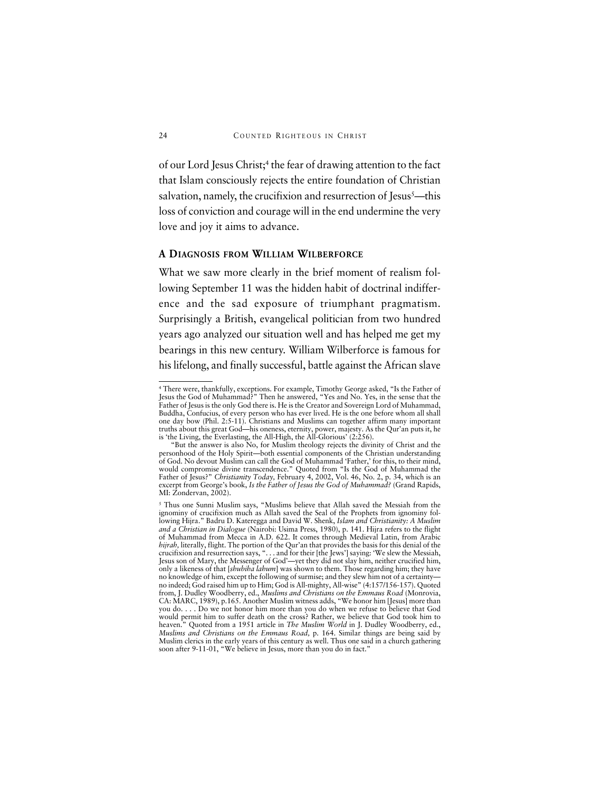of our Lord Jesus Christ;<sup>4</sup> the fear of drawing attention to the fact that Islam consciously rejects the entire foundation of Christian salvation, namely, the crucifixion and resurrection of Jesus<sup>5</sup>—this loss of conviction and courage will in the end undermine the very love and joy it aims to advance.

#### **A DIAGNOSIS FROM WILLIAM WILBERFORCE**

What we saw more clearly in the brief moment of realism following September 11 was the hidden habit of doctrinal indifference and the sad exposure of triumphant pragmatism. Surprisingly a British, evangelical politician from two hundred years ago analyzed our situation well and has helped me get my bearings in this new century. William Wilberforce is famous for his lifelong, and finally successful, battle against the African slave

<sup>4</sup> There were, thankfully, exceptions. For example, Timothy George asked, "Is the Father of Jesus the God of Muhammad?" Then he answered, "Yes and No. Yes, in the sense that the Father of Jesus is the only God there is. He is the Creator and Sovereign Lord of Muhammad, Buddha, Confucius, of every person who has ever lived. He is the one before whom all shall one day bow (Phil. 2:5-11). Christians and Muslims can together affirm many important truths about this great God—his oneness, eternity, power, majesty. As the Qur'an puts it, he is 'the Living, the Everlasting, the All-High, the All-Glorious' (2:256).

<sup>&</sup>quot;But the answer is also No, for Muslim theology rejects the divinity of Christ and the personhood of the Holy Spirit—both essential components of the Christian understanding of God. No devout Muslim can call the God of Muhammad 'Father,' for this, to their mind, would compromise divine transcendence." Quoted from "Is the God of Muhammad the Father of Jesus?" *Christianity Today,* February 4, 2002, Vol. 46, No. 2, p. 34, which is an excerpt from George's book, *Is the Father of Jesus the God of Muhammad?* (Grand Rapids, MI: Zondervan, 2002).

 $^5$  Thus one Sunni Muslim says, "Muslims believe that Allah saved the Messiah from the ignominy of crucifixion much as Allah saved the Seal of the Prophets from ignominy following Hijra." Badru D. Kateregga and David W. Shenk, *Islam and Christianity: A Muslim and a Christian in Dialogue* (Nairobi: Usima Press, 1980), p. 141. Hijra refers to the flight of Muhammad from Mecca in A.D. 622. It comes through Medieval Latin, from Arabic *hijrah,* literally, flight. The portion of the Qur'an that provides the basis for this denial of the crucifixion and resurrection says, ". . . and for their [the Jews'] saying: 'We slew the Messiah, Jesus son of Mary, the Messenger of God'—yet they did not slay him, neither crucified him, only a likeness of that [*shubiha lahum*] was shown to them. Those regarding him; they have no knowledge of him, except the following of surmise; and they slew him not of a certainty no indeed; God raised him up to Him; God is All-mighty, All-wise" (4:157/156-157). Quoted from, J. Dudley Woodberry, ed., *Muslims and Christians on the Emmaus Road* (Monrovia, CA: MARC, 1989), p.165. Another Muslim witness adds, "We honor him [Jesus] more than you do. . . . Do we not honor him more than you do when we refuse to believe that God would permit him to suffer death on the cross? Rather, we believe that God took him to heaven." Quoted from a 1951 article in *The Muslim World* in J. Dudley Woodberry, ed., *Muslims and Christians on the Emmaus Road,* p. 164. Similar things are being said by Muslim clerics in the early years of this century as well. Thus one said in a church gathering soon after 9-11-01, "We believe in Jesus, more than you do in fact."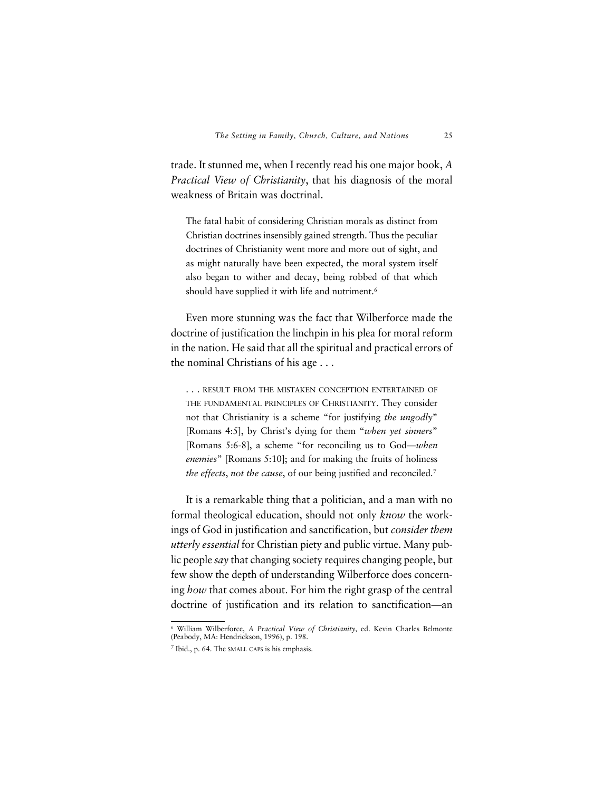trade. It stunned me, when I recently read his one major book, *A Practical View of Christianity*, that his diagnosis of the moral weakness of Britain was doctrinal.

The fatal habit of considering Christian morals as distinct from Christian doctrines insensibly gained strength. Thus the peculiar doctrines of Christianity went more and more out of sight, and as might naturally have been expected, the moral system itself also began to wither and decay, being robbed of that which should have supplied it with life and nutriment.<sup>6</sup>

Even more stunning was the fact that Wilberforce made the doctrine of justification the linchpin in his plea for moral reform in the nation. He said that all the spiritual and practical errors of the nominal Christians of his age . . .

. . . RESULT FROM THE MISTAKEN CONCEPTION ENTERTAINED OF THE FUNDAMENTAL PRINCIPLES OF CHRISTIANITY. They consider not that Christianity is a scheme "for justifying *the ungodly*" [Romans 4:5], by Christ's dying for them "*when yet sinners*" [Romans 5:6-8], a scheme "for reconciling us to God—*when enemies*" [Romans 5:10]; and for making the fruits of holiness *the effects*, *not the cause*, of our being justified and reconciled.7

It is a remarkable thing that a politician, and a man with no formal theological education, should not only *know* the workings of God in justification and sanctification, but *consider them utterly essential* for Christian piety and public virtue. Many public people *say* that changing society requires changing people, but few show the depth of understanding Wilberforce does concerning *how* that comes about. For him the right grasp of the central doctrine of justification and its relation to sanctification—an

<sup>6</sup> William Wilberforce, *A Practical View of Christianity,* ed. Kevin Charles Belmonte (Peabody, MA: Hendrickson, 1996), p. 198.

<sup>7</sup> Ibid., p. 64. The SMALL CAPS is his emphasis.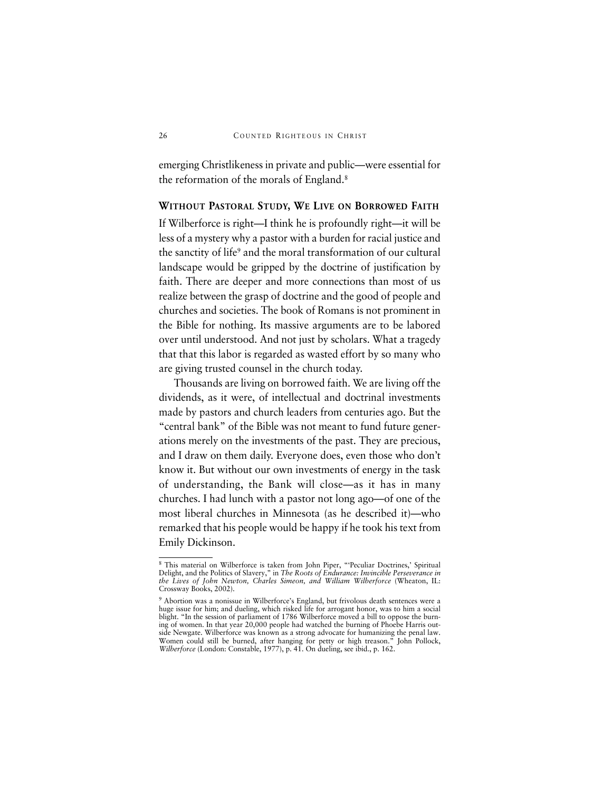emerging Christlikeness in private and public—were essential for the reformation of the morals of England.<sup>8</sup>

#### **WITHOUT PASTORAL STUDY, WE LIVE ON BORROWED FAITH**

If Wilberforce is right—I think he is profoundly right—it will be less of a mystery why a pastor with a burden for racial justice and the sanctity of life<sup>9</sup> and the moral transformation of our cultural landscape would be gripped by the doctrine of justification by faith. There are deeper and more connections than most of us realize between the grasp of doctrine and the good of people and churches and societies. The book of Romans is not prominent in the Bible for nothing. Its massive arguments are to be labored over until understood. And not just by scholars. What a tragedy that that this labor is regarded as wasted effort by so many who are giving trusted counsel in the church today.

Thousands are living on borrowed faith. We are living off the dividends, as it were, of intellectual and doctrinal investments made by pastors and church leaders from centuries ago. But the "central bank" of the Bible was not meant to fund future generations merely on the investments of the past. They are precious, and I draw on them daily. Everyone does, even those who don't know it. But without our own investments of energy in the task of understanding, the Bank will close—as it has in many churches. I had lunch with a pastor not long ago—of one of the most liberal churches in Minnesota (as he described it)—who remarked that his people would be happy if he took his text from Emily Dickinson.

<sup>8</sup> This material on Wilberforce is taken from John Piper, "'Peculiar Doctrines,' Spiritual Delight, and the Politics of Slavery," in *The Roots of Endurance: Invincible Perseverance in the Lives of John Newton, Charles Simeon, and William Wilberforce* (Wheaton, IL: Crossway Books, 2002).

<sup>&</sup>lt;sup>9</sup> Abortion was a nonissue in Wilberforce's England, but frivolous death sentences were a huge issue for him; and dueling, which risked life for arrogant honor, was to him a social blight. "In the session of parliament of 1786 Wilberforce moved a bill to oppose the burning of women. In that year 20,000 people had watched the burning of Phoebe Harris outside Newgate. Wilberforce was known as a strong advocate for humanizing the penal law. Women could still be burned, after hanging for petty or high treason." John Pollock, *Wilberforce* (London: Constable, 1977), p. 41. On dueling, see ibid., p. 162.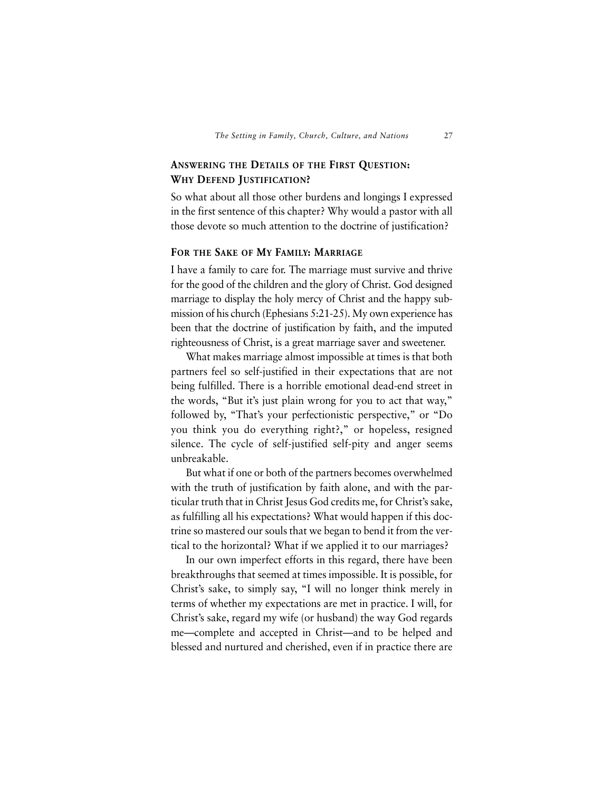#### **ANSWERING THE DETAILS OF THE FIRST QUESTION: WHY DEFEND JUSTIFICATION?**

So what about all those other burdens and longings I expressed in the first sentence of this chapter? Why would a pastor with all those devote so much attention to the doctrine of justification?

#### **FOR THE SAKE OF MY FAMILY: MARRIAGE**

I have a family to care for. The marriage must survive and thrive for the good of the children and the glory of Christ. God designed marriage to display the holy mercy of Christ and the happy submission of his church (Ephesians 5:21-25). My own experience has been that the doctrine of justification by faith, and the imputed righteousness of Christ, is a great marriage saver and sweetener.

What makes marriage almost impossible at times is that both partners feel so self-justified in their expectations that are not being fulfilled. There is a horrible emotional dead-end street in the words, "But it's just plain wrong for you to act that way," followed by, "That's your perfectionistic perspective," or "Do you think you do everything right?," or hopeless, resigned silence. The cycle of self-justified self-pity and anger seems unbreakable.

But what if one or both of the partners becomes overwhelmed with the truth of justification by faith alone, and with the particular truth that in Christ Jesus God credits me, for Christ's sake, as fulfilling all his expectations? What would happen if this doctrine so mastered our souls that we began to bend it from the vertical to the horizontal? What if we applied it to our marriages?

In our own imperfect efforts in this regard, there have been breakthroughs that seemed at times impossible. It is possible, for Christ's sake, to simply say, "I will no longer think merely in terms of whether my expectations are met in practice. I will, for Christ's sake, regard my wife (or husband) the way God regards me—complete and accepted in Christ—and to be helped and blessed and nurtured and cherished, even if in practice there are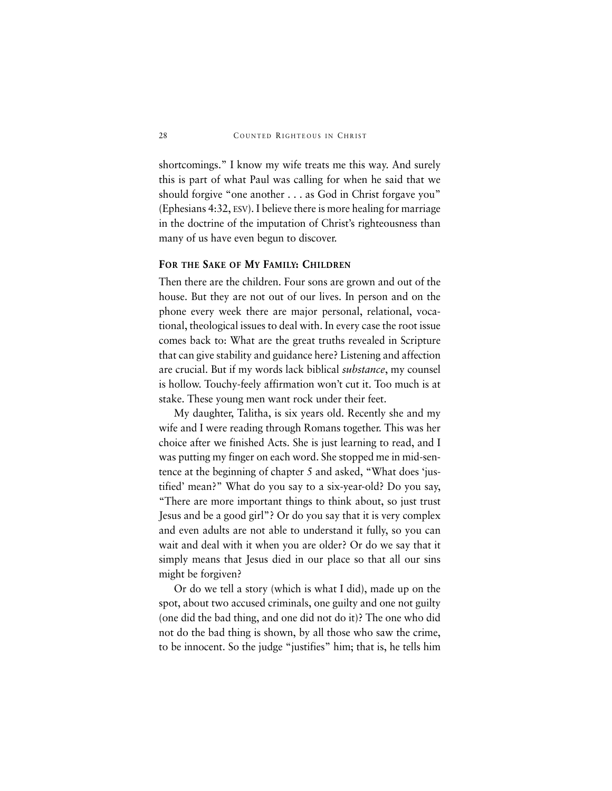shortcomings." I know my wife treats me this way. And surely this is part of what Paul was calling for when he said that we should forgive "one another . . . as God in Christ forgave you" (Ephesians 4:32, ESV). I believe there is more healing for marriage in the doctrine of the imputation of Christ's righteousness than many of us have even begun to discover.

#### **FOR THE SAKE OF MY FAMILY: CHILDREN**

Then there are the children. Four sons are grown and out of the house. But they are not out of our lives. In person and on the phone every week there are major personal, relational, vocational, theological issues to deal with. In every case the root issue comes back to: What are the great truths revealed in Scripture that can give stability and guidance here? Listening and affection are crucial. But if my words lack biblical *substance*, my counsel is hollow. Touchy-feely affirmation won't cut it. Too much is at stake. These young men want rock under their feet.

My daughter, Talitha, is six years old. Recently she and my wife and I were reading through Romans together. This was her choice after we finished Acts. She is just learning to read, and I was putting my finger on each word. She stopped me in mid-sentence at the beginning of chapter 5 and asked, "What does 'justified' mean?" What do you say to a six-year-old? Do you say, "There are more important things to think about, so just trust Jesus and be a good girl"? Or do you say that it is very complex and even adults are not able to understand it fully, so you can wait and deal with it when you are older? Or do we say that it simply means that Jesus died in our place so that all our sins might be forgiven?

Or do we tell a story (which is what I did), made up on the spot, about two accused criminals, one guilty and one not guilty (one did the bad thing, and one did not do it)? The one who did not do the bad thing is shown, by all those who saw the crime, to be innocent. So the judge "justifies" him; that is, he tells him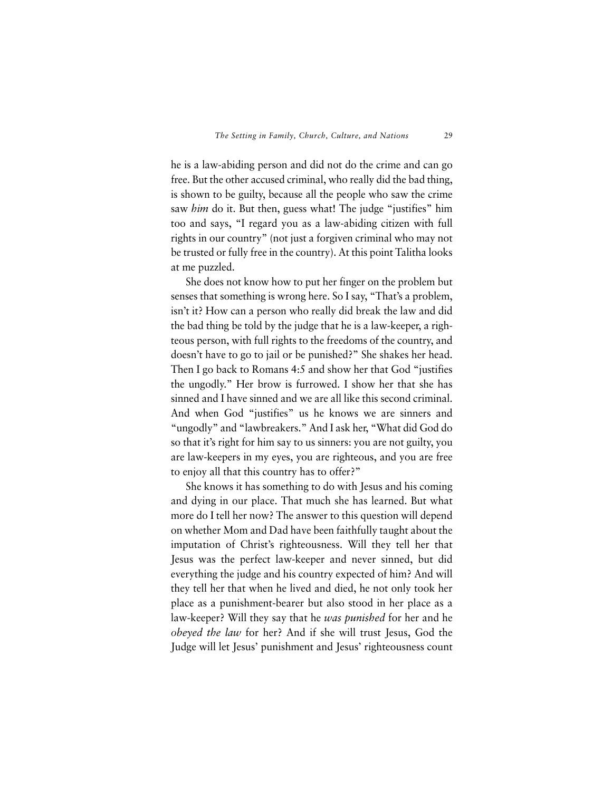he is a law-abiding person and did not do the crime and can go free. But the other accused criminal, who really did the bad thing, is shown to be guilty, because all the people who saw the crime saw *him* do it. But then, guess what! The judge "justifies" him too and says, "I regard you as a law-abiding citizen with full rights in our country" (not just a forgiven criminal who may not be trusted or fully free in the country). At this point Talitha looks at me puzzled.

She does not know how to put her finger on the problem but senses that something is wrong here. So I say, "That's a problem, isn't it? How can a person who really did break the law and did the bad thing be told by the judge that he is a law-keeper, a righteous person, with full rights to the freedoms of the country, and doesn't have to go to jail or be punished?" She shakes her head. Then I go back to Romans 4:5 and show her that God "justifies the ungodly." Her brow is furrowed. I show her that she has sinned and I have sinned and we are all like this second criminal. And when God "justifies" us he knows we are sinners and "ungodly" and "lawbreakers." And I ask her, "What did God do so that it's right for him say to us sinners: you are not guilty, you are law-keepers in my eyes, you are righteous, and you are free to enjoy all that this country has to offer?"

She knows it has something to do with Jesus and his coming and dying in our place. That much she has learned. But what more do I tell her now? The answer to this question will depend on whether Mom and Dad have been faithfully taught about the imputation of Christ's righteousness. Will they tell her that Jesus was the perfect law-keeper and never sinned, but did everything the judge and his country expected of him? And will they tell her that when he lived and died, he not only took her place as a punishment-bearer but also stood in her place as a law-keeper? Will they say that he *was punished* for her and he *obeyed the law* for her? And if she will trust Jesus, God the Judge will let Jesus' punishment and Jesus' righteousness count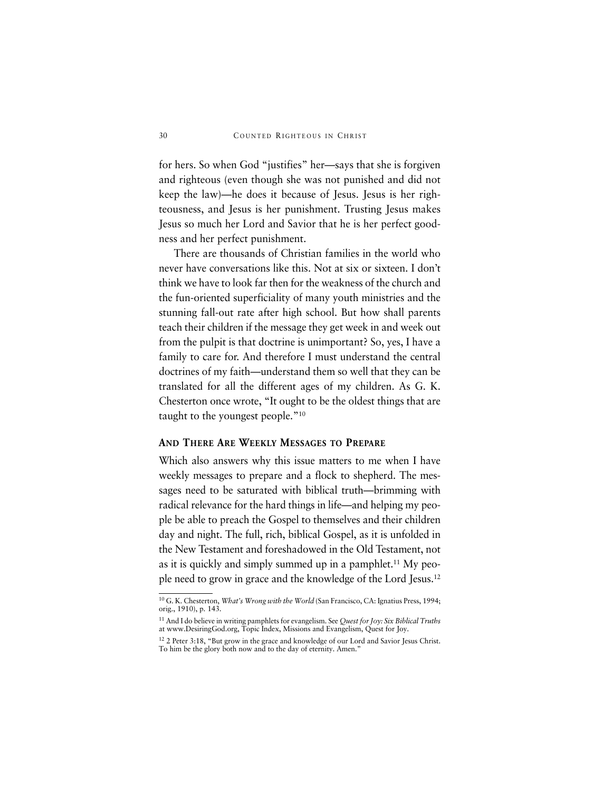for hers. So when God "justifies" her—says that she is forgiven and righteous (even though she was not punished and did not keep the law)—he does it because of Jesus. Jesus is her righteousness, and Jesus is her punishment. Trusting Jesus makes Jesus so much her Lord and Savior that he is her perfect goodness and her perfect punishment.

There are thousands of Christian families in the world who never have conversations like this. Not at six or sixteen. I don't think we have to look far then for the weakness of the church and the fun-oriented superficiality of many youth ministries and the stunning fall-out rate after high school. But how shall parents teach their children if the message they get week in and week out from the pulpit is that doctrine is unimportant? So, yes, I have a family to care for. And therefore I must understand the central doctrines of my faith—understand them so well that they can be translated for all the different ages of my children. As G. K. Chesterton once wrote, "It ought to be the oldest things that are taught to the youngest people."10

#### **AND THERE ARE WEEKLY MESSAGES TO PREPARE**

Which also answers why this issue matters to me when I have weekly messages to prepare and a flock to shepherd. The messages need to be saturated with biblical truth—brimming with radical relevance for the hard things in life—and helping my people be able to preach the Gospel to themselves and their children day and night. The full, rich, biblical Gospel, as it is unfolded in the New Testament and foreshadowed in the Old Testament, not as it is quickly and simply summed up in a pamphlet.<sup>11</sup> My people need to grow in grace and the knowledge of the Lord Jesus.12

<sup>10</sup> G. K. Chesterton, *What's Wrong with the World* (San Francisco, CA: Ignatius Press, 1994; orig., 1910), p. 143.

<sup>11</sup> And I do believe in writing pamphlets for evangelism. See *Quest for Joy: Six Biblical Truths* at www.DesiringGod.org, Topic Index, Missions and Evangelism, Quest for Joy.

<sup>12</sup> 2 Peter 3:18, "But grow in the grace and knowledge of our Lord and Savior Jesus Christ. To him be the glory both now and to the day of eternity. Amen."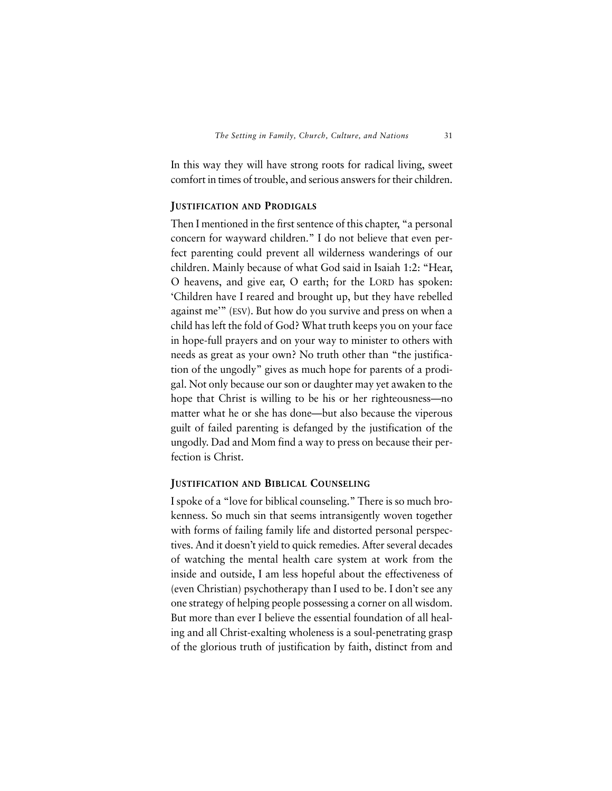In this way they will have strong roots for radical living, sweet comfort in times of trouble, and serious answers for their children.

#### **JUSTIFICATION AND PRODIGALS**

Then I mentioned in the first sentence of this chapter, "a personal concern for wayward children." I do not believe that even perfect parenting could prevent all wilderness wanderings of our children. Mainly because of what God said in Isaiah 1:2: "Hear, O heavens, and give ear, O earth; for the LORD has spoken: 'Children have I reared and brought up, but they have rebelled against me'" (ESV). But how do you survive and press on when a child has left the fold of God? What truth keeps you on your face in hope-full prayers and on your way to minister to others with needs as great as your own? No truth other than "the justification of the ungodly" gives as much hope for parents of a prodigal. Not only because our son or daughter may yet awaken to the hope that Christ is willing to be his or her righteousness—no matter what he or she has done—but also because the viperous guilt of failed parenting is defanged by the justification of the ungodly. Dad and Mom find a way to press on because their perfection is Christ.

#### **JUSTIFICATION AND BIBLICAL COUNSELING**

I spoke of a "love for biblical counseling." There is so much brokenness. So much sin that seems intransigently woven together with forms of failing family life and distorted personal perspectives. And it doesn't yield to quick remedies. After several decades of watching the mental health care system at work from the inside and outside, I am less hopeful about the effectiveness of (even Christian) psychotherapy than I used to be. I don't see any one strategy of helping people possessing a corner on all wisdom. But more than ever I believe the essential foundation of all healing and all Christ-exalting wholeness is a soul-penetrating grasp of the glorious truth of justification by faith, distinct from and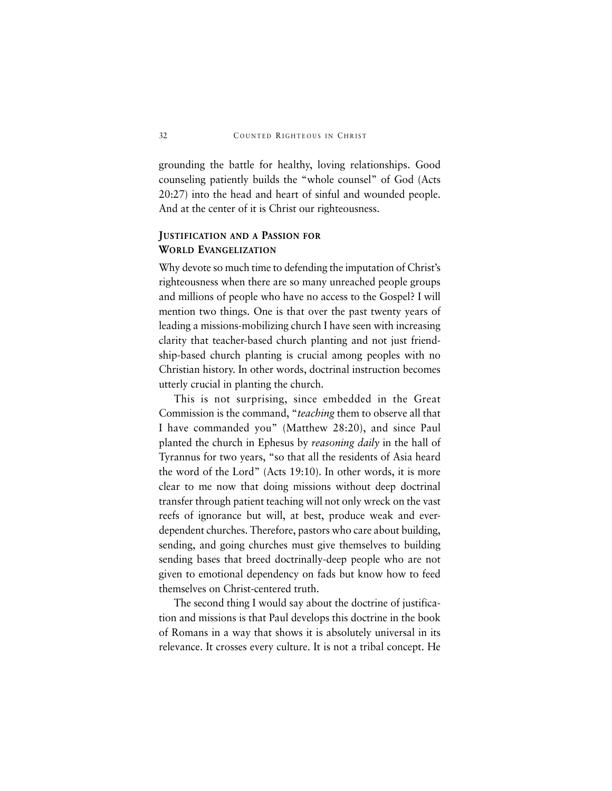grounding the battle for healthy, loving relationships. Good counseling patiently builds the "whole counsel" of God (Acts 20:27) into the head and heart of sinful and wounded people. And at the center of it is Christ our righteousness.

#### **JUSTIFICATION AND A PASSION FOR WORLD EVANGELIZATION**

Why devote so much time to defending the imputation of Christ's righteousness when there are so many unreached people groups and millions of people who have no access to the Gospel? I will mention two things. One is that over the past twenty years of leading a missions-mobilizing church I have seen with increasing clarity that teacher-based church planting and not just friendship-based church planting is crucial among peoples with no Christian history. In other words, doctrinal instruction becomes utterly crucial in planting the church.

This is not surprising, since embedded in the Great Commission is the command, "*teaching* them to observe all that I have commanded you" (Matthew 28:20), and since Paul planted the church in Ephesus by *reasoning daily* in the hall of Tyrannus for two years, "so that all the residents of Asia heard the word of the Lord" (Acts 19:10). In other words, it is more clear to me now that doing missions without deep doctrinal transfer through patient teaching will not only wreck on the vast reefs of ignorance but will, at best, produce weak and everdependent churches. Therefore, pastors who care about building, sending, and going churches must give themselves to building sending bases that breed doctrinally-deep people who are not given to emotional dependency on fads but know how to feed themselves on Christ-centered truth.

The second thing I would say about the doctrine of justification and missions is that Paul develops this doctrine in the book of Romans in a way that shows it is absolutely universal in its relevance. It crosses every culture. It is not a tribal concept. He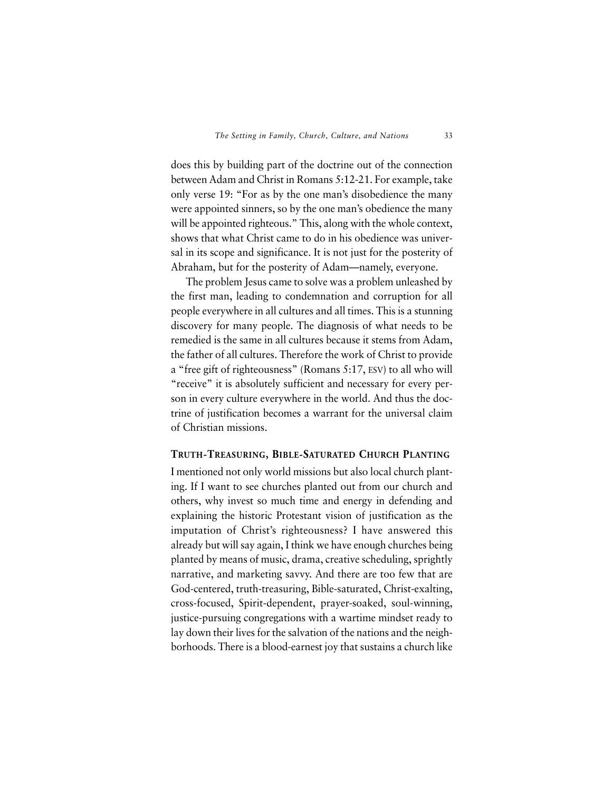does this by building part of the doctrine out of the connection between Adam and Christ in Romans 5:12-21. For example, take only verse 19: "For as by the one man's disobedience the many were appointed sinners, so by the one man's obedience the many will be appointed righteous." This, along with the whole context, shows that what Christ came to do in his obedience was universal in its scope and significance. It is not just for the posterity of Abraham, but for the posterity of Adam—namely, everyone.

The problem Jesus came to solve was a problem unleashed by the first man, leading to condemnation and corruption for all people everywhere in all cultures and all times. This is a stunning discovery for many people. The diagnosis of what needs to be remedied is the same in all cultures because it stems from Adam, the father of all cultures. Therefore the work of Christ to provide a "free gift of righteousness" (Romans 5:17, ESV) to all who will "receive" it is absolutely sufficient and necessary for every person in every culture everywhere in the world. And thus the doctrine of justification becomes a warrant for the universal claim of Christian missions.

#### **TRUTH-TREASURING, BIBLE-SATURATED CHURCH PLANTING**

I mentioned not only world missions but also local church planting. If I want to see churches planted out from our church and others, why invest so much time and energy in defending and explaining the historic Protestant vision of justification as the imputation of Christ's righteousness? I have answered this already but will say again, I think we have enough churches being planted by means of music, drama, creative scheduling, sprightly narrative, and marketing savvy. And there are too few that are God-centered, truth-treasuring, Bible-saturated, Christ-exalting, cross-focused, Spirit-dependent, prayer-soaked, soul-winning, justice-pursuing congregations with a wartime mindset ready to lay down their lives for the salvation of the nations and the neighborhoods. There is a blood-earnest joy that sustains a church like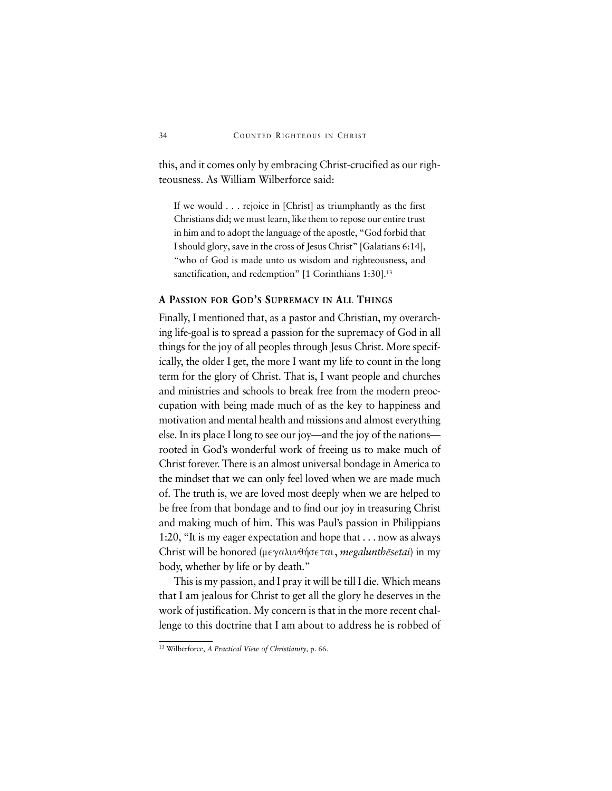this, and it comes only by embracing Christ-crucified as our righteousness. As William Wilberforce said:

If we would . . . rejoice in [Christ] as triumphantly as the first Christians did; we must learn, like them to repose our entire trust in him and to adopt the language of the apostle, "God forbid that I should glory, save in the cross of Jesus Christ" [Galatians 6:14], "who of God is made unto us wisdom and righteousness, and sanctification, and redemption" [1 Corinthians 1:30].<sup>13</sup>

#### **A PASSION FOR GOD'S SUPREMACY IN ALL THINGS**

Finally, I mentioned that, as a pastor and Christian, my overarching life-goal is to spread a passion for the supremacy of God in all things for the joy of all peoples through Jesus Christ. More specifically, the older I get, the more I want my life to count in the long term for the glory of Christ. That is, I want people and churches and ministries and schools to break free from the modern preoccupation with being made much of as the key to happiness and motivation and mental health and missions and almost everything else. In its place I long to see our joy—and the joy of the nations rooted in God's wonderful work of freeing us to make much of Christ forever. There is an almost universal bondage in America to the mindset that we can only feel loved when we are made much of. The truth is, we are loved most deeply when we are helped to be free from that bondage and to find our joy in treasuring Christ and making much of him. This was Paul's passion in Philippians 1:20, "It is my eager expectation and hope that . . . now as always Christ will be honored (μεγαλυνθήσεται, *megalunthēsetai*) in my body, whether by life or by death."

This is my passion, and I pray it will be till I die. Which means that I am jealous for Christ to get all the glory he deserves in the work of justification. My concern is that in the more recent challenge to this doctrine that I am about to address he is robbed of

<sup>13</sup> Wilberforce, *A Practical View of Christianity,* p. 66.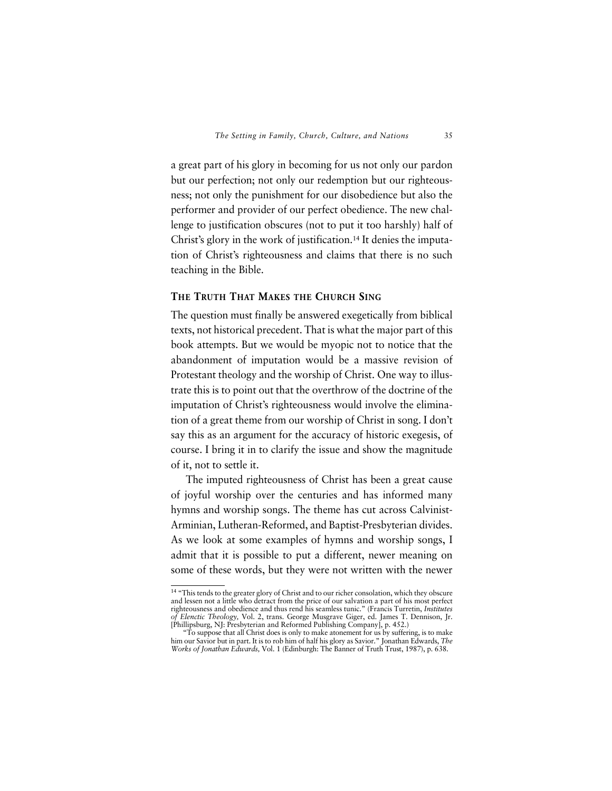a great part of his glory in becoming for us not only our pardon but our perfection; not only our redemption but our righteousness; not only the punishment for our disobedience but also the performer and provider of our perfect obedience. The new challenge to justification obscures (not to put it too harshly) half of Christ's glory in the work of justification.14 It denies the imputation of Christ's righteousness and claims that there is no such teaching in the Bible.

#### **THE TRUTH THAT MAKES THE CHURCH SING**

The question must finally be answered exegetically from biblical texts, not historical precedent. That is what the major part of this book attempts. But we would be myopic not to notice that the abandonment of imputation would be a massive revision of Protestant theology and the worship of Christ. One way to illustrate this is to point out that the overthrow of the doctrine of the imputation of Christ's righteousness would involve the elimination of a great theme from our worship of Christ in song. I don't say this as an argument for the accuracy of historic exegesis, of course. I bring it in to clarify the issue and show the magnitude of it, not to settle it.

The imputed righteousness of Christ has been a great cause of joyful worship over the centuries and has informed many hymns and worship songs. The theme has cut across Calvinist-Arminian, Lutheran-Reformed, and Baptist-Presbyterian divides. As we look at some examples of hymns and worship songs, I admit that it is possible to put a different, newer meaning on some of these words, but they were not written with the newer

<sup>14</sup> "This tends to the greater glory of Christ and to our richer consolation, which they obscure and lessen not a little who detract from the price of our salvation a part of his most perfect righteousness and obedience and thus rend his seamless tunic." (Francis Turretin, *Institutes of Elenctic Theology,* Vol. 2, trans. George Musgrave Giger, ed. James T. Dennison, Jr. [Phillipsburg, NJ: Presbyterian and Reformed Publishing Company], p. 452.)

<sup>&</sup>quot;To suppose that all Christ does is only to make atonement for us by suffering, is to make him our Savior but in part. It is to rob him of half his glory as Savior." Jonathan Edwards, *The Works of Jonathan Edwards,* Vol. 1 (Edinburgh: The Banner of Truth Trust, 1987), p. 638.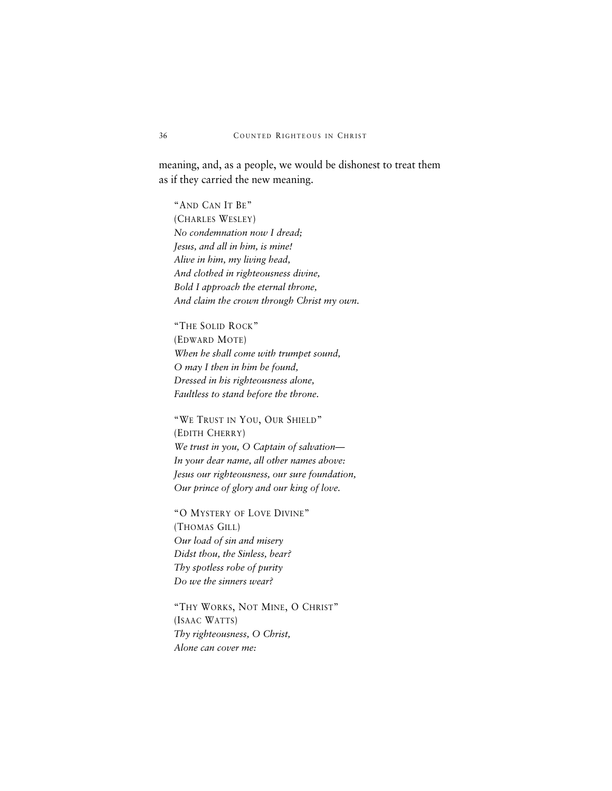meaning, and, as a people, we would be dishonest to treat them as if they carried the new meaning.

"AND CAN IT BE" (CHARLES WESLEY) *No condemnation now I dread; Jesus, and all in him, is mine! Alive in him, my living head, And clothed in righteousness divine, Bold I approach the eternal throne, And claim the crown through Christ my own.*

"THE SOLID ROCK" (EDWARD MOTE) *When he shall come with trumpet sound, O may I then in him be found, Dressed in his righteousness alone, Faultless to stand before the throne.*

"WE TRUST IN YOU, OUR SHIELD" (EDITH CHERRY) *We trust in you, O Captain of salvation— In your dear name, all other names above: Jesus our righteousness, our sure foundation, Our prince of glory and our king of love.*

"O MYSTERY OF LOVE DIVINE" (THOMAS GILL) *Our load of sin and misery Didst thou, the Sinless, bear? Thy spotless robe of purity Do we the sinners wear?*

"THY WORKS, NOT MINE, O CHRIST" (ISAAC WATTS) *Thy righteousness, O Christ, Alone can cover me:*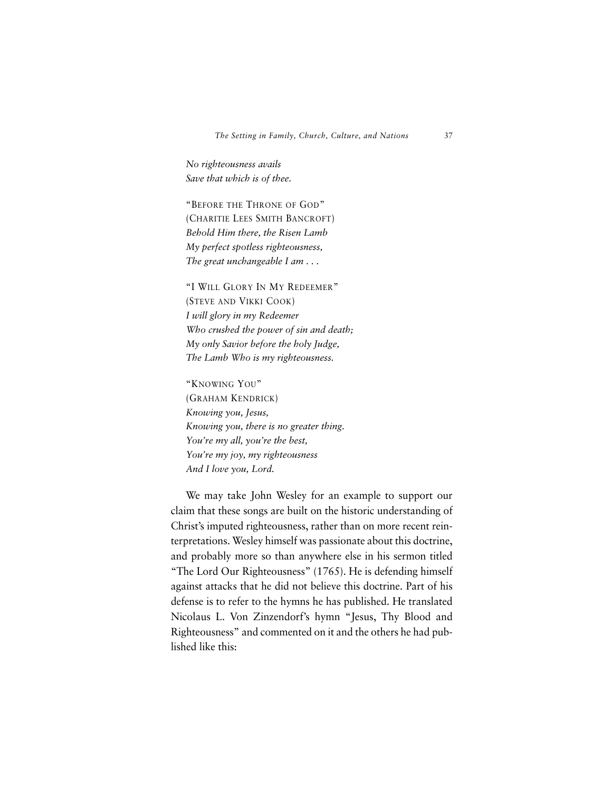*No righteousness avails Save that which is of thee.*

"BEFORE THE THRONE OF GOD" (CHARITIE LEES SMITH BANCROFT) *Behold Him there, the Risen Lamb My perfect spotless righteousness, The great unchangeable I am . . .*

"I WILL GLORY IN MY REDEEMER" (STEVE AND VIKKI COOK) *I will glory in my Redeemer Who crushed the power of sin and death; My only Savior before the holy Judge, The Lamb Who is my righteousness.*

"KNOWING YOU"

(GRAHAM KENDRICK) *Knowing you, Jesus, Knowing you, there is no greater thing. You're my all, you're the best, You're my joy, my righteousness And I love you, Lord.*

We may take John Wesley for an example to support our claim that these songs are built on the historic understanding of Christ's imputed righteousness, rather than on more recent reinterpretations. Wesley himself was passionate about this doctrine, and probably more so than anywhere else in his sermon titled "The Lord Our Righteousness" (1765). He is defending himself against attacks that he did not believe this doctrine. Part of his defense is to refer to the hymns he has published. He translated Nicolaus L. Von Zinzendorf's hymn "Jesus, Thy Blood and Righteousness" and commented on it and the others he had published like this: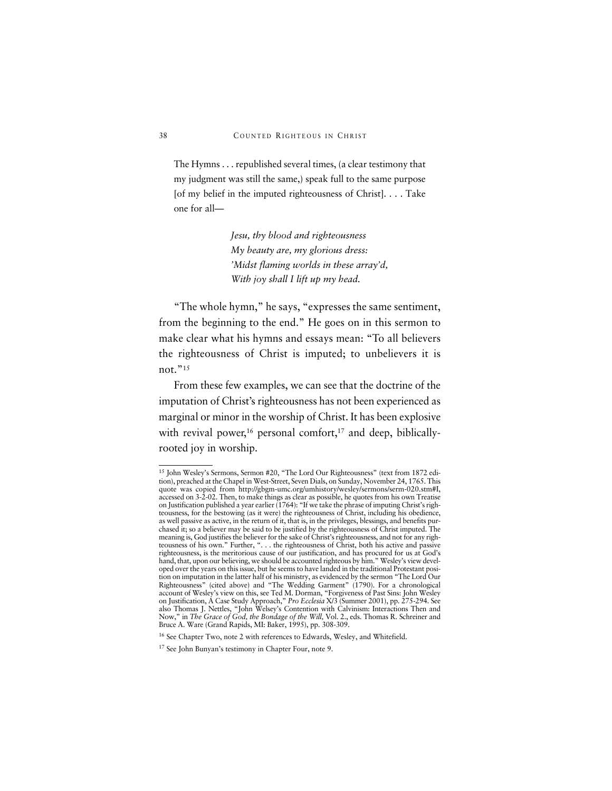The Hymns . . . republished several times, (a clear testimony that my judgment was still the same,) speak full to the same purpose [of my belief in the imputed righteousness of Christ]. . . . Take one for all—

> *Jesu, thy blood and righteousness My beauty are, my glorious dress: 'Midst flaming worlds in these array'd, With joy shall I lift up my head.*

"The whole hymn," he says, "expresses the same sentiment, from the beginning to the end." He goes on in this sermon to make clear what his hymns and essays mean: "To all believers the righteousness of Christ is imputed; to unbelievers it is not." $^{15}$ 

From these few examples, we can see that the doctrine of the imputation of Christ's righteousness has not been experienced as marginal or minor in the worship of Christ. It has been explosive with revival power,<sup>16</sup> personal comfort,<sup>17</sup> and deep, biblicallyrooted joy in worship.

<sup>&</sup>lt;sup>15</sup> John Wesley's Sermons, Sermon #20, "The Lord Our Righteousness" (text from 1872 edition), preached at the Chapel in West-Street, Seven Dials, on Sunday, November 24, 1765. This quote was copied from http://gbgm-umc.org/umhistory/wesley/sermons/serm-020.stm#I, accessed on 3-2-02. Then, to make things as clear as possible, he quotes from his own Treatise on Justification published a year earlier (1764): "If we take the phrase of imputing Christ's righteousness, for the bestowing (as it were) the righteousness of Christ, including his obedience, as well passive as active, in the return of it, that is, in the privileges, blessings, and benefits purchased it; so a believer may be said to be justified by the righteousness of Christ imputed. The meaning is, God justifies the believer for the sake of Christ's righteousness, and not for any righteousness of his own." Further, ". . . the righteousness of Christ, both his active and passive righteousness, is the meritorious cause of our justification, and has procured for us at God's hand, that, upon our believing, we should be accounted righteous by him." Wesley's view developed over the years on this issue, but he seems to have landed in the traditional Protestant position on imputation in the latter half of his ministry, as evidenced by the sermon "The Lord Our Righteousness" (cited above) and "The Wedding Garment" (1790). For a chronological account of Wesley's view on this, see Ted M. Dorman, "Forgiveness of Past Sins: John Wesley on Justification, A Case Study Approach," *Pro Ecclesia* X/3 (Summer 2001), pp. 275-294. See also Thomas J. Nettles, "John Welsey's Contention with Calvinism: Interactions Then and Now," in *The Grace of God, the Bondage of the Will,* Vol. 2., eds. Thomas R. Schreiner and Bruce A. Ware (Grand Rapids, MI: Baker, 1995), pp. 308-309.

<sup>16</sup> See Chapter Two, note 2 with references to Edwards, Wesley, and Whitefield.

<sup>17</sup> See John Bunyan's testimony in Chapter Four, note 9.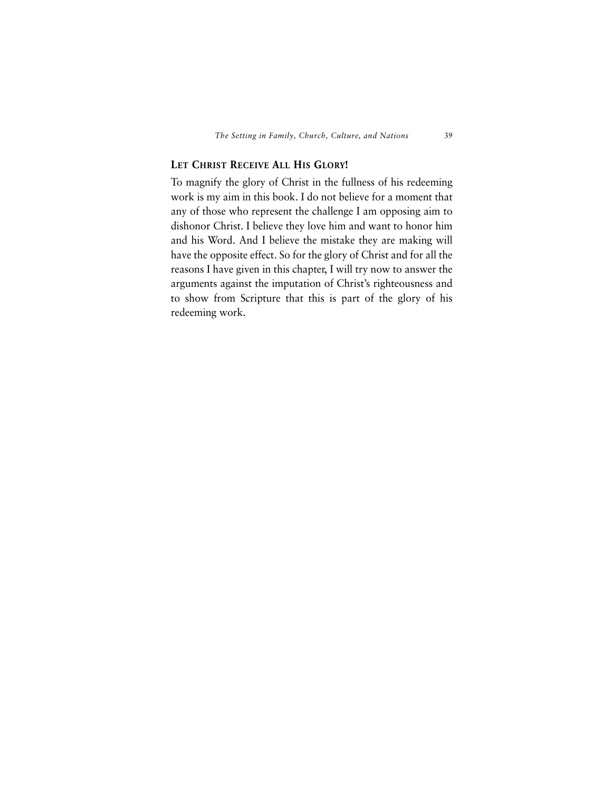#### **LET CHRIST RECEIVE ALL HIS GLORY!**

To magnify the glory of Christ in the fullness of his redeeming work is my aim in this book. I do not believe for a moment that any of those who represent the challenge I am opposing aim to dishonor Christ. I believe they love him and want to honor him and his Word. And I believe the mistake they are making will have the opposite effect. So for the glory of Christ and for all the reasons I have given in this chapter, I will try now to answer the arguments against the imputation of Christ's righteousness and to show from Scripture that this is part of the glory of his redeeming work.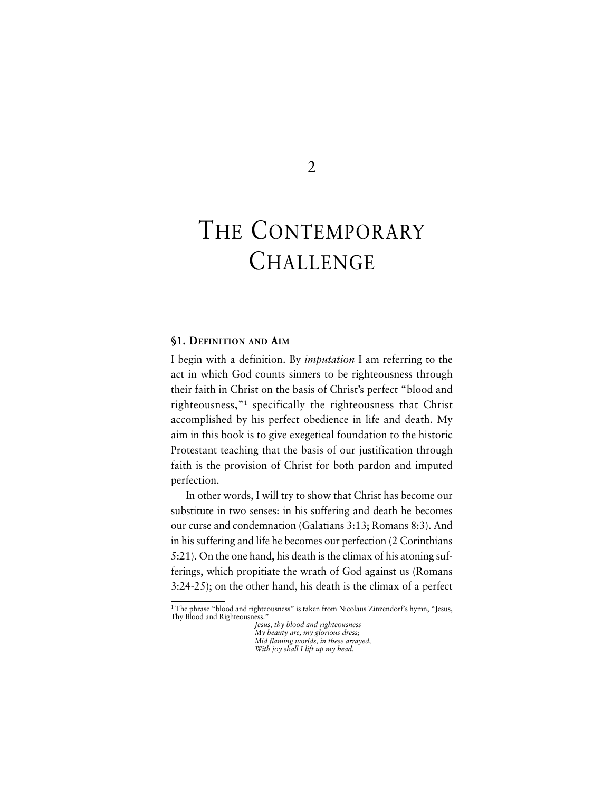#### 2

### THE CONTEMPORARY **CHALLENGE**

#### **§1. DEFINITION AND AIM**

I begin with a definition. By *imputation* I am referring to the act in which God counts sinners to be righteousness through their faith in Christ on the basis of Christ's perfect "blood and righteousness,"1 specifically the righteousness that Christ accomplished by his perfect obedience in life and death. My aim in this book is to give exegetical foundation to the historic Protestant teaching that the basis of our justification through faith is the provision of Christ for both pardon and imputed perfection.

In other words, I will try to show that Christ has become our substitute in two senses: in his suffering and death he becomes our curse and condemnation (Galatians 3:13; Romans 8:3). And in his suffering and life he becomes our perfection (2 Corinthians 5:21). On the one hand, his death is the climax of his atoning sufferings, which propitiate the wrath of God against us (Romans 3:24-25); on the other hand, his death is the climax of a perfect

<sup>&</sup>lt;sup>1</sup> The phrase "blood and righteousness" is taken from Nicolaus Zinzendorf's hymn, "Jesus, Thy Blood and Righteousness."

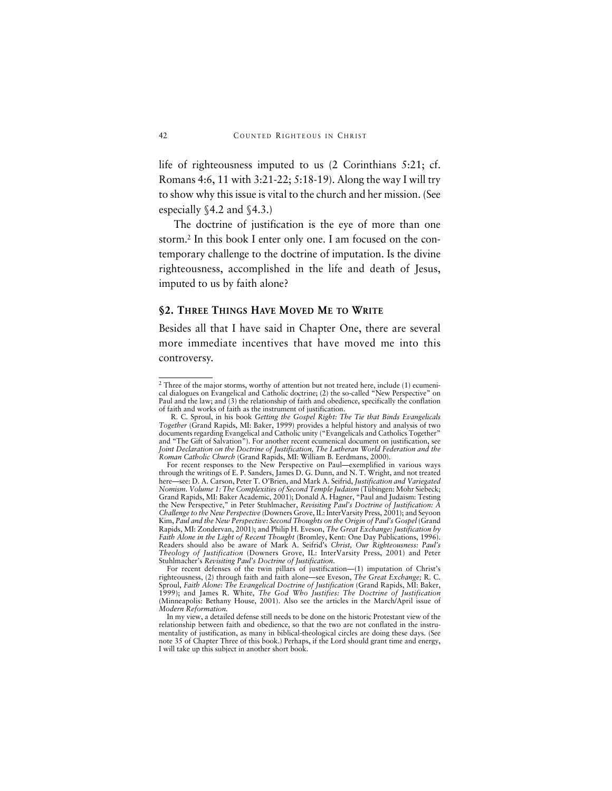life of righteousness imputed to us (2 Corinthians 5:21; cf. Romans 4:6, 11 with 3:21-22; 5:18-19). Along the way I will try to show why this issue is vital to the church and her mission. (See especially §4.2 and §4.3.)

The doctrine of justification is the eye of more than one storm.2 In this book I enter only one. I am focused on the contemporary challenge to the doctrine of imputation. Is the divine righteousness, accomplished in the life and death of Jesus, imputed to us by faith alone?

#### **§2. THREE THINGS HAVE MOVED ME TO WRITE**

Besides all that I have said in Chapter One, there are several more immediate incentives that have moved me into this controversy.

<sup>&</sup>lt;sup>2</sup> Three of the major storms, worthy of attention but not treated here, include (1) ecumenical dialogues on Evangelical and Catholic doctrine; (2) the so-called "New Perspective" on Paul and the law; and (3) the relationship of faith and obedience, specifically the conflation of faith and works of faith as the instrument of justification.

R. C. Sproul, in his book *Getting the Gospel Right: The Tie that Binds Evangelicals Together* (Grand Rapids, MI: Baker, 1999) provides a helpful history and analysis of two documents regarding Evangelical and Catholic unity ("Evangelicals and Catholics Together" and "The Gift of Salvation"). For another recent ecumenical document on justification, see *Joint Declaration on the Doctrine of Justification, The Lutheran World Federation and the Roman Catholic Church* (Grand Rapids, MI: William B. Eerdmans, 2000).

For recent responses to the New Perspective on Paul—exemplified in various ways through the writings of E. P. Sanders, James D. G. Dunn, and N. T. Wright, and not treated here—see: D. A. Carson, Peter T. O'Brien, and Mark A. Seifrid, *Justification and Variegated Nomism. Volume 1: The Complexities of Second Temple Judaism* (Tübingen: Mohr Siebeck; Grand Rapids, MI: Baker Academic, 2001); Donald A. Hagner, "Paul and Judaism: Testing the New Perspective," in Peter Stuhlmacher, *Revisiting Paul's Doctrine of Justification: A Challenge to the New Perspective* (Downers Grove, IL: InterVarsity Press, 2001); and Seyoon Kim, *Paul and the New Perspective: Second Thoughts on the Origin of Paul's Gospel* (Grand Rapids, MI: Zondervan, 2001); and Philip H. Eveson, *The Great Exchange: Justification by Faith Alone in the Light of Recent Thought* (Bromley, Kent: One Day Publications, 1996). Readers should also be aware of Mark A. Seifrid's *Christ, Our Righteousness: Paul's Theology of Justification* (Downers Grove, IL: InterVarsity Press, 2001) and Peter Stuhlmacher's *Revisiting Paul's Doctrine of Justification*.

For recent defenses of the twin pillars of justification—(1) imputation of Christ's righteousness, (2) through faith and faith alone—see Eveson, *The Great Exchange;* R. C. Sproul, *Faith Alone: The Evangelical Doctrine of Justification* (Grand Rapids, MI: Baker, 1999); and James R. White, *The God Who Justifies: The Doctrine of Justification* (Minneapolis: Bethany House, 2001). Also see the articles in the March/April issue of *Modern Reformation.*

In my view, a detailed defense still needs to be done on the historic Protestant view of the relationship between faith and obedience, so that the two are not conflated in the instrumentality of justification, as many in biblical-theological circles are doing these days. (See note 35 of Chapter Three of this book.) Perhaps, if the Lord should grant time and energy, I will take up this subject in another short book.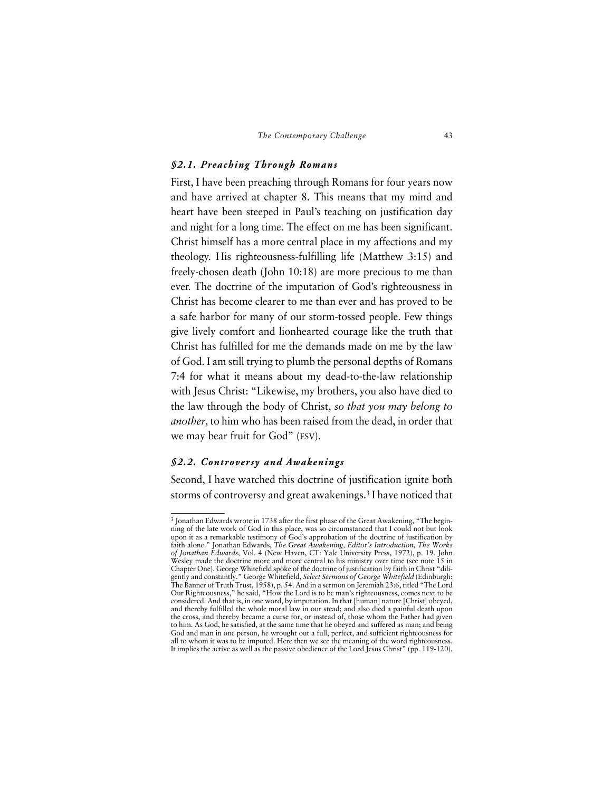#### *§2.1. Preaching Through Romans*

First, I have been preaching through Romans for four years now and have arrived at chapter 8. This means that my mind and heart have been steeped in Paul's teaching on justification day and night for a long time. The effect on me has been significant. Christ himself has a more central place in my affections and my theology. His righteousness-fulfilling life (Matthew 3:15) and freely-chosen death (John 10:18) are more precious to me than ever. The doctrine of the imputation of God's righteousness in Christ has become clearer to me than ever and has proved to be a safe harbor for many of our storm-tossed people. Few things give lively comfort and lionhearted courage like the truth that Christ has fulfilled for me the demands made on me by the law of God. I am still trying to plumb the personal depths of Romans 7:4 for what it means about my dead-to-the-law relationship with Jesus Christ: "Likewise, my brothers, you also have died to the law through the body of Christ, *so that you may belong to another*, to him who has been raised from the dead, in order that we may bear fruit for God" (ESV).

#### *§2.2. Controversy and Awakenings*

Second, I have watched this doctrine of justification ignite both storms of controversy and great awakenings.<sup>3</sup> I have noticed that

<sup>3</sup> Jonathan Edwards wrote in 1738 after the first phase of the Great Awakening, "The beginning of the late work of God in this place, was so circumstanced that I could not but look upon it as a remarkable testimony of God's approbation of the doctrine of justification by faith alone." Jonathan Edwards, *The Great Awakening, Editor's Introduction, The Works of Jonathan Edwards,* Vol. 4 (New Haven, CT: Yale University Press, 1972), p. 19. John Wesley made the doctrine more and more central to his ministry over time (see note 15 in Chapter One). George Whitefield spoke of the doctrine of justification by faith in Christ "diligently and constantly." George Whitefield, *Select Sermons of George Whitefield* (Edinburgh: The Banner of Truth Trust, 1958), p. 54. And in a sermon on Jeremiah 23:6, titled "The Lord Our Righteousness," he said, "How the Lord is to be man's righteousness, comes next to be considered. And that is, in one word, by imputation. In that [human] nature [Christ] obeyed, and thereby fulfilled the whole moral law in our stead; and also died a painful death upon the cross, and thereby became a curse for, or instead of, those whom the Father had given to him. As God, he satisfied, at the same time that he obeyed and suffered as man; and being God and man in one person, he wrought out a full, perfect, and sufficient righteousness for all to whom it was to be imputed. Here then we see the meaning of the word righteousness. It implies the active as well as the passive obedience of the Lord Jesus Christ" (pp. 119-120).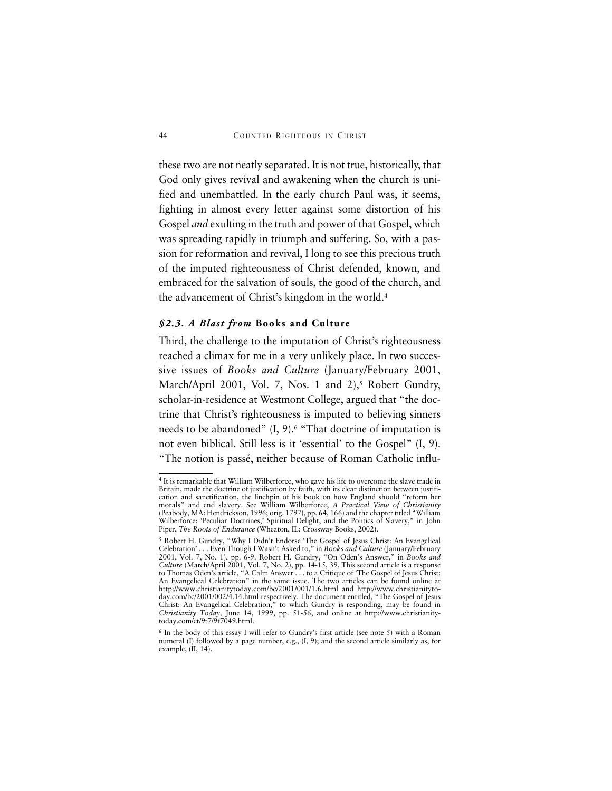these two are not neatly separated. It is not true, historically, that God only gives revival and awakening when the church is unified and unembattled. In the early church Paul was, it seems, fighting in almost every letter against some distortion of his Gospel *and* exulting in the truth and power of that Gospel, which was spreading rapidly in triumph and suffering. So, with a passion for reformation and revival, I long to see this precious truth of the imputed righteousness of Christ defended, known, and embraced for the salvation of souls, the good of the church, and the advancement of Christ's kingdom in the world.4

#### *§2.3. A Blast from* **Books and Culture**

Third, the challenge to the imputation of Christ's righteousness reached a climax for me in a very unlikely place. In two successive issues of *Books and Culture* (January/February 2001, March/April 2001, Vol. 7, Nos. 1 and  $2$ ),<sup>5</sup> Robert Gundry, scholar-in-residence at Westmont College, argued that "the doctrine that Christ's righteousness is imputed to believing sinners needs to be abandoned" (I, 9).<sup>6</sup> "That doctrine of imputation is not even biblical. Still less is it 'essential' to the Gospel" (I, 9). "The notion is passé, neither because of Roman Catholic influ-

<sup>4</sup> It is remarkable that William Wilberforce, who gave his life to overcome the slave trade in Britain, made the doctrine of justification by faith, with its clear distinction between justification and sanctification, the linchpin of his book on how England should "reform her morals" and end slavery. See William Wilberforce, *A Practical View of Christianity* (Peabody, MA: Hendrickson, 1996; orig. 1797), pp. 64, 166) and the chapter titled "William Wilberforce: 'Peculiar Doctrines,' Spiritual Delight, and the Politics of Slavery," in John Piper, *The Roots of Endurance* (Wheaton, IL: Crossway Books, 2002).

<sup>5</sup> Robert H. Gundry, "Why I Didn't Endorse 'The Gospel of Jesus Christ: An Evangelical Celebration' . . . Even Though I Wasn't Asked to," in *Books and Culture* (January/February 2001, Vol. 7, No. 1), pp. 6-9. Robert H. Gundry, "On Oden's Answer," in *Books and Culture* (March/April 2001, Vol. 7, No. 2), pp. 14-15, 39. This second article is a response to Thomas Oden's article, "A Calm Answer . . . to a Critique of 'The Gospel of Jesus Christ: An Evangelical Celebration" in the same issue. The two articles can be found online at http://www.christianitytoday.com/bc/2001/001/1.6.html and http://www.christianitytoday.com/bc/2001/002/4.14.html respectively. The document entitled, "The Gospel of Jesus Christ: An Evangelical Celebration," to which Gundry is responding, may be found in *Christianity Today,* June 14, 1999, pp. 51-56, and online at http://www.christianitytoday.com/ct/9t7/9t7049.html.

 $6$  In the body of this essay I will refer to Gundry's first article (see note 5) with a Roman numeral (I) followed by a page number, e.g.,  $(I, 9)$ ; and the second article similarly as, for example, (II, 14).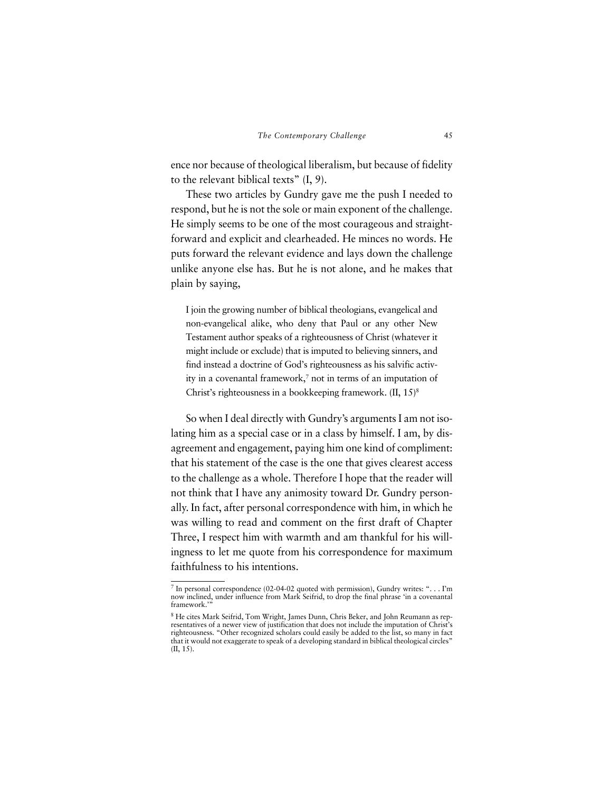ence nor because of theological liberalism, but because of fidelity to the relevant biblical texts" (I, 9).

These two articles by Gundry gave me the push I needed to respond, but he is not the sole or main exponent of the challenge. He simply seems to be one of the most courageous and straightforward and explicit and clearheaded. He minces no words. He puts forward the relevant evidence and lays down the challenge unlike anyone else has. But he is not alone, and he makes that plain by saying,

I join the growing number of biblical theologians, evangelical and non-evangelical alike, who deny that Paul or any other New Testament author speaks of a righteousness of Christ (whatever it might include or exclude) that is imputed to believing sinners, and find instead a doctrine of God's righteousness as his salvific activity in a covenantal framework,<sup>7</sup> not in terms of an imputation of Christ's righteousness in a bookkeeping framework. (II, 15)8

So when I deal directly with Gundry's arguments I am not isolating him as a special case or in a class by himself. I am, by disagreement and engagement, paying him one kind of compliment: that his statement of the case is the one that gives clearest access to the challenge as a whole. Therefore I hope that the reader will not think that I have any animosity toward Dr. Gundry personally. In fact, after personal correspondence with him, in which he was willing to read and comment on the first draft of Chapter Three, I respect him with warmth and am thankful for his willingness to let me quote from his correspondence for maximum faithfulness to his intentions.

<sup>7</sup> In personal correspondence (02-04-02 quoted with permission), Gundry writes: ". . . I'm now inclined, under influence from Mark Seifrid, to drop the final phrase 'in a covenantal framework.'"

<sup>8</sup> He cites Mark Seifrid, Tom Wright, James Dunn, Chris Beker, and John Reumann as representatives of a newer view of justification that does not include the imputation of Christ's righteousness. "Other recognized scholars could easily be added to the list, so many in fact that it would not exaggerate to speak of a developing standard in biblical theological circles" (II, 15).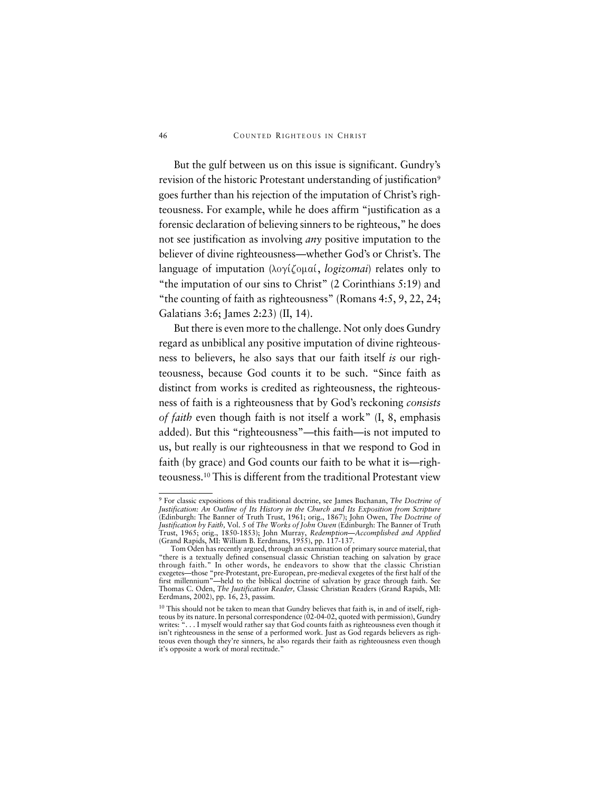#### 46 COUNTED RIGHTEOUS IN CHRIST

But the gulf between us on this issue is significant. Gundry's revision of the historic Protestant understanding of justification<sup>9</sup> goes further than his rejection of the imputation of Christ's righteousness. For example, while he does affirm "justification as a forensic declaration of believing sinners to be righteous," he does not see justification as involving *any* positive imputation to the believer of divine righteousness—whether God's or Christ's. The language of imputation (λογίζομαί, *logizomai*) relates only to "the imputation of our sins to Christ" (2 Corinthians 5:19) and "the counting of faith as righteousness" (Romans 4:5, 9, 22, 24; Galatians 3:6; James 2:23) (II, 14).

But there is even more to the challenge. Not only does Gundry regard as unbiblical any positive imputation of divine righteousness to believers, he also says that our faith itself *is* our righteousness, because God counts it to be such. "Since faith as distinct from works is credited as righteousness, the righteousness of faith is a righteousness that by God's reckoning *consists of faith* even though faith is not itself a work" (I, 8, emphasis added). But this "righteousness"—this faith—is not imputed to us, but really is our righteousness in that we respond to God in faith (by grace) and God counts our faith to be what it is—righteousness.10 This is different from the traditional Protestant view

<sup>9</sup> For classic expositions of this traditional doctrine, see James Buchanan, *The Doctrine of Justification: An Outline of Its History in the Church and Its Exposition from Scripture* (Edinburgh: The Banner of Truth Trust, 1961; orig., 1867); John Owen, *The Doctrine of Justification by Faith,* Vol. 5 of *The Works of John Owen* (Edinburgh: The Banner of Truth Trust, 1965; orig., 1850-1853); John Murray, *Redemption—Accomplished and Applied* (Grand Rapids, MI: William B. Eerdmans, 1955), pp. 117-137.

Tom Oden has recently argued, through an examination of primary source material, that "there is a textually defined consensual classic Christian teaching on salvation by grace through faith." In other words, he endeavors to show that the classic Christian exegetes—those "pre-Protestant, pre-European, pre-medieval exegetes of the first half of the first millennium"—held to the biblical doctrine of salvation by grace through faith. See Thomas C. Oden, *The Justification Reader,* Classic Christian Readers (Grand Rapids, MI: Eerdmans, 2002), pp. 16, 23, passim.

 $10$  This should not be taken to mean that Gundry believes that faith is, in and of itself, righteous by its nature. In personal correspondence  $(02-04-02,$  quoted with permission), Gundry writes: ". . . I myself would rather say that God counts faith as righteousness even though it isn't righteousness in the sense of a performed work. Just as God regards believers as righteous even though they're sinners, he also regards their faith as righteousness even though it's opposite a work of moral rectitude."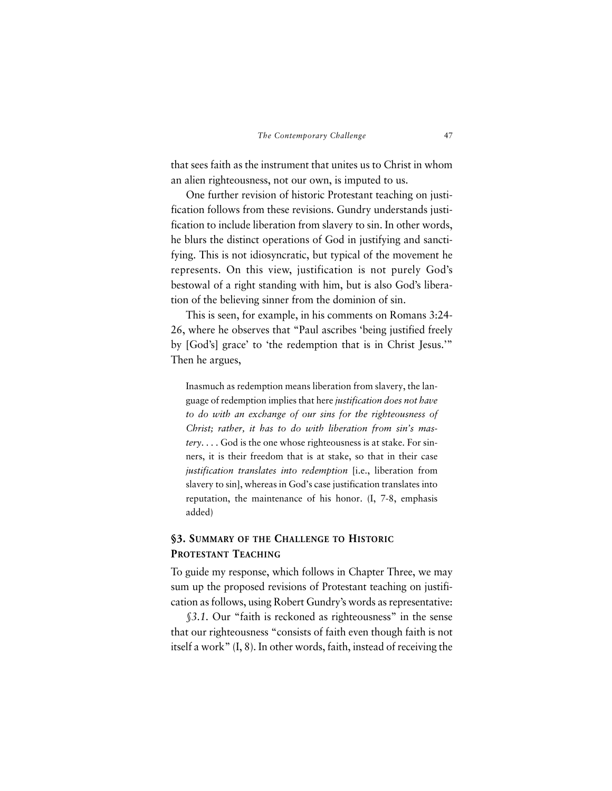that sees faith as the instrument that unites us to Christ in whom an alien righteousness, not our own, is imputed to us.

One further revision of historic Protestant teaching on justification follows from these revisions. Gundry understands justification to include liberation from slavery to sin. In other words, he blurs the distinct operations of God in justifying and sanctifying. This is not idiosyncratic, but typical of the movement he represents. On this view, justification is not purely God's bestowal of a right standing with him, but is also God's liberation of the believing sinner from the dominion of sin.

This is seen, for example, in his comments on Romans 3:24- 26, where he observes that "Paul ascribes 'being justified freely by [God's] grace' to 'the redemption that is in Christ Jesus.'" Then he argues,

Inasmuch as redemption means liberation from slavery, the language of redemption implies that here *justification does not have to do with an exchange of our sins for the righteousness of Christ; rather, it has to do with liberation from sin's mastery*. . . . God is the one whose righteousness is at stake. For sinners, it is their freedom that is at stake, so that in their case *justification translates into redemption* [i.e., liberation from slavery to sin], whereas in God's case justification translates into reputation, the maintenance of his honor. (I, 7-8, emphasis added)

## **§3. SUMMARY OF THE CHALLENGE TO HISTORIC PROTESTANT TEACHING**

To guide my response, which follows in Chapter Three, we may sum up the proposed revisions of Protestant teaching on justification as follows, using Robert Gundry's words as representative:

*§3.1.* Our "faith is reckoned as righteousness" in the sense that our righteousness "consists of faith even though faith is not itself a work" (I, 8). In other words, faith, instead of receiving the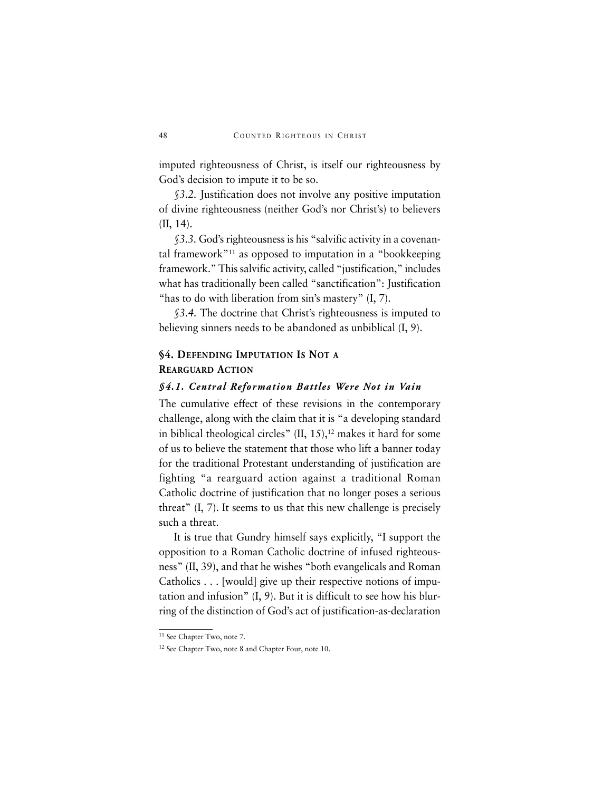imputed righteousness of Christ, is itself our righteousness by God's decision to impute it to be so.

*§3.2.* Justification does not involve any positive imputation of divine righteousness (neither God's nor Christ's) to believers (II, 14).

*§3.3.* God's righteousness is his "salvific activity in a covenantal framework"11 as opposed to imputation in a "bookkeeping framework." This salvific activity, called "justification," includes what has traditionally been called "sanctification": Justification "has to do with liberation from sin's mastery" (I, 7).

*§3.4.* The doctrine that Christ's righteousness is imputed to believing sinners needs to be abandoned as unbiblical (I, 9).

# **§4. DEFENDING IMPUTATION IS NOT A REARGUARD ACTION**

#### *§4.1. Central Reformation Battles Were Not in Vain*

The cumulative effect of these revisions in the contemporary challenge, along with the claim that it is "a developing standard in biblical theological circles"  $(II, 15)$ ,<sup>12</sup> makes it hard for some of us to believe the statement that those who lift a banner today for the traditional Protestant understanding of justification are fighting "a rearguard action against a traditional Roman Catholic doctrine of justification that no longer poses a serious threat" (I, 7). It seems to us that this new challenge is precisely such a threat.

It is true that Gundry himself says explicitly, "I support the opposition to a Roman Catholic doctrine of infused righteousness" (II, 39), and that he wishes "both evangelicals and Roman Catholics . . . [would] give up their respective notions of imputation and infusion" (I, 9). But it is difficult to see how his blurring of the distinction of God's act of justification-as-declaration

<sup>11</sup> See Chapter Two, note 7.

<sup>12</sup> See Chapter Two, note 8 and Chapter Four, note 10.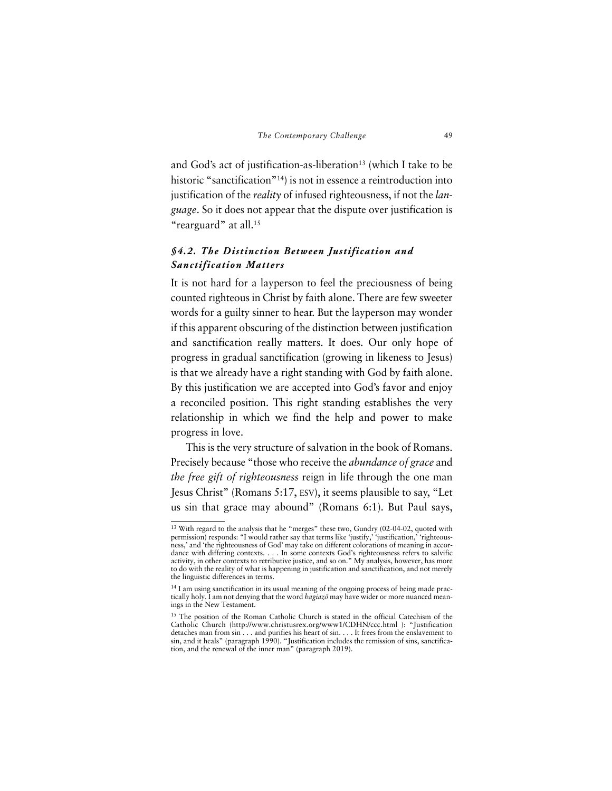and God's act of justification-as-liberation<sup>13</sup> (which I take to be historic "sanctification"<sup>14</sup>) is not in essence a reintroduction into justification of the *reality* of infused righteousness, if not the *language*. So it does not appear that the dispute over justification is "rearguard" at all.<sup>15</sup>

## *§4.2. The Distinction Between Justification and Sanctification Matters*

It is not hard for a layperson to feel the preciousness of being counted righteous in Christ by faith alone. There are few sweeter words for a guilty sinner to hear. But the layperson may wonder if this apparent obscuring of the distinction between justification and sanctification really matters. It does. Our only hope of progress in gradual sanctification (growing in likeness to Jesus) is that we already have a right standing with God by faith alone. By this justification we are accepted into God's favor and enjoy a reconciled position. This right standing establishes the very relationship in which we find the help and power to make progress in love.

This is the very structure of salvation in the book of Romans. Precisely because "those who receive the *abundance of grace* and *the free gift of righteousness* reign in life through the one man Jesus Christ" (Romans 5:17, ESV), it seems plausible to say, "Let us sin that grace may abound" (Romans 6:1). But Paul says,

<sup>&</sup>lt;sup>13</sup> With regard to the analysis that he "merges" these two, Gundry (02-04-02, quoted with permission) responds: "I would rather say that terms like 'justify,' 'justification,' 'righteousness,' and 'the righteousness of God' may take on different colorations of meaning in accordance with differing contexts. . . . In some contexts God's righteousness refers to salvific activity, in other contexts to retributive justice, and so on." My analysis, however, has more to do with the reality of what is happening in justification and sanctification, and not merely the linguistic differences in terms.

<sup>14</sup> I am using sanctification in its usual meaning of the ongoing process of being made practically holy. I am not denying that the word *hagiazø* may have wider or more nuanced meanings in the New Testament.

<sup>&</sup>lt;sup>15</sup> The position of the Roman Catholic Church is stated in the official Catechism of the Catholic Church (http://www.christusrex.org/www1/CDHN/ccc.html ): "Justification detaches man from sin . . . and purifies his heart of sin. . . . It frees from the enslavement to sin, and it heals" (paragraph 1990). "Justification includes the remission of sins, sanctification, and the renewal of the inner man" (paragraph 2019).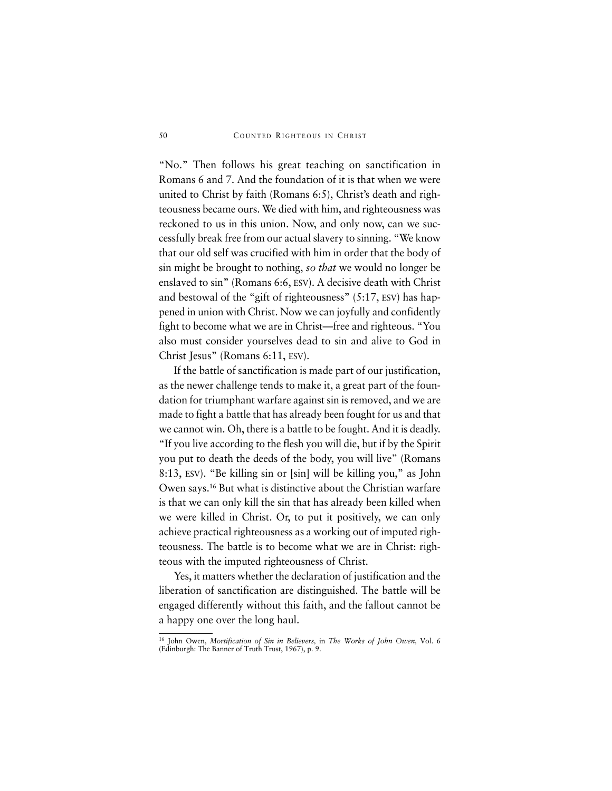#### 50 COUNTED RIGHTEOUS IN CHRIST

"No." Then follows his great teaching on sanctification in Romans 6 and 7. And the foundation of it is that when we were united to Christ by faith (Romans 6:5), Christ's death and righteousness became ours. We died with him, and righteousness was reckoned to us in this union. Now, and only now, can we successfully break free from our actual slavery to sinning. "We know that our old self was crucified with him in order that the body of sin might be brought to nothing, *so that* we would no longer be enslaved to sin" (Romans 6:6, ESV). A decisive death with Christ and bestowal of the "gift of righteousness" (5:17, ESV) has happened in union with Christ. Now we can joyfully and confidently fight to become what we are in Christ—free and righteous. "You also must consider yourselves dead to sin and alive to God in Christ Jesus" (Romans 6:11, ESV).

If the battle of sanctification is made part of our justification, as the newer challenge tends to make it, a great part of the foundation for triumphant warfare against sin is removed, and we are made to fight a battle that has already been fought for us and that we cannot win. Oh, there is a battle to be fought. And it is deadly. "If you live according to the flesh you will die, but if by the Spirit you put to death the deeds of the body, you will live" (Romans 8:13, ESV). "Be killing sin or [sin] will be killing you," as John Owen says.16 But what is distinctive about the Christian warfare is that we can only kill the sin that has already been killed when we were killed in Christ. Or, to put it positively, we can only achieve practical righteousness as a working out of imputed righteousness. The battle is to become what we are in Christ: righteous with the imputed righteousness of Christ.

Yes, it matters whether the declaration of justification and the liberation of sanctification are distinguished. The battle will be engaged differently without this faith, and the fallout cannot be a happy one over the long haul.

<sup>16</sup> John Owen, *Mortification of Sin in Believers,* in *The Works of John Owen,* Vol. 6 (Edinburgh: The Banner of Truth Trust, 1967), p. 9.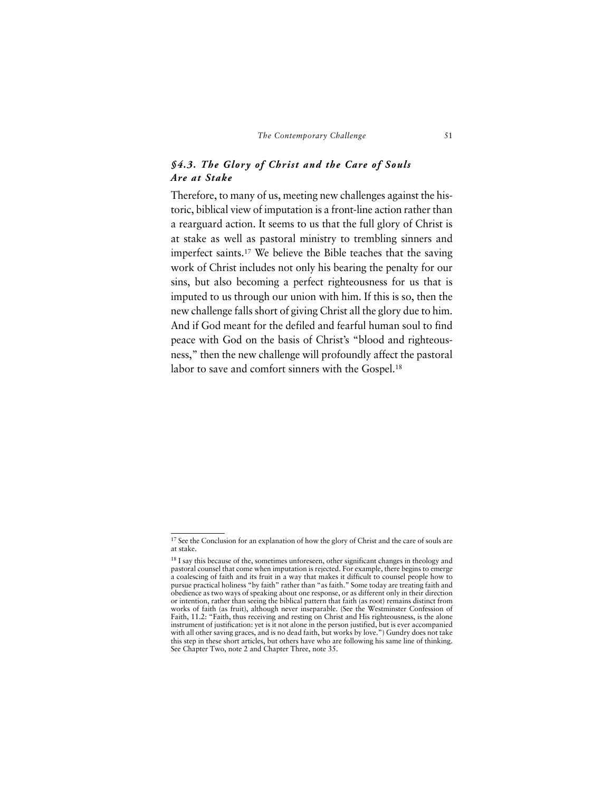#### *§4.3. The Glory of Christ and the Care of Souls Are at Stake*

Therefore, to many of us, meeting new challenges against the historic, biblical view of imputation is a front-line action rather than a rearguard action. It seems to us that the full glory of Christ is at stake as well as pastoral ministry to trembling sinners and imperfect saints.17 We believe the Bible teaches that the saving work of Christ includes not only his bearing the penalty for our sins, but also becoming a perfect righteousness for us that is imputed to us through our union with him. If this is so, then the new challenge falls short of giving Christ all the glory due to him. And if God meant for the defiled and fearful human soul to find peace with God on the basis of Christ's "blood and righteousness," then the new challenge will profoundly affect the pastoral labor to save and comfort sinners with the Gospel.<sup>18</sup>

<sup>&</sup>lt;sup>17</sup> See the Conclusion for an explanation of how the glory of Christ and the care of souls are at stake.

<sup>&</sup>lt;sup>18</sup> I say this because of the, sometimes unforeseen, other significant changes in theology and pastoral counsel that come when imputation is rejected. For example, there begins to emerge a coalescing of faith and its fruit in a way that makes it difficult to counsel people how to pursue practical holiness "by faith" rather than "as faith." Some today are treating faith and obedience as two ways of speaking about one response, or as different only in their direction or intention, rather than seeing the biblical pattern that faith (as root) remains distinct from works of faith (as fruit), although never inseparable. (See the Westminster Confession of Faith, 11.2: "Faith, thus receiving and resting on Christ and His righteousness, is the alone instrument of justification: yet is it not alone in the person justified, but is ever accompanied with all other saving graces, and is no dead faith, but works by love.") Gundry does not take this step in these short articles, but others have who are following his same line of thinking. See Chapter Two, note 2 and Chapter Three, note 35.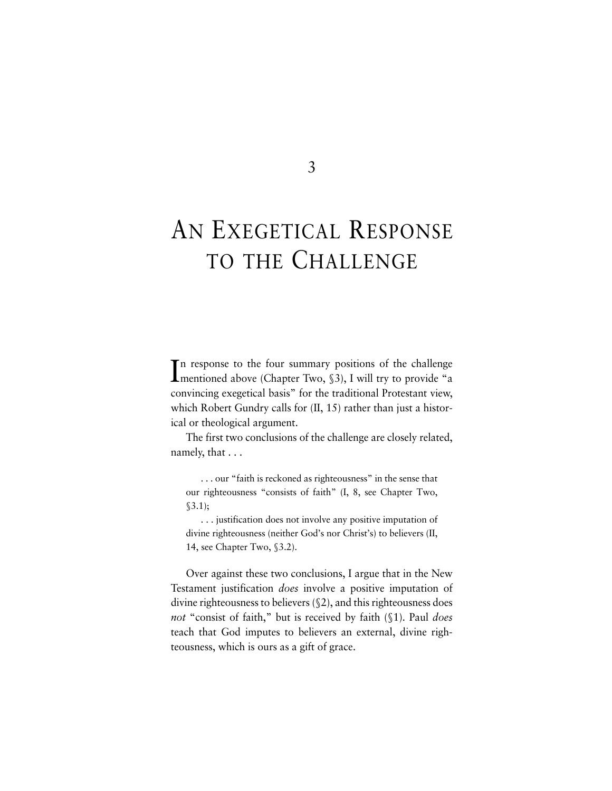# 3

# AN EXEGETICAL RESPONSE TO THE CHALLENGE

In response to the four summary positions of the challenge mentioned above (Chapter Two, §3), I will try to provide "a mentioned above (Chapter Two, §3), I will try to provide "a convincing exegetical basis" for the traditional Protestant view, which Robert Gundry calls for  $(II, 15)$  rather than just a historical or theological argument.

The first two conclusions of the challenge are closely related, namely, that . . .

. . . our "faith is reckoned as righteousness" in the sense that our righteousness "consists of faith" (I, 8, see Chapter Two, §3.1);

... justification does not involve any positive imputation of divine righteousness (neither God's nor Christ's) to believers (II, 14, see Chapter Two, §3.2).

Over against these two conclusions, I argue that in the New Testament justification *does* involve a positive imputation of divine righteousness to believers (§2), and this righteousness does *not* "consist of faith," but is received by faith (§1). Paul *does* teach that God imputes to believers an external, divine righteousness, which is ours as a gift of grace.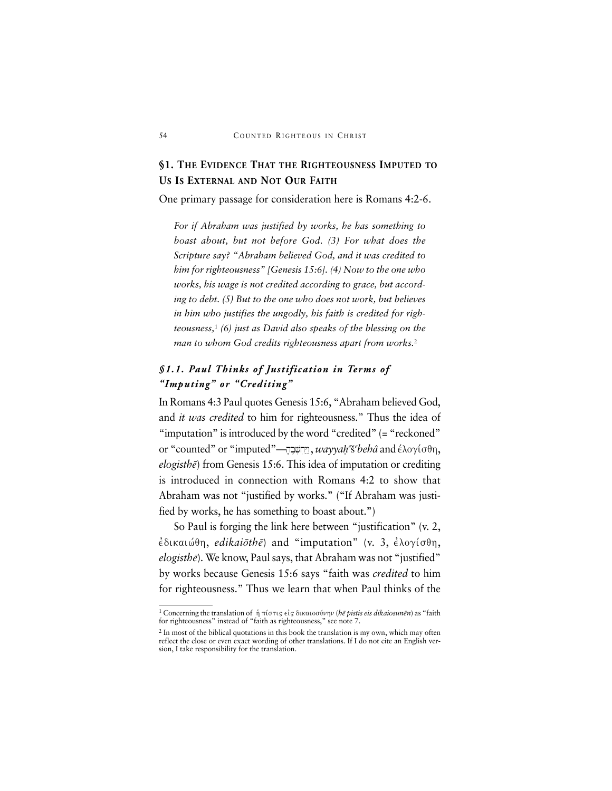## **§1. THE EVIDENCE THAT THE RIGHTEOUSNESS IMPUTED TO US IS EXTERNAL AND NOT OUR FAITH**

One primary passage for consideration here is Romans 4:2-6.

*For if Abraham was justified by works, he has something to boast about, but not before God. (3) For what does the Scripture say? "Abraham believed God, and it was credited to him for righteousness" [Genesis 15:6]. (4) Now to the one who works, his wage is not credited according to grace, but according to debt. (5) But to the one who does not work, but believes in him who justifies the ungodly, his faith is credited for righteousness,*<sup>1</sup> *(6) just as David also speaks of the blessing on the man to whom God credits righteousness apart from works.*<sup>2</sup>

# *§1.1. Paul Thinks of Justification in Terms of "Imputing" or "Crediting"*

In Romans 4:3 Paul quotes Genesis 15:6, "Abraham believed God, and *it was credited* to him for righteousness." Thus the idea of "imputation" is introduced by the word "credited" (= "reckoned" or "counted" or "imputed"—*jppgin, wayyaḥ<sup>e</sup>š*<sup>*ėbehâ* and έλογίσθη,</sup> *elogisthē*) from Genesis 15:6. This idea of imputation or crediting is introduced in connection with Romans 4:2 to show that Abraham was not "justified by works." ("If Abraham was justified by works, he has something to boast about.")

So Paul is forging the link here between "justification" (v. 2,  $\epsilon$ δικαιώθη, *edikaiōthē*) and "imputation" (v. 3,  $\epsilon$ λογίσθη, *elogisthē*). We know, Paul says, that Abraham was not "justified" by works because Genesis 15:6 says "faith was *credited* to him for righteousness." Thus we learn that when Paul thinks of the

<sup>&</sup>lt;sup>1</sup> Concerning the translation of ἡ πίστις εἰς δικαιοσύνην (*hē pistis eis dikaiosunēn*) as "faith<br>for righteousness" instead of "faith as righteousness," see note 7.

<sup>&</sup>lt;sup>2</sup> In most of the biblical quotations in this book the translation is my own, which may often reflect the close or even exact wording of other translations. If I do not cite an English version, I take responsibility for the translation.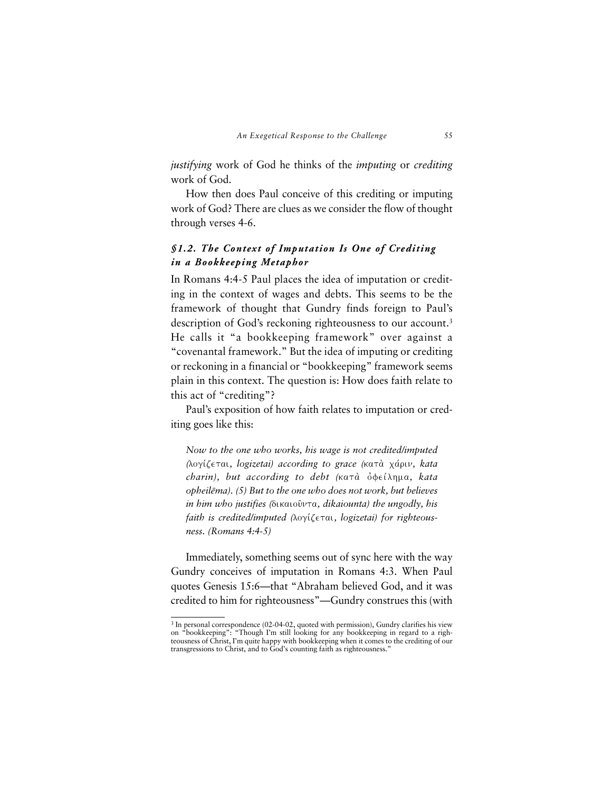*justifying* work of God he thinks of the *imputing* or *crediting* work of God.

How then does Paul conceive of this crediting or imputing work of God? There are clues as we consider the flow of thought through verses 4-6.

#### *§1.2. The Context of Imputation Is One of Crediting in a Bookkeeping Metaphor*

In Romans 4:4-5 Paul places the idea of imputation or crediting in the context of wages and debts. This seems to be the framework of thought that Gundry finds foreign to Paul's description of God's reckoning righteousness to our account.<sup>3</sup> He calls it "a bookkeeping framework" over against a "covenantal framework." But the idea of imputing or crediting or reckoning in a financial or "bookkeeping" framework seems plain in this context. The question is: How does faith relate to this act of "crediting"?

Paul's exposition of how faith relates to imputation or crediting goes like this:

*Now to the one who works, his wage is not credited/imputed (λογίζεται, logizetai) according to grace (κατά χάριν, kata charin), but according to debt (*ката̀ о̀феілища, kata *opheil∑ma). (5) But to the one who does not work, but believes in him who justifies (δικαιοῦντα, dikaiounta) the ungodly, his* faith is credited/imputed ( $\lambda$ oyí $\zeta$ <sub>E</sub> $\tau$ ai, logizetai) for righteous*ness. (Romans 4:4-5)*

Immediately, something seems out of sync here with the way Gundry conceives of imputation in Romans 4:3. When Paul quotes Genesis 15:6—that "Abraham believed God, and it was credited to him for righteousness"—Gundry construes this (with

<sup>&</sup>lt;sup>3</sup> In personal correspondence (02-04-02, quoted with permission), Gundry clarifies his view on "bookkeeping": "Though I'm still looking for any bookkeeping in regard to a righteousness of Christ, I'm quite happy with bookkeeping when it comes to the crediting of our transgressions to Christ, and to God's counting faith as righteousness."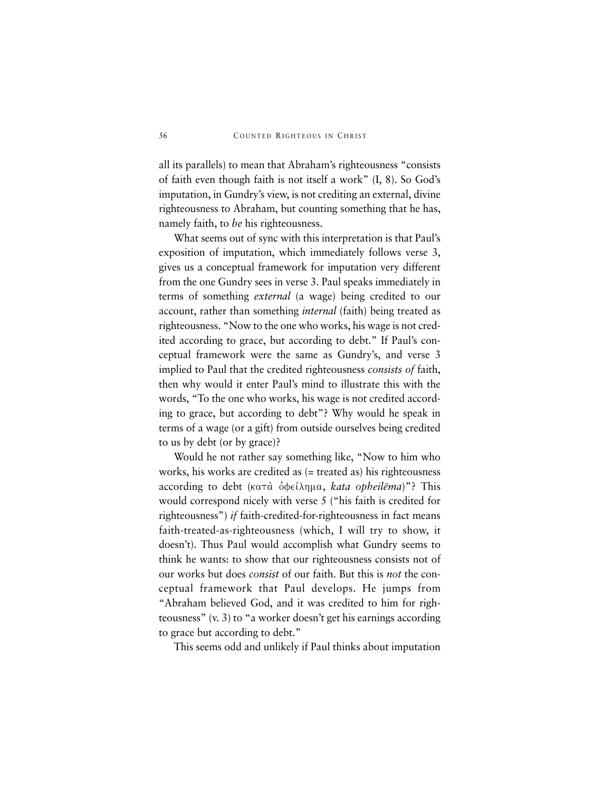all its parallels) to mean that Abraham's righteousness "consists of faith even though faith is not itself a work" (I, 8). So God's imputation, in Gundry's view, is not crediting an external, divine righteousness to Abraham, but counting something that he has, namely faith, to *be* his righteousness.

What seems out of sync with this interpretation is that Paul's exposition of imputation, which immediately follows verse 3, gives us a conceptual framework for imputation very different from the one Gundry sees in verse 3. Paul speaks immediately in terms of something *external* (a wage) being credited to our account, rather than something *internal* (faith) being treated as righteousness. "Now to the one who works, his wage is not credited according to grace, but according to debt." If Paul's conceptual framework were the same as Gundry's, and verse 3 implied to Paul that the credited righteousness *consists of* faith, then why would it enter Paul's mind to illustrate this with the words, "To the one who works, his wage is not credited according to grace, but according to debt"? Why would he speak in terms of a wage (or a gift) from outside ourselves being credited to us by debt (or by grace)?

Would he not rather say something like, "Now to him who works, his works are credited as (= treated as) his righteousness according to debt (κατὰ ὀφείλημα, *kata opheilēma*)"? This would correspond nicely with verse 5 ("his faith is credited for righteousness") *if* faith-credited-for-righteousness in fact means faith-treated-as-righteousness (which, I will try to show, it doesn't). Thus Paul would accomplish what Gundry seems to think he wants: to show that our righteousness consists not of our works but does *consist* of our faith. But this is *not* the conceptual framework that Paul develops. He jumps from "Abraham believed God, and it was credited to him for righteousness" (v. 3) to "a worker doesn't get his earnings according to grace but according to debt."

This seems odd and unlikely if Paul thinks about imputation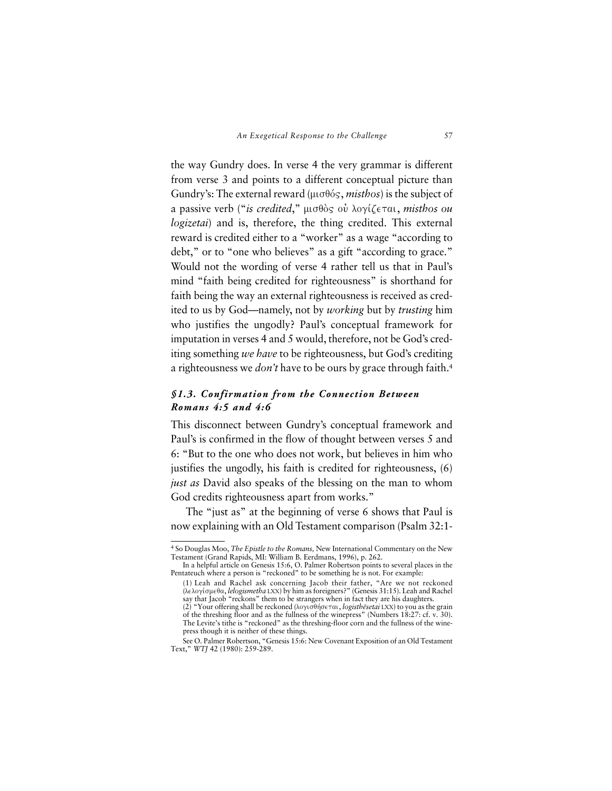the way Gundry does. In verse 4 the very grammar is different from verse 3 and points to a different conceptual picture than Gundry's: The external reward ( $\mu\sigma\theta$ ós, *misthos*) is the subject of a passive verb ("*is credited*," μισθòς οὐ λογίζεται, *misthos ou logizetai*) and is, therefore, the thing credited. This external reward is credited either to a "worker" as a wage "according to debt," or to "one who believes" as a gift "according to grace." Would not the wording of verse 4 rather tell us that in Paul's mind "faith being credited for righteousness" is shorthand for faith being the way an external righteousness is received as credited to us by God—namely, not by *working* but by *trusting* him who justifies the ungodly? Paul's conceptual framework for imputation in verses 4 and 5 would, therefore, not be God's crediting something *we have* to be righteousness, but God's crediting a righteousness we *don't* have to be ours by grace through faith.4

#### *§1.3. Confirmation from the Connection Between Romans 4:5 and 4:6*

This disconnect between Gundry's conceptual framework and Paul's is confirmed in the flow of thought between verses 5 and 6: "But to the one who does not work, but believes in him who justifies the ungodly, his faith is credited for righteousness, (6) *just as* David also speaks of the blessing on the man to whom God credits righteousness apart from works."

The "just as" at the beginning of verse 6 shows that Paul is now explaining with an Old Testament comparison (Psalm 32:1-

<sup>4</sup> So Douglas Moo, *The Epistle to the Romans,* New International Commentary on the New Testament (Grand Rapids, MI: William B. Eerdmans, 1996), p. 262.

In a helpful article on Genesis 15:6, O. Palmer Robertson points to several places in the Pentateuch where a person is "reckoned" to be something he is not. For example:

<sup>(1)</sup> Leah and Rachel ask concerning Jacob their father, "Are we not reckoned<br>(λελογίσμεθα, *lelogismetha* LXX) by him as foreigners?" (Genesis 31:15). Leah and Rachel say that Jacob "reckons" them to be strangers when in fact they are his daughters.

<sup>(2) &</sup>quot;Your offering shall be reckoned (logisqhsetai v , *logisth∑setai* LXX) to you as the grain of the threshing floor and as the fullness of the winepress" (Numbers 18:27: cf. v. 30). The Levite's tithe is "reckoned" as the threshing-floor corn and the fullness of the winepress though it is neither of these things.

See O. Palmer Robertson, "Genesis 15:6: New Covenant Exposition of an Old Testament Text," *WTJ* 42 (1980): 259-289.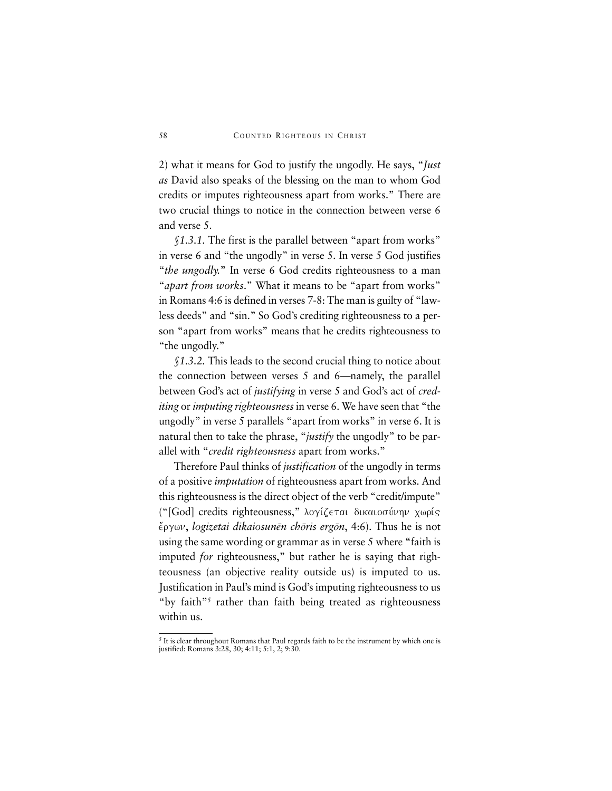2) what it means for God to justify the ungodly. He says, "*Just as* David also speaks of the blessing on the man to whom God credits or imputes righteousness apart from works." There are two crucial things to notice in the connection between verse 6 and verse 5.

*§1.3.1.* The first is the parallel between "apart from works" in verse 6 and "the ungodly" in verse 5. In verse 5 God justifies "*the ungodly.*" In verse 6 God credits righteousness to a man "*apart from works*." What it means to be "apart from works" in Romans 4:6 is defined in verses 7-8: The man is guilty of "lawless deeds" and "sin." So God's crediting righteousness to a person "apart from works" means that he credits righteousness to "the ungodly."

*§1.3.2.* This leads to the second crucial thing to notice about the connection between verses 5 and 6—namely, the parallel between God's act of *justifying* in verse 5 and God's act of *crediting* or *imputing righteousness* in verse 6. We have seen that "the ungodly" in verse 5 parallels "apart from works" in verse 6. It is natural then to take the phrase, "*justify* the ungodly" to be parallel with "*credit righteousness* apart from works."

Therefore Paul thinks of *justification* of the ungodly in terms of a positive *imputation* of righteousness apart from works. And this righteousness is the direct object of the verb "credit/impute" ("[God] credits righteousness," λογίζεται δικαιοσύνην χωρίς e[rgwn, *logizetai dikaiosun∑n chøris ergøn*, 4:6). Thus he is not using the same wording or grammar as in verse 5 where "faith is imputed *for* righteousness," but rather he is saying that righteousness (an objective reality outside us) is imputed to us. Justification in Paul's mind is God's imputing righteousness to us "by faith"5 rather than faith being treated as righteousness within us.

 $<sup>5</sup>$  It is clear throughout Romans that Paul regards faith to be the instrument by which one is</sup> justified: Romans 3:28, 30; 4:11; 5:1, 2; 9:30.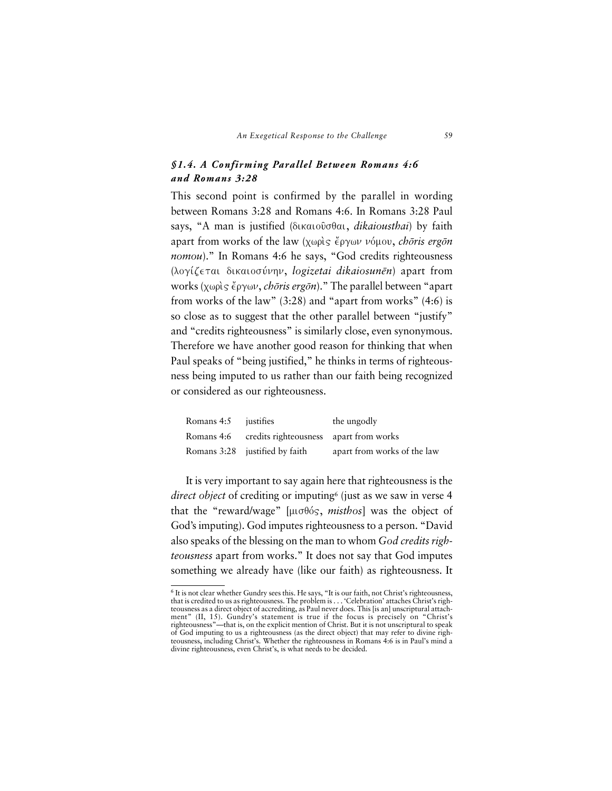## *§1.4. A Confirming Parallel Between Romans 4:6 and Romans 3:28*

This second point is confirmed by the parallel in wording between Romans 3:28 and Romans 4:6. In Romans 3:28 Paul says, "A man is justified (δικαιοῦσθαι, *dikaiousthai*) by faith apart from works of the law (χωρὶς ἔργων νόμου, *chōris ergōn nomou*)." In Romans 4:6 he says, "God credits righteousness (logivzetai dikaiosuvnhn, *logizetai dikaiosun∑n*) apart from works (χωρὶς ἔργων, *chōris ergōn*)." The parallel between "apart from works of the law" (3:28) and "apart from works" (4:6) is so close as to suggest that the other parallel between "justify" and "credits righteousness" is similarly close, even synonymous. Therefore we have another good reason for thinking that when Paul speaks of "being justified," he thinks in terms of righteousness being imputed to us rather than our faith being recognized or considered as our righteousness.

| Romans 4:5 justifies |                                                   | the ungodly                 |
|----------------------|---------------------------------------------------|-----------------------------|
|                      | Romans 4:6 credits righteousness apart from works |                             |
|                      | Romans 3:28 justified by faith                    | apart from works of the law |

It is very important to say again here that righteousness is the *direct object* of crediting or imputing<sup>6</sup> (just as we saw in verse 4 that the "reward/wage" [ $\mu\sigma\theta$ ós, *misthos*] was the object of God's imputing). God imputes righteousness to a person. "David also speaks of the blessing on the man to whom *God credits righteousness* apart from works." It does not say that God imputes something we already have (like our faith) as righteousness. It

<sup>&</sup>lt;sup>6</sup> It is not clear whether Gundry sees this. He says, "It is our faith, not Christ's righteousness, that is credited to us as righteousness. The problem is . . . 'Celebration' attaches Christ's righteousness as a direct object of accrediting, as Paul never does. This [is an] unscriptural attachment" (II, 15). Gundry's statement is true if the focus is precisely on "Christ's righteousness"—that is, on the explicit mention of Christ. But it is not unscriptural to speak of God imputing to us a righteousness (as the direct object) that may refer to divine righteousness, including Christ's. Whether the righteousness in Romans 4:6 is in Paul's mind a divine righteousness, even Christ's, is what needs to be decided.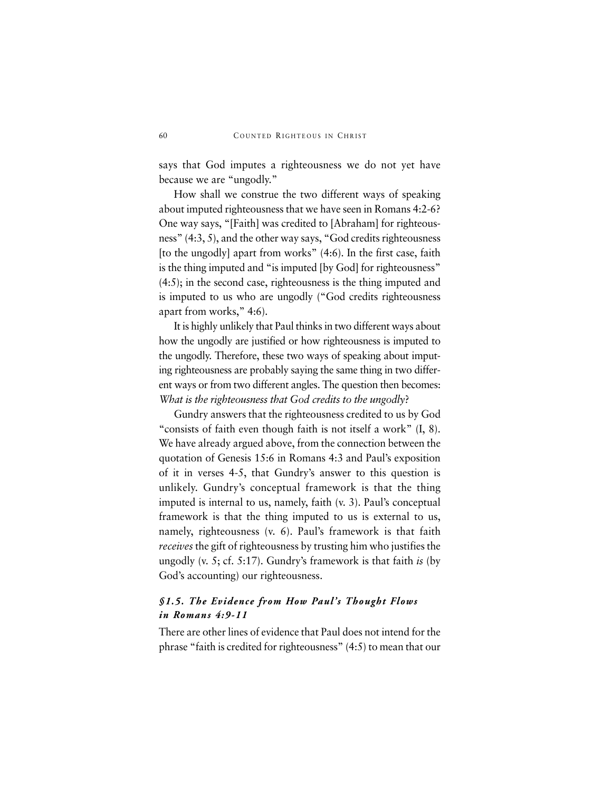says that God imputes a righteousness we do not yet have because we are "ungodly."

How shall we construe the two different ways of speaking about imputed righteousness that we have seen in Romans 4:2-6? One way says, "[Faith] was credited to [Abraham] for righteousness" (4:3, 5), and the other way says, "God credits righteousness [to the ungodly] apart from works" (4:6). In the first case, faith is the thing imputed and "is imputed [by God] for righteousness" (4:5); in the second case, righteousness is the thing imputed and is imputed to us who are ungodly ("God credits righteousness apart from works," 4:6).

It is highly unlikely that Paul thinks in two different ways about how the ungodly are justified or how righteousness is imputed to the ungodly. Therefore, these two ways of speaking about imputing righteousness are probably saying the same thing in two different ways or from two different angles. The question then becomes: *What is the righteousness that God credits to the ungodly*?

Gundry answers that the righteousness credited to us by God "consists of faith even though faith is not itself a work" (I, 8). We have already argued above, from the connection between the quotation of Genesis 15:6 in Romans 4:3 and Paul's exposition of it in verses 4-5, that Gundry's answer to this question is unlikely. Gundry's conceptual framework is that the thing imputed is internal to us, namely, faith (v. 3). Paul's conceptual framework is that the thing imputed to us is external to us, namely, righteousness (v. 6). Paul's framework is that faith *receives* the gift of righteousness by trusting him who justifies the ungodly (v. 5; cf. 5:17). Gundry's framework is that faith *is* (by God's accounting) our righteousness.

## *§1.5. The Evidence from How Paul's Thought Flows in Romans 4:9-11*

There are other lines of evidence that Paul does not intend for the phrase "faith is credited for righteousness" (4:5) to mean that our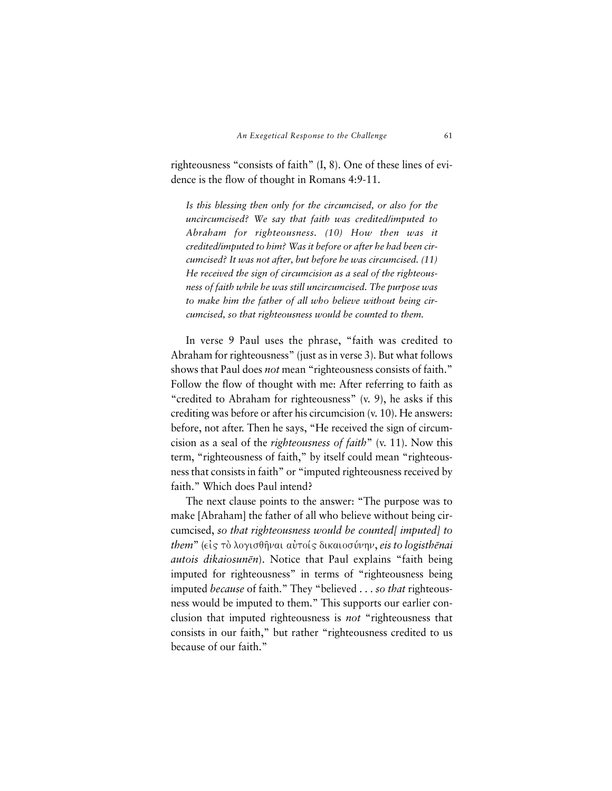righteousness "consists of faith" (I, 8). One of these lines of evidence is the flow of thought in Romans 4:9-11.

*Is this blessing then only for the circumcised, or also for the uncircumcised? We say that faith was credited/imputed to Abraham for righteousness. (10) How then was it credited/imputed to him? Was it before or after he had been circumcised? It was not after, but before he was circumcised. (11) He received the sign of circumcision as a seal of the righteousness of faith while he was still uncircumcised. The purpose was to make him the father of all who believe without being circumcised, so that righteousness would be counted to them.*

In verse 9 Paul uses the phrase, "faith was credited to Abraham for righteousness" (just as in verse 3). But what follows shows that Paul does *not* mean "righteousness consists of faith." Follow the flow of thought with me: After referring to faith as "credited to Abraham for righteousness" (v. 9), he asks if this crediting was before or after his circumcision (v. 10). He answers: before, not after. Then he says, "He received the sign of circumcision as a seal of the *righteousness of faith*" (v. 11). Now this term, "righteousness of faith," by itself could mean "righteousness that consists in faith" or "imputed righteousness received by faith." Which does Paul intend?

The next clause points to the answer: "The purpose was to make [Abraham] the father of all who believe without being circumcised, *so that righteousness would be counted[ imputed] to them*" (εἰς τὸ λογισθῆναι αὐτοίς δικαιοσύνην, eis to logisthēnai *autois dikaiosun∑n*). Notice that Paul explains "faith being imputed for righteousness" in terms of "righteousness being imputed *because* of faith." They "believed . . . *so that* righteousness would be imputed to them." This supports our earlier conclusion that imputed righteousness is *not* "righteousness that consists in our faith," but rather "righteousness credited to us because of our faith."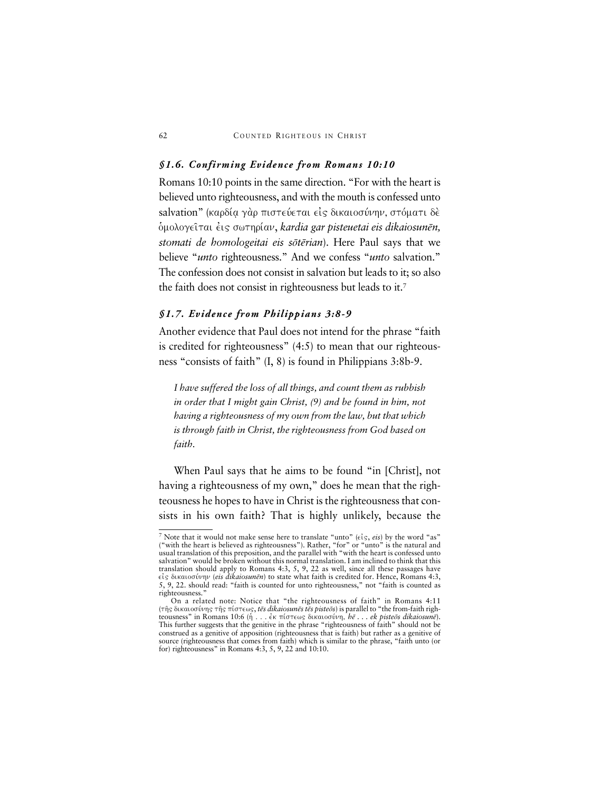#### *§1.6. Confirming Evidence from Romans 10:10*

Romans 10:10 points in the same direction. "For with the heart is believed unto righteousness, and with the mouth is confessed unto salvation" (καρδία γάρ πιστεύεται είς δικαιοσύνην, στόματι δέ oJmologeitai e ` i~ swthri j anv , *kardia gar pisteuetai eis dikaiosun∑n, stomati de homologeitai eis søt∑rian*). Here Paul says that we believe "*unto* righteousness." And we confess "*unto* salvation." The confession does not consist in salvation but leads to it; so also the faith does not consist in righteousness but leads to it.7

#### *§1.7. Evidence from Philippians 3:8-9*

Another evidence that Paul does not intend for the phrase "faith is credited for righteousness" (4:5) to mean that our righteousness "consists of faith" (I, 8) is found in Philippians 3:8b-9.

*I have suffered the loss of all things, and count them as rubbish in order that I might gain Christ, (9) and be found in him, not having a righteousness of my own from the law, but that which is through faith in Christ, the righteousness from God based on faith.*

When Paul says that he aims to be found "in [Christ], not having a righteousness of my own," does he mean that the righteousness he hopes to have in Christ is the righteousness that consists in his own faith? That is highly unlikely, because the

<sup>&</sup>lt;sup>7</sup> Note that it would not make sense here to translate "unto" ( $\epsilon$ *is*, *eis*) by the word "as" ("with the heart is believed as righteousness"). Rather, "for" or "unto" is the natural and usual translation of this preposition, and the parallel with "with the heart is confessed unto salvation" would be broken without this normal translation. I am inclined to think that this translation should apply to Romans 4:3, 5, 9, 22 as well, since all these passages have eij~ dikaiosuvnhn (*eis dikaiosun∑n*) to state what faith is credited for. Hence, Romans 4:3, 5, 9, 22. should read: "faith is counted for unto righteousness," not "faith is counted as righteousness."

On a related note: Notice that "the righteousness of faith" in Romans 4:11  $(τñς δικαιοσύνης τῆς πίστ∈ως,$ *tēs dikaiosunēs tēs pisteōs* $) is parallel to "the from-faith righ$ teousness" in Romans 10:6 (ἡ . . . ἐκ πίστεως δικαιοσύνη, *hē . . . ek pisteōs dikaiosunē*). This further suggests that the genitive in the phrase "righteousness of faith" should not be construed as a genitive of apposition (righteousness that is faith) but rather as a genitive of source (righteousness that comes from faith) which is similar to the phrase, "faith unto (or for) righteousness" in Romans 4:3, 5, 9, 22 and 10:10.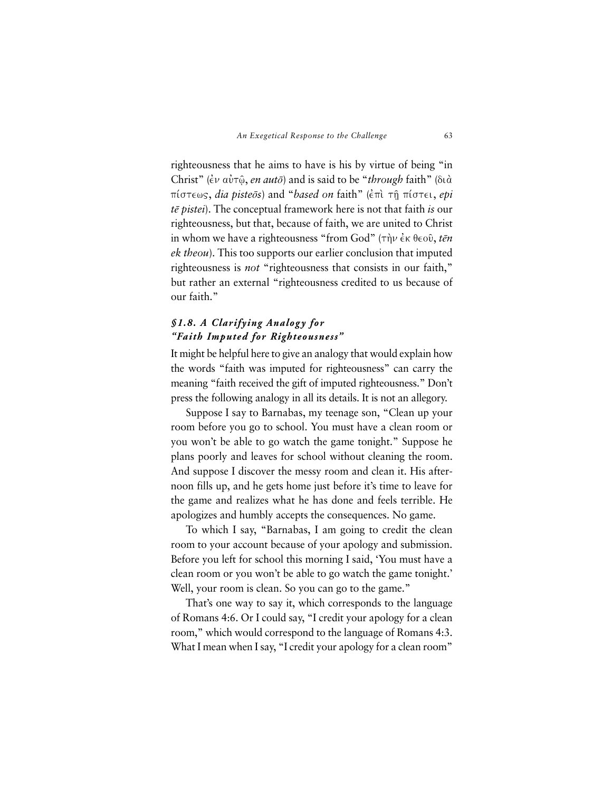righteousness that he aims to have is his by virtue of being "in Christ" ( $\acute{\epsilon}v$   $\alpha\acute{\nu}\tau\hat{\varphi}$ , *en auto*) and is said to be "*through* faith" ( $\delta\alpha\hat{\alpha}$ pistew~ v , *dia pisteøs*) and "*based on* faith" (ejpi; th/` pistei v , *epi t∑ pistei*). The conceptual framework here is not that faith *is* our righteousness, but that, because of faith, we are united to Christ in whom we have a righteousness "from God" (τὴν ἐκ θεοῦ, *tēn ek theou*). This too supports our earlier conclusion that imputed righteousness is *not* "righteousness that consists in our faith," but rather an external "righteousness credited to us because of our faith."

## *§1.8. A Clarifying Analogy for "Faith Imputed for Righteousness"*

It might be helpful here to give an analogy that would explain how the words "faith was imputed for righteousness" can carry the meaning "faith received the gift of imputed righteousness." Don't press the following analogy in all its details. It is not an allegory.

Suppose I say to Barnabas, my teenage son, "Clean up your room before you go to school. You must have a clean room or you won't be able to go watch the game tonight." Suppose he plans poorly and leaves for school without cleaning the room. And suppose I discover the messy room and clean it. His afternoon fills up, and he gets home just before it's time to leave for the game and realizes what he has done and feels terrible. He apologizes and humbly accepts the consequences. No game.

To which I say, "Barnabas, I am going to credit the clean room to your account because of your apology and submission. Before you left for school this morning I said, 'You must have a clean room or you won't be able to go watch the game tonight.' Well, your room is clean. So you can go to the game."

That's one way to say it, which corresponds to the language of Romans 4:6. Or I could say, "I credit your apology for a clean room," which would correspond to the language of Romans 4:3. What I mean when I say, "I credit your apology for a clean room"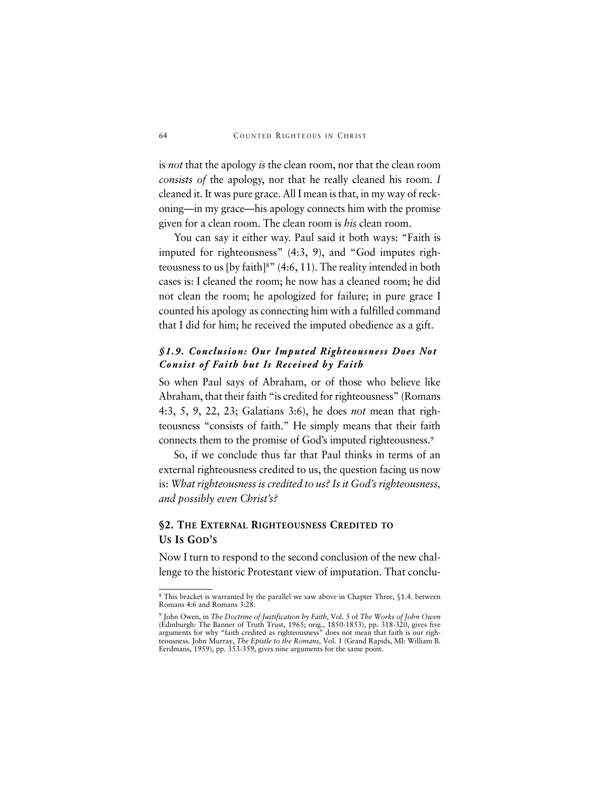is *not* that the apology *is* the clean room, nor that the clean room *consists of* the apology, nor that he really cleaned his room. *I* cleaned it. It was pure grace. All I mean is that, in my way of reckoning—in my grace—his apology connects him with the promise given for a clean room. The clean room is *his* clean room.

You can say it either way. Paul said it both ways: "Faith is imputed for righteousness" (4:3, 9), and "God imputes righteousness to us [by faith]8" (4:6, 11). The reality intended in both cases is: I cleaned the room; he now has a cleaned room; he did not clean the room; he apologized for failure; in pure grace I counted his apology as connecting him with a fulfilled command that I did for him; he received the imputed obedience as a gift.

## *§1.9. Conclusion: Our Imputed Righteousness Does Not Consist of Faith but Is Received by Faith*

So when Paul says of Abraham, or of those who believe like Abraham, that their faith "is credited for righteousness" (Romans 4:3, 5, 9, 22, 23; Galatians 3:6), he does *not* mean that righteousness "consists of faith." He simply means that their faith connects them to the promise of God's imputed righteousness.<sup>9</sup>

So, if we conclude thus far that Paul thinks in terms of an external righteousness credited to us, the question facing us now is: *What righteousness is credited to us? Is it God's righteousness, and possibly even Christ's?*

## **§2. THE EXTERNAL RIGHTEOUSNESS CREDITED TO US IS GOD'S**

Now I turn to respond to the second conclusion of the new challenge to the historic Protestant view of imputation. That conclu-

<sup>&</sup>lt;sup>8</sup> This bracket is warranted by the parallel we saw above in Chapter Three, §1.4. between Romans 4:6 and Romans 3:28.

<sup>9</sup> John Owen, in *The Doctrine of Justification by Faith,* Vol. 5 of *The Works of John Owen* (Edinburgh: The Banner of Truth Trust, 1965; orig., 1850-1853), pp. 318-320, gives five arguments for why "faith credited as righteousness" does not mean that faith is our righteousness. John Murray, *The Epistle to the Romans,* Vol. 1 (Grand Rapids, MI: William B. Eerdmans, 1959), pp. 353-359, gives nine arguments for the same point.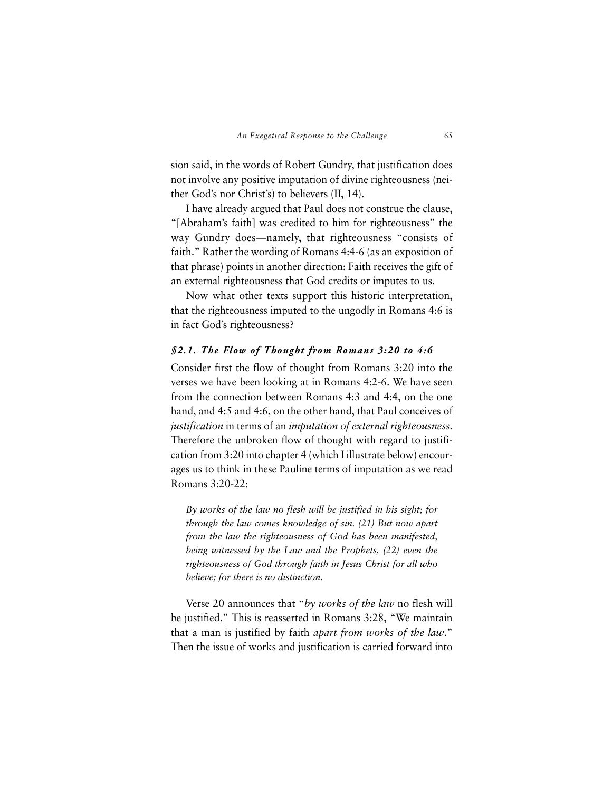sion said, in the words of Robert Gundry, that justification does not involve any positive imputation of divine righteousness (neither God's nor Christ's) to believers (II, 14).

I have already argued that Paul does not construe the clause, "[Abraham's faith] was credited to him for righteousness" the way Gundry does—namely, that righteousness "consists of faith." Rather the wording of Romans 4:4-6 (as an exposition of that phrase) points in another direction: Faith receives the gift of an external righteousness that God credits or imputes to us.

Now what other texts support this historic interpretation, that the righteousness imputed to the ungodly in Romans 4:6 is in fact God's righteousness?

#### *§2.1. The Flow of Thought from Romans 3:20 to 4:6*

Consider first the flow of thought from Romans 3:20 into the verses we have been looking at in Romans 4:2-6. We have seen from the connection between Romans 4:3 and 4:4, on the one hand, and 4:5 and 4:6, on the other hand, that Paul conceives of *justification* in terms of an *imputation of external righteousness*. Therefore the unbroken flow of thought with regard to justification from 3:20 into chapter 4 (which I illustrate below) encourages us to think in these Pauline terms of imputation as we read Romans 3:20-22:

*By works of the law no flesh will be justified in his sight; for through the law comes knowledge of sin. (21) But now apart from the law the righteousness of God has been manifested, being witnessed by the Law and the Prophets, (22) even the righteousness of God through faith in Jesus Christ for all who believe; for there is no distinction.*

Verse 20 announces that "*by works of the law* no flesh will be justified." This is reasserted in Romans 3:28, "We maintain that a man is justified by faith *apart from works of the law*." Then the issue of works and justification is carried forward into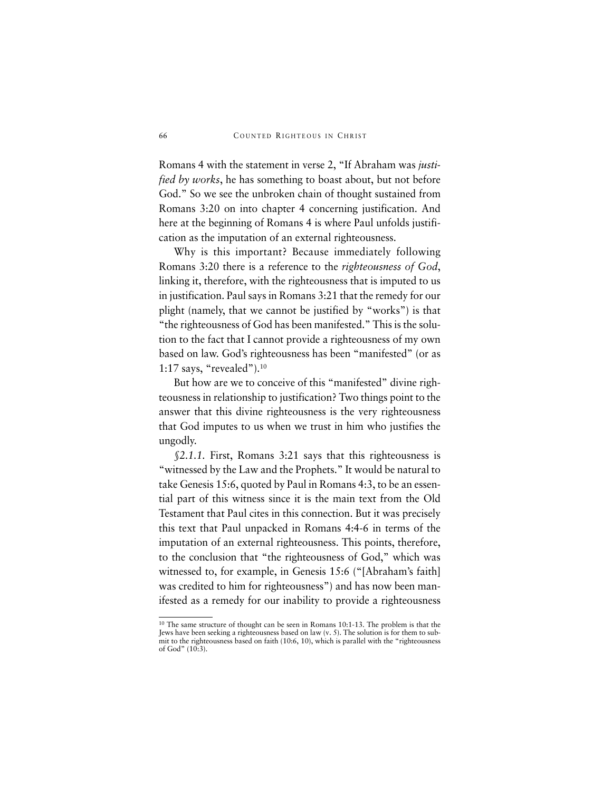Romans 4 with the statement in verse 2, "If Abraham was *justified by works*, he has something to boast about, but not before God." So we see the unbroken chain of thought sustained from Romans 3:20 on into chapter 4 concerning justification. And here at the beginning of Romans 4 is where Paul unfolds justification as the imputation of an external righteousness.

Why is this important? Because immediately following Romans 3:20 there is a reference to the *righteousness of God*, linking it, therefore, with the righteousness that is imputed to us in justification. Paul says in Romans 3:21 that the remedy for our plight (namely, that we cannot be justified by "works") is that "the righteousness of God has been manifested." This is the solution to the fact that I cannot provide a righteousness of my own based on law. God's righteousness has been "manifested" (or as 1:17 says, "revealed").10

But how are we to conceive of this "manifested" divine righteousness in relationship to justification? Two things point to the answer that this divine righteousness is the very righteousness that God imputes to us when we trust in him who justifies the ungodly.

*§2.1.1.* First, Romans 3:21 says that this righteousness is "witnessed by the Law and the Prophets." It would be natural to take Genesis 15:6, quoted by Paul in Romans 4:3, to be an essential part of this witness since it is the main text from the Old Testament that Paul cites in this connection. But it was precisely this text that Paul unpacked in Romans 4:4-6 in terms of the imputation of an external righteousness. This points, therefore, to the conclusion that "the righteousness of God," which was witnessed to, for example, in Genesis 15:6 ("[Abraham's faith] was credited to him for righteousness") and has now been manifested as a remedy for our inability to provide a righteousness

<sup>10</sup> The same structure of thought can be seen in Romans 10:1-13. The problem is that the Jews have been seeking a righteousness based on law (v. 5). The solution is for them to submit to the righteousness based on faith (10:6, 10), which is parallel with the "righteousness of God" (10:3).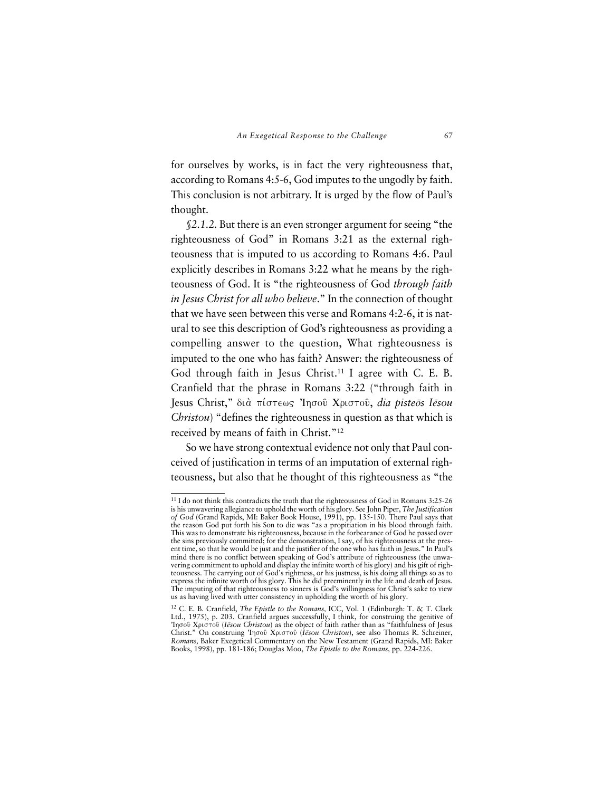for ourselves by works, is in fact the very righteousness that, according to Romans 4:5-6, God imputes to the ungodly by faith. This conclusion is not arbitrary. It is urged by the flow of Paul's thought.

*§2.1.2.* But there is an even stronger argument for seeing "the righteousness of God" in Romans 3:21 as the external righteousness that is imputed to us according to Romans 4:6. Paul explicitly describes in Romans 3:22 what he means by the righteousness of God. It is "the righteousness of God *through faith in Jesus Christ for all who believe*." In the connection of thought that we have seen between this verse and Romans 4:2-6, it is natural to see this description of God's righteousness as providing a compelling answer to the question, What righteousness is imputed to the one who has faith? Answer: the righteousness of God through faith in Jesus Christ.11 I agree with C. E. B. Cranfield that the phrase in Romans 3:22 ("through faith in Jesus Christ," dia; pistew~ v 'Ihsou` Cristou, ` *dia pisteøs I∑sou Christou*) "defines the righteousness in question as that which is received by means of faith in Christ."12

So we have strong contextual evidence not only that Paul conceived of justification in terms of an imputation of external righteousness, but also that he thought of this righteousness as "the

<sup>&</sup>lt;sup>11</sup> I do not think this contradicts the truth that the righteousness of God in Romans 3:25-26 is his unwavering allegiance to uphold the worth of his glory. See John Piper, *The Justification of God* (Grand Rapids, MI: Baker Book House, 1991), pp. 135-150. There Paul says that the reason God put forth his Son to die was "as a propitiation in his blood through faith. This was to demonstrate his righteousness, because in the forbearance of God he passed over the sins previously committed; for the demonstration, I say, of his righteousness at the present time, so that he would be just and the justifier of the one who has faith in Jesus." In Paul's mind there is no conflict between speaking of God's attribute of righteousness (the unwavering commitment to uphold and display the infinite worth of his glory) and his gift of righteousness. The carrying out of God's rightness, or his justness, is his doing all things so as to express the infinite worth of his glory. This he did preeminently in the life and death of Jesus. The imputing of that righteousness to sinners is God's willingness for Christ's sake to view us as having lived with utter consistency in upholding the worth of his glory.

<sup>12</sup> C. E. B. Cranfield, *The Epistle to the Romans,* ICC, Vol. 1 (Edinburgh: T. & T. Clark Ltd., 1975), p. 203. Cranfield argues successfully, I think, for construing the genitive of 'Ihsou C` ristou`(*I∑sou Christou*) as the object of faith rather than as "faithfulness of Jesus Christ." On construing 'Ιησοῦ Χριστοῦ (*Iēsou Christou*), see also Thomas R. Schreiner, *Romans,* Baker Exegetical Commentary on the New Testament (Grand Rapids, MI: Baker Books, 1998), pp. 181-186; Douglas Moo, *The Epistle to the Romans,* pp. 224-226.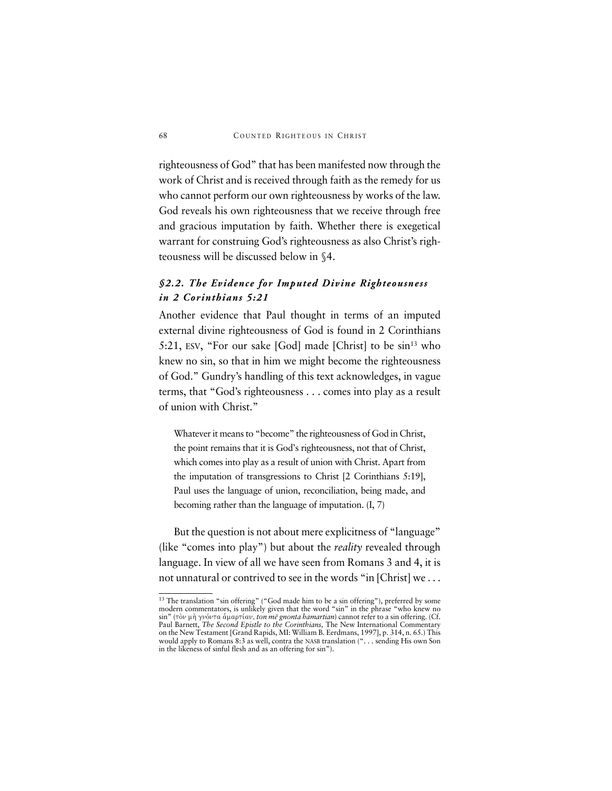righteousness of God" that has been manifested now through the work of Christ and is received through faith as the remedy for us who cannot perform our own righteousness by works of the law. God reveals his own righteousness that we receive through free and gracious imputation by faith. Whether there is exegetical warrant for construing God's righteousness as also Christ's righteousness will be discussed below in §4.

## *§2.2. The Evidence for Imputed Divine Righteousness in 2 Corinthians 5:21*

Another evidence that Paul thought in terms of an imputed external divine righteousness of God is found in 2 Corinthians 5:21, ESV, "For our sake [God] made [Christ] to be sin<sup>13</sup> who knew no sin, so that in him we might become the righteousness of God." Gundry's handling of this text acknowledges, in vague terms, that "God's righteousness . . . comes into play as a result of union with Christ."

Whatever it means to "become" the righteousness of God in Christ, the point remains that it is God's righteousness, not that of Christ, which comes into play as a result of union with Christ. Apart from the imputation of transgressions to Christ [2 Corinthians 5:19], Paul uses the language of union, reconciliation, being made, and becoming rather than the language of imputation. (I, 7)

But the question is not about mere explicitness of "language" (like "comes into play") but about the *reality* revealed through language. In view of all we have seen from Romans 3 and 4, it is not unnatural or contrived to see in the words "in [Christ] we . . .

<sup>&</sup>lt;sup>13</sup> The translation "sin offering" ("God made him to be a sin offering"), preferred by some modern commentators, is unlikely given that the word "sin" in the phrase "who knew no sin" (τὸν μὴ γνόντα ἀμαρτίαν, ton mē gnonta hamartian) cannot refer to a sin offering. (Cf. Paul Barnett, *The Second Epistle to the Corinthians,* The New International Commentary on the New Testament [Grand Rapids, MI: William B. Eerdmans, 1997], p. 314, n. 65.) This would apply to Romans 8:3 as well, contra the NASB translation (". . . sending His own Son in the likeness of sinful flesh and as an offering for sin").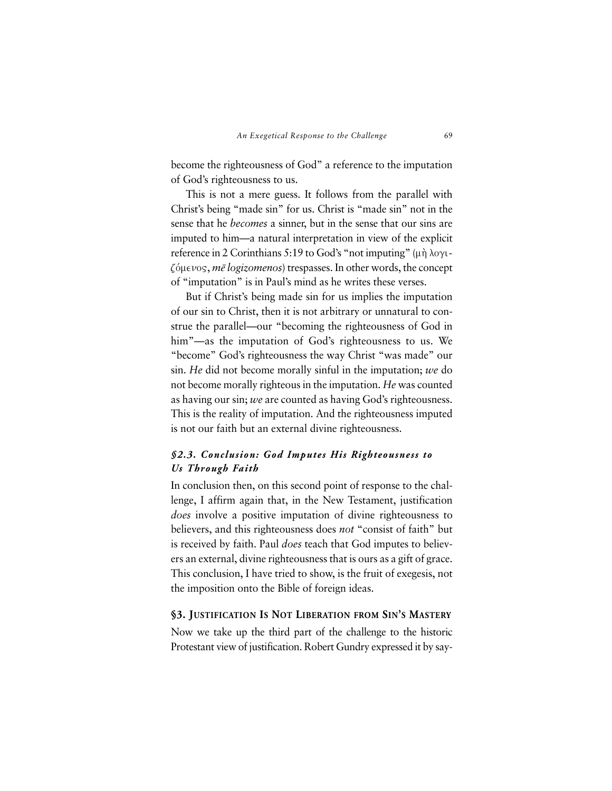become the righteousness of God" a reference to the imputation of God's righteousness to us.

This is not a mere guess. It follows from the parallel with Christ's being "made sin" for us. Christ is "made sin" not in the sense that he *becomes* a sinner, but in the sense that our sins are imputed to him—a natural interpretation in view of the explicit reference in 2 Corinthians 5:19 to God's "not imputing"  $(\mu \dot{\eta})$   $\lambda$ o $\gamma$ lzomeno~ v , *m∑ logizomenos*) trespasses. In other words, the concept of "imputation" is in Paul's mind as he writes these verses.

But if Christ's being made sin for us implies the imputation of our sin to Christ, then it is not arbitrary or unnatural to construe the parallel—our "becoming the righteousness of God in him"—as the imputation of God's righteousness to us. We "become" God's righteousness the way Christ "was made" our sin. *He* did not become morally sinful in the imputation; *we* do not become morally righteous in the imputation. *He* was counted as having our sin; *we* are counted as having God's righteousness. This is the reality of imputation. And the righteousness imputed is not our faith but an external divine righteousness.

#### *§2.3. Conclusion: God Imputes His Righteousness to Us Through Faith*

In conclusion then, on this second point of response to the challenge, I affirm again that, in the New Testament, justification *does* involve a positive imputation of divine righteousness to believers, and this righteousness does *not* "consist of faith" but is received by faith. Paul *does* teach that God imputes to believers an external, divine righteousness that is ours as a gift of grace. This conclusion, I have tried to show, is the fruit of exegesis, not the imposition onto the Bible of foreign ideas.

#### **§3. JUSTIFICATION IS NOT LIBERATION FROM SIN'S MASTERY**

Now we take up the third part of the challenge to the historic Protestant view of justification. Robert Gundry expressed it by say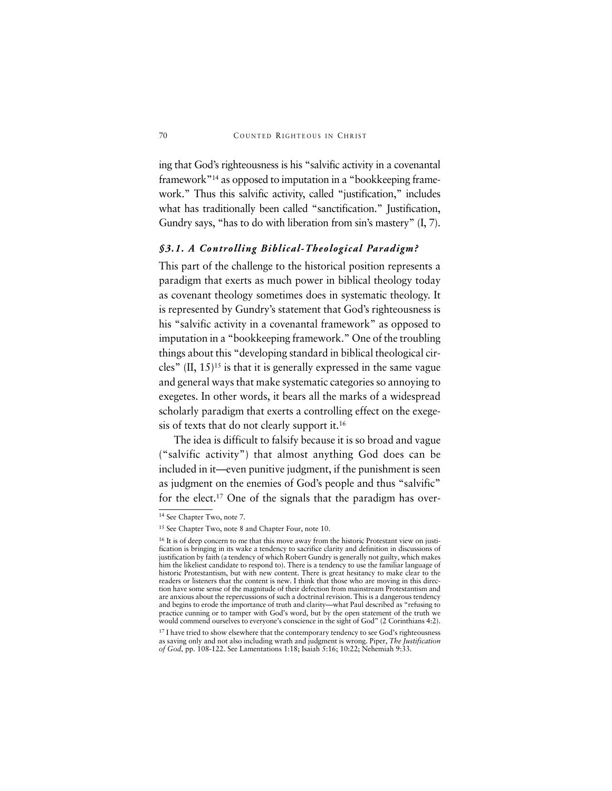ing that God's righteousness is his "salvific activity in a covenantal framework"14 as opposed to imputation in a "bookkeeping framework." Thus this salvific activity, called "justification," includes what has traditionally been called "sanctification." Justification, Gundry says, "has to do with liberation from sin's mastery" (I, 7).

#### *§3.1. A Controlling Biblical-Theological Paradigm?*

This part of the challenge to the historical position represents a paradigm that exerts as much power in biblical theology today as covenant theology sometimes does in systematic theology. It is represented by Gundry's statement that God's righteousness is his "salvific activity in a covenantal framework" as opposed to imputation in a "bookkeeping framework." One of the troubling things about this "developing standard in biblical theological circles"  $(II, 15)^{15}$  is that it is generally expressed in the same vague and general ways that make systematic categories so annoying to exegetes. In other words, it bears all the marks of a widespread scholarly paradigm that exerts a controlling effect on the exegesis of texts that do not clearly support it.16

The idea is difficult to falsify because it is so broad and vague ("salvific activity") that almost anything God does can be included in it—even punitive judgment, if the punishment is seen as judgment on the enemies of God's people and thus "salvific" for the elect.17 One of the signals that the paradigm has over-

<sup>14</sup> See Chapter Two, note 7.

<sup>15</sup> See Chapter Two, note 8 and Chapter Four, note 10.

<sup>&</sup>lt;sup>16</sup> It is of deep concern to me that this move away from the historic Protestant view on justification is bringing in its wake a tendency to sacrifice clarity and definition in discussions of justification by faith (a tendency of which Robert Gundry is generally not guilty, which makes him the likeliest candidate to respond to). There is a tendency to use the familiar language of historic Protestantism, but with new content. There is great hesitancy to make clear to the readers or listeners that the content is new. I think that those who are moving in this direction have some sense of the magnitude of their defection from mainstream Protestantism and are anxious about the repercussions of such a doctrinal revision. This is a dangerous tendency and begins to erode the importance of truth and clarity—what Paul described as "refusing to practice cunning or to tamper with God's word, but by the open statement of the truth we would commend ourselves to everyone's conscience in the sight of God" (2 Corinthians 4:2).

<sup>&</sup>lt;sup>17</sup> I have tried to show elsewhere that the contemporary tendency to see God's righteousness as saving only and not also including wrath and judgment is wrong. Piper, *The Justification of God,* pp. 108-122. See Lamentations 1:18; Isaiah 5:16; 10:22; Nehemiah 9:33.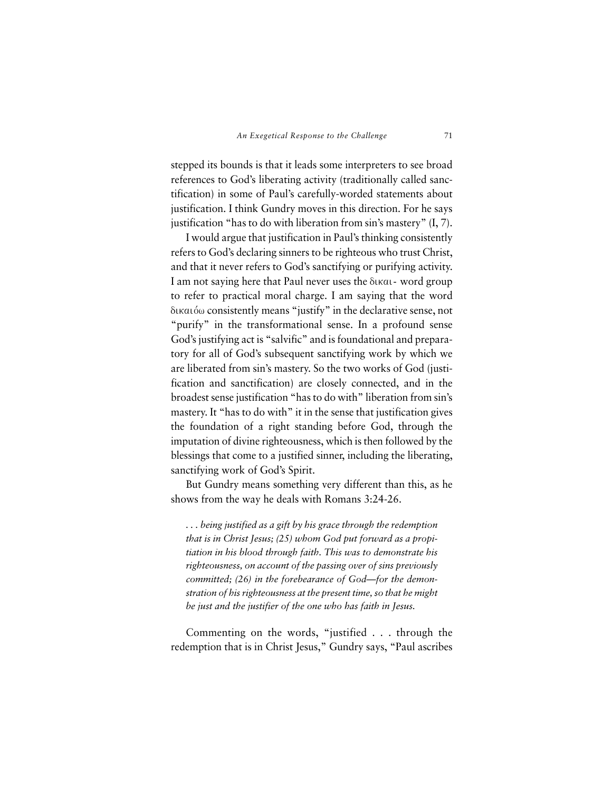stepped its bounds is that it leads some interpreters to see broad references to God's liberating activity (traditionally called sanctification) in some of Paul's carefully-worded statements about justification. I think Gundry moves in this direction. For he says justification "has to do with liberation from sin's mastery" (I, 7).

I would argue that justification in Paul's thinking consistently refers to God's declaring sinners to be righteous who trust Christ, and that it never refers to God's sanctifying or purifying activity. I am not saying here that Paul never uses the  $\delta$ <sub>Kal</sub>-word group to refer to practical moral charge. I am saying that the word  $\delta$ ικαιόω consistently means "justify" in the declarative sense, not "purify" in the transformational sense. In a profound sense God's justifying act is "salvific" and is foundational and preparatory for all of God's subsequent sanctifying work by which we are liberated from sin's mastery. So the two works of God (justification and sanctification) are closely connected, and in the broadest sense justification "has to do with" liberation from sin's mastery. It "has to do with" it in the sense that justification gives the foundation of a right standing before God, through the imputation of divine righteousness, which is then followed by the blessings that come to a justified sinner, including the liberating, sanctifying work of God's Spirit.

But Gundry means something very different than this, as he shows from the way he deals with Romans 3:24-26.

*. . . being justified as a gift by his grace through the redemption that is in Christ Jesus; (25) whom God put forward as a propitiation in his blood through faith. This was to demonstrate his righteousness, on account of the passing over of sins previously committed; (26) in the forebearance of God—for the demonstration of his righteousness at the present time, so that he might be just and the justifier of the one who has faith in Jesus.*

Commenting on the words, "justified . . . through the redemption that is in Christ Jesus," Gundry says, "Paul ascribes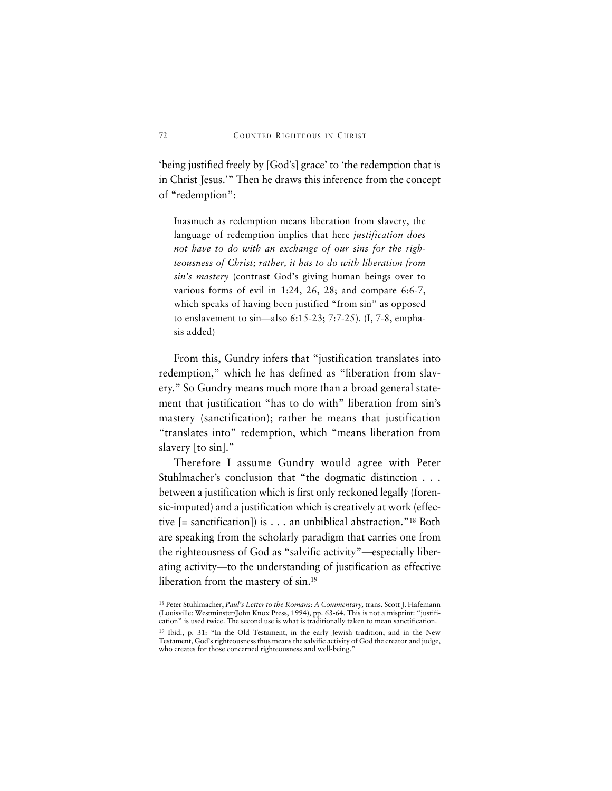'being justified freely by [God's] grace' to 'the redemption that is in Christ Jesus.'" Then he draws this inference from the concept of "redemption":

Inasmuch as redemption means liberation from slavery, the language of redemption implies that here *justification does not have to do with an exchange of our sins for the righteousness of Christ; rather, it has to do with liberation from sin's mastery* (contrast God's giving human beings over to various forms of evil in 1:24, 26, 28; and compare 6:6-7, which speaks of having been justified "from sin" as opposed to enslavement to sin—also 6:15-23; 7:7-25). (I, 7-8, emphasis added)

From this, Gundry infers that "justification translates into redemption," which he has defined as "liberation from slavery." So Gundry means much more than a broad general statement that justification "has to do with" liberation from sin's mastery (sanctification); rather he means that justification "translates into" redemption, which "means liberation from slavery [to sin]."

Therefore I assume Gundry would agree with Peter Stuhlmacher's conclusion that "the dogmatic distinction . . . between a justification which is first only reckoned legally (forensic-imputed) and a justification which is creatively at work (effective [= sanctification]) is . . . an unbiblical abstraction."18 Both are speaking from the scholarly paradigm that carries one from the righteousness of God as "salvific activity"—especially liberating activity—to the understanding of justification as effective liberation from the mastery of sin.<sup>19</sup>

<sup>18</sup> Peter Stuhlmacher, *Paul's Letter to the Romans: A Commentary,* trans. Scott J. Hafemann (Louisville: Westminster/John Knox Press, 1994), pp. 63-64. This is not a misprint: "justification" is used twice. The second use is what is traditionally taken to mean sanctification.

<sup>19</sup> Ibid., p. 31: "In the Old Testament, in the early Jewish tradition, and in the New Testament, God's righteousness thus means the salvific activity of God the creator and judge, who creates for those concerned righteousness and well-being.'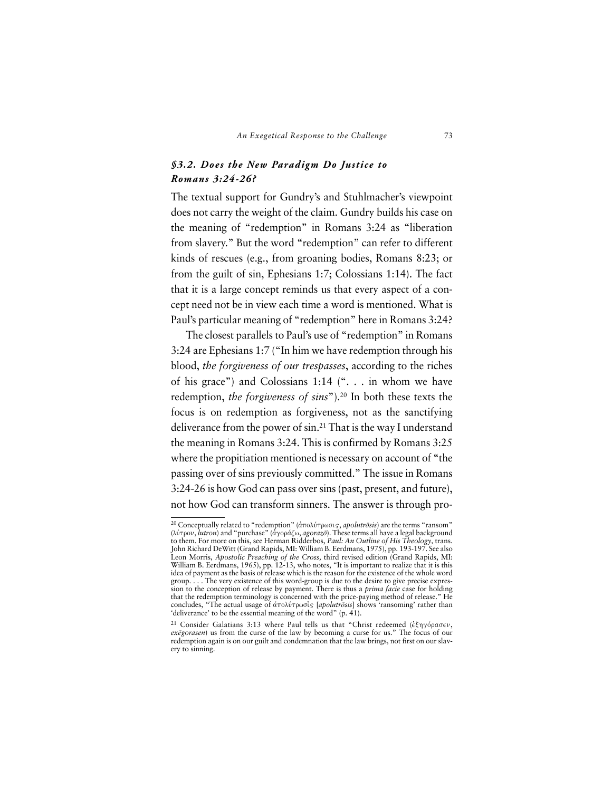## *§3.2. Does the New Paradigm Do Justice to Romans 3:24-26?*

The textual support for Gundry's and Stuhlmacher's viewpoint does not carry the weight of the claim. Gundry builds his case on the meaning of "redemption" in Romans 3:24 as "liberation from slavery." But the word "redemption" can refer to different kinds of rescues (e.g., from groaning bodies, Romans 8:23; or from the guilt of sin, Ephesians 1:7; Colossians 1:14). The fact that it is a large concept reminds us that every aspect of a concept need not be in view each time a word is mentioned. What is Paul's particular meaning of "redemption" here in Romans 3:24?

The closest parallels to Paul's use of "redemption" in Romans 3:24 are Ephesians 1:7 ("In him we have redemption through his blood, *the forgiveness of our trespasses*, according to the riches of his grace") and Colossians 1:14 (". . . in whom we have redemption, *the forgiveness of sins*").20 In both these texts the focus is on redemption as forgiveness, not as the sanctifying deliverance from the power of sin.21 That is the way I understand the meaning in Romans 3:24. This is confirmed by Romans 3:25 where the propitiation mentioned is necessary on account of "the passing over of sins previously committed." The issue in Romans 3:24-26 is how God can pass over sins (past, present, and future), not how God can transform sinners. The answer is through pro-

<sup>&</sup>lt;sup>20</sup> Conceptually related to "redemption" ( $\hat{a}$ πολύτρωσις, *apolutrōsis*) are the terms "ransom" (λύτρου, *lutron*) and "purchase" (άγοράζω, *agoraz*σ). These terms all have a legal background to them. For more on this, see Herman Ridderbos, *Paul: An Outline of His Theology,* trans. John Richard DeWitt (Grand Rapids, MI: William B. Eerdmans, 1975), pp. 193-197. See also Leon Morris, *Apostolic Preaching of the Cross,* third revised edition (Grand Rapids, MI: William B. Eerdmans, 1965), pp. 12-13, who notes, "It is important to realize that it is this idea of payment as the basis of release which is the reason for the existence of the whole word group. . . . The very existence of this word-group is due to the desire to give precise expression to the conception of release by payment. There is thus a *prima facie* case for holding that the redemption terminology is concerned with the price-paying method of release." He concludes, "The actual usage of άπολύτρωσις [*apolutrõsis*] shows 'ransoming' rather than 'deliverance' to be the essential meaning of the word" (p. 41).

<sup>&</sup>lt;sup>21</sup> Consider Galatians 3:13 where Paul tells us that "Christ redeemed (εξηγόρασεν, *ex∑gorasen*) us from the curse of the law by becoming a curse for us." The focus of our redemption again is on our guilt and condemnation that the law brings, not first on our slavery to sinning.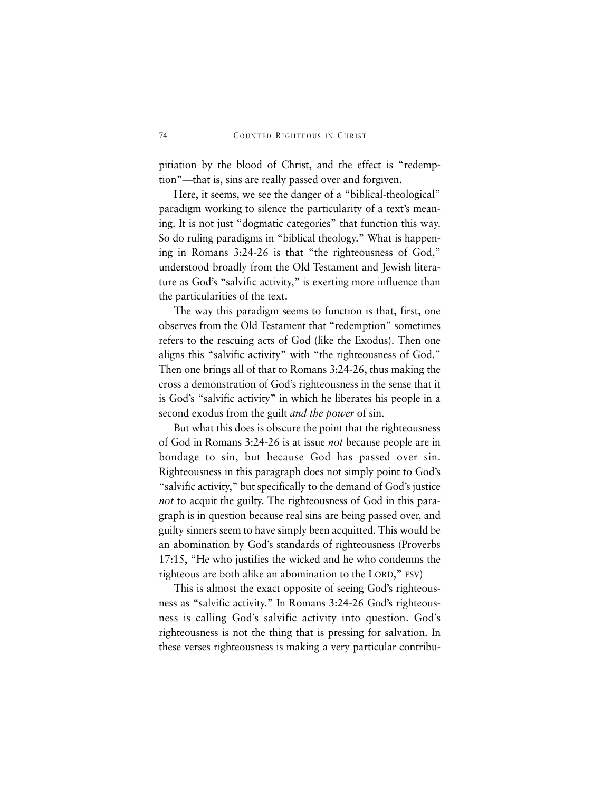pitiation by the blood of Christ, and the effect is "redemption"—that is, sins are really passed over and forgiven.

Here, it seems, we see the danger of a "biblical-theological" paradigm working to silence the particularity of a text's meaning. It is not just "dogmatic categories" that function this way. So do ruling paradigms in "biblical theology." What is happening in Romans 3:24-26 is that "the righteousness of God," understood broadly from the Old Testament and Jewish literature as God's "salvific activity," is exerting more influence than the particularities of the text.

The way this paradigm seems to function is that, first, one observes from the Old Testament that "redemption" sometimes refers to the rescuing acts of God (like the Exodus). Then one aligns this "salvific activity" with "the righteousness of God." Then one brings all of that to Romans 3:24-26, thus making the cross a demonstration of God's righteousness in the sense that it is God's "salvific activity" in which he liberates his people in a second exodus from the guilt *and the power* of sin.

But what this does is obscure the point that the righteousness of God in Romans 3:24-26 is at issue *not* because people are in bondage to sin, but because God has passed over sin. Righteousness in this paragraph does not simply point to God's "salvific activity," but specifically to the demand of God's justice *not* to acquit the guilty. The righteousness of God in this paragraph is in question because real sins are being passed over, and guilty sinners seem to have simply been acquitted. This would be an abomination by God's standards of righteousness (Proverbs 17:15, "He who justifies the wicked and he who condemns the righteous are both alike an abomination to the LORD," ESV)

This is almost the exact opposite of seeing God's righteousness as "salvific activity." In Romans 3:24-26 God's righteousness is calling God's salvific activity into question. God's righteousness is not the thing that is pressing for salvation. In these verses righteousness is making a very particular contribu-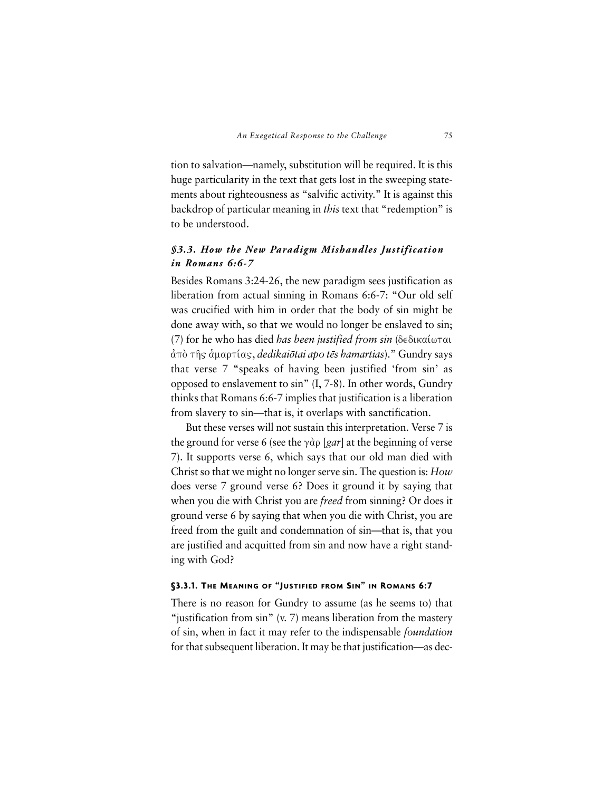tion to salvation—namely, substitution will be required. It is this huge particularity in the text that gets lost in the sweeping statements about righteousness as "salvific activity." It is against this backdrop of particular meaning in *this* text that "redemption" is to be understood.

### *§3.3. How the New Paradigm Mishandles Justification in Romans 6:6-7*

Besides Romans 3:24-26, the new paradigm sees justification as liberation from actual sinning in Romans 6:6-7: "Our old self was crucified with him in order that the body of sin might be done away with, so that we would no longer be enslaved to sin; (7) for he who has died *has been justified from sin*  $(\delta \in \delta \cup \alpha)$ ajpo; th~ a ` marti J a~v , *dedikaiøtai apo t∑s hamartias*)." Gundry says that verse 7 "speaks of having been justified 'from sin' as opposed to enslavement to sin" (I, 7-8). In other words, Gundry thinks that Romans 6:6-7 implies that justification is a liberation from slavery to sin—that is, it overlaps with sanctification.

But these verses will not sustain this interpretation. Verse 7 is the ground for verse 6 (see the  $\gamma \dot{\alpha}$  [*gar*] at the beginning of verse 7). It supports verse 6, which says that our old man died with Christ so that we might no longer serve sin. The question is: *How* does verse 7 ground verse 6? Does it ground it by saying that when you die with Christ you are *freed* from sinning? Or does it ground verse 6 by saying that when you die with Christ, you are freed from the guilt and condemnation of sin—that is, that you are justified and acquitted from sin and now have a right standing with God?

#### **§3.3.1. THE MEANING OF "JUSTIFIED FROM SIN" IN ROMANS 6:7**

There is no reason for Gundry to assume (as he seems to) that "justification from sin" (v. 7) means liberation from the mastery of sin, when in fact it may refer to the indispensable *foundation* for that subsequent liberation. It may be that justification—as dec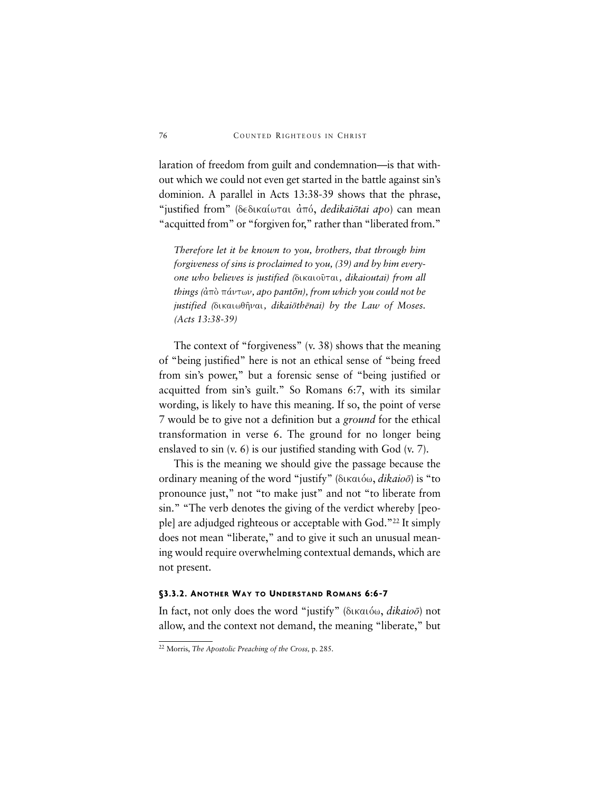laration of freedom from guilt and condemnation—is that without which we could not even get started in the battle against sin's dominion. A parallel in Acts 13:38-39 shows that the phrase, "justified from" (δεδικαίωται άπό, *dedikaiōtai apo*) can mean "acquitted from" or "forgiven for," rather than "liberated from."

*Therefore let it be known to you, brothers, that through him forgiveness of sins is proclaimed to you, (39) and by him everyone who believes is justified (δικαιοῦται, dikaioutai) from all things (άπ*ό πάντων, apo pantōn), from which you could not be *justified (δικαιωθήναι, dikaiōthēnai) by the Law of Moses. (Acts 13:38-39)*

The context of "forgiveness" (v. 38) shows that the meaning of "being justified" here is not an ethical sense of "being freed from sin's power," but a forensic sense of "being justified or acquitted from sin's guilt." So Romans 6:7, with its similar wording, is likely to have this meaning. If so, the point of verse 7 would be to give not a definition but a *ground* for the ethical transformation in verse 6. The ground for no longer being enslaved to sin (v. 6) is our justified standing with God (v. 7).

This is the meaning we should give the passage because the ordinary meaning of the word "justify" (δικαιόω, *dikaioō*) is "to pronounce just," not "to make just" and not "to liberate from sin." "The verb denotes the giving of the verdict whereby [people] are adjudged righteous or acceptable with God."22 It simply does not mean "liberate," and to give it such an unusual meaning would require overwhelming contextual demands, which are not present.

#### **§3.3.2. ANOTHER WAY TO UNDERSTAND ROMANS 6:6-7**

In fact, not only does the word "justify" (δικαιόω, *dikaioō*) not allow, and the context not demand, the meaning "liberate," but

<sup>22</sup> Morris, *The Apostolic Preaching of the Cross,* p. 285.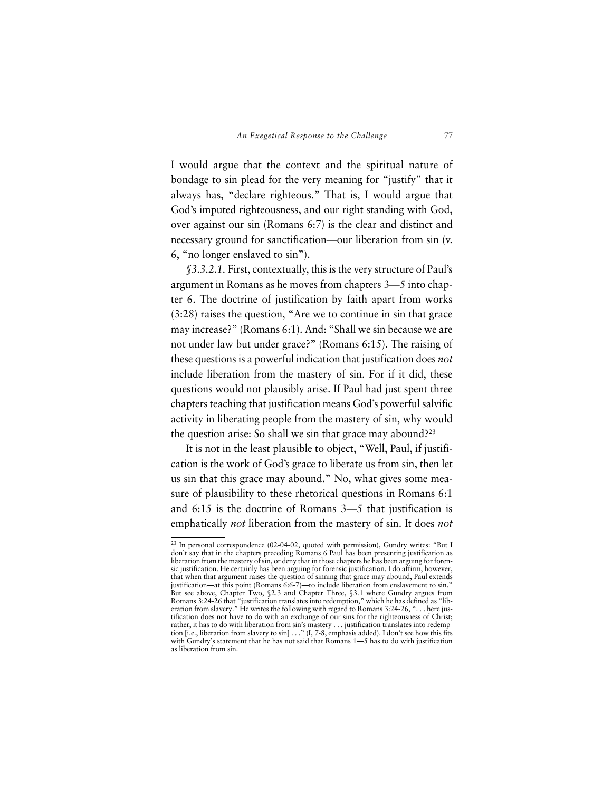I would argue that the context and the spiritual nature of bondage to sin plead for the very meaning for "justify" that it always has, "declare righteous." That is, I would argue that God's imputed righteousness, and our right standing with God, over against our sin (Romans 6:7) is the clear and distinct and necessary ground for sanctification—our liberation from sin (v. 6, "no longer enslaved to sin").

*§3.3.2.1.* First, contextually, this is the very structure of Paul's argument in Romans as he moves from chapters 3—5 into chapter 6. The doctrine of justification by faith apart from works (3:28) raises the question, "Are we to continue in sin that grace may increase?" (Romans 6:1). And: "Shall we sin because we are not under law but under grace?" (Romans 6:15). The raising of these questions is a powerful indication that justification does *not* include liberation from the mastery of sin. For if it did, these questions would not plausibly arise. If Paul had just spent three chapters teaching that justification means God's powerful salvific activity in liberating people from the mastery of sin, why would the question arise: So shall we sin that grace may abound?23

It is not in the least plausible to object, "Well, Paul, if justification is the work of God's grace to liberate us from sin, then let us sin that this grace may abound." No, what gives some measure of plausibility to these rhetorical questions in Romans 6:1 and 6:15 is the doctrine of Romans 3—5 that justification is emphatically *not* liberation from the mastery of sin. It does *not*

<sup>&</sup>lt;sup>23</sup> In personal correspondence (02-04-02, quoted with permission), Gundry writes: "But I don't say that in the chapters preceding Romans 6 Paul has been presenting justification as liberation from the mastery of sin, or deny that in those chapters he has been arguing for forensic justification. He certainly has been arguing for forensic justification. I do affirm, however, that when that argument raises the question of sinning that grace may abound, Paul extends justification—at this point (Romans 6:6-7)—to include liberation from enslavement to sin." But see above, Chapter Two, §2.3 and Chapter Three, §3.1 where Gundry argues from Romans 3:24-26 that "justification translates into redemption," which he has defined as "liberation from slavery." He writes the following with regard to Romans 3:24-26, ". . . here justification does not have to do with an exchange of our sins for the righteousness of Christ; rather, it has to do with liberation from sin's mastery . . . justification translates into redemption [i.e., liberation from slavery to sin] . . ." (I, 7-8, emphasis added). I don't see how this fits with Gundry's statement that he has not said that Romans 1—5 has to do with justification as liberation from sin.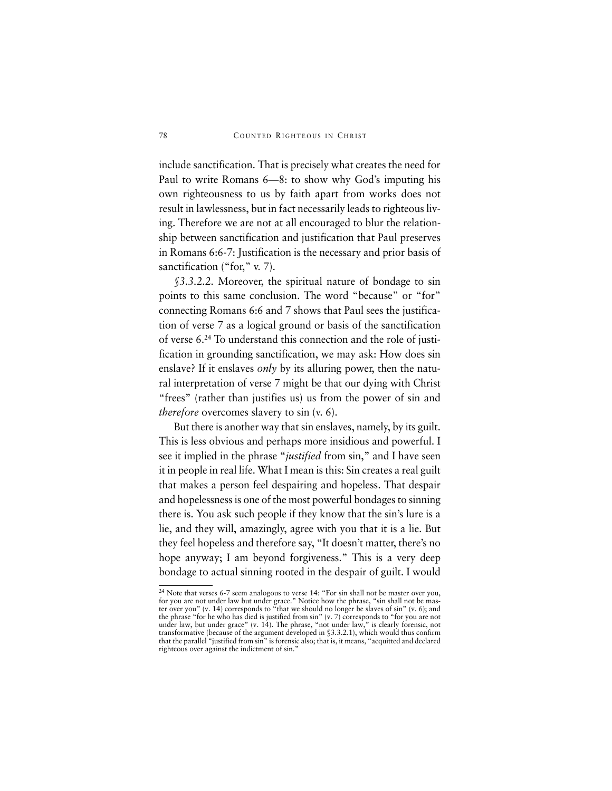include sanctification. That is precisely what creates the need for Paul to write Romans 6—8: to show why God's imputing his own righteousness to us by faith apart from works does not result in lawlessness, but in fact necessarily leads to righteous living. Therefore we are not at all encouraged to blur the relationship between sanctification and justification that Paul preserves in Romans 6:6-7: Justification is the necessary and prior basis of sanctification ("for," v. 7).

*§3.3.2.2.* Moreover, the spiritual nature of bondage to sin points to this same conclusion. The word "because" or "for" connecting Romans 6:6 and 7 shows that Paul sees the justification of verse 7 as a logical ground or basis of the sanctification of verse 6.24 To understand this connection and the role of justification in grounding sanctification, we may ask: How does sin enslave? If it enslaves *only* by its alluring power, then the natural interpretation of verse 7 might be that our dying with Christ "frees" (rather than justifies us) us from the power of sin and *therefore* overcomes slavery to sin (v. 6).

But there is another way that sin enslaves, namely, by its guilt. This is less obvious and perhaps more insidious and powerful. I see it implied in the phrase "*justified* from sin," and I have seen it in people in real life. What I mean is this: Sin creates a real guilt that makes a person feel despairing and hopeless. That despair and hopelessness is one of the most powerful bondages to sinning there is. You ask such people if they know that the sin's lure is a lie, and they will, amazingly, agree with you that it is a lie. But they feel hopeless and therefore say, "It doesn't matter, there's no hope anyway; I am beyond forgiveness." This is a very deep bondage to actual sinning rooted in the despair of guilt. I would

 $24$  Note that verses 6-7 seem analogous to verse 14: "For sin shall not be master over you, for you are not under law but under grace." Notice how the phrase, "sin shall not be master over you" (v. 14) corresponds to "that we should no longer be slaves of sin" (v. 6); and the phrase "for he who has died is justified from sin" (v. 7) corresponds to "for you are not under law, but under grace" (v. 14). The phrase, "not under law," is clearly forensic, not transformative (because of the argument developed in §3.3.2.1), which would thus confirm that the parallel "justified from sin" is forensic also; that is, it means, "acquitted and declared righteous over against the indictment of sin."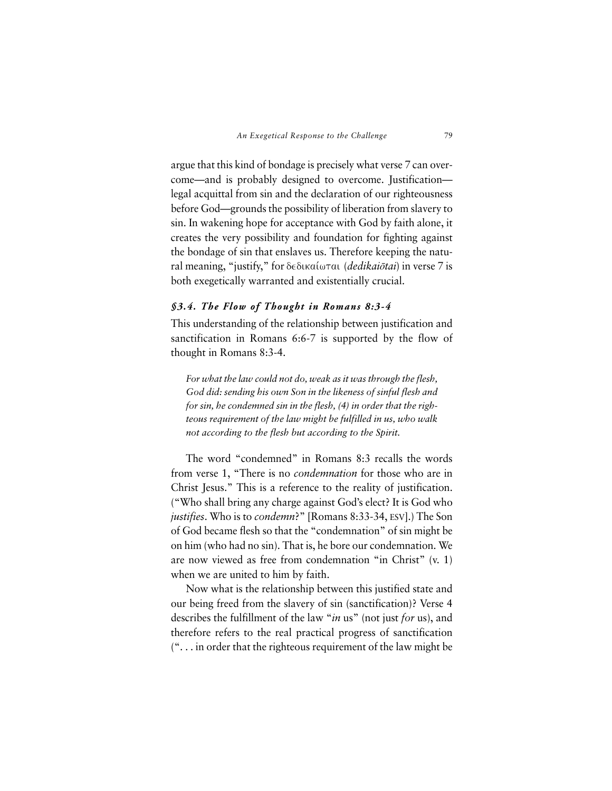argue that this kind of bondage is precisely what verse 7 can overcome—and is probably designed to overcome. Justification legal acquittal from sin and the declaration of our righteousness before God—grounds the possibility of liberation from slavery to sin. In wakening hope for acceptance with God by faith alone, it creates the very possibility and foundation for fighting against the bondage of sin that enslaves us. Therefore keeping the natural meaning, "justify," for  $\delta \in \delta \in \mathcal{A}$  (*dedikaiōtai*) in verse 7 is both exegetically warranted and existentially crucial.

#### *§3.4. The Flow of Thought in Romans 8:3-4*

This understanding of the relationship between justification and sanctification in Romans 6:6-7 is supported by the flow of thought in Romans 8:3-4.

*For what the law could not do, weak as it was through the flesh, God did: sending his own Son in the likeness of sinful flesh and for sin, he condemned sin in the flesh, (4) in order that the righteous requirement of the law might be fulfilled in us, who walk not according to the flesh but according to the Spirit.*

The word "condemned" in Romans 8:3 recalls the words from verse 1, "There is no *condemnation* for those who are in Christ Jesus." This is a reference to the reality of justification. ("Who shall bring any charge against God's elect? It is God who *justifies*. Who is to *condemn*?" [Romans 8:33-34, ESV].) The Son of God became flesh so that the "condemnation" of sin might be on him (who had no sin). That is, he bore our condemnation. We are now viewed as free from condemnation "in Christ" (v. 1) when we are united to him by faith.

Now what is the relationship between this justified state and our being freed from the slavery of sin (sanctification)? Verse 4 describes the fulfillment of the law "*in* us" (not just *for* us), and therefore refers to the real practical progress of sanctification (". . . in order that the righteous requirement of the law might be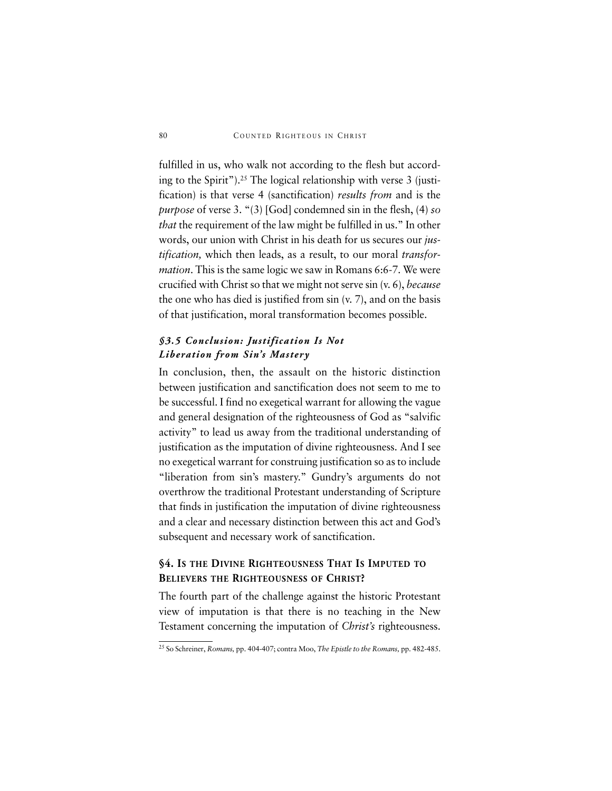fulfilled in us, who walk not according to the flesh but according to the Spirit").25 The logical relationship with verse 3 (justification) is that verse 4 (sanctification) *results from* and is the *purpose* of verse 3. "(3) [God] condemned sin in the flesh, (4) *so that* the requirement of the law might be fulfilled in us." In other words, our union with Christ in his death for us secures our *justification,* which then leads, as a result, to our moral *transformation*. This is the same logic we saw in Romans 6:6-7. We were crucified with Christ so that we might not serve sin (v. 6), *because* the one who has died is justified from sin (v. 7), and on the basis of that justification, moral transformation becomes possible.

#### *§3.5 Conclusion: Justification Is Not Liberation from Sin's Mastery*

In conclusion, then, the assault on the historic distinction between justification and sanctification does not seem to me to be successful. I find no exegetical warrant for allowing the vague and general designation of the righteousness of God as "salvific activity" to lead us away from the traditional understanding of justification as the imputation of divine righteousness. And I see no exegetical warrant for construing justification so as to include "liberation from sin's mastery." Gundry's arguments do not overthrow the traditional Protestant understanding of Scripture that finds in justification the imputation of divine righteousness and a clear and necessary distinction between this act and God's subsequent and necessary work of sanctification.

## **§4. IS THE DIVINE RIGHTEOUSNESS THAT IS IMPUTED TO BELIEVERS THE RIGHTEOUSNESS OF CHRIST?**

The fourth part of the challenge against the historic Protestant view of imputation is that there is no teaching in the New Testament concerning the imputation of *Christ's* righteousness.

<sup>25</sup> So Schreiner, *Romans,* pp. 404-407; contra Moo, *The Epistle to the Romans,* pp. 482-485.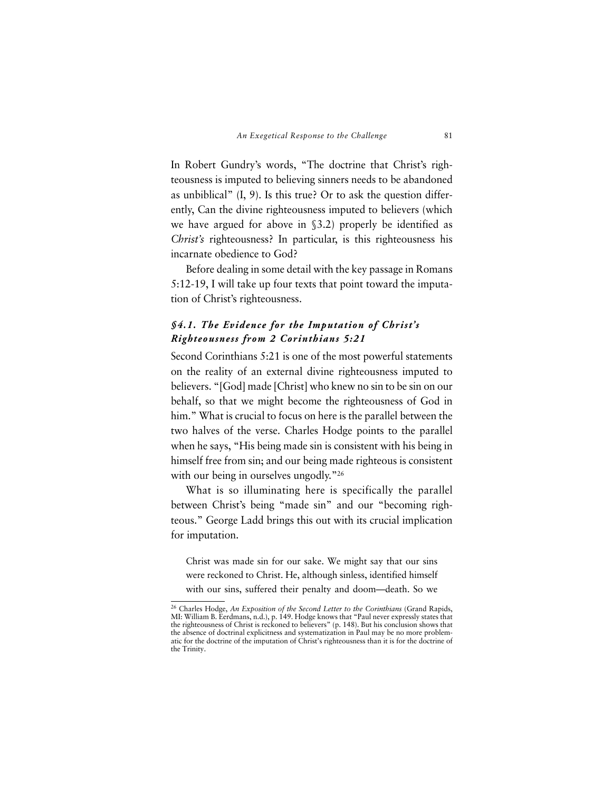In Robert Gundry's words, "The doctrine that Christ's righteousness is imputed to believing sinners needs to be abandoned as unbiblical" (I, 9). Is this true? Or to ask the question differently, Can the divine righteousness imputed to believers (which we have argued for above in §3.2) properly be identified as *Christ's* righteousness? In particular, is this righteousness his incarnate obedience to God?

Before dealing in some detail with the key passage in Romans 5:12-19, I will take up four texts that point toward the imputation of Christ's righteousness.

# *§4.1. The Evidence for the Imputation of Christ's Righteousness from 2 Corinthians 5:21*

Second Corinthians 5:21 is one of the most powerful statements on the reality of an external divine righteousness imputed to believers. "[God] made [Christ] who knew no sin to be sin on our behalf, so that we might become the righteousness of God in him." What is crucial to focus on here is the parallel between the two halves of the verse. Charles Hodge points to the parallel when he says, "His being made sin is consistent with his being in himself free from sin; and our being made righteous is consistent with our being in ourselves ungodly."<sup>26</sup>

What is so illuminating here is specifically the parallel between Christ's being "made sin" and our "becoming righteous." George Ladd brings this out with its crucial implication for imputation.

Christ was made sin for our sake. We might say that our sins were reckoned to Christ. He, although sinless, identified himself with our sins, suffered their penalty and doom—death. So we

<sup>26</sup> Charles Hodge, *An Exposition of the Second Letter to the Corinthians* (Grand Rapids, MI: William B. Eerdmans, n.d.), p. 149. Hodge knows that "Paul never expressly states that the righteousness of Christ is reckoned to believers" (p. 148). But his conclusion shows that the absence of doctrinal explicitness and systematization in Paul may be no more problematic for the doctrine of the imputation of Christ's righteousness than it is for the doctrine of the Trinity.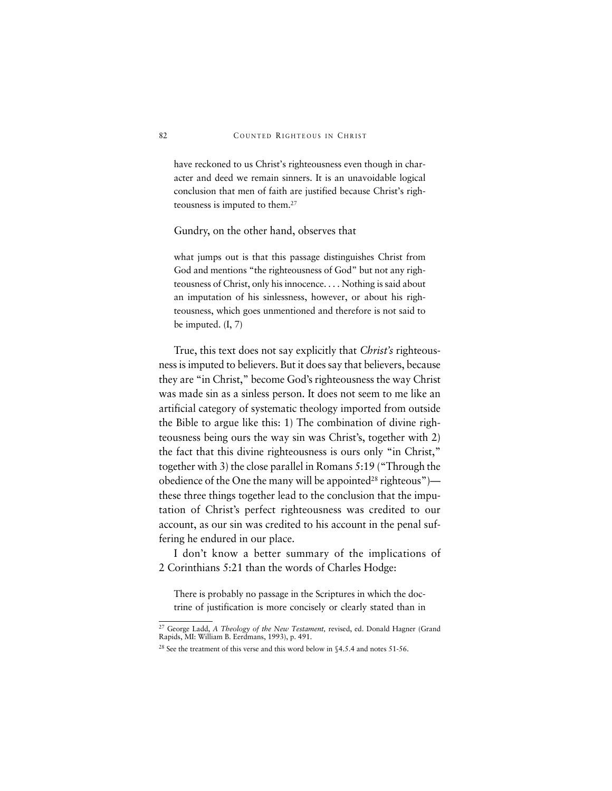have reckoned to us Christ's righteousness even though in character and deed we remain sinners. It is an unavoidable logical conclusion that men of faith are justified because Christ's righteousness is imputed to them.27

Gundry, on the other hand, observes that

what jumps out is that this passage distinguishes Christ from God and mentions "the righteousness of God" but not any righteousness of Christ, only his innocence. . . . Nothing is said about an imputation of his sinlessness, however, or about his righteousness, which goes unmentioned and therefore is not said to be imputed. (I, 7)

True, this text does not say explicitly that *Christ's* righteousness is imputed to believers. But it does say that believers, because they are "in Christ," become God's righteousness the way Christ was made sin as a sinless person. It does not seem to me like an artificial category of systematic theology imported from outside the Bible to argue like this: 1) The combination of divine righteousness being ours the way sin was Christ's, together with 2) the fact that this divine righteousness is ours only "in Christ," together with 3) the close parallel in Romans 5:19 ("Through the obedience of the One the many will be appointed<sup>28</sup> righteous") these three things together lead to the conclusion that the imputation of Christ's perfect righteousness was credited to our account, as our sin was credited to his account in the penal suffering he endured in our place.

I don't know a better summary of the implications of 2 Corinthians 5:21 than the words of Charles Hodge:

There is probably no passage in the Scriptures in which the doctrine of justification is more concisely or clearly stated than in

<sup>27</sup> George Ladd, *A Theology of the New Testament,* revised, ed. Donald Hagner (Grand Rapids, MI: William B. Eerdmans, 1993), p. 491.

<sup>&</sup>lt;sup>28</sup> See the treatment of this verse and this word below in §4.5.4 and notes 51-56.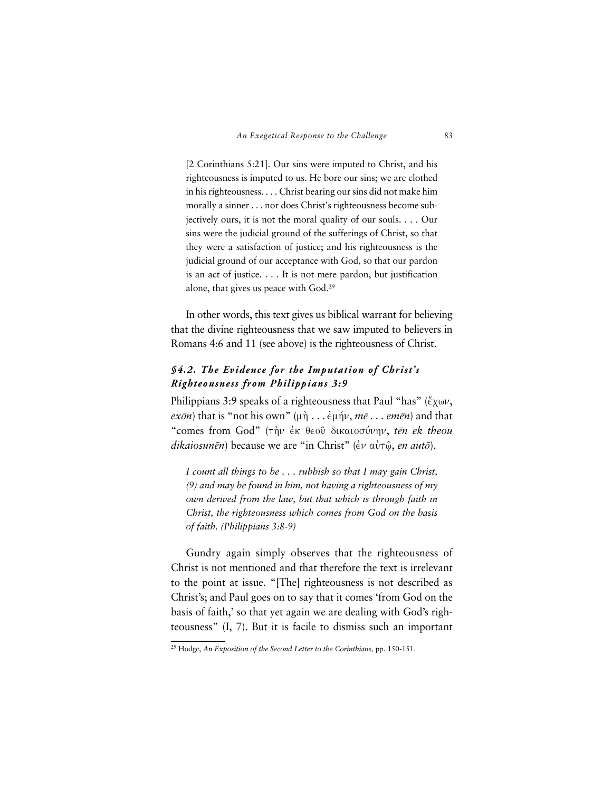[2 Corinthians 5:21]. Our sins were imputed to Christ, and his righteousness is imputed to us. He bore our sins; we are clothed in his righteousness. . . . Christ bearing our sins did not make him morally a sinner . . . nor does Christ's righteousness become subjectively ours, it is not the moral quality of our souls. . . . Our sins were the judicial ground of the sufferings of Christ, so that they were a satisfaction of justice; and his righteousness is the judicial ground of our acceptance with God, so that our pardon is an act of justice. . . . It is not mere pardon, but justification alone, that gives us peace with God.29

In other words, this text gives us biblical warrant for believing that the divine righteousness that we saw imputed to believers in Romans 4:6 and 11 (see above) is the righteousness of Christ.

# *§4.2. The Evidence for the Imputation of Christ's Righteousness from Philippians 3:9*

Philippians 3:9 speaks of a righteousness that Paul "has" ( $\zeta \omega \nu$ ,  $ex\bar{o}n$ ) that is "not his own" (µ $\hat{\eta}$  . . .  $\dot{\epsilon}$ µ $\hat{\eta}$ *v*,  $m\bar{e}$  . . *. em* $\bar{e}n$ ) and that "comes from God" (τὴν ἐκ θεοῦ δικαιοσύνην, *tēn ek theou dikaiosunēn*) because we are "in Christ" (ἐν αὐτῷ, *en autō*).

*I count all things to be . . . rubbish so that I may gain Christ, (9) and may be found in him, not having a righteousness of my own derived from the law, but that which is through faith in Christ, the righteousness which comes from God on the basis of faith. (Philippians 3:8-9)*

Gundry again simply observes that the righteousness of Christ is not mentioned and that therefore the text is irrelevant to the point at issue. "[The] righteousness is not described as Christ's; and Paul goes on to say that it comes 'from God on the basis of faith,' so that yet again we are dealing with God's righteousness" (I, 7). But it is facile to dismiss such an important

<sup>29</sup> Hodge, *An Exposition of the Second Letter to the Corinthians,* pp. 150-151.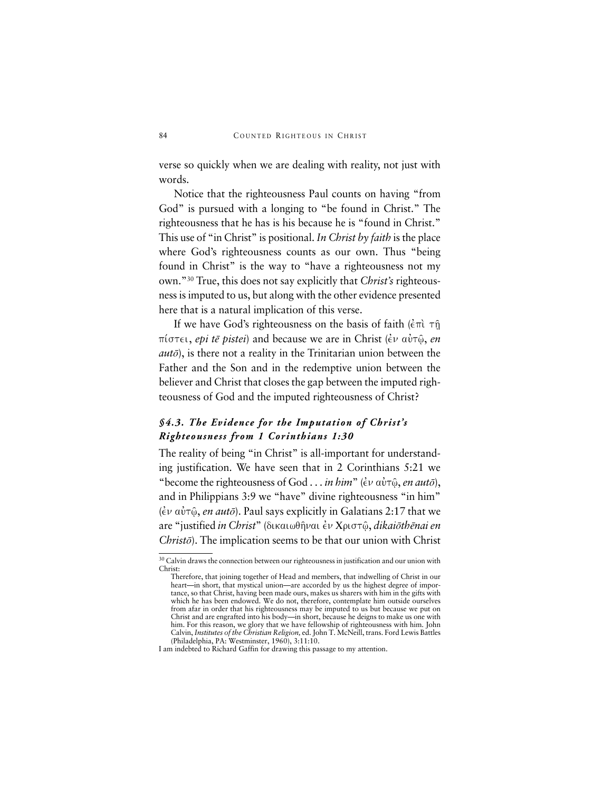verse so quickly when we are dealing with reality, not just with words.

Notice that the righteousness Paul counts on having "from God" is pursued with a longing to "be found in Christ." The righteousness that he has is his because he is "found in Christ." This use of "in Christ" is positional. *In Christ by faith* is the place where God's righteousness counts as our own. Thus "being found in Christ" is the way to "have a righteousness not my own."30 True, this does not say explicitly that *Christ's* righteousness is imputed to us, but along with the other evidence presented here that is a natural implication of this verse.

If we have God's righteousness on the basis of faith ( $\epsilon \pi i \tau \hat{\eta}$ ) *π*ίστ∈ι, *epi tē pistei*) and because we are in Christ ( $\epsilon$ ν αὐτῷ, *en autø*), is there not a reality in the Trinitarian union between the Father and the Son and in the redemptive union between the believer and Christ that closes the gap between the imputed righteousness of God and the imputed righteousness of Christ?

# *§4.3. The Evidence for the Imputation of Christ's Righteousness from 1 Corinthians 1:30*

The reality of being "in Christ" is all-important for understanding justification. We have seen that in 2 Corinthians 5:21 we "become the righteousness of God  $\ldots$  *in him*" ( $\acute{\epsilon}v$   $a\acute{v}\tau\hat{\varphi}$ , *en auto*), and in Philippians 3:9 we "have" divine righteousness "in him" ( $\acute{\epsilon}v$   $\alpha\grave{v}\tau\hat{\omega}$ , *en auto*). Paul says explicitly in Galatians 2:17 that we **are "justified** *in Christ"* (δικαιωθῆναι ἐν Χριστῷ, dikaiōthēnai en *Christø*). The implication seems to be that our union with Christ

<sup>&</sup>lt;sup>30</sup> Calvin draws the connection between our righteousness in justification and our union with Christ:

Therefore, that joining together of Head and members, that indwelling of Christ in our heart—in short, that mystical union—are accorded by us the highest degree of importance, so that Christ, having been made ours, makes us sharers with him in the gifts with which he has been endowed. We do not, therefore, contemplate him outside ourselves from afar in order that his righteousness may be imputed to us but because we put on Christ and are engrafted into his body—in short, because he deigns to make us one with him. For this reason, we glory that we have fellowship of righteousness with him. John Calvin, *Institutes of the Christian Religion,* ed. John T. McNeill, trans. Ford Lewis Battles (Philadelphia, PA: Westminster, 1960), 3:11:10.

I am indebted to Richard Gaffin for drawing this passage to my attention.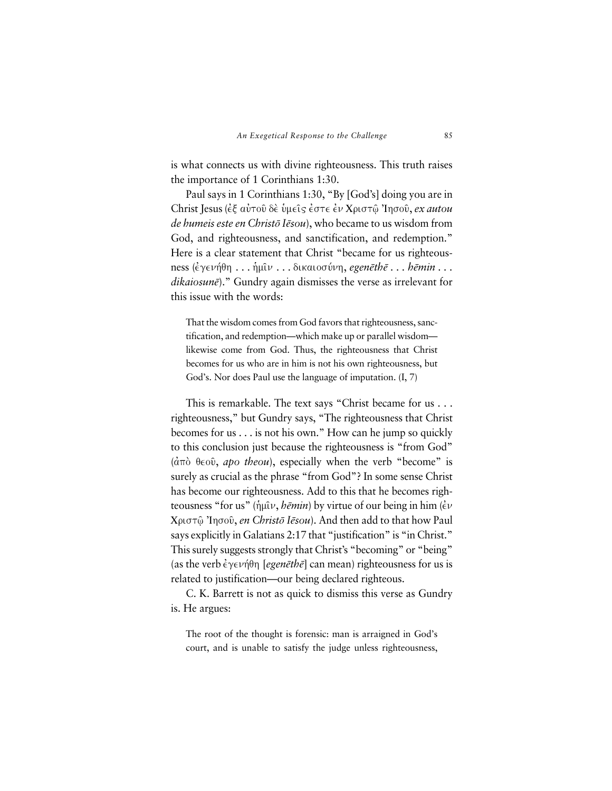is what connects us with divine righteousness. This truth raises the importance of 1 Corinthians 1:30.

Paul says in 1 Corinthians 1:30, "By [God's] doing you are in Christ Jesus (έξ αύτοῦ δὲ ὑμεῖς ἐστε ἐν Χριστῷ Ἰησοῦ, ex autou *de humeis este en Christø I∑sou*), who became to us wisdom from God, and righteousness, and sanctification, and redemption." Here is a clear statement that Christ "became for us righteous**ness** (ἐγενήθη . . . ἡμῖν . . . δικαιοσύνη, egenēthē . . . hēmin . . . *dikaiosun∑*)." Gundry again dismisses the verse as irrelevant for this issue with the words:

That the wisdom comes from God favors that righteousness, sanctification, and redemption—which make up or parallel wisdom likewise come from God. Thus, the righteousness that Christ becomes for us who are in him is not his own righteousness, but God's. Nor does Paul use the language of imputation. (I, 7)

This is remarkable. The text says "Christ became for us . . . righteousness," but Gundry says, "The righteousness that Christ becomes for us . . . is not his own." How can he jump so quickly to this conclusion just because the righteousness is "from God"  $(\hat{a}\pi\hat{o} \theta \in \hat{ov}, apo \thinspace theou)$ , especially when the verb "become" is surely as crucial as the phrase "from God"? In some sense Christ has become our righteousness. Add to this that he becomes righteousness "for us" (ήµî*v*, *hēmin*) by virtue of our being in him ( $\epsilon$ ν Cristw/` 'Ihsou, ` *en Christø I∑sou*). And then add to that how Paul says explicitly in Galatians 2:17 that "justification" is "in Christ." This surely suggests strongly that Christ's "becoming" or "being" (as the verb  $\epsilon$ γενήθη [*egenēthē*] can mean) righteousness for us is related to justification—our being declared righteous.

C. K. Barrett is not as quick to dismiss this verse as Gundry is. He argues:

The root of the thought is forensic: man is arraigned in God's court, and is unable to satisfy the judge unless righteousness,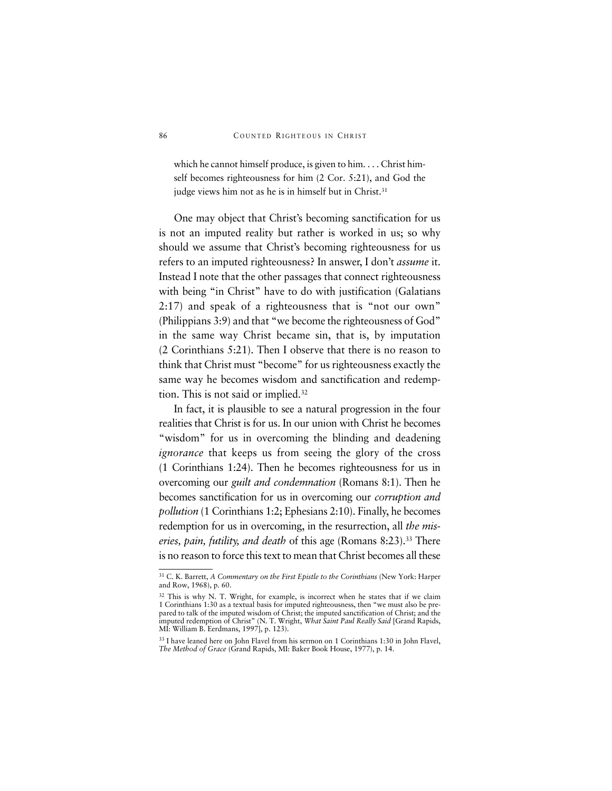which he cannot himself produce, is given to him. . . . Christ himself becomes righteousness for him (2 Cor. 5:21), and God the judge views him not as he is in himself but in Christ.<sup>31</sup>

One may object that Christ's becoming sanctification for us is not an imputed reality but rather is worked in us; so why should we assume that Christ's becoming righteousness for us refers to an imputed righteousness? In answer, I don't *assume* it. Instead I note that the other passages that connect righteousness with being "in Christ" have to do with justification (Galatians 2:17) and speak of a righteousness that is "not our own" (Philippians 3:9) and that "we become the righteousness of God" in the same way Christ became sin, that is, by imputation (2 Corinthians 5:21). Then I observe that there is no reason to think that Christ must "become" for us righteousness exactly the same way he becomes wisdom and sanctification and redemption. This is not said or implied.32

In fact, it is plausible to see a natural progression in the four realities that Christ is for us. In our union with Christ he becomes "wisdom" for us in overcoming the blinding and deadening *ignorance* that keeps us from seeing the glory of the cross (1 Corinthians 1:24). Then he becomes righteousness for us in overcoming our *guilt and condemnation* (Romans 8:1). Then he becomes sanctification for us in overcoming our *corruption and pollution* (1 Corinthians 1:2; Ephesians 2:10). Finally, he becomes redemption for us in overcoming, in the resurrection, all *the miseries, pain, futility, and death* of this age (Romans 8:23).33 There is no reason to force this text to mean that Christ becomes all these

<sup>31</sup> C. K. Barrett, *A Commentary on the First Epistle to the Corinthians* (New York: Harper and Row, 1968), p. 60.

<sup>&</sup>lt;sup>32</sup> This is why N. T. Wright, for example, is incorrect when he states that if we claim 1 Corinthians 1:30 as a textual basis for imputed righteousness, then "we must also be prepared to talk of the imputed wisdom of Christ; the imputed sanctification of Christ; and the imputed redemption of Christ" (N. T. Wright, *What Saint Paul Really Said* [Grand Rapids, MI: William B. Eerdmans, 1997], p. 123).

<sup>33</sup> I have leaned here on John Flavel from his sermon on 1 Corinthians 1:30 in John Flavel, *The Method of Grace* (Grand Rapids, MI: Baker Book House, 1977), p. 14.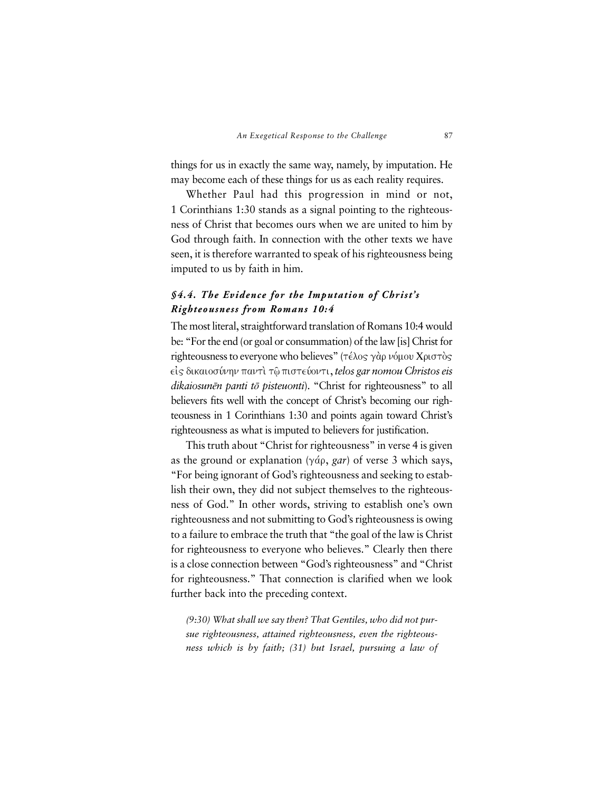things for us in exactly the same way, namely, by imputation. He may become each of these things for us as each reality requires.

Whether Paul had this progression in mind or not, 1 Corinthians 1:30 stands as a signal pointing to the righteousness of Christ that becomes ours when we are united to him by God through faith. In connection with the other texts we have seen, it is therefore warranted to speak of his righteousness being imputed to us by faith in him.

# *§4.4. The Evidence for the Imputation of Christ's Righteousness from Romans 10:4*

The most literal, straightforward translation of Romans 10:4 would be: "For the end (or goal or consummation) of the law [is] Christ for righteousness to everyone who believes" ( $\tau \in \lambda$ os γὰρ νόμου Χριστὸς  $e$ ίς δικαιοσύνην παντι τω πιστεύοντι, *telos gar nomou Christos eis dikaiosun∑n panti tø pisteuonti*). "Christ for righteousness" to all believers fits well with the concept of Christ's becoming our righteousness in 1 Corinthians 1:30 and points again toward Christ's righteousness as what is imputed to believers for justification.

This truth about "Christ for righteousness" in verse 4 is given as the ground or explanation  $(\gamma \phi \rho, g \alpha r)$  of verse 3 which says, "For being ignorant of God's righteousness and seeking to establish their own, they did not subject themselves to the righteousness of God." In other words, striving to establish one's own righteousness and not submitting to God's righteousness is owing to a failure to embrace the truth that "the goal of the law is Christ for righteousness to everyone who believes." Clearly then there is a close connection between "God's righteousness" and "Christ for righteousness." That connection is clarified when we look further back into the preceding context.

*(9:30) What shall we say then? That Gentiles, who did not pursue righteousness, attained righteousness, even the righteousness which is by faith; (31) but Israel, pursuing a law of*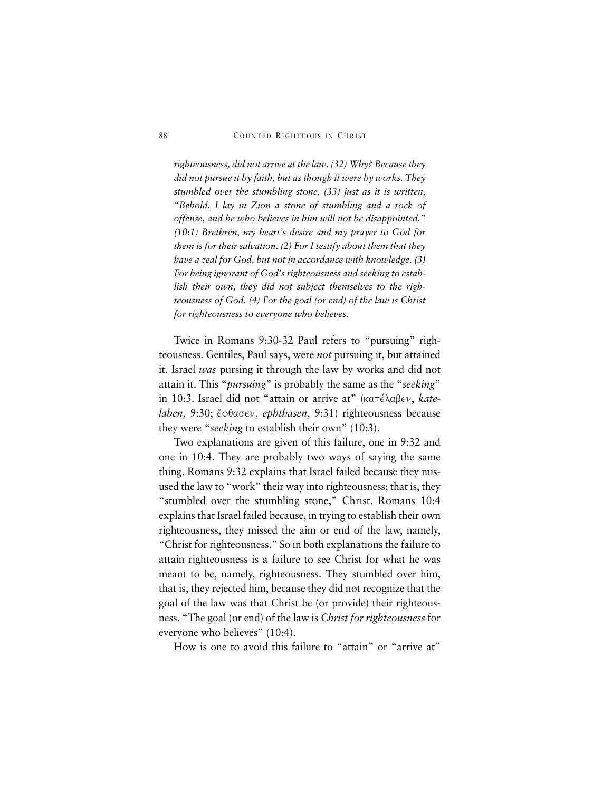*righteousness, did not arrive at the law. (32) Why? Because they did not pursue it by faith, but as though it were by works. They stumbled over the stumbling stone, (33) just as it is written, "Behold, I lay in Zion a stone of stumbling and a rock of offense, and he who believes in him will not be disappointed." (10:1) Brethren, my heart's desire and my prayer to God for them is for their salvation. (2) For I testify about them that they have a zeal for God, but not in accordance with knowledge. (3) For being ignorant of God's righteousness and seeking to establish their own, they did not subject themselves to the righteousness of God. (4) For the goal (or end) of the law is Christ for righteousness to everyone who believes.*

Twice in Romans 9:30-32 Paul refers to "pursuing" righteousness. Gentiles, Paul says, were *not* pursuing it, but attained it. Israel *was* pursing it through the law by works and did not attain it. This "*pursuing*" is probably the same as the "*seeking*" in 10:3. Israel did not "attain or arrive at" (κατέλαβεν, kate*laben*, 9:30; *<del>έφθασεν, <i>ephthasen*, 9:31</del>) righteousness because they were "*seeking* to establish their own" (10:3).

Two explanations are given of this failure, one in 9:32 and one in 10:4. They are probably two ways of saying the same thing. Romans 9:32 explains that Israel failed because they misused the law to "work" their way into righteousness; that is, they "stumbled over the stumbling stone," Christ. Romans 10:4 explains that Israel failed because, in trying to establish their own righteousness, they missed the aim or end of the law, namely, "Christ for righteousness." So in both explanations the failure to attain righteousness is a failure to see Christ for what he was meant to be, namely, righteousness. They stumbled over him, that is, they rejected him, because they did not recognize that the goal of the law was that Christ be (or provide) their righteousness. "The goal (or end) of the law is *Christ for righteousness* for everyone who believes" (10:4).

How is one to avoid this failure to "attain" or "arrive at"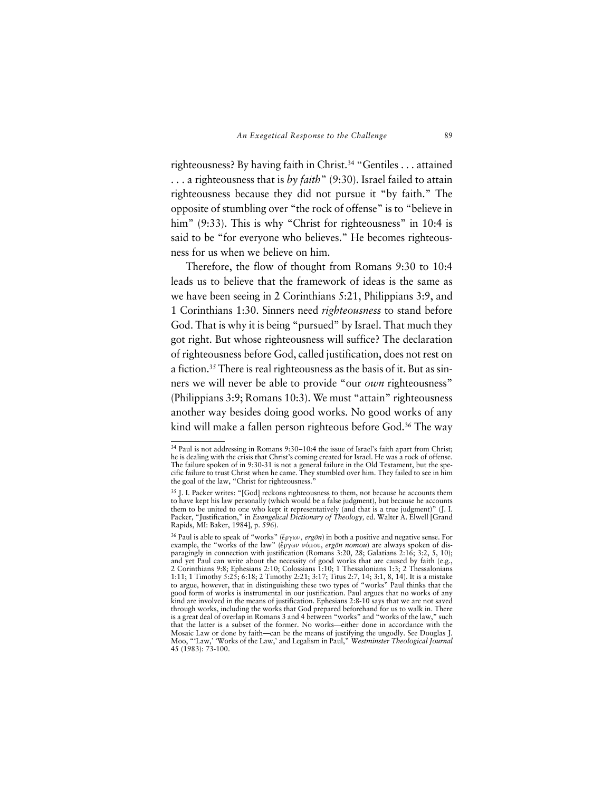righteousness? By having faith in Christ.34 "Gentiles . . . attained . . . a righteousness that is *by faith*" (9:30). Israel failed to attain righteousness because they did not pursue it "by faith." The opposite of stumbling over "the rock of offense" is to "believe in him" (9:33). This is why "Christ for righteousness" in 10:4 is said to be "for everyone who believes." He becomes righteousness for us when we believe on him.

Therefore, the flow of thought from Romans 9:30 to 10:4 leads us to believe that the framework of ideas is the same as we have been seeing in 2 Corinthians 5:21, Philippians 3:9, and 1 Corinthians 1:30. Sinners need *righteousness* to stand before God. That is why it is being "pursued" by Israel. That much they got right. But whose righteousness will suffice? The declaration of righteousness before God, called justification, does not rest on a fiction.35 There is real righteousness as the basis of it. But as sinners we will never be able to provide "our *own* righteousness" (Philippians 3:9; Romans 10:3). We must "attain" righteousness another way besides doing good works. No good works of any kind will make a fallen person righteous before God.<sup>36</sup> The way

<sup>&</sup>lt;sup>34</sup> Paul is not addressing in Romans 9:30–10:4 the issue of Israel's faith apart from Christ; he is dealing with the crisis that Christ's coming created for Israel. He was a rock of offense. The failure spoken of in 9:30-31 is not a general failure in the Old Testament, but the specific failure to trust Christ when he came. They stumbled over him. They failed to see in him the goal of the law, "Christ for righteousness."

<sup>&</sup>lt;sup>35</sup> J. I. Packer writes: "[God] reckons righteousness to them, not because he accounts them to have kept his law personally (which would be a false judgment), but because he accounts them to be united to one who kept it representatively (and that is a true judgment)" (J. I. Packer, "Justification," in *Evangelical Dictionary of Theology,* ed. Walter A. Elwell [Grand Rapids, MI: Baker, 1984], p. 596).

<sup>&</sup>lt;sup>36</sup> Paul is able to speak of "works" (*ἔργων, ergōn*) in both a positive and negative sense. For example, the "works of the law" (*έργων νόμου*, *ergōn nomou*) are always spoken of disparagingly in connection with justification (Romans 3:20, 28; Galatians 2:16; 3:2, 5, 10); and yet Paul can write about the necessity of good works that are caused by faith (e.g., 2 Corinthians 9:8; Ephesians 2:10; Colossians 1:10; 1 Thessalonians 1:3; 2 Thessalonians 1:11; 1 Timothy 5:25; 6:18; 2 Timothy 2:21; 3:17; Titus 2:7, 14; 3:1, 8, 14). It is a mistake to argue, however, that in distinguishing these two types of "works" Paul thinks that the good form of works is instrumental in our justification. Paul argues that no works of any kind are involved in the means of justification. Ephesians 2:8-10 says that we are not saved through works, including the works that God prepared beforehand for us to walk in. There is a great deal of overlap in Romans 3 and 4 between "works" and "works of the law," such that the latter is a subset of the former. No works—either done in accordance with the Mosaic Law or done by faith—can be the means of justifying the ungodly. See Douglas J. Moo, "'Law,' 'Works of the Law,' and Legalism in Paul," *Westminster Theological Journal* 45 (1983): 73-100.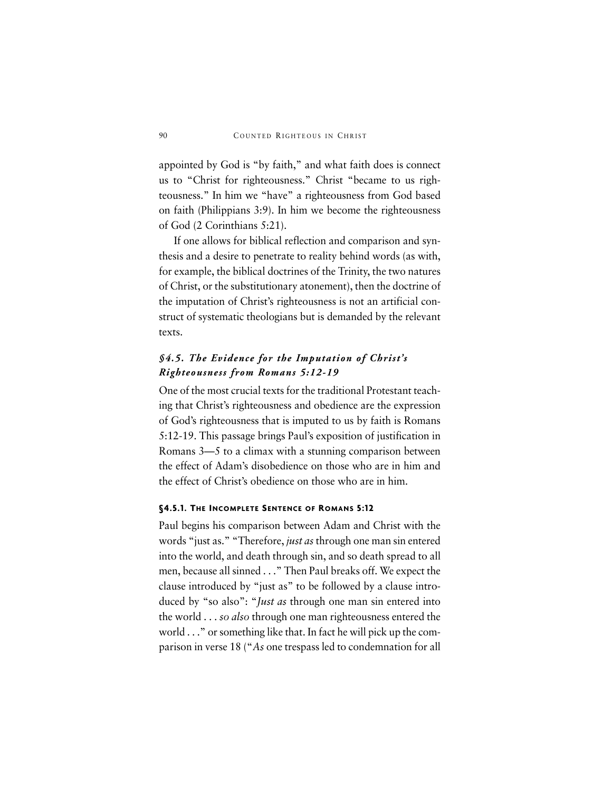appointed by God is "by faith," and what faith does is connect us to "Christ for righteousness." Christ "became to us righteousness." In him we "have" a righteousness from God based on faith (Philippians 3:9). In him we become the righteousness of God (2 Corinthians 5:21).

If one allows for biblical reflection and comparison and synthesis and a desire to penetrate to reality behind words (as with, for example, the biblical doctrines of the Trinity, the two natures of Christ, or the substitutionary atonement), then the doctrine of the imputation of Christ's righteousness is not an artificial construct of systematic theologians but is demanded by the relevant texts.

# *§4.5. The Evidence for the Imputation of Christ's Righteousness from Romans 5:12-19*

One of the most crucial texts for the traditional Protestant teaching that Christ's righteousness and obedience are the expression of God's righteousness that is imputed to us by faith is Romans 5:12-19. This passage brings Paul's exposition of justification in Romans 3—5 to a climax with a stunning comparison between the effect of Adam's disobedience on those who are in him and the effect of Christ's obedience on those who are in him.

## **§4.5.1. THE INCOMPLETE SENTENCE OF ROMANS 5:12**

Paul begins his comparison between Adam and Christ with the words "just as." "Therefore, *just as* through one man sin entered into the world, and death through sin, and so death spread to all men, because all sinned . . ." Then Paul breaks off. We expect the clause introduced by "just as" to be followed by a clause introduced by "so also": "*Just as* through one man sin entered into the world . . . *so also* through one man righteousness entered the world . . ." or something like that. In fact he will pick up the comparison in verse 18 ("*As* one trespass led to condemnation for all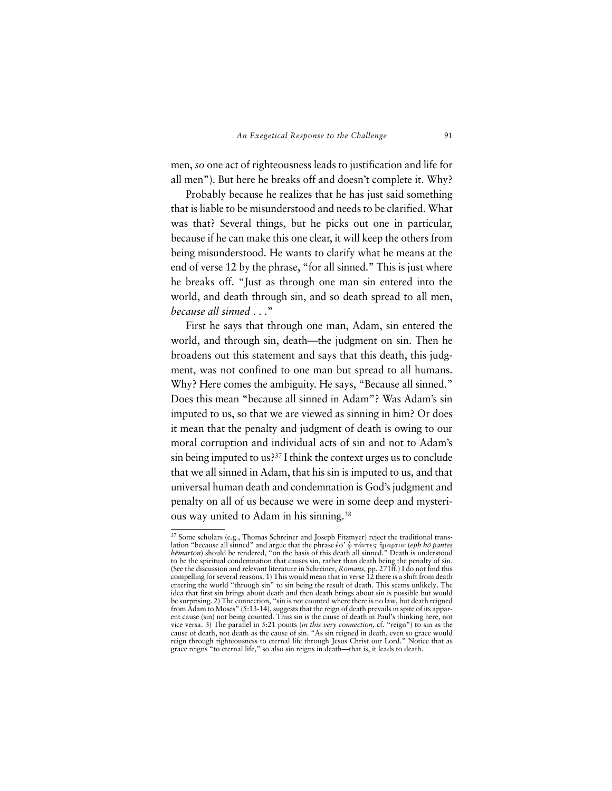men, *so* one act of righteousness leads to justification and life for all men"). But here he breaks off and doesn't complete it. Why?

Probably because he realizes that he has just said something that is liable to be misunderstood and needs to be clarified. What was that? Several things, but he picks out one in particular, because if he can make this one clear, it will keep the others from being misunderstood. He wants to clarify what he means at the end of verse 12 by the phrase, "for all sinned." This is just where he breaks off. "Just as through one man sin entered into the world, and death through sin, and so death spread to all men, *because all sinned* . . ."

First he says that through one man, Adam, sin entered the world, and through sin, death—the judgment on sin. Then he broadens out this statement and says that this death, this judgment, was not confined to one man but spread to all humans. Why? Here comes the ambiguity. He says, "Because all sinned." Does this mean "because all sinned in Adam"? Was Adam's sin imputed to us, so that we are viewed as sinning in him? Or does it mean that the penalty and judgment of death is owing to our moral corruption and individual acts of sin and not to Adam's sin being imputed to us?37 I think the context urges us to conclude that we all sinned in Adam, that his sin is imputed to us, and that universal human death and condemnation is God's judgment and penalty on all of us because we were in some deep and mysterious way united to Adam in his sinning.<sup>38</sup>

<sup>37</sup> Some scholars (e.g., Thomas Schreiner and Joseph Fitzmyer) reject the traditional translation "because all sinned" and argue that the phrase έφ' ὦ πάντες ήμαρτον (*eph hō pantes hēmarton*) should be rendered, "on the basis of this death all sinned." Death is understood to be the spiritual condemnation that causes sin, rather than death being the penalty of sin. (See the discussion and relevant literature in Schreiner, *Romans,* pp. 271ff.) I do not find this compelling for several reasons. 1) This would mean that in verse 12 there is a shift from death entering the world "through sin" to sin being the result of death. This seems unlikely. The idea that first sin brings about death and then death brings about sin is possible but would be surprising. 2) The connection, "sin is not counted where there is no law, but death reigned from Adam to Moses" (5:13-14), suggests that the reign of death prevails in spite of its apparent cause (sin) not being counted. Thus sin is the cause of death in Paul's thinking here, not vice versa. 3) The parallel in 5:21 points (*in this very connection,* cf. "reign") to sin as the cause of death, not death as the cause of sin. "As sin reigned in death, even so grace would reign through righteousness to eternal life through Jesus Christ our Lord." Notice that as grace reigns "to eternal life," so also sin reigns in death—that is, it leads to death.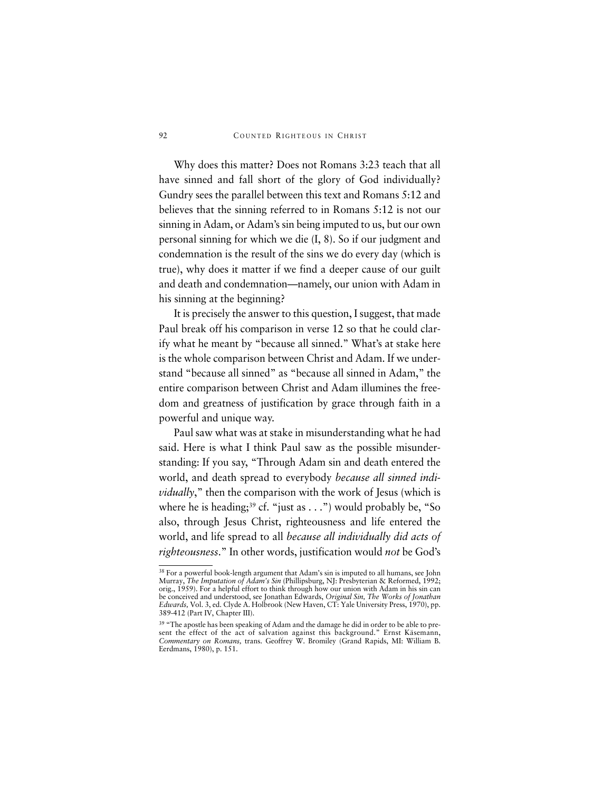#### 92 COUNTED RIGHTEOUS IN CHRIST

Why does this matter? Does not Romans 3:23 teach that all have sinned and fall short of the glory of God individually? Gundry sees the parallel between this text and Romans 5:12 and believes that the sinning referred to in Romans 5:12 is not our sinning in Adam, or Adam's sin being imputed to us, but our own personal sinning for which we die (I, 8). So if our judgment and condemnation is the result of the sins we do every day (which is true), why does it matter if we find a deeper cause of our guilt and death and condemnation—namely, our union with Adam in his sinning at the beginning?

It is precisely the answer to this question, I suggest, that made Paul break off his comparison in verse 12 so that he could clarify what he meant by "because all sinned." What's at stake here is the whole comparison between Christ and Adam. If we understand "because all sinned" as "because all sinned in Adam," the entire comparison between Christ and Adam illumines the freedom and greatness of justification by grace through faith in a powerful and unique way.

Paul saw what was at stake in misunderstanding what he had said. Here is what I think Paul saw as the possible misunderstanding: If you say, "Through Adam sin and death entered the world, and death spread to everybody *because all sinned individually*," then the comparison with the work of Jesus (which is where he is heading;<sup>39</sup> cf. "just as  $\ldots$ ") would probably be, "So also, through Jesus Christ, righteousness and life entered the world, and life spread to all *because all individually did acts of righteousness*." In other words, justification would *not* be God's

<sup>&</sup>lt;sup>38</sup> For a powerful book-length argument that Adam's sin is imputed to all humans, see John Murray, *The Imputation of Adam's Sin* (Phillipsburg, NJ: Presbyterian & Reformed, 1992; orig., 1959). For a helpful effort to think through how our union with Adam in his sin can be conceived and understood, see Jonathan Edwards, *Original Sin, The Works of Jonathan Edwards,* Vol. 3, ed. Clyde A. Holbrook (New Haven, CT: Yale University Press, 1970), pp. 389-412 (Part IV, Chapter III).

<sup>&</sup>lt;sup>39</sup> "The apostle has been speaking of Adam and the damage he did in order to be able to present the effect of the act of salvation against this background." Ernst Käsemann, *Commentary on Romans,* trans. Geoffrey W. Bromiley (Grand Rapids, MI: William B. Eerdmans, 1980), p. 151.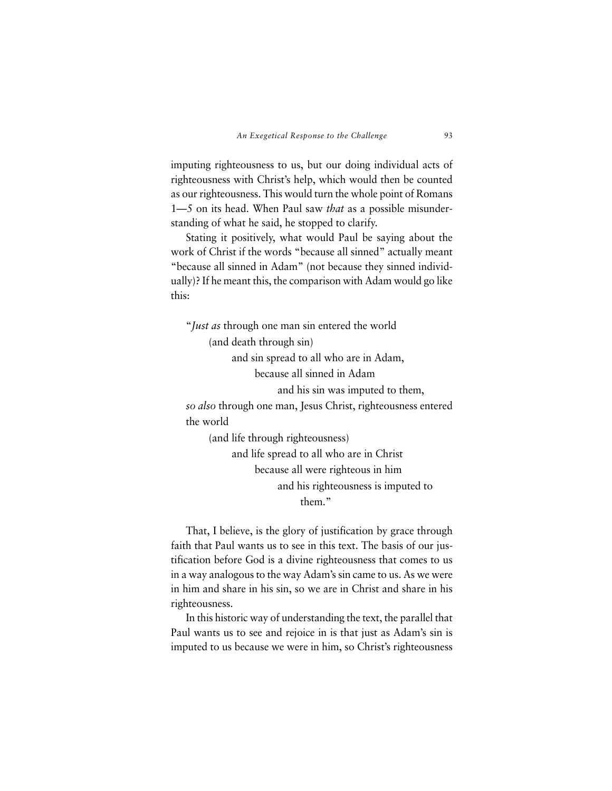imputing righteousness to us, but our doing individual acts of righteousness with Christ's help, which would then be counted as our righteousness. This would turn the whole point of Romans 1—5 on its head. When Paul saw *that* as a possible misunderstanding of what he said, he stopped to clarify.

Stating it positively, what would Paul be saying about the work of Christ if the words "because all sinned" actually meant "because all sinned in Adam" (not because they sinned individually)? If he meant this, the comparison with Adam would go like this:

"*Just as* through one man sin entered the world (and death through sin) and sin spread to all who are in Adam, because all sinned in Adam and his sin was imputed to them, *so also* through one man, Jesus Christ, righteousness entered the world (and life through righteousness) and life spread to all who are in Christ because all were righteous in him and his righteousness is imputed to

them."

That, I believe, is the glory of justification by grace through faith that Paul wants us to see in this text. The basis of our justification before God is a divine righteousness that comes to us in a way analogous to the way Adam's sin came to us. As we were in him and share in his sin, so we are in Christ and share in his righteousness.

In this historic way of understanding the text, the parallel that Paul wants us to see and rejoice in is that just as Adam's sin is imputed to us because we were in him, so Christ's righteousness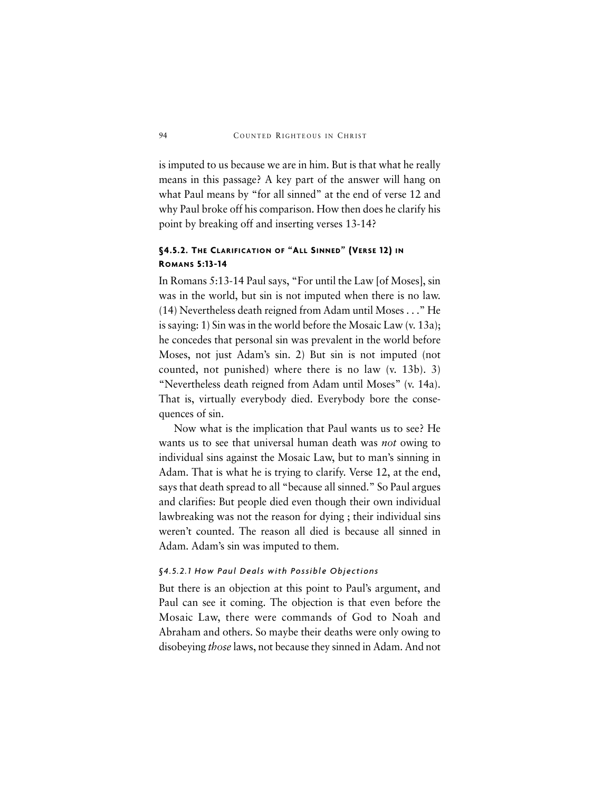is imputed to us because we are in him. But is that what he really means in this passage? A key part of the answer will hang on what Paul means by "for all sinned" at the end of verse 12 and why Paul broke off his comparison. How then does he clarify his point by breaking off and inserting verses 13-14?

## **§4.5.2. THE CLARIFICATION OF "ALL SINNED" (VERSE 12) IN ROMANS 5:13-14**

In Romans 5:13-14 Paul says, "For until the Law [of Moses], sin was in the world, but sin is not imputed when there is no law. (14) Nevertheless death reigned from Adam until Moses . . ." He is saying: 1) Sin was in the world before the Mosaic Law (v. 13a); he concedes that personal sin was prevalent in the world before Moses, not just Adam's sin. 2) But sin is not imputed (not counted, not punished) where there is no law (v. 13b). 3) "Nevertheless death reigned from Adam until Moses" (v. 14a). That is, virtually everybody died. Everybody bore the consequences of sin.

Now what is the implication that Paul wants us to see? He wants us to see that universal human death was *not* owing to individual sins against the Mosaic Law, but to man's sinning in Adam. That is what he is trying to clarify. Verse 12, at the end, says that death spread to all "because all sinned." So Paul argues and clarifies: But people died even though their own individual lawbreaking was not the reason for dying ; their individual sins weren't counted. The reason all died is because all sinned in Adam. Adam's sin was imputed to them.

## *§4.5.2.1 How Paul Deals with Possible Objections*

But there is an objection at this point to Paul's argument, and Paul can see it coming. The objection is that even before the Mosaic Law, there were commands of God to Noah and Abraham and others. So maybe their deaths were only owing to disobeying *those* laws, not because they sinned in Adam. And not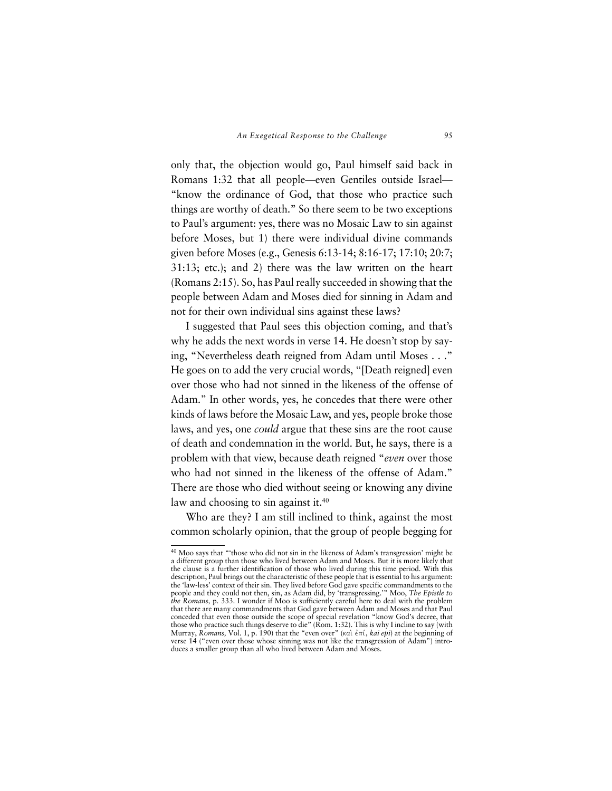only that, the objection would go, Paul himself said back in Romans 1:32 that all people—even Gentiles outside Israel— "know the ordinance of God, that those who practice such things are worthy of death." So there seem to be two exceptions to Paul's argument: yes, there was no Mosaic Law to sin against before Moses, but 1) there were individual divine commands given before Moses (e.g., Genesis 6:13-14; 8:16-17; 17:10; 20:7; 31:13; etc.); and 2) there was the law written on the heart (Romans 2:15). So, has Paul really succeeded in showing that the people between Adam and Moses died for sinning in Adam and not for their own individual sins against these laws?

I suggested that Paul sees this objection coming, and that's why he adds the next words in verse 14. He doesn't stop by saying, "Nevertheless death reigned from Adam until Moses . . ." He goes on to add the very crucial words, "[Death reigned] even over those who had not sinned in the likeness of the offense of Adam." In other words, yes, he concedes that there were other kinds of laws before the Mosaic Law, and yes, people broke those laws, and yes, one *could* argue that these sins are the root cause of death and condemnation in the world. But, he says, there is a problem with that view, because death reigned "*even* over those who had not sinned in the likeness of the offense of Adam." There are those who died without seeing or knowing any divine law and choosing to sin against it.<sup>40</sup>

Who are they? I am still inclined to think, against the most common scholarly opinion, that the group of people begging for

<sup>40</sup> Moo says that "'those who did not sin in the likeness of Adam's transgression' might be a different group than those who lived between Adam and Moses. But it is more likely that the clause is a further identification of those who lived during this time period. With this description, Paul brings out the characteristic of these people that is essential to his argument: the 'law-less' context of their sin. They lived before God gave specific commandments to the people and they could not then, sin, as Adam did, by 'transgressing.'" Moo, *The Epistle to the Romans,* p. 333. I wonder if Moo is sufficiently careful here to deal with the problem that there are many commandments that God gave between Adam and Moses and that Paul conceded that even those outside the scope of special revelation "know God's decree, that those who practice such things deserve to die" (Rom. 1:32). This is why I incline to say (with Murray, *Romans*, Vol. 1, p. 190) that the "even over" (καὶ ἐπί, kai epi) at the beginning of verse 14 ("even over those whose sinning was not like the transgression of Adam") introduces a smaller group than all who lived between Adam and Moses.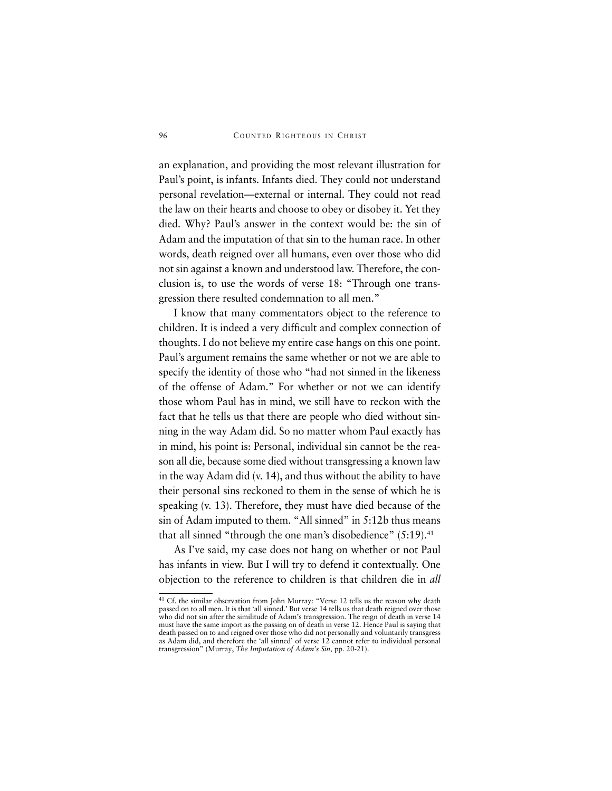an explanation, and providing the most relevant illustration for Paul's point, is infants. Infants died. They could not understand personal revelation—external or internal. They could not read the law on their hearts and choose to obey or disobey it. Yet they died. Why? Paul's answer in the context would be: the sin of Adam and the imputation of that sin to the human race. In other words, death reigned over all humans, even over those who did not sin against a known and understood law. Therefore, the conclusion is, to use the words of verse 18: "Through one transgression there resulted condemnation to all men."

I know that many commentators object to the reference to children. It is indeed a very difficult and complex connection of thoughts. I do not believe my entire case hangs on this one point. Paul's argument remains the same whether or not we are able to specify the identity of those who "had not sinned in the likeness of the offense of Adam." For whether or not we can identify those whom Paul has in mind, we still have to reckon with the fact that he tells us that there are people who died without sinning in the way Adam did. So no matter whom Paul exactly has in mind, his point is: Personal, individual sin cannot be the reason all die, because some died without transgressing a known law in the way Adam did (v. 14), and thus without the ability to have their personal sins reckoned to them in the sense of which he is speaking (v. 13). Therefore, they must have died because of the sin of Adam imputed to them. "All sinned" in 5:12b thus means that all sinned "through the one man's disobedience"  $(5:19)$ .<sup>41</sup>

As I've said, my case does not hang on whether or not Paul has infants in view. But I will try to defend it contextually. One objection to the reference to children is that children die in *all*

<sup>41</sup> Cf. the similar observation from John Murray: "Verse 12 tells us the reason why death passed on to all men. It is that 'all sinned.' But verse 14 tells us that death reigned over those who did not sin after the similitude of Adam's transgression. The reign of death in verse 14 must have the same import as the passing on of death in verse 12. Hence Paul is saying that death passed on to and reigned over those who did not personally and voluntarily transgress as Adam did, and therefore the 'all sinned' of verse 12 cannot refer to individual personal transgression" (Murray, *The Imputation of Adam's Sin,* pp. 20-21).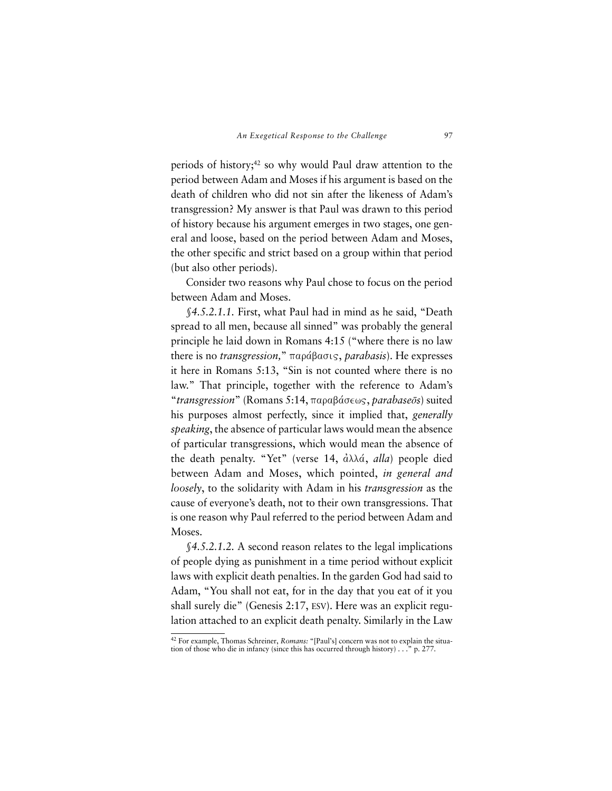periods of history;<sup>42</sup> so why would Paul draw attention to the period between Adam and Moses if his argument is based on the death of children who did not sin after the likeness of Adam's transgression? My answer is that Paul was drawn to this period of history because his argument emerges in two stages, one general and loose, based on the period between Adam and Moses, the other specific and strict based on a group within that period (but also other periods).

Consider two reasons why Paul chose to focus on the period between Adam and Moses.

*§4.5.2.1.1.* First, what Paul had in mind as he said, "Death spread to all men, because all sinned" was probably the general principle he laid down in Romans 4:15 ("where there is no law there is no *transgression*," παράβασις, *parabasis*). He expresses it here in Romans 5:13, "Sin is not counted where there is no law." That principle, together with the reference to Adam's *"transgression"* (Romans 5:14, παραβάσεως, *parabaseōs*) suited his purposes almost perfectly, since it implied that, *generally speaking*, the absence of particular laws would mean the absence of particular transgressions, which would mean the absence of the death penalty. "Yet" (verse 14, άλλά, *alla*) people died between Adam and Moses, which pointed, *in general and loosely*, to the solidarity with Adam in his *transgression* as the cause of everyone's death, not to their own transgressions. That is one reason why Paul referred to the period between Adam and Moses.

*§4.5.2.1.2.* A second reason relates to the legal implications of people dying as punishment in a time period without explicit laws with explicit death penalties. In the garden God had said to Adam, "You shall not eat, for in the day that you eat of it you shall surely die" (Genesis 2:17, ESV). Here was an explicit regulation attached to an explicit death penalty. Similarly in the Law

<sup>42</sup> For example, Thomas Schreiner, *Romans:* "[Paul's] concern was not to explain the situation of those who die in infancy (since this has occurred through history) . . ." p. 277.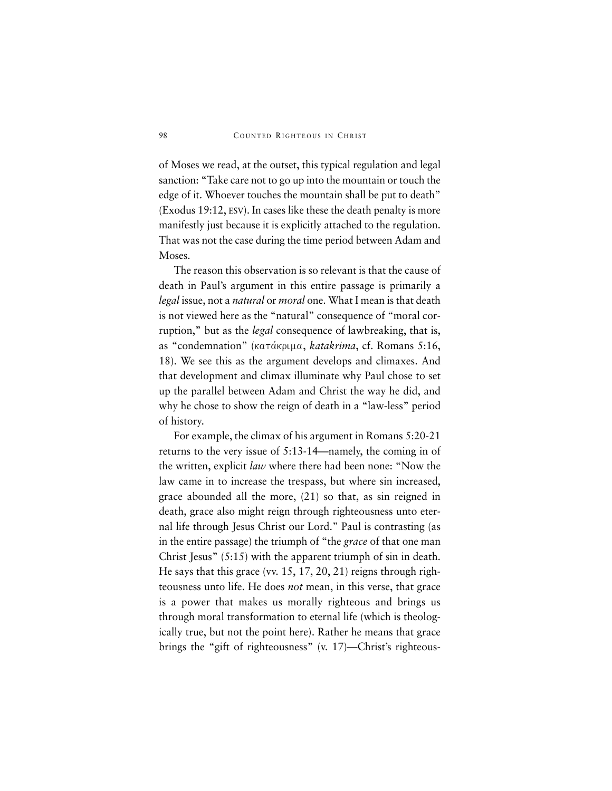of Moses we read, at the outset, this typical regulation and legal sanction: "Take care not to go up into the mountain or touch the edge of it. Whoever touches the mountain shall be put to death" (Exodus 19:12, ESV). In cases like these the death penalty is more manifestly just because it is explicitly attached to the regulation. That was not the case during the time period between Adam and Moses.

The reason this observation is so relevant is that the cause of death in Paul's argument in this entire passage is primarily a *legal* issue, not a *natural* or *moral* one. What I mean is that death is not viewed here as the "natural" consequence of "moral corruption," but as the *legal* consequence of lawbreaking, that is, as "condemnation" (κατάκριμα, *katakrima*, cf. Romans 5:16, 18). We see this as the argument develops and climaxes. And that development and climax illuminate why Paul chose to set up the parallel between Adam and Christ the way he did, and why he chose to show the reign of death in a "law-less" period of history.

For example, the climax of his argument in Romans 5:20-21 returns to the very issue of 5:13-14—namely, the coming in of the written, explicit *law* where there had been none: "Now the law came in to increase the trespass, but where sin increased, grace abounded all the more, (21) so that, as sin reigned in death, grace also might reign through righteousness unto eternal life through Jesus Christ our Lord." Paul is contrasting (as in the entire passage) the triumph of "the *grace* of that one man Christ Jesus" (5:15) with the apparent triumph of sin in death. He says that this grace (vv. 15, 17, 20, 21) reigns through righteousness unto life. He does *not* mean, in this verse, that grace is a power that makes us morally righteous and brings us through moral transformation to eternal life (which is theologically true, but not the point here). Rather he means that grace brings the "gift of righteousness" (v. 17)—Christ's righteous-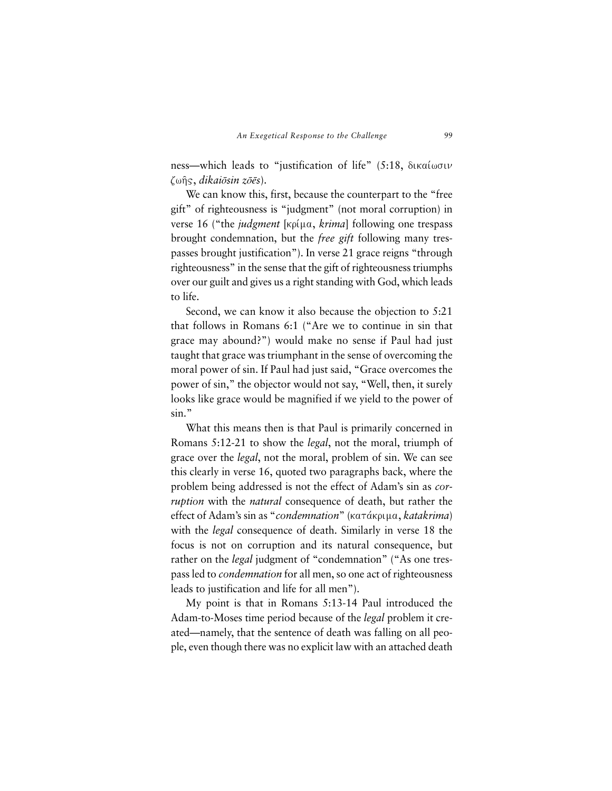ness—which leads to "justification of life" (5:18,  $\delta$ ικαίωσιν zwh`~, *dikaiøsin zø∑s*).

We can know this, first, because the counterpart to the "free gift" of righteousness is "judgment" (not moral corruption) in verse 16 ("the *judgment* [κρίμα, *krima*] following one trespass brought condemnation, but the *free gift* following many trespasses brought justification"). In verse 21 grace reigns "through righteousness" in the sense that the gift of righteousness triumphs over our guilt and gives us a right standing with God, which leads to life.

Second, we can know it also because the objection to 5:21 that follows in Romans 6:1 ("Are we to continue in sin that grace may abound?") would make no sense if Paul had just taught that grace was triumphant in the sense of overcoming the moral power of sin. If Paul had just said, "Grace overcomes the power of sin," the objector would not say, "Well, then, it surely looks like grace would be magnified if we yield to the power of sin."

What this means then is that Paul is primarily concerned in Romans 5:12-21 to show the *legal*, not the moral, triumph of grace over the *legal*, not the moral, problem of sin. We can see this clearly in verse 16, quoted two paragraphs back, where the problem being addressed is not the effect of Adam's sin as *corruption* with the *natural* consequence of death, but rather the effect of Adam's sin as "*condemnation*" (κατάκριμα, *katakrima*) with the *legal* consequence of death. Similarly in verse 18 the focus is not on corruption and its natural consequence, but rather on the *legal* judgment of "condemnation" ("As one trespass led to *condemnation* for all men, so one act of righteousness leads to justification and life for all men").

My point is that in Romans 5:13-14 Paul introduced the Adam-to-Moses time period because of the *legal* problem it created—namely, that the sentence of death was falling on all people, even though there was no explicit law with an attached death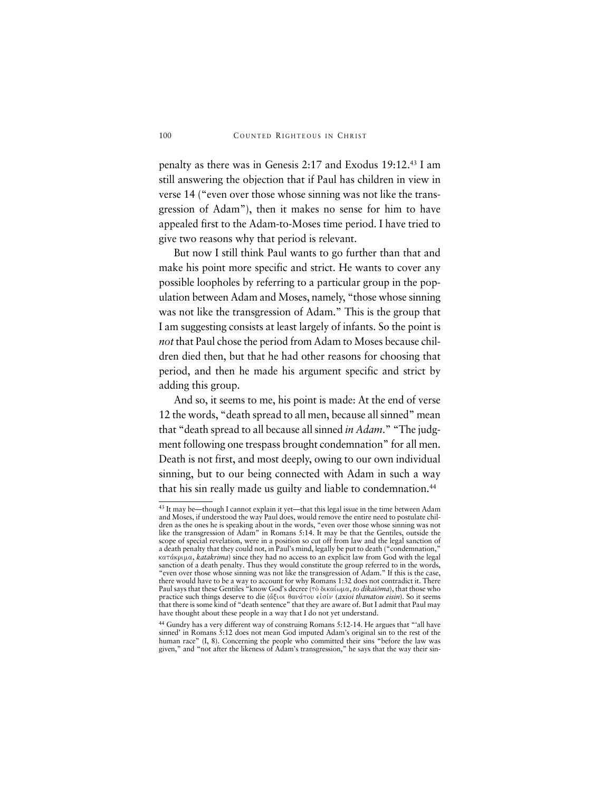penalty as there was in Genesis 2:17 and Exodus 19:12.43 I am still answering the objection that if Paul has children in view in verse 14 ("even over those whose sinning was not like the transgression of Adam"), then it makes no sense for him to have appealed first to the Adam-to-Moses time period. I have tried to give two reasons why that period is relevant.

But now I still think Paul wants to go further than that and make his point more specific and strict. He wants to cover any possible loopholes by referring to a particular group in the population between Adam and Moses, namely, "those whose sinning was not like the transgression of Adam." This is the group that I am suggesting consists at least largely of infants. So the point is *not* that Paul chose the period from Adam to Moses because children died then, but that he had other reasons for choosing that period, and then he made his argument specific and strict by adding this group.

And so, it seems to me, his point is made: At the end of verse 12 the words, "death spread to all men, because all sinned" mean that "death spread to all because all sinned *in Adam*." "The judgment following one trespass brought condemnation" for all men. Death is not first, and most deeply, owing to our own individual sinning, but to our being connected with Adam in such a way that his sin really made us guilty and liable to condemnation.<sup>44</sup>

<sup>43</sup> It may be—though I cannot explain it yet—that this legal issue in the time between Adam and Moses, if understood the way Paul does, would remove the entire need to postulate children as the ones he is speaking about in the words, "even over those whose sinning was not like the transgression of Adam" in Romans 5:14. It may be that the Gentiles, outside the scope of special revelation, were in a position so cut off from law and the legal sanction of a death penalty that they could not, in Paul's mind, legally be put to death ("condemnation," katakrima v , *katakrima*) since they had no access to an explicit law from God with the legal sanction of a death penalty. Thus they would constitute the group referred to in the words, "even over those whose sinning was not like the transgression of Adam." If this is the case, there would have to be a way to account for why Romans 1:32 does not contradict it. There Paul says that these Gentiles "know God's decree (τὸ δικαίωμα, *to dikaiōma*), that those who practice such things deserve to die (ἄξιοι θανάτου εἰσίν (*axioi thanatou eisin*). So it seems<br>that there is some kind of "death sentence" that they are aware of. But I admit that Paul may have thought about these people in a way that I do not yet understand.

<sup>44</sup> Gundry has a very different way of construing Romans 5:12-14. He argues that "'all have sinned' in Romans 5:12 does not mean God imputed Adam's original sin to the rest of the human race" (I, 8). Concerning the people who committed their sins "before the law was given," and "not after the likeness of Adam's transgression," he says that the way their sin-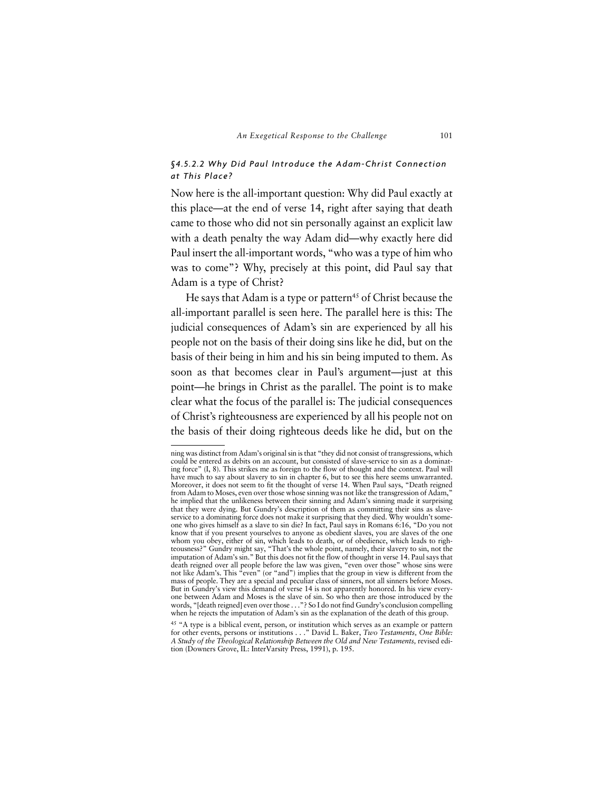## *§4.5.2.2 Why Did Paul Introduce the Adam-Christ Connection at This Place?*

Now here is the all-important question: Why did Paul exactly at this place—at the end of verse 14, right after saying that death came to those who did not sin personally against an explicit law with a death penalty the way Adam did—why exactly here did Paul insert the all-important words, "who was a type of him who was to come"? Why, precisely at this point, did Paul say that Adam is a type of Christ?

He says that Adam is a type or pattern<sup>45</sup> of Christ because the all-important parallel is seen here. The parallel here is this: The judicial consequences of Adam's sin are experienced by all his people not on the basis of their doing sins like he did, but on the basis of their being in him and his sin being imputed to them. As soon as that becomes clear in Paul's argument—just at this point—he brings in Christ as the parallel. The point is to make clear what the focus of the parallel is: The judicial consequences of Christ's righteousness are experienced by all his people not on the basis of their doing righteous deeds like he did, but on the

ning was distinct from Adam's original sin is that "they did not consist of transgressions, which could be entered as debits on an account, but consisted of slave-service to sin as a dominating force" (I, 8). This strikes me as foreign to the flow of thought and the context. Paul will have much to say about slavery to sin in chapter 6, but to see this here seems unwarranted. Moreover, it does not seem to fit the thought of verse 14. When Paul says, "Death reigned from Adam to Moses, even over those whose sinning was not like the transgression of Adam," he implied that the unlikeness between their sinning and Adam's sinning made it surprising that they were dying. But Gundry's description of them as committing their sins as slaveservice to a dominating force does not make it surprising that they died. Why wouldn't someone who gives himself as a slave to sin die? In fact, Paul says in Romans 6:16, "Do you not know that if you present yourselves to anyone as obedient slaves, you are slaves of the one whom you obey, either of sin, which leads to death, or of obedience, which leads to righteousness?" Gundry might say, "That's the whole point, namely, their slavery to sin, not the imputation of Adam's sin." But this does not fit the flow of thought in verse 14. Paul says that death reigned over all people before the law was given, "even over those" whose sins were not like Adam's. This "even" (or "and") implies that the group in view is different from the mass of people. They are a special and peculiar class of sinners, not all sinners before Moses. But in Gundry's view this demand of verse 14 is not apparently honored. In his view everyone between Adam and Moses is the slave of sin. So who then are those introduced by the words, "[death reigned] even over those . . ."? So I do not find Gundry's conclusion compelling when he rejects the imputation of Adam's sin as the explanation of the death of this group.

<sup>&</sup>lt;sup>45</sup> "A type is a biblical event, person, or institution which serves as an example or pattern for other events, persons or institutions . . ." David L. Baker, *Two Testaments, One Bible: A Study of the Theological Relationship Between the Old and New Testaments,* revised edition (Downers Grove, IL: InterVarsity Press, 1991), p. 195.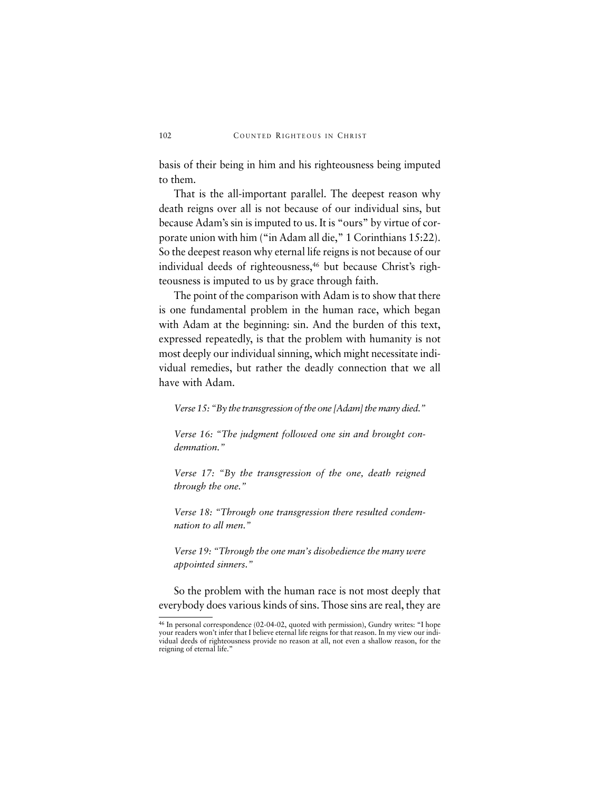basis of their being in him and his righteousness being imputed to them.

That is the all-important parallel. The deepest reason why death reigns over all is not because of our individual sins, but because Adam's sin is imputed to us. It is "ours" by virtue of corporate union with him ("in Adam all die," 1 Corinthians 15:22). So the deepest reason why eternal life reigns is not because of our individual deeds of righteousness,<sup>46</sup> but because Christ's righteousness is imputed to us by grace through faith.

The point of the comparison with Adam is to show that there is one fundamental problem in the human race, which began with Adam at the beginning: sin. And the burden of this text, expressed repeatedly, is that the problem with humanity is not most deeply our individual sinning, which might necessitate individual remedies, but rather the deadly connection that we all have with Adam.

#### *Verse 15: "By the transgression of the one [Adam] the many died."*

*Verse 16: "The judgment followed one sin and brought condemnation."*

*Verse 17: "By the transgression of the one, death reigned through the one."*

*Verse 18: "Through one transgression there resulted condemnation to all men."*

*Verse 19: "Through the one man's disobedience the many were appointed sinners."*

So the problem with the human race is not most deeply that everybody does various kinds of sins. Those sins are real, they are

<sup>46</sup> In personal correspondence (02-04-02, quoted with permission), Gundry writes: "I hope your readers won't infer that I believe eternal life reigns for that reason. In my view our individual deeds of righteousness provide no reason at all, not even a shallow reason, for the reigning of eternal life."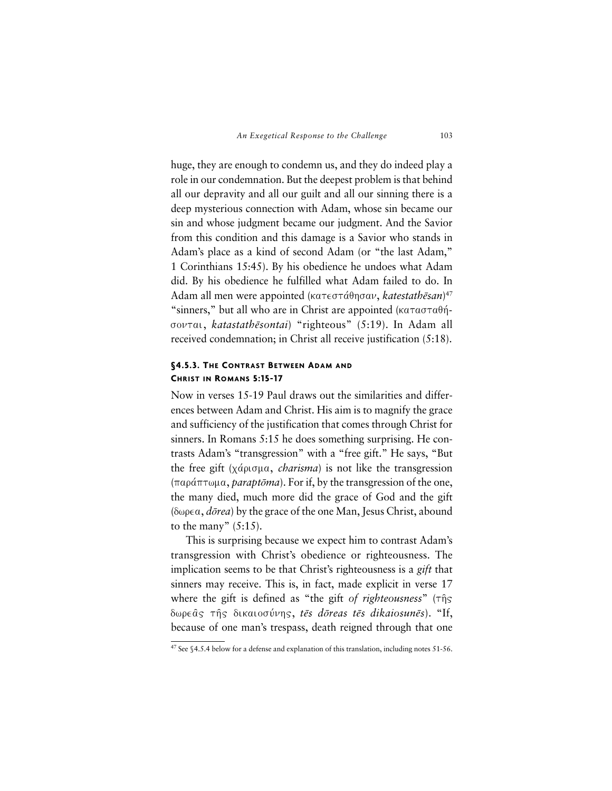huge, they are enough to condemn us, and they do indeed play a role in our condemnation. But the deepest problem is that behind all our depravity and all our guilt and all our sinning there is a deep mysterious connection with Adam, whose sin became our sin and whose judgment became our judgment. And the Savior from this condition and this damage is a Savior who stands in Adam's place as a kind of second Adam (or "the last Adam," 1 Corinthians 15:45). By his obedience he undoes what Adam did. By his obedience he fulfilled what Adam failed to do. In Adam all men were appointed (κατεστάθησαν, *katestathēsan*)<sup>47</sup> "sinners," but all who are in Christ are appointed ( $\kappa a \tau a \sigma \tau a \theta \eta$ sontai, *katastath∑sontai*) "righteous" (5:19). In Adam all received condemnation; in Christ all receive justification (5:18).

## **§4.5.3. THE CONTRAST BETWEEN ADAM AND CHRIST IN ROMANS 5:15-17**

Now in verses 15-19 Paul draws out the similarities and differences between Adam and Christ. His aim is to magnify the grace and sufficiency of the justification that comes through Christ for sinners. In Romans 5:15 he does something surprising. He contrasts Adam's "transgression" with a "free gift." He says, "But the free gift  $(\chi \phi \rho \sigma) \mu \alpha$ , *charisma*) is not like the transgression  $(\pi\alpha\rho\alpha\pi\tau\omega\mu\alpha, paraptō*ma*).$  For if, by the transgression of the one, the many died, much more did the grace of God and the gift  $(\delta \omega) \in \alpha$ , *dorea*) by the grace of the one Man, Jesus Christ, abound to the many"  $(5:15)$ .

This is surprising because we expect him to contrast Adam's transgression with Christ's obedience or righteousness. The implication seems to be that Christ's righteousness is a *gift* that sinners may receive. This is, in fact, made explicit in verse 17 where the gift is defined as "the gift of righteousness" ( $\tau$ *n*<sup>s</sup> dwrea`~ th`~ dikaiosuvnh~, *t∑s døreas t∑s dikaiosun∑s*). "If, because of one man's trespass, death reigned through that one

<sup>&</sup>lt;sup>47</sup> See §4.5.4 below for a defense and explanation of this translation, including notes 51-56.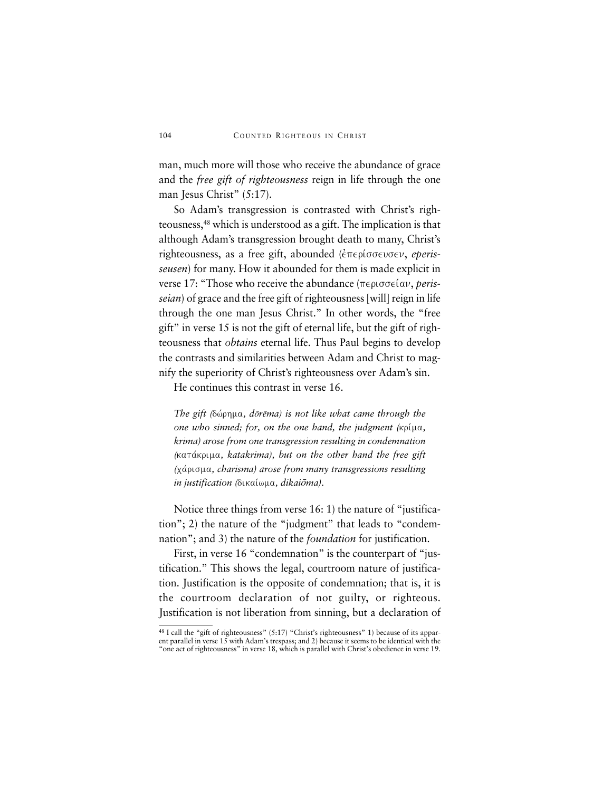man, much more will those who receive the abundance of grace and the *free gift of righteousness* reign in life through the one man Jesus Christ" (5:17).

So Adam's transgression is contrasted with Christ's righteousness,48 which is understood as a gift. The implication is that although Adam's transgression brought death to many, Christ's righteousness, as a free gift, abounded (έπερίσσευσεν, *eperisseusen*) for many. How it abounded for them is made explicit in verse 17: "Those who receive the abundance (περισσείαν, *perisseian*) of grace and the free gift of righteousness [will] reign in life through the one man Jesus Christ." In other words, the "free gift" in verse 15 is not the gift of eternal life, but the gift of righteousness that *obtains* eternal life. Thus Paul begins to develop the contrasts and similarities between Adam and Christ to magnify the superiority of Christ's righteousness over Adam's sin.

He continues this contrast in verse 16.

*The gift (* $\delta$ ώρημα, *dōr̄̄ema*) is not like what came through the *one who sinned; for, on the one hand, the judgment (* $\kappa \rho(\mu a, \tau)$ *krima) arose from one transgression resulting in condemnation (κατάκριμα, katakrima), but on the other hand the free gift (χάρισμα, charisma) arose from many transgressions resulting in justification (δικαίωμα, dikaiōma).* 

Notice three things from verse 16: 1) the nature of "justification"; 2) the nature of the "judgment" that leads to "condemnation"; and 3) the nature of the *foundation* for justification.

First, in verse 16 "condemnation" is the counterpart of "justification." This shows the legal, courtroom nature of justification. Justification is the opposite of condemnation; that is, it is the courtroom declaration of not guilty, or righteous. Justification is not liberation from sinning, but a declaration of

 $48$  I call the "gift of righteousness" (5:17) "Christ's righteousness" 1) because of its apparent parallel in verse  $15$  with Adam's trespass; and 2) because it seems to be identical with the "one act of righteousness" in verse 18, which is parallel with Christ's obedience in verse 19.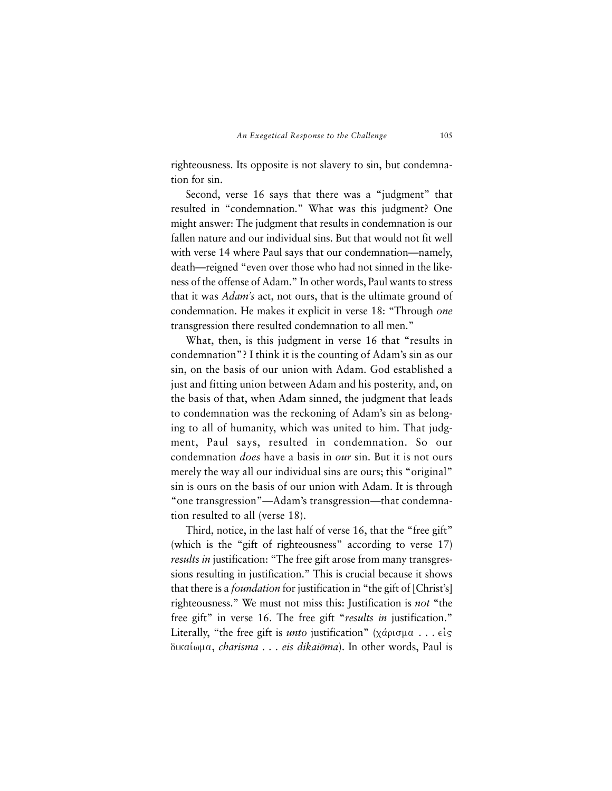righteousness. Its opposite is not slavery to sin, but condemnation for sin.

Second, verse 16 says that there was a "judgment" that resulted in "condemnation." What was this judgment? One might answer: The judgment that results in condemnation is our fallen nature and our individual sins. But that would not fit well with verse 14 where Paul says that our condemnation—namely, death—reigned "even over those who had not sinned in the likeness of the offense of Adam." In other words, Paul wants to stress that it was *Adam's* act, not ours, that is the ultimate ground of condemnation. He makes it explicit in verse 18: "Through *one* transgression there resulted condemnation to all men."

What, then, is this judgment in verse 16 that "results in condemnation"? I think it is the counting of Adam's sin as our sin, on the basis of our union with Adam. God established a just and fitting union between Adam and his posterity, and, on the basis of that, when Adam sinned, the judgment that leads to condemnation was the reckoning of Adam's sin as belonging to all of humanity, which was united to him. That judgment, Paul says, resulted in condemnation. So our condemnation *does* have a basis in *our* sin. But it is not ours merely the way all our individual sins are ours; this "original" sin is ours on the basis of our union with Adam. It is through "one transgression"—Adam's transgression—that condemnation resulted to all (verse 18).

Third, notice, in the last half of verse 16, that the "free gift" (which is the "gift of righteousness" according to verse 17) *results in* justification: "The free gift arose from many transgressions resulting in justification." This is crucial because it shows that there is a *foundation* for justification in "the gift of [Christ's] righteousness." We must not miss this: Justification is *not* "the free gift" in verse 16. The free gift "*results in* justification." Literally, "the free gift is *unto* justification" ( $\chi$ *á* $\rho$ ισμα . . . *e*i*s* dikaiwma v , *charisma . . . eis dikaiøma*). In other words, Paul is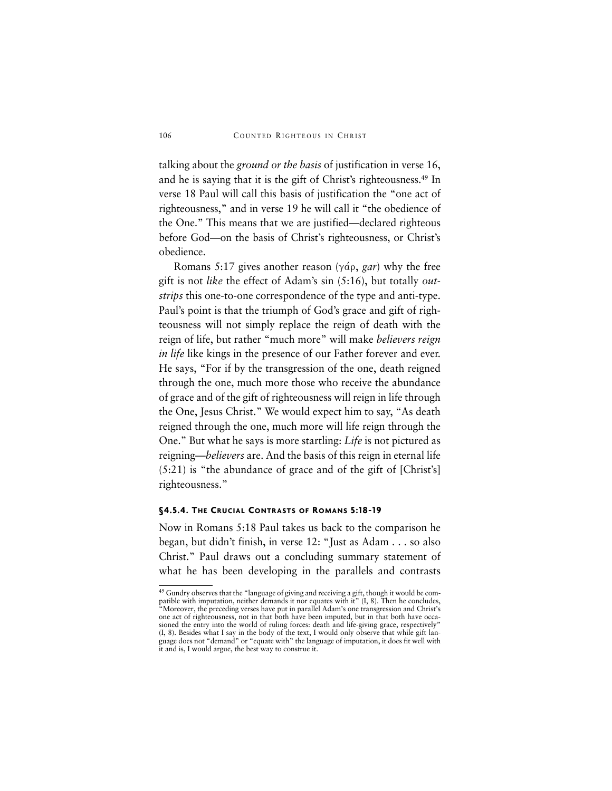talking about the *ground or the basis* of justification in verse 16, and he is saying that it is the gift of Christ's righteousness.49 In verse 18 Paul will call this basis of justification the "one act of righteousness," and in verse 19 he will call it "the obedience of the One." This means that we are justified—declared righteous before God—on the basis of Christ's righteousness, or Christ's obedience.

Romans 5:17 gives another reason  $(\gamma \dot{\alpha} \rho, g \dot{\alpha} r)$  why the free gift is not *like* the effect of Adam's sin (5:16), but totally *outstrips* this one-to-one correspondence of the type and anti-type. Paul's point is that the triumph of God's grace and gift of righteousness will not simply replace the reign of death with the reign of life, but rather "much more" will make *believers reign in life* like kings in the presence of our Father forever and ever. He says, "For if by the transgression of the one, death reigned through the one, much more those who receive the abundance of grace and of the gift of righteousness will reign in life through the One, Jesus Christ." We would expect him to say, "As death reigned through the one, much more will life reign through the One." But what he says is more startling: *Life* is not pictured as reigning—*believers* are. And the basis of this reign in eternal life (5:21) is "the abundance of grace and of the gift of [Christ's] righteousness."

### **§4.5.4. THE CRUCIAL CONTRASTS OF ROMANS 5:18-19**

Now in Romans 5:18 Paul takes us back to the comparison he began, but didn't finish, in verse 12: "Just as Adam . . . so also Christ." Paul draws out a concluding summary statement of what he has been developing in the parallels and contrasts

<sup>49</sup> Gundry observes that the "language of giving and receiving a gift, though it would be compatible with imputation, neither demands it nor equates with it" (I, 8). Then he concludes, Moreover, the preceding verses have put in parallel Adam's one transgression and Christ's one act of righteousness, not in that both have been imputed, but in that both have occasioned the entry into the world of ruling forces: death and life-giving grace, respectively" (I, 8). Besides what I say in the body of the text, I would only observe that while gift language does not "demand" or "equate with" the language of imputation, it does fit well with it and is, I would argue, the best way to construe it.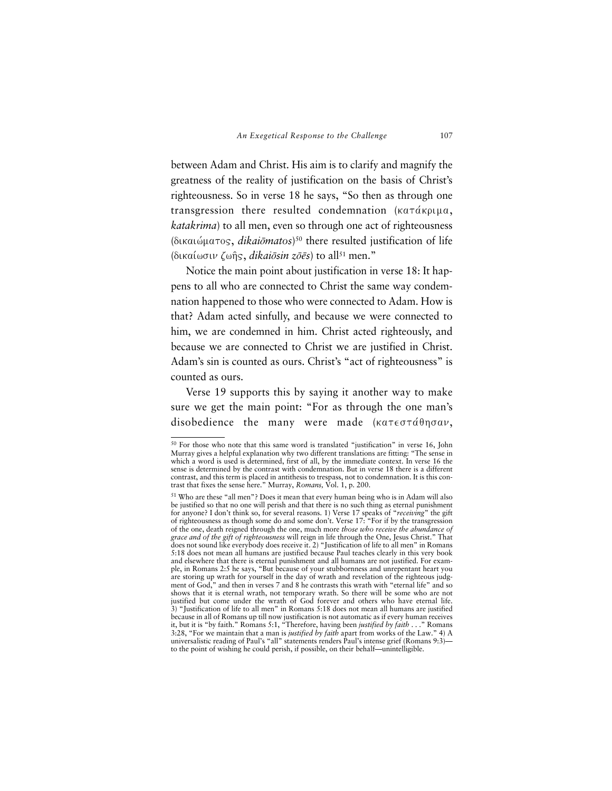between Adam and Christ. His aim is to clarify and magnify the greatness of the reality of justification on the basis of Christ's righteousness. So in verse 18 he says, "So then as through one transgression there resulted condemnation ( $\kappa a \tau a \kappa \rho \mu a$ , *katakrima*) to all men, even so through one act of righteousness (δικαιώματος, *dikaiōmatos*)<sup>50</sup> there resulted justification of life (dikaiwsin zwh v `~, *dikaiøsin zø∑s*) to all51 men."

Notice the main point about justification in verse 18: It happens to all who are connected to Christ the same way condemnation happened to those who were connected to Adam. How is that? Adam acted sinfully, and because we were connected to him, we are condemned in him. Christ acted righteously, and because we are connected to Christ we are justified in Christ. Adam's sin is counted as ours. Christ's "act of righteousness" is counted as ours.

Verse 19 supports this by saying it another way to make sure we get the main point: "For as through the one man's disobedience the many were made  $(\kappa a \tau \epsilon \sigma \tau a \theta \eta \sigma a \nu,$ 

<sup>50</sup> For those who note that this same word is translated "justification" in verse 16, John Murray gives a helpful explanation why two different translations are fitting: "The sense in which a word is used is determined, first of all, by the immediate context. In verse 16 the sense is determined by the contrast with condemnation. But in verse 18 there is a different contrast, and this term is placed in antithesis to trespass, not to condemnation. It is this contrast that fixes the sense here." Murray, *Romans,* Vol. 1, p. 200.

<sup>51</sup> Who are these "all men"? Does it mean that every human being who is in Adam will also be justified so that no one will perish and that there is no such thing as eternal punishment for anyone? I don't think so, for several reasons. 1) Verse 17 speaks of "*receiving*" the gift of righteousness as though some do and some don't. Verse 17: "For if by the transgression of the one, death reigned through the one, much more *those who receive the abundance of grace and of the gift of righteousness* will reign in life through the One, Jesus Christ." That does not sound like everybody does receive it. 2) "Justification of life to all men" in Romans 5:18 does not mean all humans are justified because Paul teaches clearly in this very book and elsewhere that there is eternal punishment and all humans are not justified. For example, in Romans 2:5 he says, "But because of your stubbornness and unrepentant heart you are storing up wrath for yourself in the day of wrath and revelation of the righteous judgment of God," and then in verses 7 and 8 he contrasts this wrath with "eternal life" and so shows that it is eternal wrath, not temporary wrath. So there will be some who are not justified but come under the wrath of God forever and others who have eternal life. 3) "Justification of life to all men" in Romans 5:18 does not mean all humans are justified because in all of Romans up till now justification is not automatic as if every human receives it, but it is "by faith." Romans 5:1, "Therefore, having been *justified by faith* . . ." Romans 3:28, "For we maintain that a man is *justified by faith* apart from works of the Law." 4) A universalistic reading of Paul's "all" statements renders Paul's intense grief (Romans 9:3) to the point of wishing he could perish, if possible, on their behalf—unintelligible.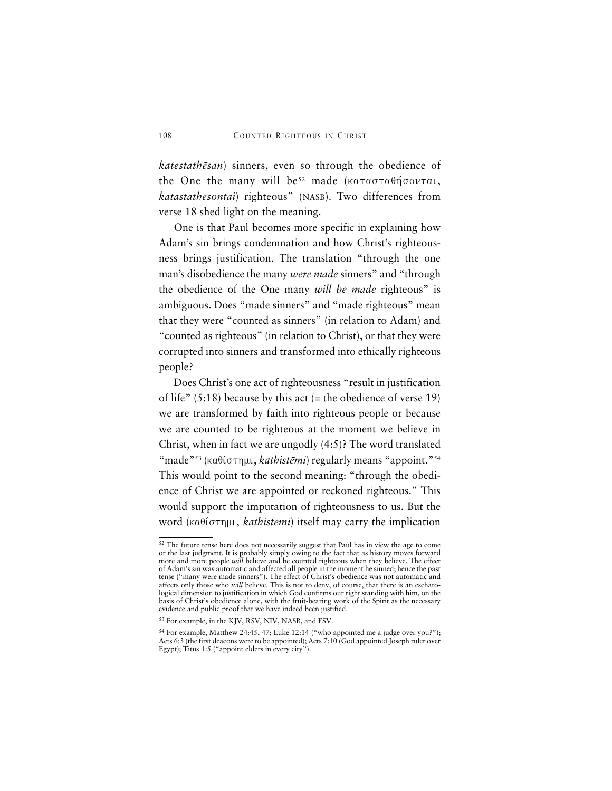*katestathēsan*) sinners, even so through the obedience of the One the many will be<sup>52</sup> made ( $\kappa a \tau a \sigma \tau a \theta \eta \sigma o \nu \tau a \tau$ , *katastath∑sontai*) righteous" (NASB). Two differences from verse 18 shed light on the meaning.

One is that Paul becomes more specific in explaining how Adam's sin brings condemnation and how Christ's righteousness brings justification. The translation "through the one man's disobedience the many *were made* sinners" and "through the obedience of the One many *will be made* righteous" is ambiguous. Does "made sinners" and "made righteous" mean that they were "counted as sinners" (in relation to Adam) and "counted as righteous" (in relation to Christ), or that they were corrupted into sinners and transformed into ethically righteous people?

Does Christ's one act of righteousness "result in justification of life"  $(5:18)$  because by this act  $(=$  the obedience of verse 19) we are transformed by faith into righteous people or because we are counted to be righteous at the moment we believe in Christ, when in fact we are ungodly (4:5)? The word translated "made"53 (kaqivsthmi, *kathist∑mi*) regularly means "appoint."54 This would point to the second meaning: "through the obedience of Christ we are appointed or reckoned righteous." This would support the imputation of righteousness to us. But the word (καθίστημι, *kathistēmi*) itself may carry the implication

<sup>52</sup> The future tense here does not necessarily suggest that Paul has in view the age to come or the last judgment. It is probably simply owing to the fact that as history moves forward more and more people *will* believe and be counted righteous when they believe. The effect of Adam's sin was automatic and affected all people in the moment he sinned; hence the past tense ("many were made sinners"). The effect of Christ's obedience was not automatic and affects only those who *will* believe. This is not to deny, of course, that there is an eschatological dimension to justification in which God confirms our right standing with him, on the basis of Christ's obedience alone, with the fruit-bearing work of the Spirit as the necessary evidence and public proof that we have indeed been justified.

<sup>53</sup> For example, in the KJV, RSV, NIV, NASB, and ESV.

<sup>&</sup>lt;sup>54</sup> For example, Matthew 24:45, 47; Luke 12:14 ("who appointed me a judge over you?"); Acts 6:3 (the first deacons were to be appointed); Acts 7:10 (God appointed Joseph ruler over Egypt); Titus 1:5 ("appoint elders in every city").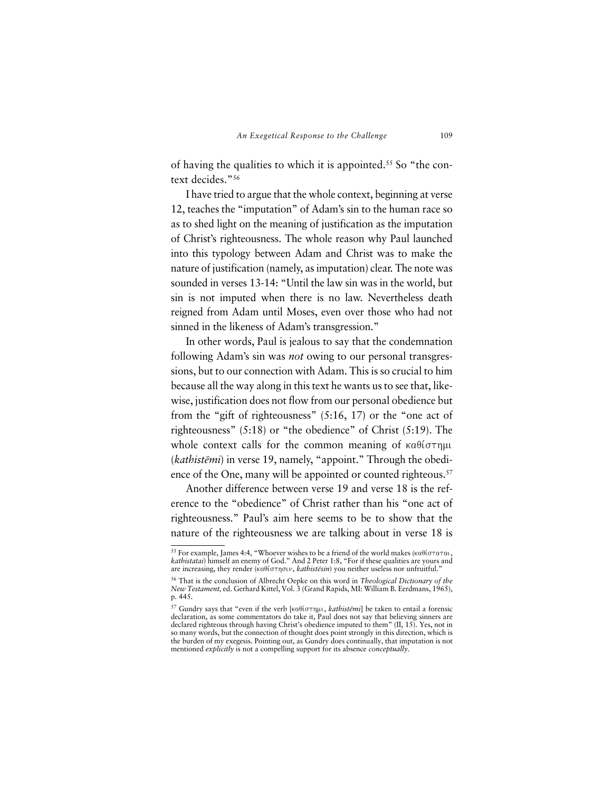of having the qualities to which it is appointed.<sup>55</sup> So "the context decides."56

I have tried to argue that the whole context, beginning at verse 12, teaches the "imputation" of Adam's sin to the human race so as to shed light on the meaning of justification as the imputation of Christ's righteousness. The whole reason why Paul launched into this typology between Adam and Christ was to make the nature of justification (namely, as imputation) clear. The note was sounded in verses 13-14: "Until the law sin was in the world, but sin is not imputed when there is no law. Nevertheless death reigned from Adam until Moses, even over those who had not sinned in the likeness of Adam's transgression."

In other words, Paul is jealous to say that the condemnation following Adam's sin was *not* owing to our personal transgressions, but to our connection with Adam. This is so crucial to him because all the way along in this text he wants us to see that, likewise, justification does not flow from our personal obedience but from the "gift of righteousness" (5:16, 17) or the "one act of righteousness" (5:18) or "the obedience" of Christ (5:19). The whole context calls for the common meaning of  $\kappa a \theta$ (*kathist∑mi*) in verse 19, namely, "appoint." Through the obedience of the One, many will be appointed or counted righteous.<sup>57</sup>

Another difference between verse 19 and verse 18 is the reference to the "obedience" of Christ rather than his "one act of righteousness." Paul's aim here seems to be to show that the nature of the righteousness we are talking about in verse 18 is

<sup>&</sup>lt;sup>55</sup> For example, James 4:4, "Whoever wishes to be a friend of the world makes (καθίσταται,<br>*kathistatai*) himself an enemy of God." And 2 Peter 1:8, "For if these qualities are yours and are increasing, they render (καθίστησιν, *kathistēsin*) you neither useless nor unfruitful."

<sup>56</sup> That is the conclusion of Albrecht Oepke on this word in *Theological Dictionary of the New Testament,* ed. Gerhard Kittel, Vol. 3 (Grand Rapids, MI: William B. Eerdmans, 1965), p. 445.

<sup>57</sup> Gundry says that "even if the verb [καθίστημι, *kathistēmi*] be taken to entail a forensic declaration, as some commentators do take it, Paul does not say that believing sinners are declared righteous through having Christ's obedience imputed to them" (II, 15). Yes, not in so many words, but the connection of thought does point strongly in this direction, which is the burden of my exegesis. Pointing out, as Gundry does continually, that imputation is not mentioned *explicitly* is not a compelling support for its absence *conceptually*.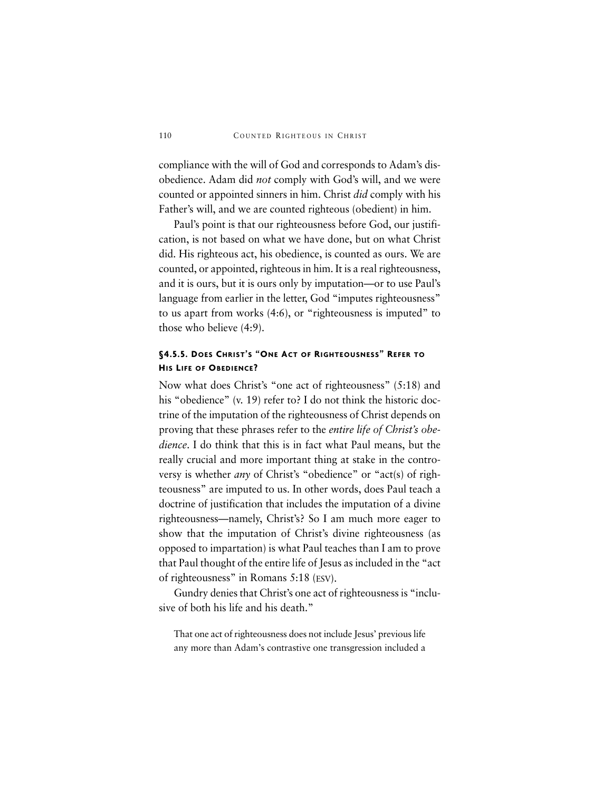compliance with the will of God and corresponds to Adam's disobedience. Adam did *not* comply with God's will, and we were counted or appointed sinners in him. Christ *did* comply with his Father's will, and we are counted righteous (obedient) in him.

Paul's point is that our righteousness before God, our justification, is not based on what we have done, but on what Christ did. His righteous act, his obedience, is counted as ours. We are counted, or appointed, righteous in him. It is a real righteousness, and it is ours, but it is ours only by imputation—or to use Paul's language from earlier in the letter, God "imputes righteousness" to us apart from works (4:6), or "righteousness is imputed" to those who believe (4:9).

# **§4.5.5. DOES CHRIST'S "ONE ACT OF RIGHTEOUSNESS" REFER TO HIS LIFE OF OBEDIENCE?**

Now what does Christ's "one act of righteousness" (5:18) and his "obedience" (v. 19) refer to? I do not think the historic doctrine of the imputation of the righteousness of Christ depends on proving that these phrases refer to the *entire life of Christ's obedience*. I do think that this is in fact what Paul means, but the really crucial and more important thing at stake in the controversy is whether *any* of Christ's "obedience" or "act(s) of righteousness" are imputed to us. In other words, does Paul teach a doctrine of justification that includes the imputation of a divine righteousness—namely, Christ's? So I am much more eager to show that the imputation of Christ's divine righteousness (as opposed to impartation) is what Paul teaches than I am to prove that Paul thought of the entire life of Jesus as included in the "act of righteousness" in Romans 5:18 (ESV).

Gundry denies that Christ's one act of righteousness is "inclusive of both his life and his death."

That one act of righteousness does not include Jesus' previous life any more than Adam's contrastive one transgression included a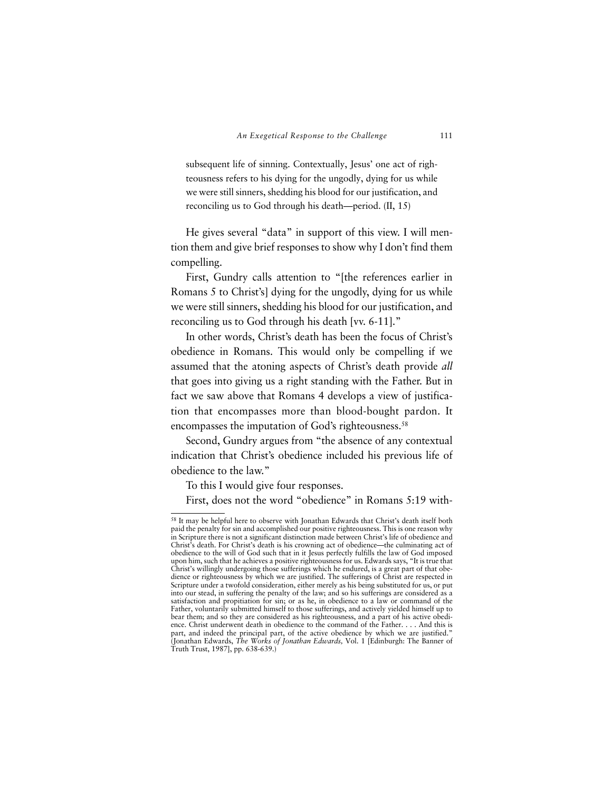subsequent life of sinning. Contextually, Jesus' one act of righteousness refers to his dying for the ungodly, dying for us while we were still sinners, shedding his blood for our justification, and reconciling us to God through his death—period. (II, 15)

He gives several "data" in support of this view. I will mention them and give brief responses to show why I don't find them compelling.

First, Gundry calls attention to "[the references earlier in Romans 5 to Christ's] dying for the ungodly, dying for us while we were still sinners, shedding his blood for our justification, and reconciling us to God through his death [vv. 6-11]."

In other words, Christ's death has been the focus of Christ's obedience in Romans. This would only be compelling if we assumed that the atoning aspects of Christ's death provide *all* that goes into giving us a right standing with the Father. But in fact we saw above that Romans 4 develops a view of justification that encompasses more than blood-bought pardon. It encompasses the imputation of God's righteousness.<sup>58</sup>

Second, Gundry argues from "the absence of any contextual indication that Christ's obedience included his previous life of obedience to the law."

To this I would give four responses.

First, does not the word "obedience" in Romans 5:19 with-

<sup>&</sup>lt;sup>58</sup> It may be helpful here to observe with Jonathan Edwards that Christ's death itself both paid the penalty for sin and accomplished our positive righteousness. This is one reason why in Scripture there is not a significant distinction made between Christ's life of obedience and Christ's death. For Christ's death is his crowning act of obedience—the culminating act of obedience to the will of God such that in it Jesus perfectly fulfills the law of God imposed upon him, such that he achieves a positive righteousness for us. Edwards says, "It is true that Christ's willingly undergoing those sufferings which he endured, is a great part of that obedience or righteousness by which we are justified. The sufferings of Christ are respected in Scripture under a twofold consideration, either merely as his being substituted for us, or put into our stead, in suffering the penalty of the law; and so his sufferings are considered as a satisfaction and propitiation for sin; or as he, in obedience to a law or command of the Father, voluntarily submitted himself to those sufferings, and actively yielded himself up to bear them; and so they are considered as his righteousness, and a part of his active obedibear them; and so they are considered as ins right-command of the Father. . . . And this is<br>ence. Christ underwent death in obedience to the command of the Father. . . . And this is part, and indeed the principal part, of the active obedience by which we are justified. (Jonathan Edwards, *The Works of Jonathan Edwards,* Vol. 1 [Edinburgh: The Banner of Truth Trust, 1987], pp. 638-639.)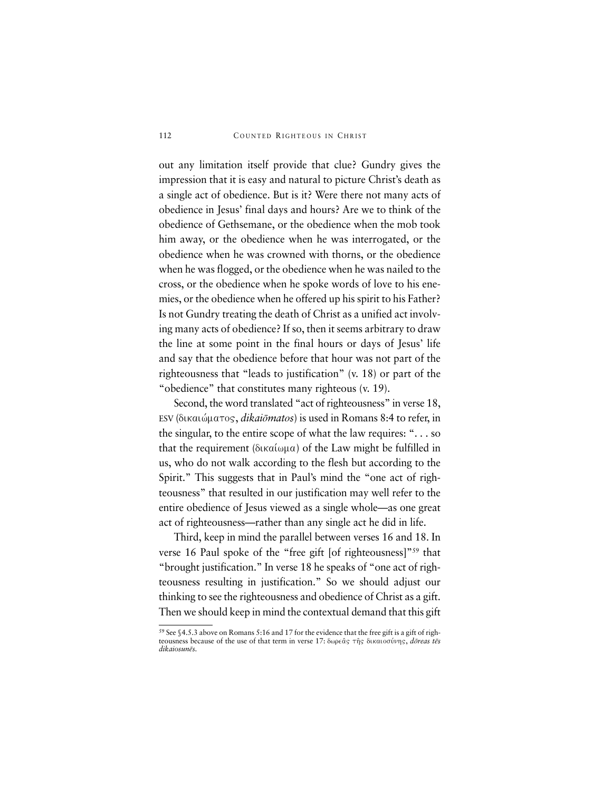out any limitation itself provide that clue? Gundry gives the impression that it is easy and natural to picture Christ's death as a single act of obedience. But is it? Were there not many acts of obedience in Jesus' final days and hours? Are we to think of the obedience of Gethsemane, or the obedience when the mob took him away, or the obedience when he was interrogated, or the obedience when he was crowned with thorns, or the obedience when he was flogged, or the obedience when he was nailed to the cross, or the obedience when he spoke words of love to his enemies, or the obedience when he offered up his spirit to his Father? Is not Gundry treating the death of Christ as a unified act involving many acts of obedience? If so, then it seems arbitrary to draw the line at some point in the final hours or days of Jesus' life and say that the obedience before that hour was not part of the righteousness that "leads to justification" (v. 18) or part of the "obedience" that constitutes many righteous (v. 19).

Second, the word translated "act of righteousness" in verse 18, ESV (δικαιώματος, *dikaiōmatos*) is used in Romans 8:4 to refer, in the singular, to the entire scope of what the law requires: ". . . so that the requirement ( $\delta \iota$ ка $\iota \omega \mu$ а) of the Law might be fulfilled in us, who do not walk according to the flesh but according to the Spirit." This suggests that in Paul's mind the "one act of righteousness" that resulted in our justification may well refer to the entire obedience of Jesus viewed as a single whole—as one great act of righteousness—rather than any single act he did in life.

Third, keep in mind the parallel between verses 16 and 18. In verse 16 Paul spoke of the "free gift [of righteousness]"59 that "brought justification." In verse 18 he speaks of "one act of righteousness resulting in justification." So we should adjust our thinking to see the righteousness and obedience of Christ as a gift. Then we should keep in mind the contextual demand that this gift

<sup>59</sup> See §4.5.3 above on Romans 5:16 and 17 for the evidence that the free gift is a gift of righteousness because of the use of that term in verse 17: δωρεα̂ς τη̂ς δικαιοσύνης, *dōreas tēs dikaiosun∑s.*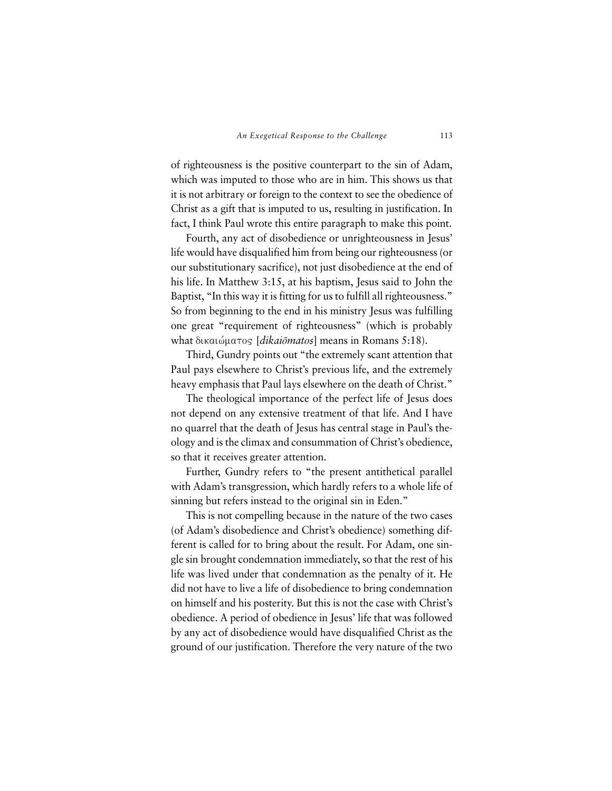of righteousness is the positive counterpart to the sin of Adam, which was imputed to those who are in him. This shows us that it is not arbitrary or foreign to the context to see the obedience of Christ as a gift that is imputed to us, resulting in justification. In fact, I think Paul wrote this entire paragraph to make this point.

Fourth, any act of disobedience or unrighteousness in Jesus' life would have disqualified him from being our righteousness (or our substitutionary sacrifice), not just disobedience at the end of his life. In Matthew 3:15, at his baptism, Jesus said to John the Baptist, "In this way it is fitting for us to fulfill all righteousness." So from beginning to the end in his ministry Jesus was fulfilling one great "requirement of righteousness" (which is probably what δικαιώματος [dikaiōmatos] means in Romans 5:18).

Third, Gundry points out "the extremely scant attention that Paul pays elsewhere to Christ's previous life, and the extremely heavy emphasis that Paul lays elsewhere on the death of Christ."

The theological importance of the perfect life of Jesus does not depend on any extensive treatment of that life. And I have no quarrel that the death of Jesus has central stage in Paul's theology and is the climax and consummation of Christ's obedience, so that it receives greater attention.

Further, Gundry refers to "the present antithetical parallel with Adam's transgression, which hardly refers to a whole life of sinning but refers instead to the original sin in Eden."

This is not compelling because in the nature of the two cases (of Adam's disobedience and Christ's obedience) something different is called for to bring about the result. For Adam, one single sin brought condemnation immediately, so that the rest of his life was lived under that condemnation as the penalty of it. He did not have to live a life of disobedience to bring condemnation on himself and his posterity. But this is not the case with Christ's obedience. A period of obedience in Jesus' life that was followed by any act of disobedience would have disqualified Christ as the ground of our justification. Therefore the very nature of the two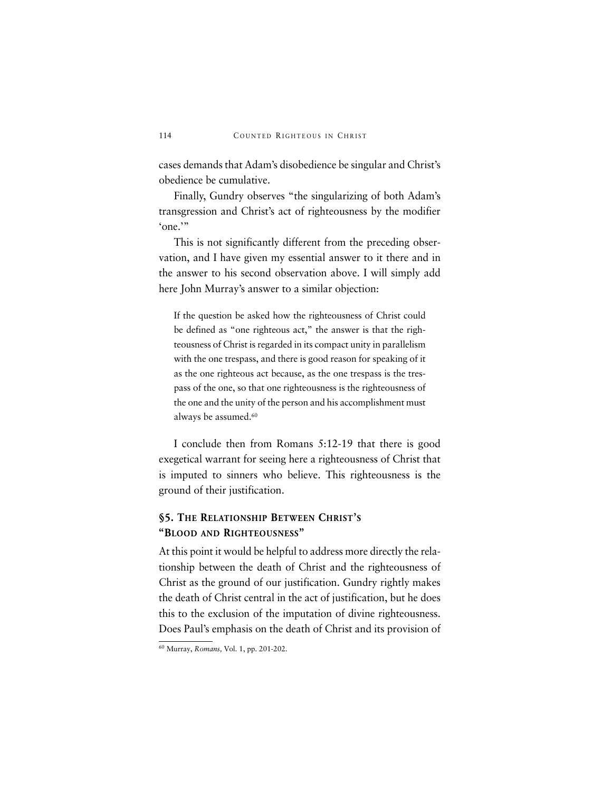cases demands that Adam's disobedience be singular and Christ's obedience be cumulative.

Finally, Gundry observes "the singularizing of both Adam's transgression and Christ's act of righteousness by the modifier 'one."

This is not significantly different from the preceding observation, and I have given my essential answer to it there and in the answer to his second observation above. I will simply add here John Murray's answer to a similar objection:

If the question be asked how the righteousness of Christ could be defined as "one righteous act," the answer is that the righteousness of Christ is regarded in its compact unity in parallelism with the one trespass, and there is good reason for speaking of it as the one righteous act because, as the one trespass is the trespass of the one, so that one righteousness is the righteousness of the one and the unity of the person and his accomplishment must always be assumed.<sup>60</sup>

I conclude then from Romans 5:12-19 that there is good exegetical warrant for seeing here a righteousness of Christ that is imputed to sinners who believe. This righteousness is the ground of their justification.

# **§5. THE RELATIONSHIP BETWEEN CHRIST'S "BLOOD AND RIGHTEOUSNESS"**

At this point it would be helpful to address more directly the relationship between the death of Christ and the righteousness of Christ as the ground of our justification. Gundry rightly makes the death of Christ central in the act of justification, but he does this to the exclusion of the imputation of divine righteousness. Does Paul's emphasis on the death of Christ and its provision of

<sup>60</sup> Murray, *Romans,* Vol. 1, pp. 201-202.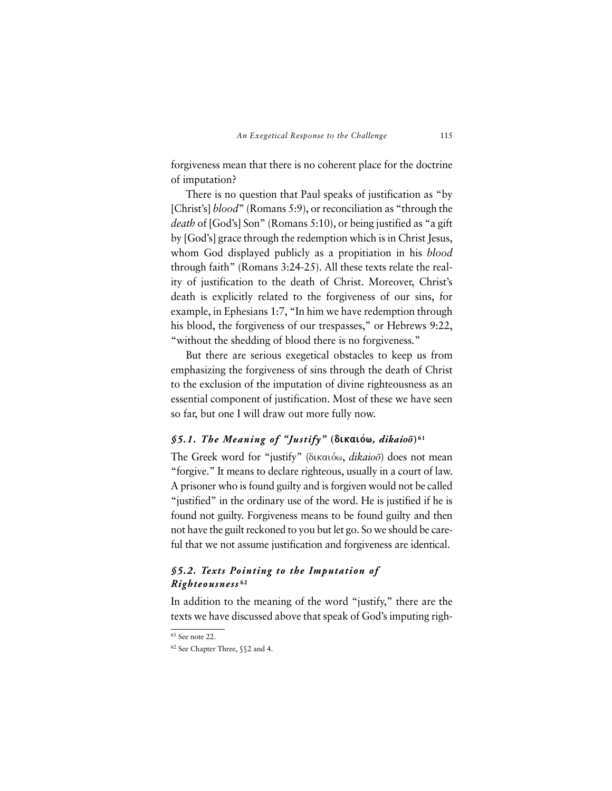forgiveness mean that there is no coherent place for the doctrine of imputation?

There is no question that Paul speaks of justification as "by [Christ's] *blood*" (Romans 5:9), or reconciliation as "through the *death* of [God's] Son" (Romans 5:10), or being justified as "a gift by [God's] grace through the redemption which is in Christ Jesus, whom God displayed publicly as a propitiation in his *blood* through faith" (Romans 3:24-25). All these texts relate the reality of justification to the death of Christ. Moreover, Christ's death is explicitly related to the forgiveness of our sins, for example, in Ephesians 1:7, "In him we have redemption through his blood, the forgiveness of our trespasses," or Hebrews 9:22, "without the shedding of blood there is no forgiveness*.*"

But there are serious exegetical obstacles to keep us from emphasizing the forgiveness of sins through the death of Christ to the exclusion of the imputation of divine righteousness as an essential component of justification. Most of these we have seen so far, but one I will draw out more fully now.

# $$5.1.$  The Meaning of "Justify" ( $\delta$ LKalów, *dikaioo*)<sup>61</sup>

The Greek word for "justify" (δικαιόω, *dikaioō*) does not mean "forgive." It means to declare righteous, usually in a court of law. A prisoner who is found guilty and is forgiven would not be called "justified" in the ordinary use of the word. He is justified if he is found not guilty. Forgiveness means to be found guilty and then not have the guilt reckoned to you but let go. So we should be careful that we not assume justification and forgiveness are identical.

# *§5.2. Texts Pointing to the Imputation of Righteousness* **<sup>62</sup>**

In addition to the meaning of the word "justify," there are the texts we have discussed above that speak of God's imputing righ-

<sup>61</sup> See note 22.

<sup>62</sup> See Chapter Three, §§2 and 4.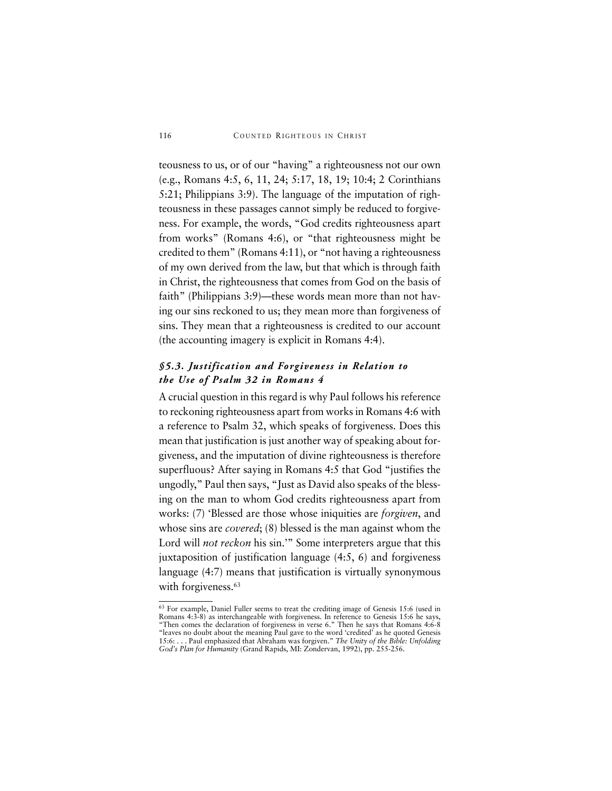teousness to us, or of our "having" a righteousness not our own (e.g., Romans 4:5, 6, 11, 24; 5:17, 18, 19; 10:4; 2 Corinthians 5:21; Philippians 3:9). The language of the imputation of righteousness in these passages cannot simply be reduced to forgiveness. For example, the words, "God credits righteousness apart from works" (Romans 4:6), or "that righteousness might be credited to them" (Romans 4:11), or "not having a righteousness of my own derived from the law, but that which is through faith in Christ, the righteousness that comes from God on the basis of faith" (Philippians 3:9)—these words mean more than not having our sins reckoned to us; they mean more than forgiveness of sins. They mean that a righteousness is credited to our account (the accounting imagery is explicit in Romans 4:4).

# *§5.3. Justification and Forgiveness in Relation to the Use of Psalm 32 in Romans 4*

A crucial question in this regard is why Paul follows his reference to reckoning righteousness apart from works in Romans 4:6 with a reference to Psalm 32, which speaks of forgiveness. Does this mean that justification is just another way of speaking about forgiveness, and the imputation of divine righteousness is therefore superfluous? After saying in Romans 4:5 that God "justifies the ungodly," Paul then says, "Just as David also speaks of the blessing on the man to whom God credits righteousness apart from works: (7) 'Blessed are those whose iniquities are *forgiven*, and whose sins are *covered*; (8) blessed is the man against whom the Lord will *not reckon* his sin.'" Some interpreters argue that this juxtaposition of justification language (4:5, 6) and forgiveness language (4:7) means that justification is virtually synonymous with forgiveness.<sup>63</sup>

<sup>63</sup> For example, Daniel Fuller seems to treat the crediting image of Genesis 15:6 (used in Romans 4:3-8) as interchangeable with forgiveness. In reference to Genesis 15:6 he says, "Then comes the declaration of forgiveness in verse 6." Then he says that Romans 4:6-8 "leaves no doubt about the meaning Paul gave to the word 'credited' as he quoted Genesis 15:6: . . . Paul emphasized that Abraham was forgiven." *The Unity of the Bible: Unfolding God's Plan for Humanity* (Grand Rapids, MI: Zondervan, 1992), pp. 255-256.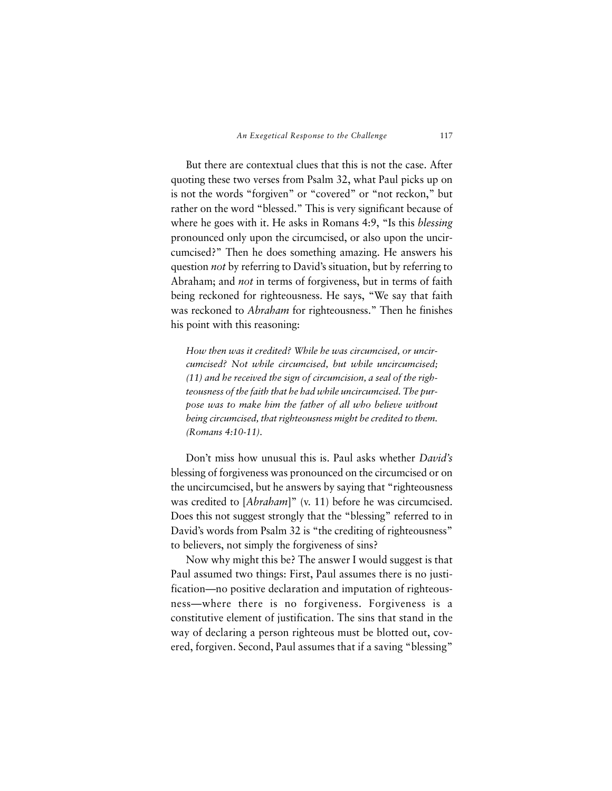But there are contextual clues that this is not the case. After quoting these two verses from Psalm 32, what Paul picks up on is not the words "forgiven" or "covered" or "not reckon," but rather on the word "blessed." This is very significant because of where he goes with it. He asks in Romans 4:9, "Is this *blessing* pronounced only upon the circumcised, or also upon the uncircumcised?" Then he does something amazing. He answers his question *not* by referring to David's situation, but by referring to Abraham; and *not* in terms of forgiveness, but in terms of faith being reckoned for righteousness. He says, "We say that faith was reckoned to *Abraham* for righteousness." Then he finishes his point with this reasoning:

*How then was it credited? While he was circumcised, or uncircumcised? Not while circumcised, but while uncircumcised; (11) and he received the sign of circumcision, a seal of the righteousness of the faith that he had while uncircumcised. The purpose was to make him the father of all who believe without being circumcised, that righteousness might be credited to them. (Romans 4:10-11).*

Don't miss how unusual this is. Paul asks whether *David's* blessing of forgiveness was pronounced on the circumcised or on the uncircumcised, but he answers by saying that "righteousness was credited to [*Abraham*]" (v. 11) before he was circumcised. Does this not suggest strongly that the "blessing" referred to in David's words from Psalm 32 is "the crediting of righteousness" to believers, not simply the forgiveness of sins?

Now why might this be? The answer I would suggest is that Paul assumed two things: First, Paul assumes there is no justification—no positive declaration and imputation of righteousness—where there is no forgiveness. Forgiveness is a constitutive element of justification. The sins that stand in the way of declaring a person righteous must be blotted out, covered, forgiven. Second, Paul assumes that if a saving "blessing"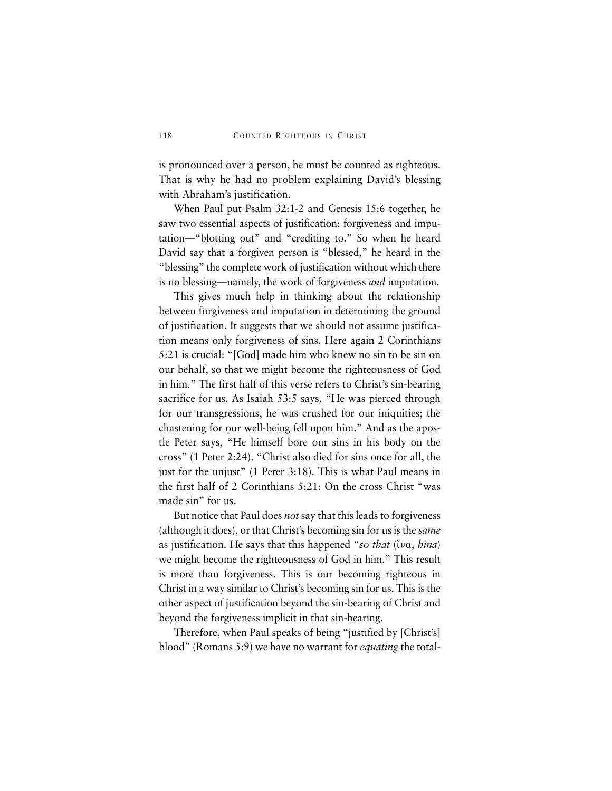is pronounced over a person, he must be counted as righteous. That is why he had no problem explaining David's blessing with Abraham's justification.

When Paul put Psalm 32:1-2 and Genesis 15:6 together, he saw two essential aspects of justification: forgiveness and imputation—"blotting out" and "crediting to." So when he heard David say that a forgiven person is "blessed," he heard in the "blessing" the complete work of justification without which there is no blessing—namely, the work of forgiveness *and* imputation.

This gives much help in thinking about the relationship between forgiveness and imputation in determining the ground of justification. It suggests that we should not assume justification means only forgiveness of sins. Here again 2 Corinthians 5:21 is crucial: "[God] made him who knew no sin to be sin on our behalf, so that we might become the righteousness of God in him." The first half of this verse refers to Christ's sin-bearing sacrifice for us. As Isaiah 53:5 says, "He was pierced through for our transgressions, he was crushed for our iniquities; the chastening for our well-being fell upon him." And as the apostle Peter says, "He himself bore our sins in his body on the cross" (1 Peter 2:24). "Christ also died for sins once for all, the just for the unjust" (1 Peter 3:18). This is what Paul means in the first half of 2 Corinthians 5:21: On the cross Christ "was made sin" for us.

But notice that Paul does *not* say that this leads to forgiveness (although it does), or that Christ's becoming sin for us is the *same* as justification. He says that this happened "so *that* ( $\alpha$ , *hina*) we might become the righteousness of God in him." This result is more than forgiveness. This is our becoming righteous in Christ in a way similar to Christ's becoming sin for us. This is the other aspect of justification beyond the sin-bearing of Christ and beyond the forgiveness implicit in that sin-bearing.

Therefore, when Paul speaks of being "justified by [Christ's] blood" (Romans 5:9) we have no warrant for *equating* the total-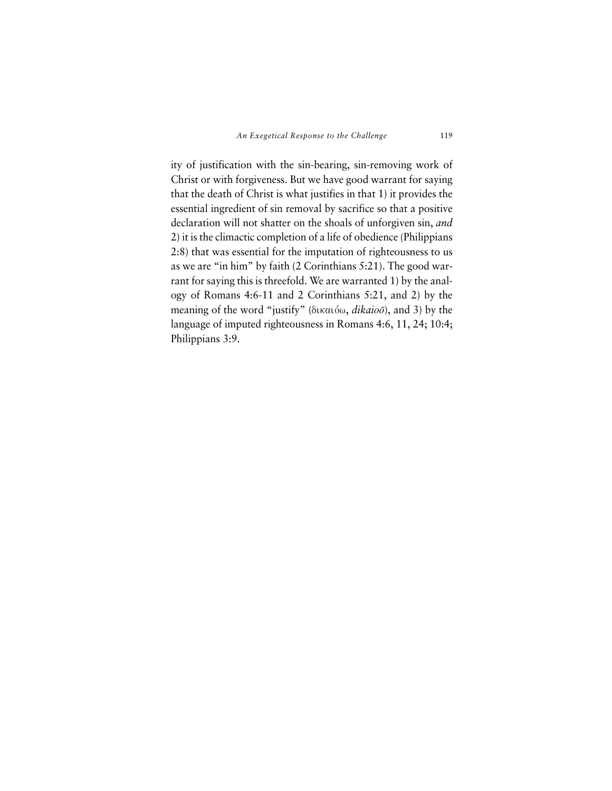ity of justification with the sin-bearing, sin-removing work of Christ or with forgiveness. But we have good warrant for saying that the death of Christ is what justifies in that 1) it provides the essential ingredient of sin removal by sacrifice so that a positive declaration will not shatter on the shoals of unforgiven sin, *and* 2) it is the climactic completion of a life of obedience (Philippians 2:8) that was essential for the imputation of righteousness to us as we are "in him" by faith (2 Corinthians 5:21). The good warrant for saying this is threefold. We are warranted 1) by the analogy of Romans 4:6-11 and 2 Corinthians 5:21, and 2) by the meaning of the word "justify" (δικαιόω, *dikaioō*), and 3) by the language of imputed righteousness in Romans 4:6, 11, 24; 10:4; Philippians 3:9.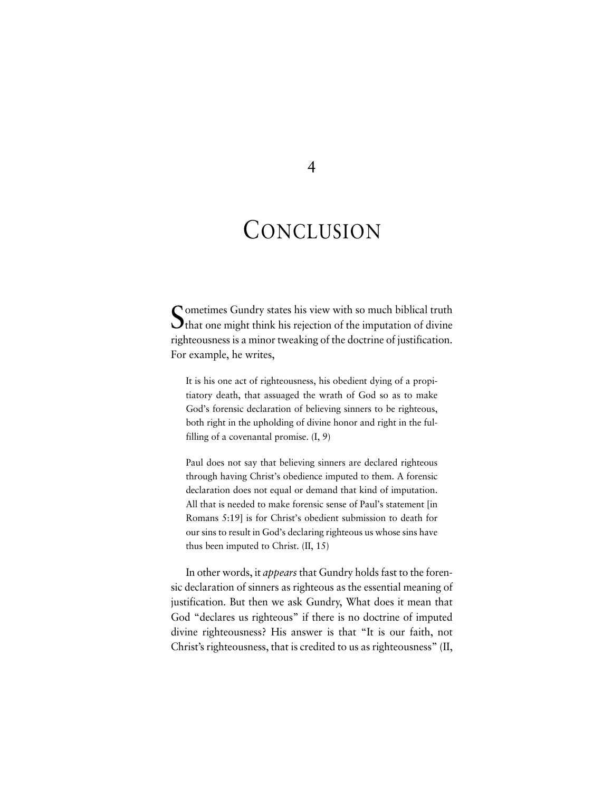### 4

## **CONCLUSION**

Sometimes Gundry states his view with so much biblical truth<br>
that one might think his rejection of the imputation of divine righteousness is a minor tweaking of the doctrine of justification. For example, he writes,

It is his one act of righteousness, his obedient dying of a propitiatory death, that assuaged the wrath of God so as to make God's forensic declaration of believing sinners to be righteous, both right in the upholding of divine honor and right in the fulfilling of a covenantal promise. (I, 9)

Paul does not say that believing sinners are declared righteous through having Christ's obedience imputed to them. A forensic declaration does not equal or demand that kind of imputation. All that is needed to make forensic sense of Paul's statement [in Romans 5:19] is for Christ's obedient submission to death for our sins to result in God's declaring righteous us whose sins have thus been imputed to Christ. (II, 15)

In other words, it *appears* that Gundry holds fast to the forensic declaration of sinners as righteous as the essential meaning of justification. But then we ask Gundry, What does it mean that God "declares us righteous" if there is no doctrine of imputed divine righteousness? His answer is that "It is our faith, not Christ's righteousness, that is credited to us as righteousness" (II,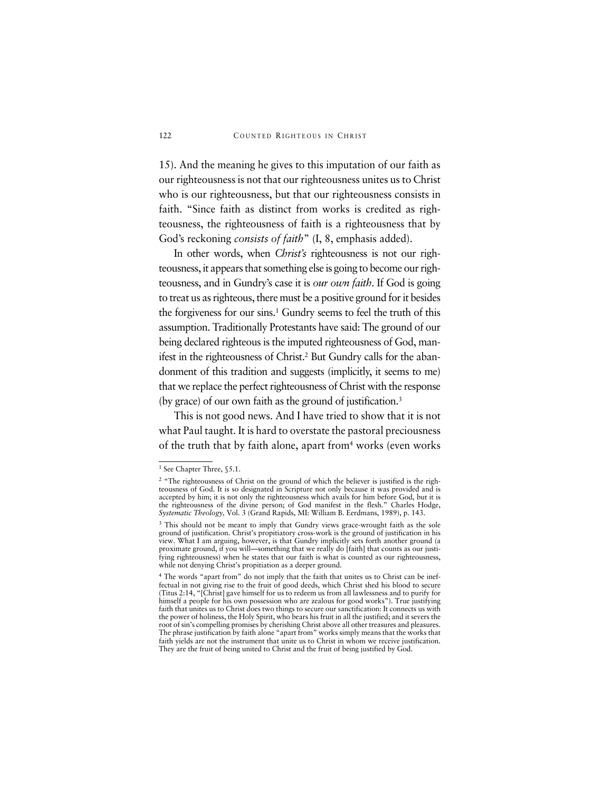15). And the meaning he gives to this imputation of our faith as our righteousness is not that our righteousness unites us to Christ who is our righteousness, but that our righteousness consists in faith. "Since faith as distinct from works is credited as righteousness, the righteousness of faith is a righteousness that by God's reckoning *consists of faith*" (I, 8, emphasis added).

In other words, when *Christ's* righteousness is not our righteousness, it appears that something else is going to become our righteousness, and in Gundry's case it is *our own faith*. If God is going to treat us as righteous, there must be a positive ground for it besides the forgiveness for our sins.<sup>1</sup> Gundry seems to feel the truth of this assumption. Traditionally Protestants have said: The ground of our being declared righteous is the imputed righteousness of God, manifest in the righteousness of Christ.<sup>2</sup> But Gundry calls for the abandonment of this tradition and suggests (implicitly, it seems to me) that we replace the perfect righteousness of Christ with the response (by grace) of our own faith as the ground of justification.<sup>3</sup>

This is not good news. And I have tried to show that it is not what Paul taught. It is hard to overstate the pastoral preciousness of the truth that by faith alone, apart from4 works (even works

<sup>&</sup>lt;sup>1</sup> See Chapter Three, §5.1.

<sup>2</sup> "The righteousness of Christ on the ground of which the believer is justified is the righteousness of God. It is so designated in Scripture not only because it was provided and is accepted by him; it is not only the righteousness which avails for him before God, but it is the righteousness of the divine person; of God manifest in the flesh." Charles Hodge, *Systematic Theology,* Vol. 3 (Grand Rapids, MI: William B. Eerdmans, 1989), p. 143.

<sup>&</sup>lt;sup>3</sup> This should not be meant to imply that Gundry views grace-wrought faith as the sole ground of justification. Christ's propitiatory cross-work is the ground of justification in his view. What I am arguing, however, is that Gundry implicitly sets forth another ground (a proximate ground, if you will—something that we really do [faith] that counts as our justifying righteousness) when he states that our faith is what is counted as our righteousness, while not denying Christ's propitiation as a deeper ground.

<sup>4</sup> The words "apart from" do not imply that the faith that unites us to Christ can be ineffectual in not giving rise to the fruit of good deeds, which Christ shed his blood to secure (Titus 2:14, "[Christ] gave himself for us to redeem us from all lawlessness and to purify for himself a people for his own possession who are zealous for good works"). True justifying faith that unites us to Christ does two things to secure our sanctification: It connects us with the power of holiness, the Holy Spirit, who bears his fruit in all the justified; and it severs the root of sin's compelling promises by cherishing Christ above all other treasures and pleasures. The phrase justification by faith alone "apart from" works simply means that the works that faith yields are not the instrument that unite us to Christ in whom we receive justification. They are the fruit of being united to Christ and the fruit of being justified by God.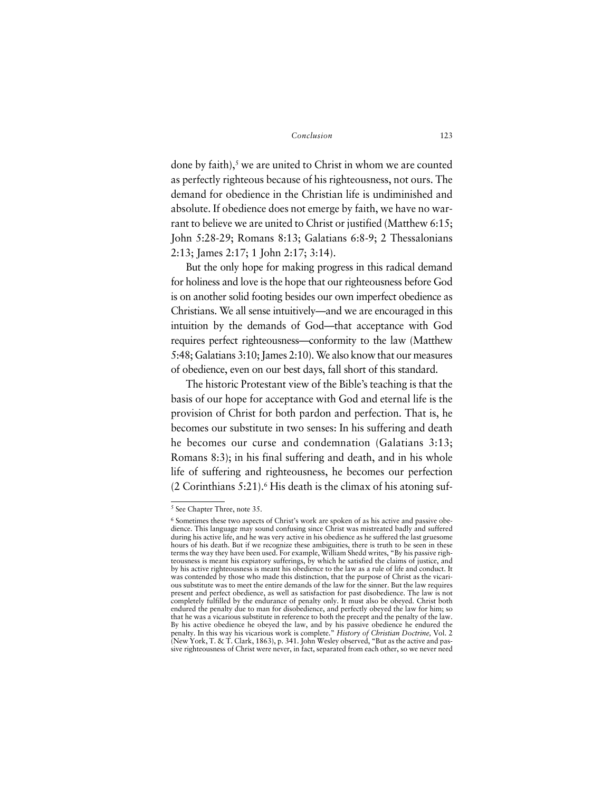*Conclusion* 123

done by faith),<sup>5</sup> we are united to Christ in whom we are counted as perfectly righteous because of his righteousness, not ours. The demand for obedience in the Christian life is undiminished and absolute. If obedience does not emerge by faith, we have no warrant to believe we are united to Christ or justified (Matthew 6:15; John 5:28-29; Romans 8:13; Galatians 6:8-9; 2 Thessalonians 2:13; James 2:17; 1 John 2:17; 3:14).

But the only hope for making progress in this radical demand for holiness and love is the hope that our righteousness before God is on another solid footing besides our own imperfect obedience as Christians. We all sense intuitively—and we are encouraged in this intuition by the demands of God—that acceptance with God requires perfect righteousness—conformity to the law (Matthew 5:48; Galatians 3:10; James 2:10). We also know that our measures of obedience, even on our best days, fall short of this standard.

The historic Protestant view of the Bible's teaching is that the basis of our hope for acceptance with God and eternal life is the provision of Christ for both pardon and perfection. That is, he becomes our substitute in two senses: In his suffering and death he becomes our curse and condemnation (Galatians 3:13; Romans 8:3); in his final suffering and death, and in his whole life of suffering and righteousness, he becomes our perfection  $(2$  Corinthians 5:21).<sup>6</sup> His death is the climax of his atoning suf-

<sup>5</sup> See Chapter Three, note 35.

<sup>6</sup> Sometimes these two aspects of Christ's work are spoken of as his active and passive obedience. This language may sound confusing since Christ was mistreated badly and suffered during his active life, and he was very active in his obedience as he suffered the last gruesome hours of his death. But if we recognize these ambiguities, there is truth to be seen in these terms the way they have been used. For example, William Shedd writes, "By his passive righteousness is meant his expiatory sufferings, by which he satisfied the claims of justice, and by his active righteousness is meant his obedience to the law as a rule of life and conduct. It was contended by those who made this distinction, that the purpose of Christ as the vicarious substitute was to meet the entire demands of the law for the sinner. But the law requires present and perfect obedience, as well as satisfaction for past disobedience. The law is not completely fulfilled by the endurance of penalty only. It must also be obeyed. Christ both endured the penalty due to man for disobedience, and perfectly obeyed the law for him; so that he was a vicarious substitute in reference to both the precept and the penalty of the law. By his active obedience he obeyed the law, and by his passive obedience he endured the penalty. In this way his vicarious work is complete." *History of Christian Doctrine,* Vol. 2 (New York, T. & T. Clark, 1863), p. 341. John Wesley observed, "But as the active and passive righteousness of Christ were never, in fact, separated from each other, so we never need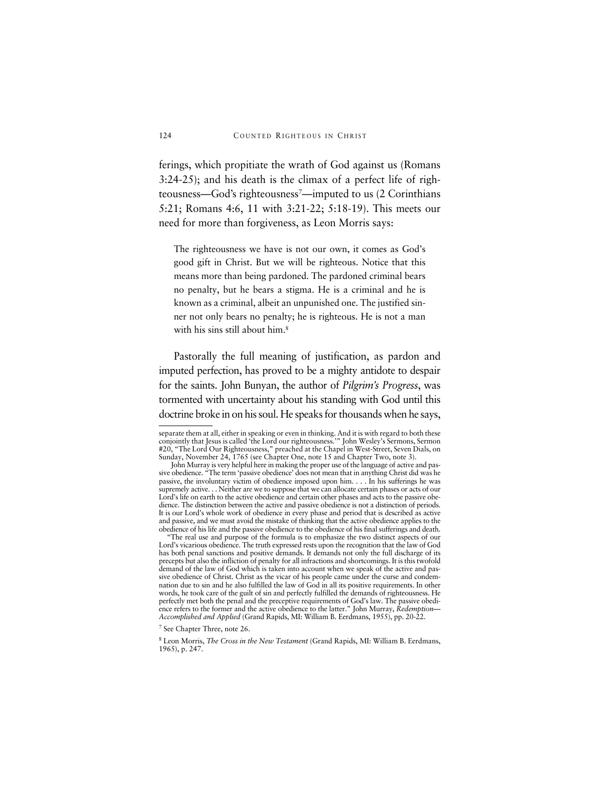ferings, which propitiate the wrath of God against us (Romans 3:24-25); and his death is the climax of a perfect life of righteousness—God's righteousness<sup>7</sup>—imputed to us (2 Corinthians 5:21; Romans 4:6, 11 with 3:21-22; 5:18-19). This meets our need for more than forgiveness, as Leon Morris says:

The righteousness we have is not our own, it comes as God's good gift in Christ. But we will be righteous. Notice that this means more than being pardoned. The pardoned criminal bears no penalty, but he bears a stigma. He is a criminal and he is known as a criminal, albeit an unpunished one. The justified sinner not only bears no penalty; he is righteous. He is not a man with his sins still about him.<sup>8</sup>

Pastorally the full meaning of justification, as pardon and imputed perfection, has proved to be a mighty antidote to despair for the saints. John Bunyan, the author of *Pilgrim's Progress*, was tormented with uncertainty about his standing with God until this doctrine broke in on his soul. He speaks for thousands when he says,

separate them at all, either in speaking or even in thinking. And it is with regard to both these conjointly that Jesus is called 'the Lord our righteousness.'" John Wesley's Sermons, Sermon #20, "The Lord Our Righteousness," preached at the Chapel in West-Street, Seven Dials, on Sunday, November 24, 1765 (see Chapter One, note 15 and Chapter Two, note 3).

John Murray is very helpful here in making the proper use of the language of active and passive obedience. "The term 'passive obedience' does not mean that in anything Christ did was he passive, the involuntary victim of obedience imposed upon him. . . . In his sufferings he was supremely active. . . Neither are we to suppose that we can allocate certain phases or acts of our Lord's life on earth to the active obedience and certain other phases and acts to the passive obedience. The distinction between the active and passive obedience is not a distinction of periods. It is our Lord's whole work of obedience in every phase and period that is described as active and passive, and we must avoid the mistake of thinking that the active obedience applies to the obedience of his life and the passive obedience to the obedience of his final sufferings and death.

<sup>&</sup>quot;The real use and purpose of the formula is to emphasize the two distinct aspects of our Lord's vicarious obedience. The truth expressed rests upon the recognition that the law of God has both penal sanctions and positive demands. It demands not only the full discharge of its precepts but also the infliction of penalty for all infractions and shortcomings. It is this twofold demand of the law of God which is taken into account when we speak of the active and passive obedience of Christ. Christ as the vicar of his people came under the curse and condemnation due to sin and he also fulfilled the law of God in all its positive requirements. In other words, he took care of the guilt of sin and perfectly fulfilled the demands of righteousness. He perfectly met both the penal and the preceptive requirements of God's law. The passive obedience refers to the former and the active obedience to the latter." John Murray, *Redemption*— *Accomplished and Applied* (Grand Rapids, MI: William B. Eerdmans, 1955), pp. 20-22.

<sup>7</sup> See Chapter Three, note 26.

<sup>8</sup> Leon Morris, *The Cross in the New Testament* (Grand Rapids, MI: William B. Eerdmans, 1965), p. 247.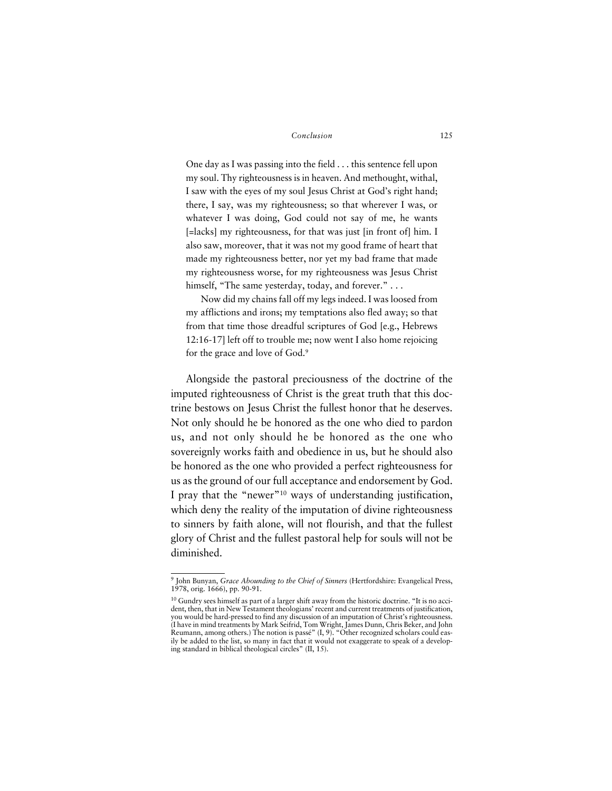#### *Conclusion* 125

One day as I was passing into the field . . . this sentence fell upon my soul. Thy righteousness is in heaven. And methought, withal, I saw with the eyes of my soul Jesus Christ at God's right hand; there, I say, was my righteousness; so that wherever I was, or whatever I was doing, God could not say of me, he wants [=lacks] my righteousness, for that was just [in front of] him. I also saw, moreover, that it was not my good frame of heart that made my righteousness better, nor yet my bad frame that made my righteousness worse, for my righteousness was Jesus Christ himself, "The same yesterday, today, and forever." . . .

Now did my chains fall off my legs indeed. I was loosed from my afflictions and irons; my temptations also fled away; so that from that time those dreadful scriptures of God [e.g., Hebrews 12:16-17] left off to trouble me; now went I also home rejoicing for the grace and love of God.9

Alongside the pastoral preciousness of the doctrine of the imputed righteousness of Christ is the great truth that this doctrine bestows on Jesus Christ the fullest honor that he deserves. Not only should he be honored as the one who died to pardon us, and not only should he be honored as the one who sovereignly works faith and obedience in us, but he should also be honored as the one who provided a perfect righteousness for us as the ground of our full acceptance and endorsement by God. I pray that the "newer"10 ways of understanding justification, which deny the reality of the imputation of divine righteousness to sinners by faith alone, will not flourish, and that the fullest glory of Christ and the fullest pastoral help for souls will not be diminished.

<sup>9</sup> John Bunyan, *Grace Abounding to the Chief of Sinners* (Hertfordshire: Evangelical Press, 1978, orig. 1666), pp. 90-91.

<sup>&</sup>lt;sup>10</sup> Gundry sees himself as part of a larger shift away from the historic doctrine. "It is no accident, then, that in New Testament theologians' recent and current treatments of justification, you would be hard-pressed to find any discussion of an imputation of Christ's righteousness. (I have in mind treatments by Mark Seifrid, Tom Wright, James Dunn, Chris Beker, and John Reumann, among others.) The notion is passé" (I, 9). "Other recognized scholars could easily be added to the list, so many in fact that it would not exaggerate to speak of a developing standard in biblical theological circles" (II, 15).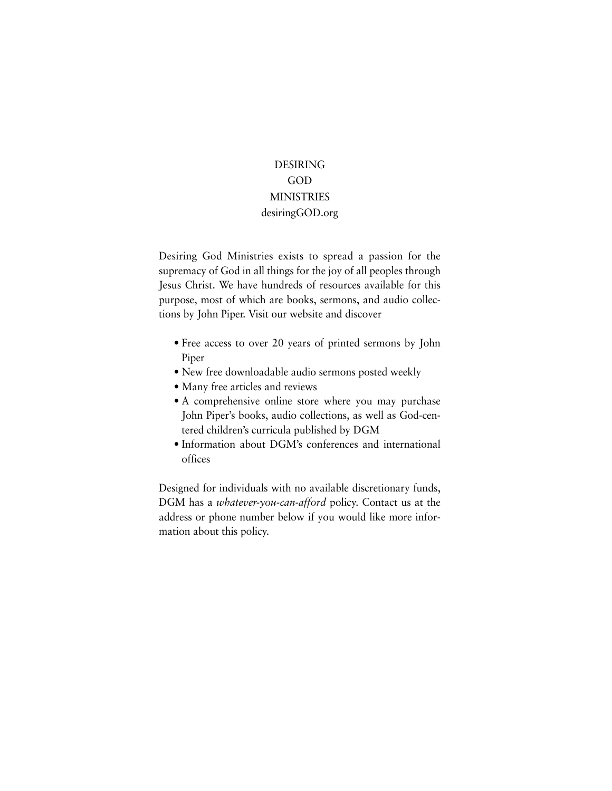### DESIRING GOD MINISTRIES desiringGOD.org

Desiring God Ministries exists to spread a passion for the supremacy of God in all things for the joy of all peoples through Jesus Christ. We have hundreds of resources available for this purpose, most of which are books, sermons, and audio collections by John Piper. Visit our website and discover

- Free access to over 20 years of printed sermons by John Piper
- New free downloadable audio sermons posted weekly
- Many free articles and reviews
- A comprehensive online store where you may purchase John Piper's books, audio collections, as well as God-centered children's curricula published by DGM
- Information about DGM's conferences and international offices

Designed for individuals with no available discretionary funds, DGM has a *whatever-you-can-afford* policy. Contact us at the address or phone number below if you would like more information about this policy.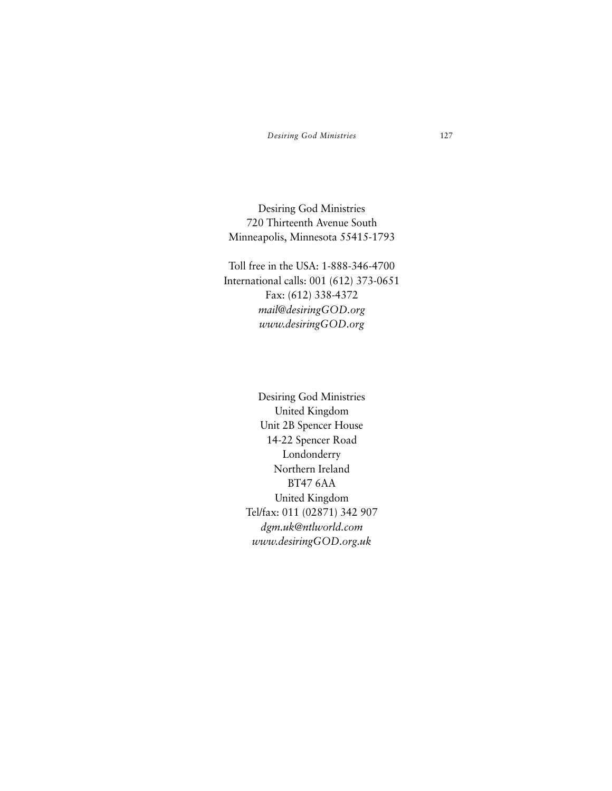Desiring God Ministries 720 Thirteenth Avenue South Minneapolis, Minnesota 55415-1793

Toll free in the USA: 1-888-346-4700 International calls: 001 (612) 373-0651 Fax: (612) 338-4372 *mail@desiringGOD.org www.desiringGOD.org*

> Desiring God Ministries United Kingdom Unit 2B Spencer House 14-22 Spencer Road Londonderry Northern Ireland BT47 6AA United Kingdom Tel/fax: 011 (02871) 342 907 *dgm.uk@ntlworld.com www.desiringGOD.org.uk*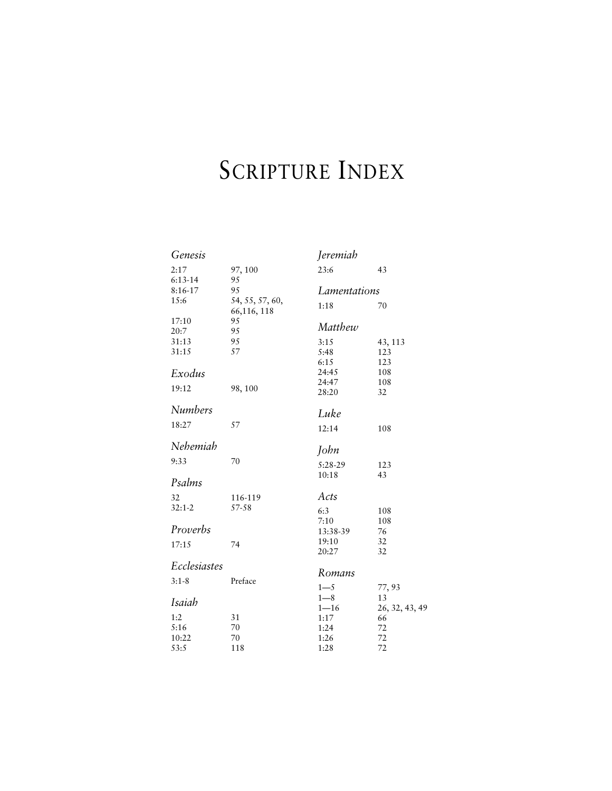# SCRIPTURE INDEX

| Genesis        |                                 | Jeremiah     |                |  |
|----------------|---------------------------------|--------------|----------------|--|
| 2:17           | 97, 100                         | 23:6         | 43             |  |
| $6:13-14$      | 95                              |              |                |  |
| $8:16-17$      | 95                              | Lamentations |                |  |
| 15:6           | 54, 55, 57, 60,<br>66, 116, 118 | 1:18         | 70             |  |
| 17:10          | 95                              | Matthew      |                |  |
| 20:7           | 95                              |              |                |  |
| 31:13          | 95                              | 3:15         | 43, 113        |  |
| 31:15          | 57                              | 5:48         | 123            |  |
|                |                                 | 6:15         | 123            |  |
| Exodus         |                                 | 24:45        | 108            |  |
| 19:12          | 98, 100                         | 24:47        | 108            |  |
|                |                                 | 28:20        | 32             |  |
| <b>Numbers</b> |                                 | Luke         |                |  |
| 18:27          | 57                              | 12:14        | 108            |  |
|                |                                 |              |                |  |
| Nehemiah       |                                 | John         |                |  |
| 9:33           | 70                              | 5:28-29      | 123            |  |
|                |                                 | 10:18        | 43             |  |
| Psalms         |                                 |              |                |  |
| 32             | 116-119                         | Acts         |                |  |
| $32:1-2$       | 57-58                           | 6:3          | 108            |  |
|                |                                 | 7:10         | 108            |  |
| Proverbs       |                                 | 13:38-39     | 76             |  |
| 17:15          | 74                              | 19:10        | 32             |  |
|                |                                 | 20:27        | 32             |  |
| Ecclesiastes   |                                 |              |                |  |
|                |                                 | Romans       |                |  |
| $3:1-8$        | Preface                         | $1 - 5$      | 77, 93         |  |
| Isaiah         |                                 | $1 - 8$      | 13             |  |
|                |                                 | $1 - 16$     | 26, 32, 43, 49 |  |
| 1:2            | 31                              | 1:17         | 66             |  |
| 5:16           | 70                              | 1:24         | 72             |  |
| 10:22          | 70                              | 1:26         | 72             |  |
| 53:5           | 118                             | 1:28         | 72             |  |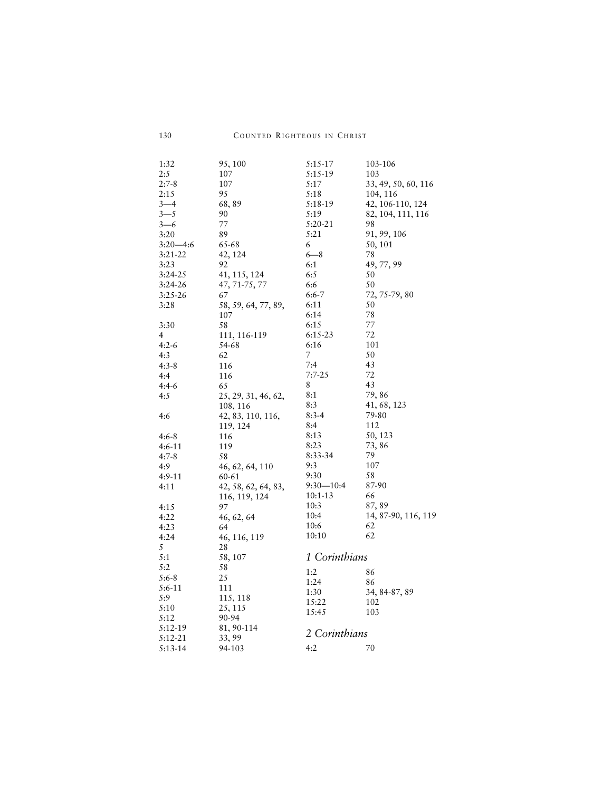| 1:32       | 95, 100             | 5:15-17       | 103-106             |
|------------|---------------------|---------------|---------------------|
| 2:5        | 107                 | 5:15-19       | 103                 |
| $2:7-8$    | 107                 | 5:17          | 33, 49, 50, 60, 116 |
| 2:15       | 95                  | 5:18          | 104, 116            |
| $3 - 4$    | 68,89               | 5:18-19       | 42, 106-110, 124    |
| $3 - 5$    | 90                  | 5:19          | 82, 104, 111, 116   |
| $3 - 6$    | 77                  | $5:20-21$     | 98                  |
| 3:20       | 89                  | 5:21          | 91, 99, 106         |
| $3:20-4:6$ | 65-68               | 6             | 50, 101             |
| 3:21-22    | 42, 124             | $6 - 8$       | 78                  |
| 3:23       | 92                  | 6:1           | 49, 77, 99          |
| 3:24-25    | 41, 115, 124        | 6:5           | 50                  |
| 3:24-26    | 47, 71-75, 77       | 6:6           | 50                  |
| 3:25-26    | 67                  | $6:6 - 7$     | 72, 75-79, 80       |
| 3:28       | 58, 59, 64, 77, 89, | 6:11          | 50                  |
|            | 107                 | 6:14          | 78                  |
| 3:30       | 58                  | 6:15          | 77                  |
| 4          | 111, 116-119        | 6:15-23       | 72                  |
| $4:2-6$    | 54-68               | 6:16          | 101                 |
| 4:3        | 62                  | 7             | 50                  |
| $4:3-8$    | 116                 | 7:4           | 43                  |
| 4:4        | 116                 | $7:7-25$      | 72                  |
| $4:4-6$    | 65                  | 8             | 43                  |
| 4:5        | 25, 29, 31, 46, 62, | 8:1           | 79,86               |
|            | 108, 116            | 8:3           | 41, 68, 123         |
| 4:6        | 42, 83, 110, 116,   | $8:3-4$       | 79-80               |
|            | 119, 124            | 8:4           | 112                 |
| $4:6-8$    | 116                 | 8:13          | 50, 123             |
| 4:6-11     | 119                 | 8:23          | 73,86               |
| $4:7-8$    | 58                  | 8:33-34       | 79                  |
| 4:9        | 46, 62, 64, 110     | 9:3           | 107                 |
| $4:9-11$   | 60-61               | 9:30          | 58                  |
| 4:11       | 42, 58, 62, 64, 83, | $9:30 - 10:4$ | 87-90               |
|            | 116, 119, 124       | 10:1-13       | 66                  |
| 4:15       | 97                  | 10:3          | 87,89               |
| 4:22       | 46, 62, 64          | 10:4          | 14, 87-90, 116, 119 |
| 4:23       | 64                  | 10:6          | 62                  |
| 4:24       | 46, 116, 119        | 10:10         | 62                  |
| 5          | 28                  |               |                     |
| 5:1        | 58, 107             | 1 Corinthians |                     |
| 5:2        | 58                  | 1:2           | 86                  |
| $5:6-8$    | 25                  | 1:24          | 86                  |
| $5:6-11$   | 111                 | 1:30          | 34, 84-87, 89       |
| 5:9        | 115, 118            | 15:22         | 102                 |
| 5:10       | 25, 115             | 15:45         | 103                 |
| 5:12       | 90-94               |               |                     |
| $5:12-19$  | 81, 90-114          | 2 Corinthians |                     |
| 5:12-21    | 33, 99              |               |                     |
| 5:13-14    | 94-103              | 4:2           | 70                  |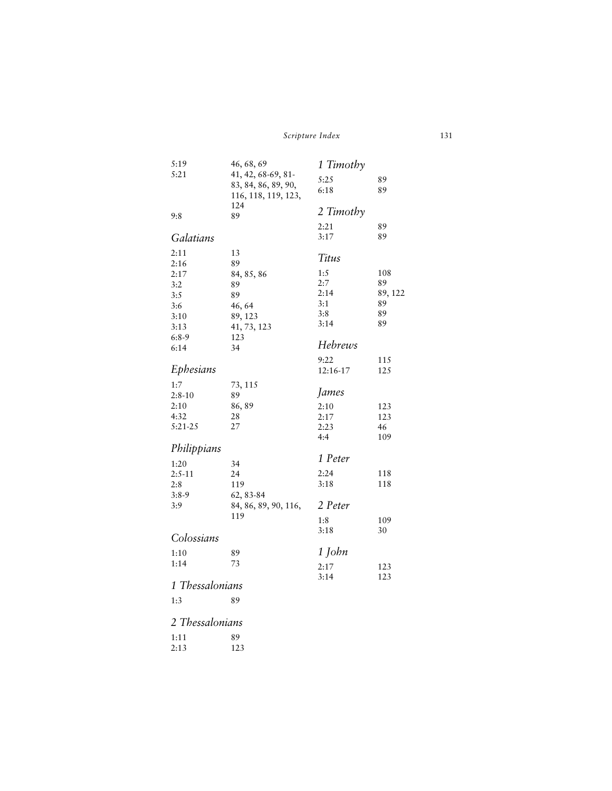#### *Scripture Index* 131

| 5:19<br>5:21    | 46, 68, 69<br>41, 42, 68-69, 81-           | 1 Timothy<br>5:25 | 89      |  |  |
|-----------------|--------------------------------------------|-------------------|---------|--|--|
|                 | 83, 84, 86, 89, 90,<br>116, 118, 119, 123, | 6:18              | 89      |  |  |
| 9:8             | 124<br>89                                  | 2 Timothy         |         |  |  |
|                 |                                            | 2:21              | 89      |  |  |
| Galatians       |                                            | 3:17              | 89      |  |  |
| 2:11            | 13                                         | Titus             |         |  |  |
| 2:16            | 89                                         |                   |         |  |  |
| 2:17            | 84, 85, 86                                 | 1:5               | 108     |  |  |
| 3:2             | 89                                         | 2:7               | 89      |  |  |
| 3:5             | 89                                         | 2:14              | 89, 122 |  |  |
| 3:6             | 46, 64                                     | 3:1               | 89      |  |  |
| 3:10            | 89, 123                                    | 3:8               | 89      |  |  |
| 3:13            | 41, 73, 123                                | 3:14              | 89      |  |  |
| $6:8-9$         | 123                                        |                   |         |  |  |
| 6:14            | 34                                         | Hebrews           |         |  |  |
|                 |                                            | 9:22              | 115     |  |  |
| Ephesians       |                                            | 12:16-17          | 125     |  |  |
| 1:7             | 73, 115                                    |                   |         |  |  |
| $2:8-10$        | 89                                         | James             |         |  |  |
| 2:10            | 86, 89                                     | 2:10              | 123     |  |  |
| 4:32            | 28                                         | 2:17              | 123     |  |  |
| $5:21-25$       | 27                                         | 2:23              | 46      |  |  |
|                 |                                            | 4:4               | 109     |  |  |
| Philippians     |                                            |                   |         |  |  |
| 1:20            | 34                                         | 1 Peter           |         |  |  |
| $2:5-11$        | 24                                         | 2:24              | 118     |  |  |
| 2:8             | 119                                        | 3:18              | 118     |  |  |
| $3:8-9$         | 62, 83-84                                  |                   |         |  |  |
| 3:9             | 84, 86, 89, 90, 116,                       | 2 Peter           |         |  |  |
|                 | 119                                        |                   |         |  |  |
|                 |                                            | 1:8               | 109     |  |  |
| Colossians      |                                            | 3:18              | 30      |  |  |
|                 |                                            | 1 John            |         |  |  |
| 1:10            | 89                                         |                   |         |  |  |
| 1:14            | 73                                         | 2:17              | 123     |  |  |
|                 |                                            | 3:14              | 123     |  |  |
| 1 Thessalonians |                                            |                   |         |  |  |
| 1:3             | 89                                         |                   |         |  |  |
| 2 Thessalonians |                                            |                   |         |  |  |
| 1:11            | 89                                         |                   |         |  |  |

2:13 123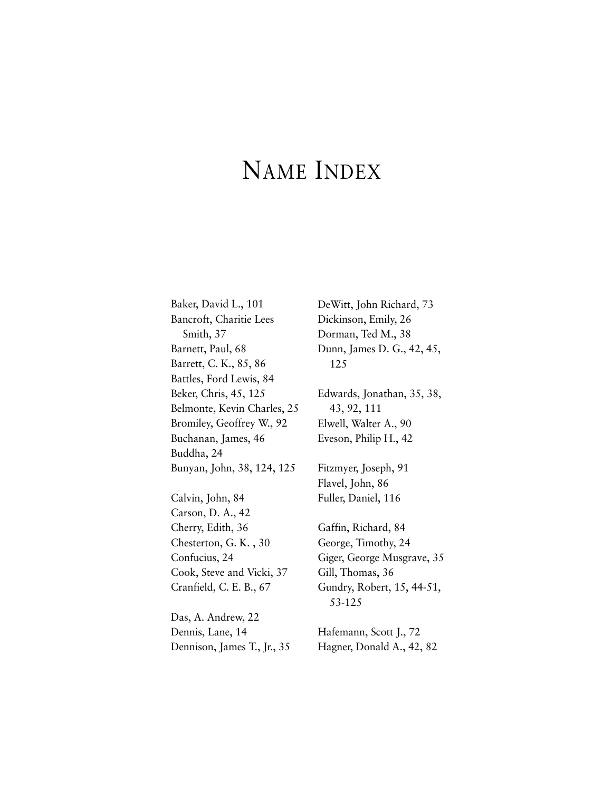# NAME INDEX

Baker, David L., 101 Bancroft, Charitie Lees Smith, 37 Barnett, Paul, 68 Barrett, C. K., 85, 86 Battles, Ford Lewis, 84 Beker, Chris, 45, 125 Belmonte, Kevin Charles, 25 Bromiley, Geoffrey W., 92 Buchanan, James, 46 Buddha, 24 Bunyan, John, 38, 124, 125 Calvin, John, 84 Carson, D. A., 42 Cherry, Edith, 36

Chesterton, G. K. , 30

Das, A. Andrew, 22 Dennis, Lane, 14

Cook, Steve and Vicki, 37 Cranfield, C. E. B., 67

Confucius, 24

DeWitt, John Richard, 73 Dickinson, Emily, 26 Dorman, Ted M., 38 Dunn, James D. G., 42, 45, 125

Edwards, Jonathan, 35, 38, 43, 92, 111 Elwell, Walter A., 90 Eveson, Philip H., 42

Fitzmyer, Joseph, 91 Flavel, John, 86 Fuller, Daniel, 116

Gaffin, Richard, 84 George, Timothy, 24 Giger, George Musgrave, 35 Gill, Thomas, 36 Gundry, Robert, 15, 44-51, 53-125

Dennison, James T., Jr., 35 Hafemann, Scott J., 72 Hagner, Donald A., 42, 82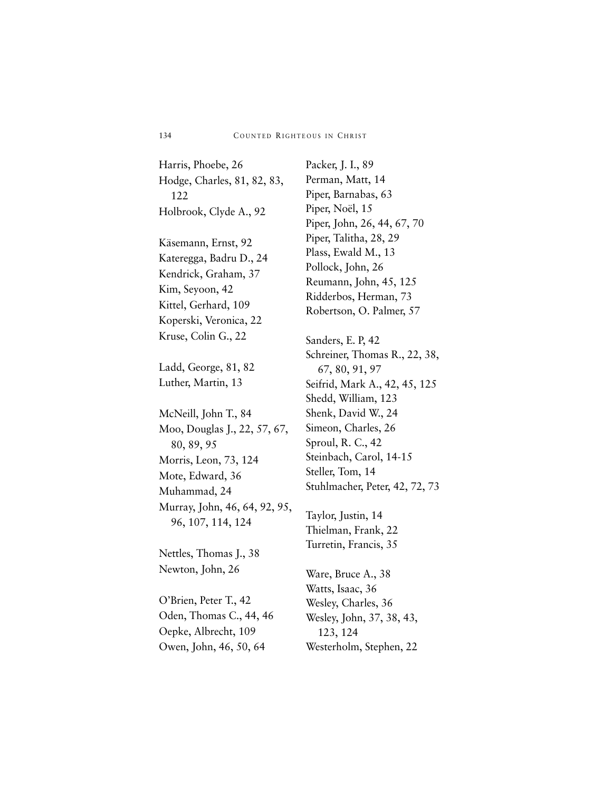Harris, Phoebe, 26 Hodge, Charles, 81, 82, 83, 122 Holbrook, Clyde A., 92 Käsemann, Ernst, 92 Kateregga, Badru D., 24 Kendrick, Graham, 37 Kim, Seyoon, 42 Kittel, Gerhard, 109 Koperski, Veronica, 22 Kruse, Colin G., 22

Ladd, George, 81, 82 Luther, Martin, 13

McNeill, John T., 84 Moo, Douglas J., 22, 57, 67, 80, 89, 95 Morris, Leon, 73, 124 Mote, Edward, 36 Muhammad, 24 Murray, John, 46, 64, 92, 95, 96, 107, 114, 124

Nettles, Thomas J., 38 Newton, John, 26

O'Brien, Peter T., 42 Oden, Thomas C., 44, 46 Oepke, Albrecht, 109 Owen, John, 46, 50, 64

Packer, J. I., 89 Perman, Matt, 14 Piper, Barnabas, 63 Piper, Noël, 15 Piper, John, 26, 44, 67, 70 Piper, Talitha, 28, 29 Plass, Ewald M., 13 Pollock, John, 26 Reumann, John, 45, 125 Ridderbos, Herman, 73 Robertson, O. Palmer, 57

Sanders, E. P, 42 Schreiner, Thomas R., 22, 38, 67, 80, 91, 97 Seifrid, Mark A., 42, 45, 125 Shedd, William, 123 Shenk, David W., 24 Simeon, Charles, 26 Sproul, R. C., 42 Steinbach, Carol, 14-15 Steller, Tom, 14 Stuhlmacher, Peter, 42, 72, 73

Taylor, Justin, 14 Thielman, Frank, 22 Turretin, Francis, 35

Ware, Bruce A., 38 Watts, Isaac, 36 Wesley, Charles, 36 Wesley, John, 37, 38, 43, 123, 124 Westerholm, Stephen, 22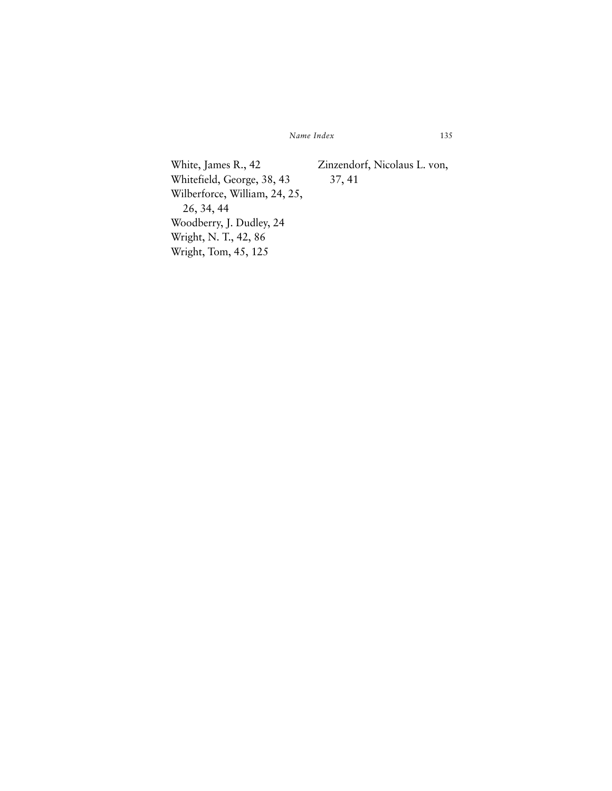*Name Index* 135

White, James R., 42 Whitefield, George, 38, 43 Wilberforce, William, 24, 25, 26, 34, 44 Woodberry, J. Dudley, 24 Wright, N. T., 42, 86 Wright, Tom, 45, 125 Zinzendorf, Nicolaus L. von, 37, 41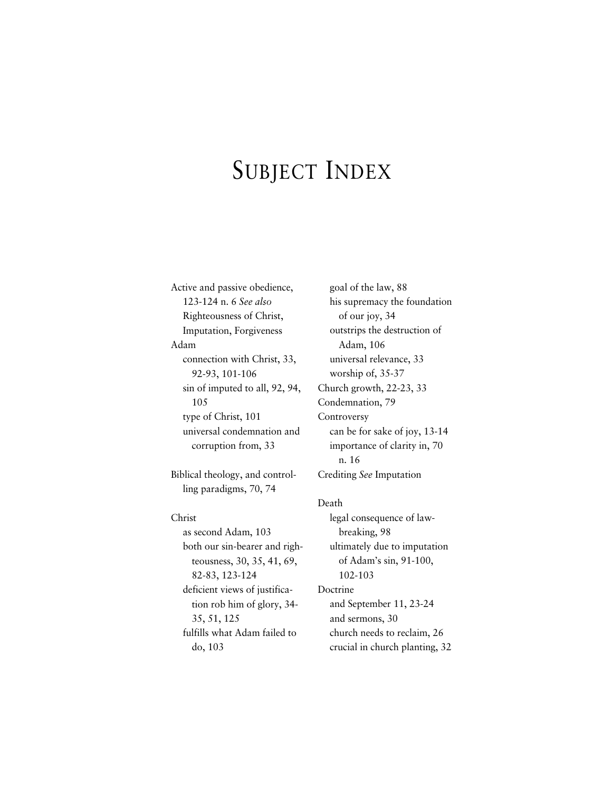# SUBJECT INDEX

Active and passive obedience, 123-124 n. 6 *See also* Righteousness of Christ, Imputation, Forgiveness Adam connection with Christ, 33, 92-93, 101-106 sin of imputed to all, 92, 94, 105 type of Christ, 101 universal condemnation and corruption from, 33

Biblical theology, and controlling paradigms, 70, 74

#### Christ

as second Adam, 103 both our sin-bearer and righteousness, 30, 35, 41, 69, 82-83, 123-124 deficient views of justification rob him of glory, 34- 35, 51, 125 fulfills what Adam failed to do, 103

goal of the law, 88 his supremacy the foundation of our joy, 34 outstrips the destruction of Adam, 106 universal relevance, 33 worship of, 35-37 Church growth, 22-23, 33 Condemnation, 79 Controversy can be for sake of joy, 13-14 importance of clarity in, 70 n. 16 Crediting *See* Imputation

### Death

legal consequence of lawbreaking, 98 ultimately due to imputation of Adam's sin, 91-100, 102-103 Doctrine and September 11, 23-24 and sermons, 30 church needs to reclaim, 26 crucial in church planting, 32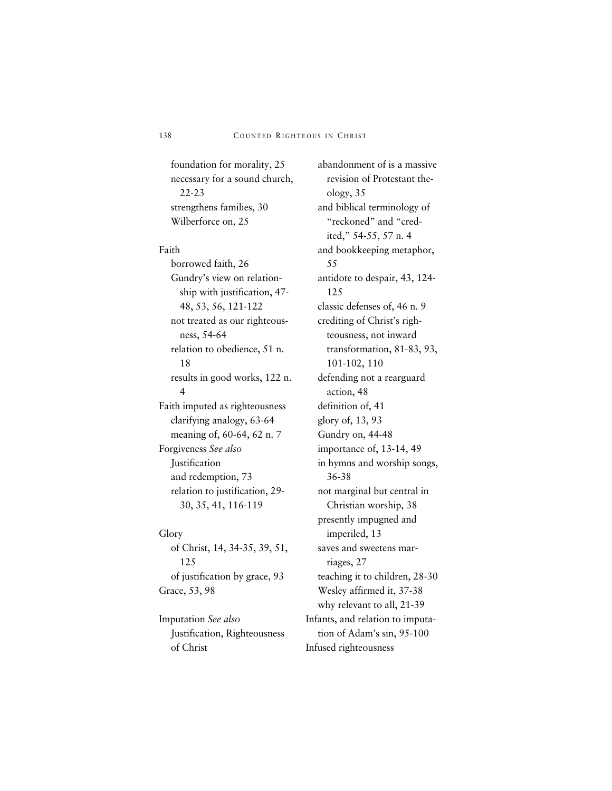foundation for morality, 25 necessary for a sound church, 22-23 strengthens families, 30 Wilberforce on, 25

#### Faith

borrowed faith, 26 Gundry's view on relationship with justification, 47- 48, 53, 56, 121-122 not treated as our righteousness, 54-64 relation to obedience, 51 n. 18 results in good works, 122 n. 4 Faith imputed as righteousness clarifying analogy, 63-64 meaning of, 60-64, 62 n. 7 Forgiveness *See also* Justification and redemption, 73 relation to justification, 29- 30, 35, 41, 116-119

### Glory of Christ, 14, 34-35, 39, 51, 125 of justification by grace, 93 Grace, 53, 98

Imputation *See also* Justification, Righteousness of Christ

abandonment of is a massive revision of Protestant theology, 35 and biblical terminology of "reckoned" and "credited," 54-55, 57 n. 4 and bookkeeping metaphor, 55 antidote to despair, 43, 124- 125 classic defenses of, 46 n. 9 crediting of Christ's righteousness, not inward transformation, 81-83, 93, 101-102, 110 defending not a rearguard action, 48 definition of, 41 glory of, 13, 93 Gundry on, 44-48 importance of, 13-14, 49 in hymns and worship songs, 36-38 not marginal but central in Christian worship, 38 presently impugned and imperiled, 13 saves and sweetens marriages, 27 teaching it to children, 28-30 Wesley affirmed it, 37-38 why relevant to all, 21-39 Infants, and relation to imputation of Adam's sin, 95-100 Infused righteousness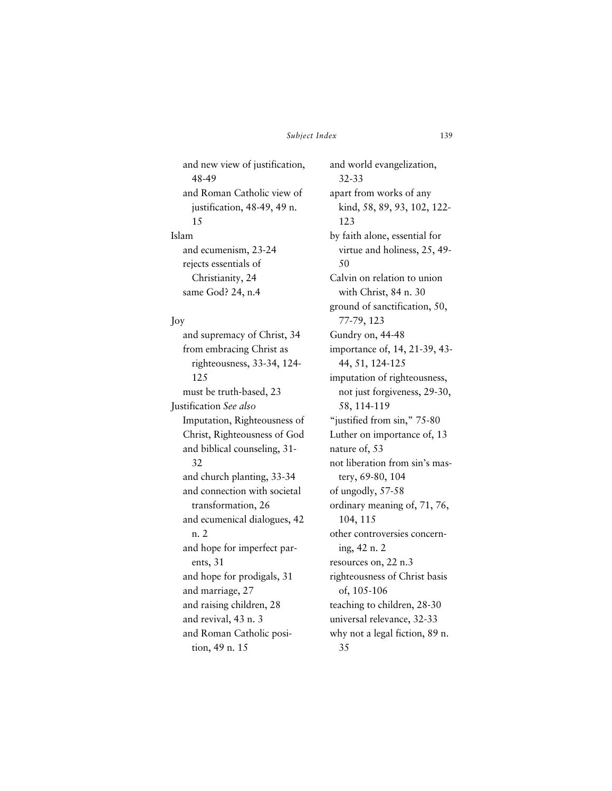#### *Subject Index* 139

and new view of justification, 48-49 and Roman Catholic view of justification, 48-49, 49 n. 15 Islam and ecumenism, 23-24 rejects essentials of Christianity, 24 same God? 24, n.4

#### Joy

and supremacy of Christ, 34 from embracing Christ as righteousness, 33-34, 124- 125 must be truth-based, 23 Justification *See also* Imputation, Righteousness of Christ, Righteousness of God and biblical counseling, 31- 32 and church planting, 33-34 and connection with societal transformation, 26 and ecumenical dialogues, 42 n. 2 and hope for imperfect parents, 31 and hope for prodigals, 31 and marriage, 27 and raising children, 28 and revival, 43 n. 3 and Roman Catholic position, 49 n. 15

and world evangelization, 32-33 apart from works of any kind, 58, 89, 93, 102, 122- 123 by faith alone, essential for virtue and holiness, 25, 49- 50 Calvin on relation to union with Christ, 84 n. 30 ground of sanctification, 50, 77-79, 123 Gundry on, 44-48 importance of, 14, 21-39, 43- 44, 51, 124-125 imputation of righteousness, not just forgiveness, 29-30, 58, 114-119 "justified from sin," 75-80 Luther on importance of, 13 nature of, 53 not liberation from sin's mastery, 69-80, 104 of ungodly, 57-58 ordinary meaning of, 71, 76, 104, 115 other controversies concerning, 42 n. 2 resources on, 22 n.3 righteousness of Christ basis of, 105-106 teaching to children, 28-30 universal relevance, 32-33 why not a legal fiction, 89 n. 35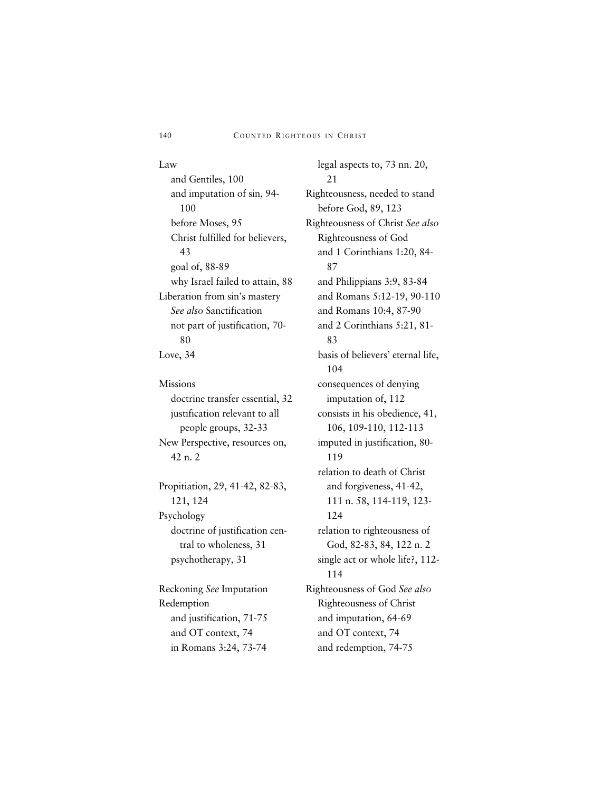Law

- and Gentiles, 100 and imputation of sin, 94- 100 before Moses, 95 Christ fulfilled for believers, 43 goal of, 88-89 why Israel failed to attain, 88 Liberation from sin's mastery *See also* Sanctification not part of justification, 70- 80 Love, 34
- Missions doctrine transfer essential, 32 justification relevant to all people groups, 32-33 New Perspective, resources on, 42 n. 2

Propitiation, 29, 41-42, 82-83, 121, 124 Psychology doctrine of justification central to wholeness, 31 psychotherapy, 31

Reckoning *See* Imputation Redemption and justification, 71-75 and OT context, 74 in Romans 3:24, 73-74

legal aspects to, 73 nn. 20, 21 Righteousness, needed to stand before God, 89, 123 Righteousness of Christ *See also* Righteousness of God and 1 Corinthians 1:20, 84- 87 and Philippians 3:9, 83-84 and Romans 5:12-19, 90-110 and Romans 10:4, 87-90 and 2 Corinthians 5:21, 81- 83 basis of believers' eternal life, 104 consequences of denying imputation of, 112 consists in his obedience, 41, 106, 109-110, 112-113 imputed in justification, 80- 119 relation to death of Christ and forgiveness, 41-42, 111 n. 58, 114-119, 123- 124 relation to righteousness of God, 82-83, 84, 122 n. 2 single act or whole life?, 112- 114 Righteousness of God *See also* Righteousness of Christ and imputation, 64-69 and OT context, 74 and redemption, 74-75